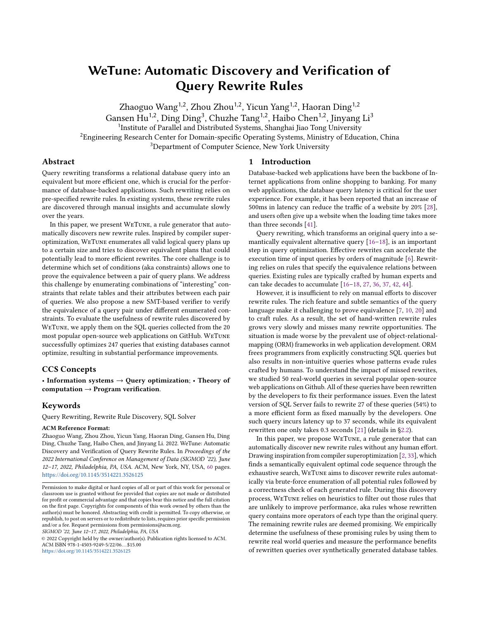# <span id="page-0-0"></span>WeTune: Automatic Discovery and Verification of Query Rewrite Rules

Zhaoguo Wang<sup>1,2</sup>, Zhou Zhou<sup>1,2</sup>, Yicun Yang<sup>1,2</sup>, Haoran Ding<sup>1,2</sup> Gansen Hu<sup>1,2</sup>, Ding Ding<sup>3</sup>, Chuzhe Tang<sup>1,2</sup>, Haibo Chen<sup>1,2</sup>, Jinyang Li<sup>3</sup> <sup>1</sup>Institute of Parallel and Distributed Systems, Shanghai Jiao Tong University <sup>2</sup>Engineering Research Center for Domain-specific Operating Systems, Ministry of Education, China <sup>3</sup>Department of Computer Science, New York University

#### Abstract

Query rewriting transforms a relational database query into an equivalent but more efficient one, which is crucial for the performance of database-backed applications. Such rewriting relies on pre-specified rewrite rules. In existing systems, these rewrite rules are discovered through manual insights and accumulate slowly over the years.

In this paper, we present WeTune, a rule generator that automatically discovers new rewrite rules. Inspired by compiler superoptimization, WeTune enumerates all valid logical query plans up to a certain size and tries to discover equivalent plans that could potentially lead to more efficient rewrites. The core challenge is to determine which set of conditions (aka constraints) allows one to prove the equivalence between a pair of query plans. We address this challenge by enumerating combinations of "interesting" constraints that relate tables and their attributes between each pair of queries. We also propose a new SMT-based verifier to verify the equivalence of a query pair under different enumerated constraints. To evaluate the usefulness of rewrite rules discovered by WeTune, we apply them on the SQL queries collected from the 20 most popular open-source web applications on GitHub. WeTune successfully optimizes 247 queries that existing databases cannot optimize, resulting in substantial performance improvements.

## CCS Concepts

• Information systems  $\rightarrow$  Query optimization; • Theory of computation  $\rightarrow$  Program verification.

#### Keywords

Query Rewriting, Rewrite Rule Discovery, SQL Solver

#### ACM Reference Format:

Zhaoguo Wang, Zhou Zhou, Yicun Yang, Haoran Ding, Gansen Hu, Ding Ding, Chuzhe Tang, Haibo Chen, and Jinyang Li. 2022. WeTune: Automatic Discovery and Verification of Query Rewrite Rules. In Proceedings of the 2022 International Conference on Management of Data (SIGMOD '22), June 12–17, 2022, Philadelphia, PA, USA. ACM, New York, NY, USA, [60](#page-59-0) pages. <https://doi.org/10.1145/3514221.3526125>

SIGMOD '22, June 12–17, 2022, Philadelphia, PA, USA

© 2022 Copyright held by the owner/author(s). Publication rights licensed to ACM. ACM ISBN 978-1-4503-9249-5/22/06. . . \$15.00 <https://doi.org/10.1145/3514221.3526125>

#### 1 Introduction

Database-backed web applications have been the backbone of Internet applications from online shopping to banking. For many web applications, the database query latency is critical for the user experience. For example, it has been reported that an increase of 500ms in latency can reduce the traffic of a website by 20% [\[28\]](#page-13-0), and users often give up a website when the loading time takes more than three seconds [\[41\]](#page-13-1).

Query rewriting, which transforms an original query into a semantically equivalent alternative query [\[16–](#page-13-2)[18\]](#page-13-3), is an important step in query optimization. Effective rewrites can accelerate the execution time of input queries by orders of magnitude [\[6\]](#page-13-4). Rewriting relies on rules that specify the equivalence relations between queries. Existing rules are typically crafted by human experts and can take decades to accumulate [\[16–](#page-13-2)[18,](#page-13-3) [27,](#page-13-5) [36,](#page-13-6) [37,](#page-13-7) [42,](#page-13-8) [44\]](#page-13-9).

However, it is insufficient to rely on manual efforts to discover rewrite rules. The rich feature and subtle semantics of the query language make it challenging to prove equivalence [\[7,](#page-13-10) [10,](#page-13-11) [20\]](#page-13-12) and to craft rules. As a result, the set of hand-written rewrite rules grows very slowly and misses many rewrite opportunities. The situation is made worse by the prevalent use of object-relationalmapping (ORM) frameworks in web application development. ORM frees programmers from explicitly constructing SQL queries but also results in non-intuitive queries whose patterns evade rules crafted by humans. To understand the impact of missed rewrites, we studied 50 real-world queries in several popular open-source web applications on Github. All of these queries have been rewritten by the developers to fix their performance issues. Even the latest version of SQL Server fails to rewrite 27 of these queries (54%) to a more efficient form as fixed manually by the developers. One such query incurs latency up to 37 seconds, while its equivalent rewritten one only takes 0.3 seconds [\[21\]](#page-13-13) (details in [§2.2\)](#page-2-0).

In this paper, we propose WeTune, a rule generator that can automatically discover new rewrite rules without any human effort. Drawing inspiration from compiler superoptimization [\[2,](#page-13-14) [33\]](#page-13-15), which finds a semantically equivalent optimal code sequence through the exhaustive search, WeTune aims to discover rewrite rules automatically via brute-force enumeration of all potential rules followed by a correctness check of each generated rule. During this discovery process, WeTune relies on heuristics to filter out those rules that are unlikely to improve performance, aka rules whose rewritten query contains more operators of each type than the original query. The remaining rewrite rules are deemed promising. We empirically determine the usefulness of these promising rules by using them to rewrite real world queries and measure the performance benefits of rewritten queries over synthetically generated database tables.

Permission to make digital or hard copies of all or part of this work for personal or classroom use is granted without fee provided that copies are not made or distributed for profit or commercial advantage and that copies bear this notice and the full citation on the first page. Copyrights for components of this work owned by others than the author(s) must be honored. Abstracting with credit is permitted. To copy otherwise, or republish, to post on servers or to redistribute to lists, requires prior specific permission and/or a fee. Request permissions from permissions@acm.org.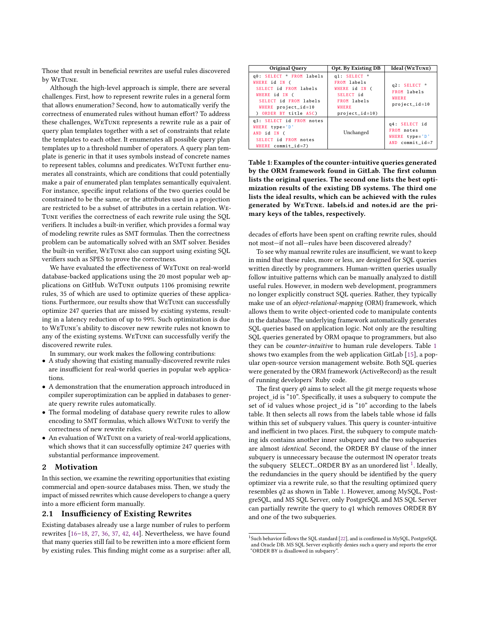Those that result in beneficial rewrites are useful rules discovered by WeTune.

Although the high-level approach is simple, there are several challenges. First, how to represent rewrite rules in a general form that allows enumeration? Second, how to automatically verify the correctness of enumerated rules without human effort? To address these challenges, WeTune represents a rewrite rule as a pair of query plan templates together with a set of constraints that relate the templates to each other. It enumerates all possible query plan templates up to a threshold number of operators. A query plan template is generic in that it uses symbols instead of concrete names to represent tables, columns and predicates. WeTune further enumerates all constraints, which are conditions that could potentially make a pair of enumerated plan templates semantically equivalent. For instance, specific input relations of the two queries could be constrained to be the same, or the attributes used in a projection are restricted to be a subset of attributes in a certain relation. We-Tune verifies the correctness of each rewrite rule using the SQL verifiers. It includes a built-in verifier, which provides a formal way of modeling rewrite rules as SMT formulas. Then the correctness problem can be automatically solved with an SMT solver. Besides the built-in verifier, WeTune also can support using existing SQL verifiers such as SPES to prove the correctness.

We have evaluated the effectiveness of WeTune on real-world database-backed applications using the 20 most popular web applications on GitHub. WeTune outputs 1106 promising rewrite rules, 35 of which are used to optimize queries of these applications. Furthermore, our results show that WeTune can successfully optimize 247 queries that are missed by existing systems, resulting in a latency reduction of up to 99%. Such optimization is due to WeTune's ability to discover new rewrite rules not known to any of the existing systems. WeTune can successfully verify the discovered rewrite rules.

In summary, our work makes the following contributions:

- A study showing that existing manually-discovered rewrite rules are insufficient for real-world queries in popular web applications.
- A demonstration that the enumeration approach introduced in compiler superoptimization can be applied in databases to generate query rewrite rules automatically.
- The formal modeling of database query rewrite rules to allow encoding to SMT formulas, which allows WeTune to verify the correctness of new rewrite rules.
- An evaluation of WeTune on a variety of real-world applications, which shows that it can successfully optimize 247 queries with substantial performance improvement.

#### 2 Motivation

In this section, we examine the rewriting opportunities that existing commercial and open-source databases miss. Then, we study the impact of missed rewrites which cause developers to change a query into a more efficient form manually.

#### 2.1 Insufficiency of Existing Rewrites

Existing databases already use a large number of rules to perform rewrites [\[16–](#page-13-2)[18,](#page-13-3) [27,](#page-13-5) [36,](#page-13-6) [37,](#page-13-7) [42,](#page-13-8) [44\]](#page-13-9). Nevertheless, we have found that many queries still fail to be rewritten into a more efficient form by existing rules. This finding might come as a surprise: after all,

<span id="page-1-0"></span>

| Original Query                                                                                                                                                  | <b>Opt. By Existing DB</b>                                                                                           | Ideal (WETUNE)                                                          |
|-----------------------------------------------------------------------------------------------------------------------------------------------------------------|----------------------------------------------------------------------------------------------------------------------|-------------------------------------------------------------------------|
| q0: SELECT * FROM labels<br>WHERE id IN (<br>SELECT id FROM labels<br>WHERE id IN (<br>SELECT id FROM labels<br>WHERE $project\_id=10$<br>) ORDER BY title ASC) | g1 SELECT *<br>FROM labels<br>WHERE id IN (<br>SELECT id<br>FROM labels<br><b>WHERE</b><br>$\texttt{project_id=10})$ | q2 SELECT *<br>FROM labels<br><b>WHERE</b><br>$\texttt{project\_id=10}$ |
| q3: SELECT id FROM notes<br>WHERE $type='D'$<br>AND id IN (<br>SELECT id FROM notes<br>WHERE commit $id=7$ )                                                    | Unchanged                                                                                                            | q4: SELECT id<br>FROM notes<br>WHERE $type='D'$<br>AND commit $id=7$    |

Table 1: Examples of the counter-intuitive queries generated by the ORM framework found in GitLab. The first column lists the original queries. The second one lists the best optimization results of the existing DB systems. The third one lists the ideal results, which can be achieved with the rules generated by WeTune. labels.id and notes.id are the primary keys of the tables, respectively.

decades of efforts have been spent on crafting rewrite rules, should not most—if not all—rules have been discovered already?

To see why manual rewrite rules are insufficient, we want to keep in mind that these rules, more or less, are designed for SQL queries written directly by programmers. Human-written queries usually follow intuitive patterns which can be manually analyzed to distill useful rules. However, in modern web development, programmers no longer explicitly construct SQL queries. Rather, they typically make use of an object-relational-mapping (ORM) framework, which allows them to write object-oriented code to manipulate contents in the database. The underlying framework automatically generates SQL queries based on application logic. Not only are the resulting SQL queries generated by ORM opaque to programmers, but also they can be counter-intuitive to human rule developers. Table [1](#page-1-0) shows two examples from the web application GitLab [\[15\]](#page-13-16), a popular open-source version management website. Both SQL queries were generated by the ORM framework (ActiveRecord) as the result of running developers' Ruby code.

The first query  $q0$  aims to select all the git merge requests whose project\_id is "10". Specifically, it uses a subquery to compute the set of id values whose project id is "10" according to the labels table. It then selects all rows from the labels table whose id falls within this set of subquery values. This query is counter-intuitive and inefficient in two places. First, the subquery to compute matching ids contains another inner subquery and the two subqueries are almost identical. Second, the ORDER BY clause of the inner subquery is unnecessary because the outermost IN operator treats the subquery SELECT...ORDER BY as an unordered list  $^1$  $^1$ . Ideally, the redundancies in the query should be identified by the query optimizer via a rewrite rule, so that the resulting optimized query resembles  $q2$  as shown in Table [1.](#page-1-0) However, among MySQL, PostgreSQL, and MS SQL Server, only PostgreSQL and MS SQL Server can partially rewrite the query to  $q1$  which removes ORDER BY and one of the two subqueries.

<sup>&</sup>lt;sup>1</sup>Such behavior follows the SQL standard [\[22\]](#page-13-17), and is confirmed in MySQL, PostgreSQL and Oracle DB. MS SQL Server explicitly denies such a query and reports the error "ORDER BY is disallowed in subquery".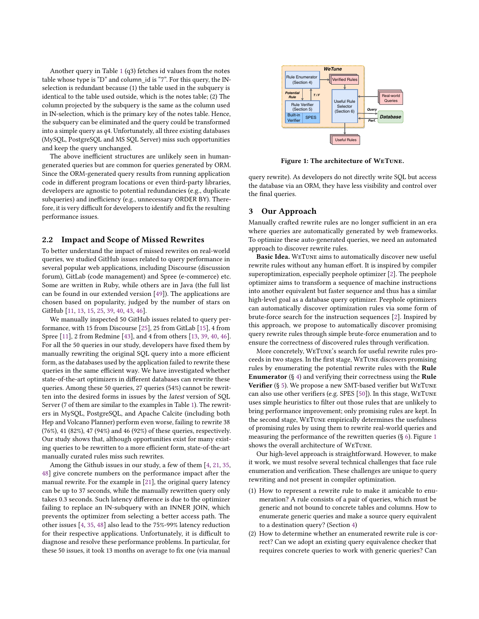Another query in Table [1](#page-1-0) (q3) fetches id values from the notes table whose type is "D" and column\_id is "7". For this query, the INselection is redundant because (1) the table used in the subquery is identical to the table used outside, which is the notes table; (2) The column projected by the subquery is the same as the column used in IN-selection, which is the primary key of the notes table. Hence, the subquery can be eliminated and the query could be transformed into a simple query as  $q4$ . Unfortunately, all three existing databases (MySQL, PostgreSQL and MS SQL Server) miss such opportunities and keep the query unchanged.

The above inefficient structures are unlikely seen in humangenerated queries but are common for queries generated by ORM. Since the ORM-generated query results from running application code in different program locations or even third-party libraries, developers are agnostic to potential redundancies (e.g., duplicate subqueries) and inefficiency (e.g., unnecessary ORDER BY). Therefore, it is very difficult for developers to identify and fix the resulting performance issues.

#### <span id="page-2-0"></span>2.2 Impact and Scope of Missed Rewrites

To better understand the impact of missed rewrites on real-world queries, we studied GitHub issues related to query performance in several popular web applications, including Discourse (discussion forum), GitLab (code management) and Spree (e-commerce) etc. Some are written in Ruby, while others are in Java (the full list can be found in our extended version [\[49\]](#page-13-18)). The applications are chosen based on popularity, judged by the number of stars on GitHub [\[11,](#page-13-19) 13, 15, 25, 39, 40, 43, 46].

We manually inspected 50 GitHub issues related to query performance, with 15 from Discourse [\[25\]](#page-13-21), 25 from GitLab [\[15\]](#page-13-16), 4 from Spree [\[11\]](#page-13-19), 2 from Redmine [\[43\]](#page-13-24), and 4 from others [\[13,](#page-13-20) 39, 40, 46]. For all the 50 queries in our study, developers have fixed them by manually rewriting the original SQL query into a more efficient form, as the databases used by the application failed to rewrite these queries in the same efficient way. We have investigated whether state-of-the-art optimizers in different databases can rewrite these queries. Among these 50 queries, 27 queries (54%) cannot be rewritten into the desired forms in issues by the latest version of SQL Server (7 of them are similar to the examples in Table 1). The rewriters in MySQL, PostgreSQL, and Apache Calcite (including both Hep and Volcano Planner) perform even worse, failing to rewrite 38 (76%), 41 (82%), 47 (94%) and 46 (92%) of these queries, respectively. Our study shows that, although opportunities exist for many existing queries to be rewritten to a more efficient form, state-of-the-art manually curated rules miss such rewrites. column projected by the adoptery is the arms at the column used<br>of the stepsition which is the primary key of the notes table. Here,<br>
in Roselection, which is the primary key of the notes table. Here,<br>
in Roselection, whi the adopary can be climinated and the quory could be transformed that and the simulation (b) spaces ( $\mu$  and  $\mu$ ) and  $\mu$  and  $\mu$  and  $\mu$  and  $\mu$  and  $\mu$  and  $\mu$  and  $\mu$  and  $\mu$  and  $\mu$  and  $\mu$  and  $\mu$  and  $\$ <sup>27</sup> Caracteristics in the location of is 7<sup>-7</sup> And its parent be had outside, which is the analysis of the basic state of the state of the state of the state of the state of the state of the state of the state of the mat

Among the Github issues in our study, a few of them [\[4,](#page-13-26) 21, 35, 48] give concrete numbers on the performance impact after the manual rewrite. For the example in [\[21\]](#page-13-13), the original query latency can be up to 37 seconds, while the manually rewritten query only takes 0.3 seconds. Such latency difference is due to the optimizer failing to replace an IN-subquery with an INNER JOIN, which prevents the optimizer from selecting a better access path. The other issues [\[4,](#page-13-26) 35, 48] also lead to the 75%-99% latency reduction for their respective applications. Unfortunately, it is difficult to diagnose and resolve these performance problems. In particular, for these 50 issues, it took 13 months on average to fix one (via manual

<span id="page-2-1"></span>

Figure 1: The architecture of WeTune.

query rewrite). As developers do not directly write SQL but access the database via an ORM, they have less visibility and control over the final queries.

#### 3 Our Approach

Manually crafted rewrite rules are no longer sufficient in an era where queries are automatically generated by web frameworks. To optimize these auto-generated queries, we need an automated approach to discover rewrite rules.

Basic Idea. WeTune aims to automatically discover new useful rewrite rules without any human effort. It is inspired by compiler superoptimization, especially peephole optimizer [\[2\]](#page-13-14). The peephole optimizer aims to transform a sequence of machine instructions into another equivalent but faster sequence and thus has a similar high-level goal as a database query optimizer. Peephole optimizers can automatically discover optimization rules via some form of brute-force search for the instruction sequences [\[2\]](#page-13-14). Inspired by this approach, we propose to automatically discover promising query rewrite rules through simple brute-force enumeration and to ensure the correctness of discovered rules through verification.

More concretely, WeTune's search for useful rewrite rules proceeds in two stages. In the first stage, WeTune discovers promising rules by enumerating the potential rewrite rules with the Rule **Enumerator** (§ 4) and verifying their correctness using the **Rule** Verifier (§ 5). We propose a new SMT-based verifier but WeTune can also use other verifiers (e.g. SPES [\[50\]](#page-13-29)). In this stage, WeTune uses simple heuristics to filter out those rules that are unlikely to bring performance improvement; only promising rules are kept. In the second stage, WeTune empirically determines the usefulness of promising rules by using them to rewrite real-world queries and measuring the performance of the rewritten queries (§ [6\)](#page-8-0). Figure [1](#page-2-1) shows the overall architecture of WeTune.

Our high-level approach is straightforward. However, to make it work, we must resolve several technical challenges that face rule enumeration and verification. These challenges are unique to query rewriting and not present in compiler optimization.

- (1) How to represent a rewrite rule to make it amicable to enumeration? A rule consists of a pair of queries, which must be generic and not bound to concrete tables and columns. How to enumerate generic queries and make a source query equivalent to a destination query? (Section [4\)](#page-3-0)
- (2) How to determine whether an enumerated rewrite rule is correct? Can we adopt an existing query equivalence checker that requires concrete queries to work with generic queries? Can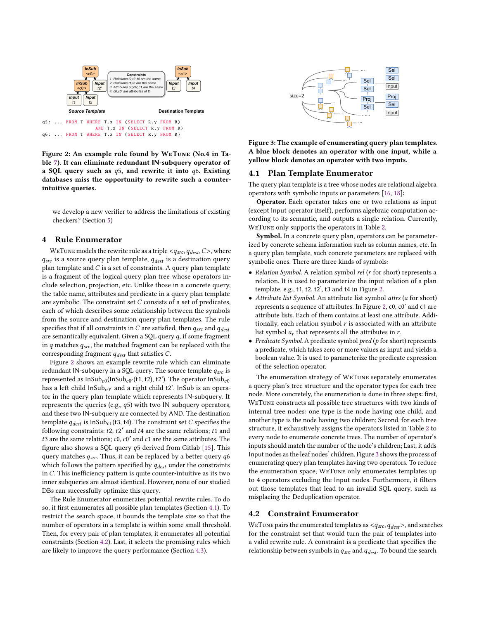<span id="page-3-1"></span>

Figure 2: An example rule found by WeTune (No.4 in Table [7\)](#page-11-0). It can eliminate redundant IN-subquery operator of a SQL query such as  $q5$ , and rewrite it into  $q6$ . Existing databases miss the opportunity to rewrite such a counterintuitive queries.

we develop a new verifier to address the limitations of existing checkers? (Section [5\)](#page-5-0)

#### <span id="page-3-0"></span>4 Rule Enumerator

WETUNE models the rewrite rule as a triple  $<\!q_{src}, q_{dest}, C\!>$ , where  $q_{src}$  is a source query plan template,  $q_{dest}$  is a destination query plan template and  $C$  is a set of constraints. A query plan template is a fragment of the logical query plan tree whose operators include selection, projection, etc. Unlike those in a concrete query, the table name, attributes and predicate in a query plan template are symbolic. The constraint set  $C$  consists of a set of predicates, each of which describes some relationship between the symbols from the source and destination query plan templates. The rule specifies that if all constraints in  $C$  are satisfied, then  $q_{src}$  and  $q_{dest}$ are semantically equivalent. Given a SQL query  $q$ , if some fragment in  $q$  matches  $q_{src}$ , the matched fragment can be replaced with the corresponding fragment  $q_{dest}$  that satisfies C.

Figure [2](#page-3-1) shows an example rewrite rule which can eliminate redundant IN-subquery in a SQL query. The source template  $q_{src}$  is represented as  $\mathsf{InSub}_{c0}(\mathsf{InSub}_{c0'}(\mathsf{t}1,\mathsf{t}2),\mathsf{t}2')$ . The operator  $\mathsf{InSub}_{c0}$ has a left child  $\mathsf{InSub}_\mathit{c0'}$  and a right child t2'. InSub is an operator in the query plan template which represents IN-subquery. It represents the queries (e.g.,  $q5$ ) with two IN-subquery operators, and these two IN-subquery are connected by AND. The destination template  $q_{dest}$  is  $InSub_{c1}(t3, t4)$ . The constraint set C specifies the following constraints:  $t2$ ,  $t2'$  and  $t4$  are the same relations;  $t1$  and  $t3$  are the same relations;  $c0$ ,  $c0'$  and  $c1$  are the same attributes. The figure also shows a SQL query  $q5$  derived from Gitlab [\[15\]](#page-13-16). This query matches  $q_{src}$ . Thus, it can be replaced by a better query  $q6$ which follows the pattern specified by  $q_{dest}$  under the constraints in  $C$ . This inefficiency pattern is quite counter-intuitive as its two inner subqueries are almost identical. However, none of our studied DBs can successfully optimize this query.

<span id="page-3-2"></span>The Rule Enumerator enumerates potential rewrite rules. To do so, it first enumerates all possible plan templates (Section [4.1\)](#page-3-2). To restrict the search space, it bounds the template size so that the number of operators in a template is within some small threshold. Then, for every pair of plan templates, it enumerates all potential constraints (Section [4.2\)](#page-3-3). Last, it selects the promising rules which are likely to improve the query performance (Section [4.3\)](#page-4-0).

<span id="page-3-4"></span>

Figure 3: The example of enumerating query plan templates. A blue block denotes an operator with one input, while a yellow block denotes an operator with two inputs.

#### 4.1 Plan Template Enumerator

The query plan template is a tree whose nodes are relational algebra operators with symbolic inputs or parameters [\[16,](#page-13-2) [18\]](#page-13-3):

Operator. Each operator takes one or two relations as input (except Input operator itself), performs algebraic computation according to its semantic, and outputs a single relation. Currently, WeTune only supports the operators in Table [2.](#page-4-1)

Symbol. In a concrete query plan, operators can be parameterized by concrete schema information such as column names, etc. In a query plan template, such concrete parameters are replaced with symbolic ones. There are three kinds of symbols:

- Relation Symbol. A relation symbol rel ( $r$  for short) represents a relation. It is used to parameterize the input relation of a plan template. e.g., t1, t2, t2', t3 and t4 in Figure [2.](#page-3-1)
- Attribute list Symbol. An attribute list symbol attrs (a for short) represents a sequence of attributes. In Figure [2,](#page-3-1) c0, c0' and c1 are attribute lists. Each of them contains at least one attribute. Additionally, each relation symbol  $r$  is associated with an attribute list symbol  $a_r$  that represents all the attributes in  $r$ .
- Predicate Symbol. A predicate symbol  $pred(p$  for short) represents a predicate, which takes zero or more values as input and yields a boolean value. It is used to parameterize the predicate expression of the selection operator.

The enumeration strategy of WeTune separately enumerates a query plan's tree structure and the operator types for each tree node. More concretely, the enumeration is done in three steps: first, WeTune constructs all possible tree structures with two kinds of internal tree nodes: one type is the node having one child, and another type is the node having two children; Second, for each tree structure, it exhaustively assigns the operators listed in Table [2](#page-4-1) to every node to enumerate concrete trees. The number of operator's inputs should match the number of the node's children; Last, it adds Input nodes as the leaf nodes' children. Figure [3](#page-3-4) shows the process of enumerating query plan templates having two operators. To reduce the enumeration space, WeTune only enumerates templates up to 4 operators excluding the Input nodes. Furthermore, it filters out those templates that lead to an invalid SQL query, such as misplacing the Deduplication operator.

#### <span id="page-3-3"></span>4.2 Constraint Enumerator

WETUNE pairs the enumerated templates as  $\langle q_{src}, q_{dest}\rangle$ , and searches for the constraint set that would turn the pair of templates into a valid rewrite rule. A constraint is a predicate that specifies the relationship between symbols in  $q_{src}$  and  $q_{dest}$ . To bound the search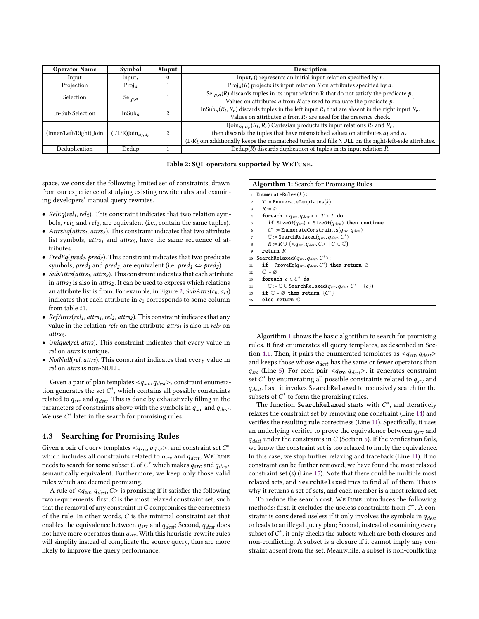<span id="page-4-1"></span>

| <b>Operator Name</b>    | Symbol                          | #Input   | Description                                                                                                                                             |
|-------------------------|---------------------------------|----------|---------------------------------------------------------------------------------------------------------------------------------------------------------|
| Input                   | Input <sub>r</sub>              | $\theta$ | Input <sub>r</sub> () represents an initial input relation specified by $r$ .                                                                           |
| Projection              | Proj <sub>a</sub>               |          | $Proj_a(R)$ projects its input relation R on attributes specified by a.                                                                                 |
| <b>Selection</b>        |                                 |          | $\overline{Sel}_{p,q}(R)$ discards tuples in its input relation R that do not satisfy the predicate p.                                                  |
|                         | $Sel_{p,q}$                     |          | Values on attributes $a$ from $R$ are used to evaluate the predicate $p$ .                                                                              |
| In-Sub Selection        | InSub <sub>a</sub>              |          | $\overline{\text{InSub}_a(R_l, R_r)}$ discards tuples in the left input $R_l$ that are absent in the right input $R_r$ .                                |
|                         |                                 |          | Values on attributes $a$ from $R_l$ are used for the presence check.                                                                                    |
|                         |                                 |          | IJoin <sub>a<sub>1</sub>, <math>a_r</math> (R<sub>1</sub>, R<sub>r</sub>) Cartesian products its input relations R<sub>1</sub> and R<sub>r</sub>,</sub> |
| (Inner/Left/Right) Join | $(I/L/R)$ Join <sub>a1.ar</sub> | 2        | then discards the tuples that have mismatched values on attributes $a_l$ and $a_r$ .                                                                    |
|                         |                                 |          | (L/R)Join additionally keeps the mismatched tuples and fills NULL on the right/left-side attributes.                                                    |
| Deduplication           | Dedup                           |          | $Dedup(R)$ discards duplication of tuples in its input relation R.                                                                                      |

Table 2: SQL operators supported by WeTune.

space, we consider the following limited set of constraints, drawn from our experience of studying existing rewrite rules and examining developers' manual query rewrites.

- RelEq(rel<sub>1</sub>, rel<sub>2</sub>). This constraint indicates that two relation symbols,  $rel_1$  and  $rel_2$ , are equivalent (i.e., contain the same tuples).
- AttrsEq(attrs<sub>1</sub>, attrs<sub>2</sub>). This constraint indicates that two attribute list symbols,  $attrs_1$  and  $attrs_2$ , have the same sequence of attributes.
- PredEq( $pred_1$ ,  $pred_2$ ). This constraint indicates that two predicate symbols,  $pred_1$  and  $pred_2$ , are equivalent (i.e.  $pred_1 \Leftrightarrow pred_2$ ).
- SubAttrs( $atts_1$ ,  $atts_2$ ). This constraint indicates that each attribute in  $attrs<sub>1</sub>$  is also in  $attrs<sub>2</sub>$ . It can be used to express which relations an attribute list is from. For example, in Figure [2,](#page-3-1)  $SubAttrs(c_0, a_{t1})$ indicates that each attribute in  $c_0$  corresponds to some column from table  $t1$ .
- RefAttrs(rel<sub>1</sub>, attrs<sub>1</sub>, rel<sub>2</sub>, attrs<sub>2</sub>). This constraint indicates that any value in the relation  $rel_1$  on the attribute  $attrs_1$  is also in  $rel_2$  on attrs<sub>2</sub>.
- Unique(rel, attrs). This constraint indicates that every value in rel on attrs is unique.
- NotNull(rel, attrs). This constraint indicates that every value in rel on attrs is non-NULL.

Given a pair of plan templates  $\langle q_{src}, q_{dest}\rangle$ , constraint enumeration generates the set  $C^*$ , which contains all possible constraints related to  $q_{src}$  and  $q_{dest}$ . This is done by exhaustively filling in the parameters of constraints above with the symbols in  $q_{src}$  and  $q_{dest}$ . We use  $C^*$  later in the search for promising rules.

#### <span id="page-4-0"></span>4.3 Searching for Promising Rules

Given a pair of query templates <  $q_{src}, q_{dest}$ >, and constraint set  $C^*$ which includes all constraints related to  $q_{src}$  and  $q_{dest}$ , WETUNE needs to search for some subset C of  $C^*$  which makes  $q_{src}$  and  $q_{dest}$ semantically equivalent. Furthermore, we keep only those valid rules which are deemed promising.

A rule of  $\langle q_{src}, q_{dest}, C \rangle$  is promising if it satisfies the following two requirements: first,  $C$  is the most relaxed constraint set, such that the removal of any constraint in  $C$  compromises the correctness of the rule. In other words,  $C$  is the minimal constraint set that enables the equivalence between  $q_{src}$  and  $q_{dest}$ ; Second,  $q_{dest}$  does not have more operators than  $q_{src}$ . With this heuristic, rewrite rules will simplify instead of complicate the source query, thus are more likely to improve the query performance.

Algorithm 1: Search for Promising Rules

<span id="page-4-5"></span><span id="page-4-3"></span><span id="page-4-2"></span>

|                | 1 EnumerateRules $(k)$ :                                                           |
|----------------|------------------------------------------------------------------------------------|
| $\overline{2}$ | $T$ := EnumerateTemplates(k)                                                       |
| 3              | $R := \emptyset$                                                                   |
| $\overline{4}$ | foreach $\langle q_{src}, q_{dest} \rangle \in T \times T$ do                      |
| 5              | <b>if</b> SizeOf( $q_{src}$ ) < SizeOf( $q_{dest}$ ) <b>then continue</b>          |
| 6              | $C^*$ := EnumerateConstraints( $q_{src}, q_{dest}$ )                               |
| $\overline{7}$ | $\mathbb{C}$ := SearchRelaxed( $q_{src}, q_{dest}, C^*$ )                          |
| 8              | $R := R \cup \{    C \in \mathbb{C} \}$                                            |
| $\mathbf{q}$   | return R                                                                           |
|                | 10 SearchRelaxed( $q_{src}, q_{dest}, C^*$ ):                                      |
|                | 11 if $\neg$ ProveEq( $q_{src}, q_{dest}, C^*$ ) then return $\varnothing$         |
|                | 12 $\mathbb{C} := \varnothing$                                                     |
|                | 13 foreach $c \in C^*$ do                                                          |
| 14             | $\mathbb{C} := \mathbb{C} \cup$ SearchRelaxed( $q_{src}, q_{dest}, C^* - \{c\})$ ) |
|                | 15 if $\mathbb{C} = \emptyset$ then return $\{C^*\}$                               |
| 16             | else return $\mathbb C$                                                            |
|                |                                                                                    |

<span id="page-4-6"></span><span id="page-4-4"></span>Algorithm [1](#page-4-2) shows the basic algorithm to search for promising rules. It first enumerates all query templates, as described in Sec-tion [4.1.](#page-3-2) Then, it pairs the enumerated templates as  $\langle q_{src}, q_{dest} \rangle$ and keeps those whose  $q_{dest}$  has the same or fewer operators than  $q_{src}$  (Line [5\)](#page-4-3). For each pair  $\langle q_{src}, q_{dest} \rangle$ , it generates constraint set  $C^*$  by enumerating all possible constraints related to  $q_{src}$  and  $q_{dest}$ . Last, it invokes SearchRelaxed to recursively search for the subsets of  $C^*$  to form the promising rules.

The function SearchRelaxed starts with  $C^*$ , and iteratively relaxes the constraint set by removing one constraint (Line [14\)](#page-4-4) and verifies the resulting rule correctness (Line [11\)](#page-4-5). Specifically, it uses an underlying verifier to prove the equivalence between  $q_{src}$  and  $q_{dest}$  under the constraints in  $C$  (Section [5\)](#page-5-0). If the verification fails, we know the constraint set is too relaxed to imply the equivalence. In this case, we stop further relaxing and traceback (Line [11\)](#page-4-5). If no constraint can be further removed, we have found the most relaxed constraint set (s) (Line [15\)](#page-4-6). Note that there could be multiple most relaxed sets, and SearchRelaxed tries to find all of them. This is why it returns a set of sets, and each member is a most relaxed set.

To reduce the search cost, WeTune introduces the following methods: first, it excludes the useless constraints from  $C^*$ . A constraint is considered useless if it only involves the symbols in  $q_{dest}$ or leads to an illegal query plan; Second, instead of examining every subset of  $C^*$ , it only checks the subsets which are both closures and non-conflicting. A subset is a closure if it cannot imply any constraint absent from the set. Meanwhile, a subset is non-conflicting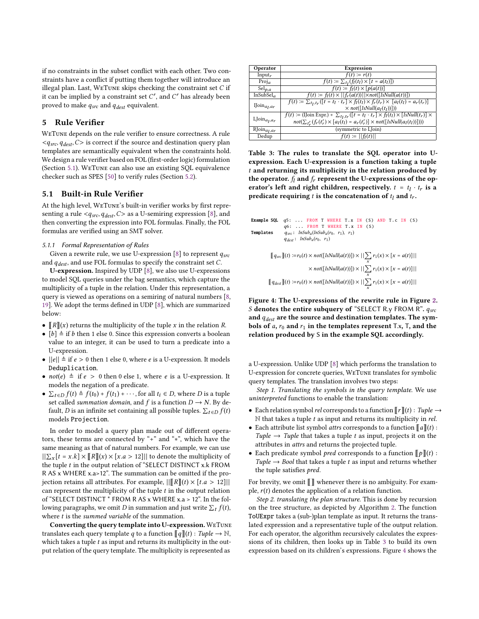if no constraints in the subset conflict with each other. Two constraints have a conflict if putting them together will introduce an illegal plan. Last, WETUNE skips checking the constraint set  $C$  if it can be implied by a constraint set  $C'$ , and  $C'$  has already been proved to make  $q_{src}$  and  $q_{dest}$  equivalent.

## <span id="page-5-0"></span>5 Rule Verifier

WeTune depends on the rule verifier to ensure correctness. A rule  $\langle q_{src}, q_{dest}, C \rangle$  is correct if the source and destination query plan templates are semantically equivalent when the constraints hold. We design a rule verifier based on FOL (first-order logic) formulation (Section [5.1\)](#page-5-1). WeTune can also use an existing SQL equivalence checker such as SPES [\[50\]](#page-13-29) to verify rules (Section [5.2\)](#page-8-1).

#### <span id="page-5-1"></span>5.1 Built-in Rule Verifier

At the high level, WeTune's built-in verifier works by first representing a rule  $\langle q_{src}, q_{dest}, C \rangle$  as a U-semiring expression [\[8\]](#page-13-30), and then converting the expression into FOL formulas. Finally, the FOL formulas are verified using an SMT solver.

#### <span id="page-5-4"></span>5.1.1 Formal Representation of Rules

Given a rewrite rule, we use U-expression [\[8\]](#page-13-30) to represent  $q_{src}$ and  $q_{dest}$ , and use FOL formulas to specify the constraint set  $C$ .

U-expression. Inspired by UDP [\[8\]](#page-13-30), we also use U-expressions to model SQL queries under the bag semantics, which capture the multiplicity of a tuple in the relation. Under this representation, a query is viewed as operations on a semiring of natural numbers [\[8,](#page-13-30) [19\]](#page-13-31). We adopt the terms defined in UDP [\[8\]](#page-13-30), which are summarized below:

- $\llbracket R \rrbracket(x)$  returns the multiplicity of the tuple x in the relation R.
- $[b] \triangleq$  if *b* then 1 else 0. Since this expression converts a boolean value to an integer, it can be used to turn a predicate into a U-expression.
- $||e|| \triangleq$  if  $e > 0$  then 1 else 0, where  $e$  is a U-expression. It models Deduplication.
- $not(e) \triangleq$  if  $e > 0$  then 0 else 1, where e is a U-expression. It models the negation of a predicate.
- $\sum_{t \in D} f(t) \triangleq f(t_0) + f(t_1) + \cdots$ , for all  $t_i \in D$ , where D is a tuple set called *summation domain*, and  $f$  is a function  $D \rightarrow N$ . By default, D is an infinite set containing all possible tuples.  $\sum_{t \in D} f(t)$ models Projection.

In order to model a query plan made out of different operators, these terms are connected by "+" and "∗", which have the same meaning as that of natural numbers. For example, we can use  $||\sum_{x}[t = x.k] \times [[R]](x) \times [x.a > 12]||$  to denote the multiplicity of the tuple  $t$  in the output relation of "SELECT DISTINCT x.k FROM R AS x WHERE x.a>12". The summation can be omitted if the projection retains all attributes. For example,  $||[[R]](t) \times [t.a > 12]||$ can represent the multiplicity of the tuple  $t$  in the output relation of "SELECT DISTINCT \* FROM R AS x WHERE x.a > 12". In the following paragraphs, we omit D in summation and just write  $\sum_t f(t)$ , where  $t$  is the summed variable of the summation.

Converting the query template into U-expression. WeTune translates each query template q to a function  $\llbracket q \rrbracket(t) : \text{Tuple} \to \mathbb{N},$ which takes a tuple  $t$  as input and returns its multiplicity in the output relation of the query template. The multiplicity is represented as

<span id="page-5-2"></span>

| Operator                          | <b>Expression</b>                                                                                             |  |
|-----------------------------------|---------------------------------------------------------------------------------------------------------------|--|
| Input <sub>r</sub>                | $f(t) \coloneqq r(t)$                                                                                         |  |
| $Proj_a$                          | $f(t) \coloneqq \sum_{t_i} (f_i(t_i) \times [t = a(t_i)])$                                                    |  |
| $Sel_{p,q}$                       | $f(t) \coloneqq f_1(t) \times [p(a(t))]$                                                                      |  |
| InSubSel <sub>a</sub>             | $f(t) := f_1(t) \times   f_r(a(t))   \times not([IsNull(a(t))])$                                              |  |
|                                   | $f(t) = \sum_{t_1, t_1} ([t = t_1 \cdot t_r] \times f_l(t_l) \times f_r(t_r) \times [a_l(t_l) = a_r(t_r)]$    |  |
| IJoin <sub>a<sub>1,ar</sub></sub> | $\times$ not([IsNull(a <sub>l</sub> (t <sub>l</sub> ))]))                                                     |  |
|                                   | $f(t) := ($ IJoin Expr. $) + \sum_{t_1,t_r} ([t = t_1 \cdot t_r] \times f_l(t_l) \times [IsNull(t_r)] \times$ |  |
| $LJoin_{a_1,a_1}$                 | $not(\sum_{t'} (f_r(t'_r) \times [a_l(t_l) = a_r(t'_r)] \times not([IsNull(a_l(t_l))]))$                      |  |
| $RJoin_{a_l, a_r}$                | (symmetric to LJoin)                                                                                          |  |
| Dedup                             | $f(t) :=   f_1(t)  $                                                                                          |  |

Table 3: The rules to translate the SQL operator into Uexpression. Each U-expression is a function taking a tuple  $t$  and returning its multiplicity in the relation produced by the operator.  $f_l$  and  $f_r$  represent the U-expressions of the operator's left and right children, respectively.  $t = t_l \cdot t_r$  is a predicate requiring t is the concatenation of  $t_1$  and  $t_r$ .

```
Example SQL q5: ... FROM T WHERE T. x IN (S) AND T. c IN (S)
                 q6: . FROM T WHERE T. x IN (S)
Templates q_{src}: Insub_a(InSub_a(r_0, r_1), r_1)q_{dest}: InSub<sub>a</sub>(r_0, r_1)[q_{src}](t) := r_0(t) \times not([IsNull(a(t))]) \times ||\sum_{x} r_1(x) \times [x = a(t)]||\times not([IsNull(a(t))]) \times ||\sum_{x} r_1(x) \times [x = a(t)]||[q_{dest}](t) := r_0(t) \times not([IsNull(a(t))]) \times || \sum_{x} r_1(x) \times [x = a(t)] ||
```
Figure 4: The U-expressions of the rewrite rule in Figure [2.](#page-3-1) S denotes the entire subquery of "SELECT R.y FROM R".  $q_{src}$ and  $q_{dest}$  are the source and destination templates. The symbols of a,  $r_0$  and  $r_1$  in the templates represent T.x, T, and the relation produced by S in the example SQL accordingly.

a U-expression. Unlike UDP [\[8\]](#page-13-30) which performs the translation to U-expression for concrete queries, WeTune translates for symbolic query templates. The translation involves two steps:

Step 1. Translating the symbols in the query template. We use uninterpreted functions to enable the translation:

- Each relation symbol *rel* corresponds to a function  $\llbracket r \rrbracket(t)$  : Tuple  $\rightarrow$  $N$  that takes a tuple  $t$  as input and returns its multiplicity in *rel*.
- Each attribute list symbol *attrs* corresponds to a function  $\llbracket a \rrbracket(t)$ : Tuple  $\rightarrow$  Tuple that takes a tuple t as input, projects it on the attributes in attrs and returns the projected tuple.
- Each predicate symbol *pred* corresponds to a function  $\llbracket p \rrbracket(t)$ : Tuple  $\rightarrow$  Bool that takes a tuple t as input and returns whether the tuple satisfies pred.

For brevity, we omit  $\llbracket \ \rrbracket$  whenever there is no ambiguity. For example,  $r(t)$  denotes the application of a relation function.

Step 2. translating the plan structure. This is done by recursion on the tree structure, as depicted by Algorithm [2.](#page-6-0) The function ToUExpr takes a (sub-)plan template as input. It returns the translated expression and a representative tuple of the output relation. For each operator, the algorithm recursively calculates the expressions of its children, then looks up in Table [3](#page-5-2) to build its own expression based on its children's expressions. Figure [4](#page-5-3) shows the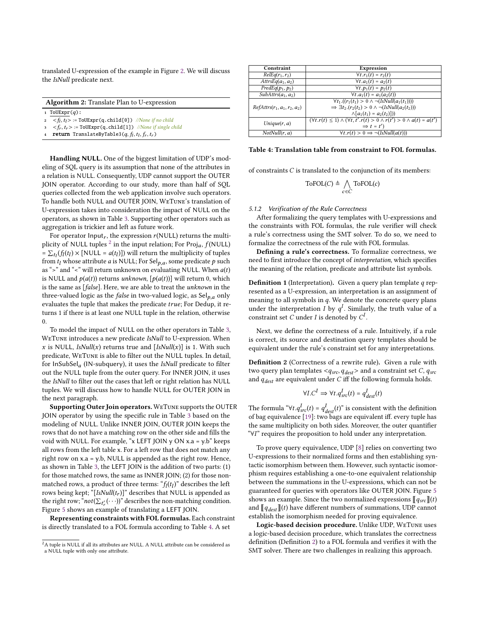translated U-expression of the example in Figure [2.](#page-3-1) We will discuss the IsNull predicate next.

<span id="page-6-0"></span>

|                | <b>Algorithm 2:</b> Translate Plan to U-expression                              |  |  |  |
|----------------|---------------------------------------------------------------------------------|--|--|--|
|                | 1 ToUExpr $(q)$ :                                                               |  |  |  |
|                | $\tau_1 \leq f_1, t_1 > \tau_2 = \text{TouExp}(q, child[0])$ //None if no child |  |  |  |
|                | $s \leq f_r, t_r$ := ToUExpr(q.child[1]) //None if single child                 |  |  |  |
| $\overline{4}$ | <b>return</b> TranslateByTable3( $q$ , $f_l$ , $t_l$ , $f_r$ , $t_r$ )          |  |  |  |

Handling NULL. One of the biggest limitation of UDP's modeling of SQL query is its assumption that none of the attributes in a relation is NULL. Consequently, UDP cannot support the OUTER JOIN operator. According to our study, more than half of SQL queries collected from the web application involve such operators. To handle both NULL and OUTER JOIN, WeTune's translation of U-expression takes into consideration the impact of NULL on the operators, as shown in Table [3.](#page-5-2) Supporting other operators such as aggregation is trickier and left as future work.

For operator Input<sub>r</sub>, the expression  $r(NULL)$  returns the multiplicity of NULL tuples  $^2$  $^2$  in the input relation; For Proj<sub>a</sub>,  $f$ (NULL) =  $\sum_{t_i} (f_i(t_i) \times [NULL = a(t_i)])$  will return the multiplicity of tuples from  $t_l$  whose attribute *a* is NULL; For Sel $_{p,a}$ , some predicate  $p$  such as ">" and "<" will return unknown on evaluating NULL. When  $a(t)$ is NULL and  $p(a(t))$  returns unknown,  $[p(a(t))]$  will return 0, which is the same as [false]. Here, we are able to treat the unknown in the three-valued logic as the *false* in two-valued logic, as  $\text{Sel}_{p,a}$  only evaluates the tuple that makes the predicate  $true$ ; For Dedup, it returns 1 if there is at least one NULL tuple in the relation, otherwise 0.

To model the impact of NULL on the other operators in Table [3,](#page-5-2) WETUNE introduces a new predicate IsNull to U-expression. When x is NULL,  $IsNull(x)$  returns true and  $[IsNull(x)]$  is 1. With such predicate, WeTune is able to filter out the NULL tuples. In detail, for  $InSubSel<sub>a</sub>$  (IN-subquery), it uses the IsNull predicate to filter out the NULL tuple from the outer query. For INNER JOIN, it uses the IsNull to filter out the cases that left or right relation has NULL tuples. We will discuss how to handle NULL for OUTER JOIN in the next paragraph.

Supporting Outer Join operators. WeTune supports the OUTER JOIN operator by using the specific rule in Table [3](#page-5-2) based on the modeling of NULL. Unlike INNER JOIN, OUTER JOIN keeps the rows that do not have a matching row on the other side and fills the void with NULL. For example, "x LEFT JOIN y ON x.a = y.b" keeps all rows from the left table x. For a left row that does not match any right row on x.a = y.b, NULL is appended as the right row. Hence, as shown in Table [3,](#page-5-2) the LEFT JOIN is the addition of two parts: (1) for those matched rows, the same as INNER JOIN; (2) for those nonmatched rows, a product of three terms:  $\mathscr{L}_f(t_l)$ " describes the left rows being kept; "[IsNull( $t_r$ )]" describes that NULL is appended as the right row; " $not(\sum_{t'}(\cdot\cdot\cdot))^n$  describes the non-matching condition. Figure [5](#page-7-0) shows an example of translating a LEFT JOIN.

Representing constraints with FOL formulas. Each constraint is directly translated to a FOL formula according to Table [4.](#page-6-1) A set

<span id="page-6-1"></span>

| Constraint                               | Expression                                                                                      |
|------------------------------------------|-------------------------------------------------------------------------------------------------|
| $\overline{RelEq}(r_1, r_2)$             | $\forall t . r_1(t) = r_2(t)$                                                                   |
| $\overline{AttrsEq(a_1, a_2)}$           | $\forall t . a_1(t) = a_2(t)$                                                                   |
| $\overline{PredEq(p_1, p_2)}$            | $\forall t . p_1(t) = p_2(t)$                                                                   |
| $\overline{\textit{SubAttrs}}(a_1, a_2)$ | $\forall t \, . a_1(t) = a_1(a_2(t))$                                                           |
|                                          | $\forall t_1. ((r_1(t_1) > 0 \land \neg (IsNull(a_1(t_1))))$                                    |
| $RefAttrs(r_1, a_1, r_2, a_2)$           | $\Rightarrow \exists t_2.(r_2(t_2) > 0 \land \neg (IsNull(a_2(t_2)))$                           |
|                                          | $\wedge [a_1(t_1) = a_2(t_2)]$                                                                  |
| Unique(r, a)                             | $(\forall t. r(t) \leq 1) \wedge (\forall t, t'. r(t) > 0 \wedge r(t') > 0 \wedge a(t) = a(t')$ |
|                                          | $\Rightarrow$ t = t')                                                                           |
| NotNull(r, a)                            | $\forall t. r(t) > 0 \Rightarrow \neg(IsNull(a(t)))$                                            |

#### Table 4: Translation table from constraint to FOL formulas.

of constraints  $\boldsymbol{C}$  is translated to the conjunction of its members:

$$
ToFOL(C) \triangleq \bigwedge_{c \in C} ToFOL(c)
$$

#### 5.1.2 Verification of the Rule Correctness

After formalizing the query templates with U-expressions and the constraints with FOL formulas, the rule verifier will check a rule's correctness using the SMT solver. To do so, we need to formalize the correctness of the rule with FOL formulas.

Defining a rule's correctness. To formalize correctness, we need to first introduce the concept of interpretation, which specifies the meaning of the relation, predicate and attribute list symbols.

**Definition 1** (Interpretation). Given a query plan template  $q$  represented as a U-expression, an interpretation is an assignment of meaning to all symbols in  $q$ . We denote the concrete query plans under the interpretation  $I$  by  $q<sup>I</sup>$ . Similarly, the truth value of a constraint set C under I is denoted by  $C^I$ .

Next, we define the correctness of a rule. Intuitively, if a rule is correct, its source and destination query templates should be equivalent under the rule's constraint set for any interpretations.

<span id="page-6-2"></span>Definition 2 (Correctness of a rewrite rule). Given a rule with two query plan templates  $\langle q_{src}, q_{dest} \rangle$  and a constraint set C,  $q_{src}$ and  $q_{dest}$  are equivalent under C iff the following formula holds.

$$
\forall I.C^I \Rightarrow \forall t. q^I_{src}(t) = q^I_{dest}(t)
$$

The formula " $\forall t. q_{src}^I(t) = q_{dest}^I(t)$ " is consistent with the definition of bag equivalence [\[19\]](#page-13-31): two bags are equivalent iff. every tuple has the same multiplicity on both sides. Moreover, the outer quantifier "∀I" requires the proposition to hold under any interpretation.

To prove query equivalence, UDP [\[8\]](#page-13-30) relies on converting two U-expressions to their normalized forms and then establishing syntactic isomorphism between them. However, such syntactic isomorphism requires establishing a one-to-one equivalent relationship between the summations in the U-expressions, which can not be guaranteed for queries with operators like OUTER JOIN. Figure [5](#page-7-0) shows an example. Since the two normalized expressions  $\llbracket q_{src} \rrbracket(t)$ and  $\llbracket q_{dest} \rrbracket(t)$  have different numbers of summations, UDP cannot establish the isomorphism needed for proving equivalence.

Logic-based decision procedure. Unlike UDP, WeTune uses a logic-based decision procedure, which translates the correctness definition (Definition [2\)](#page-6-2) to a FOL formula and verifies it with the SMT solver. There are two challenges in realizing this approach.

 $2A$  tuple is NULL if all its attributes are NULL. A NULL attribute can be considered as a NULL tuple with only one attribute.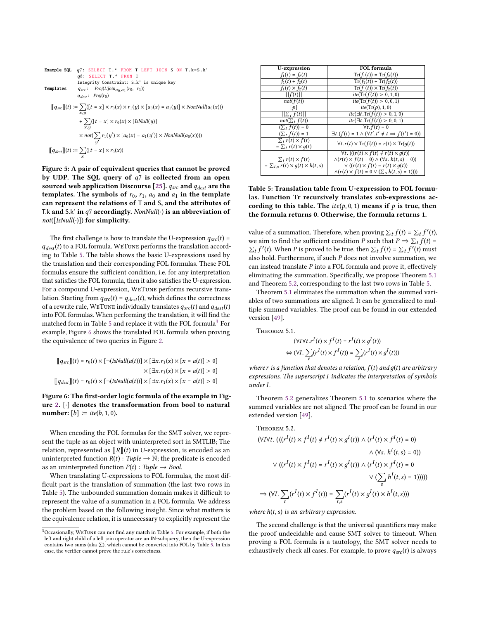<span id="page-7-0"></span>**Example SQL** q7: **SELECT T**.\* **FROM T LEFT** J0IN S ON T.k=S.k'  
\nq8: **SELECT T**.\* **FROM T**  
\nIntegrity Construction  
\n**Templates**  
\n
$$
q_{src}
$$
:  $Proj(IJoin_{a_0,a_1}(r_0, r_1))$   
\n
$$
q_{dest}
$$
:  $Proj(r_0)$   
\n
$$
[q_{src}](t) := \sum_{x,y} ([t = x] \times r_0(x) \times r_1(y) \times [a_0(x) = a_1(y)] \times NonNull(a_0(x)))
$$
  
\n
$$
+ \sum_{x,y} ([t = x] \times r_0(x) \times [IsNull(y)]
$$
  
\n
$$
\times not(\sum_{y'} r_1(y') \times [a_0(x) = a_1(y')] \times NonNull(a_0(x))))
$$
  
\n
$$
[q_{dest}](t) := \sum_{x'} ([t = x] \times r_0(x))
$$

Figure 5: A pair of equivalent queries that cannot be proved by UDP. The SQL query of  $q7$  is collected from an open sourced web application Discourse [\[25\]](#page-13-21).  $q_{src}$  and  $q_{dest}$  are the templates. The symbols of  $r_0$ ,  $r_1$ ,  $a_0$  and  $a_1$  in the template can represent the relations of T and S, and the attributes of T.k and S.k' in  $q7$  accordingly. NonNull( $\cdot$ ) is an abbreviation of  $not([IsNull(\cdot)])$  for simplicity.

The first challenge is how to translate the U-expression  $q_{src}(t)$  =  $q_{dest}(t)$  to a FOL formula. WETUNE performs the translation according to Table [5.](#page-7-1) The table shows the basic U-expressions used by the translation and their corresponding FOL formulas. These FOL formulas ensure the sufficient condition, i.e. for any interpretation that satisfies the FOL formula, then it also satisfies the U-expression. For a compound U-expression, WeTune performs recursive translation. Starting from  $q_{src}(t) = q_{dest}(t)$ , which defines the correctness of a rewrite rule, WETUNE individually translates  $q_{src}(t)$  and  $q_{dest}(t)$ into FOL formulas. When performing the translation, it will find the matched form in Table [5](#page-7-1) and replace it with the FOL formula<sup>[3](#page-0-0)</sup> For example, Figure [6](#page-7-2) shows the translated FOL formula when proving the equivalence of two queries in Figure [2.](#page-3-1)

<span id="page-7-2"></span>
$$
\begin{aligned} \n\llbracket q_{src} \rrbracket(t) &= r_0(t) \times \left[ \neg (\text{IsNull}(a(t))] \times \left[ \exists x. r_1(x) \times \left[ x = a(t) \right] > 0 \right] \right. \\ \n&\times \left[ \exists x. r_1(x) \times \left[ x = a(t) \right] > 0 \right] \\ \n\llbracket q_{dest} \rrbracket(t) &= r_0(t) \times \left[ \neg (\text{IsNull}(a(t))] \times \left[ \exists x. r_1(x) \times \left[ x = a(t) \right] > 0 \right] \right. \n\end{aligned}
$$

Figure 6: The first-order logic formula of the example in Figure [2.](#page-3-1) [·] denotes the transformation from bool to natural number:  $[b] \coloneqq \text{ite}(b, 1, 0)$ .

When encoding the FOL formulas for the SMT solver, we represent the tuple as an object with uninterpreted sort in SMTLIB; The relation, represented as  $\llbracket R \rrbracket(t)$  in U-expression, is encoded as an uninterpreted function  $R(t) : Tuple \rightarrow \mathbb{N}$ ; the predicate is encoded as an uninterpreted function  $P(t)$ : Tuple  $\rightarrow$  Bool.

When translating U-expressions to FOL formulas, the most difficult part is the translation of summation (the last two rows in Table [5\)](#page-7-1). The unbounded summation domain makes it difficult to represent the value of a summation in a FOL formula. We address the problem based on the following insight. Since what matters is the equivalence relation, it is unnecessary to explicitly represent the

<span id="page-7-1"></span>

| U-expression                                                | <b>FOL</b> formula                                                     |
|-------------------------------------------------------------|------------------------------------------------------------------------|
| $f_1(t) = f_2(t)$                                           | $Tr(f_1(t)) = Tr(f_2(t))$                                              |
| $f_1(t) + f_2(t)$                                           | $Tr(f_1(t)) + Tr(f_2(t))$                                              |
| $f_1(t) \times f_2(t)$                                      | $\text{Tr}(f_1(t)) \times \text{Tr}(f_2(t))$                           |
| f(t)                                                        | ite(Tr(f(t)) > 0, 1, 0)                                                |
| not(f(t))                                                   | ite(Tr(f(t)) > 0, 0, 1)                                                |
| p                                                           | ite(Tr(p), 1, 0)                                                       |
| $  \sum_{t} f(t)  $                                         | $ite(\exists t \cdot \text{Tr}(f(t)) > 0, 1, 0)$                       |
| $not(\sum_{t} f(t))$                                        | $ite(\exists t \cdot \text{Tr}(f(t)) > 0, 0, 1)$                       |
| $(\sum_t f(t)) = 0$                                         | $\forall t. f(t) = 0$                                                  |
| $(\sum_{t} f(t)) = 1$                                       | $\exists t.(f(t) = 1 \land (\forall t'.t' \neq t \implies f(t') = 0))$ |
| $\sum_{t} r(t) \times f(t)$<br>$=\sum_{t} r(t) \times q(t)$ | $\forall t.r(t) \times \text{Tr}(f(t)) = r(t) \times \text{Tr}(q(t))$  |
|                                                             | $\forall t. (((r(t) \times f(t) \neq r(t) \times g(t)))$               |
| $\sum_t r(t) \times f(t)$                                   | $\land (r(t) \times f(t) = 0) \land (\forall s. h(t, s) = 0)$          |
| $= \sum_{t,s} r(t) \times q(t) \times h(t,s)$               | $\vee$ ((r(t) $\times$ f(t) = r(t) $\times$ g(t))                      |
|                                                             | $\wedge (r(t) \times f(t) = 0 \vee (\sum_s h(t, s) = 1))))$            |

Table 5: Translation table from U-expression to FOL formulas. Function Tr recursively translates sub-expressions according to this table. The  $ite(p, 0, 1)$  means if  $p$  is true, then the formula returns 0. Otherwise, the formula returns 1.

value of a summation. Therefore, when proving  $\sum_t f(t) = \sum_t f'(t)$ , we aim to find the sufficient condition P such that  $P \Rightarrow \sum_t f(t) =$  $\sum_{t} f'(t)$ . When P is proved to be true, then  $\sum_{t} f(t) = \sum_{t} f'(t)$  must also hold. Furthermore, if such  $P$  does not involve summation, we can instead translate  $P$  into a FOL formula and prove it, effectively eliminating the summation. Specifically, we propose Theorem [5.1](#page-7-3) and Theorem [5.2,](#page-7-4) corresponding to the last two rows in Table [5.](#page-7-1)

Theorem [5.1](#page-7-3) eliminates the summation when the summed variables of two summations are aligned. It can be generalized to multiple summed variables. The proof can be found in our extended version [\[49\]](#page-13-18).

<span id="page-7-3"></span>Theorem 5.1.

$$
(\forall I \forall t. r^I(t) \times f^I(t) = r^I(t) \times g^I(t))
$$
  

$$
\Leftrightarrow (\forall I. \sum_{t} (r^I(t) \times f^I(t)) = \sum_{t} (r^I(t) \times g^I(t)))
$$

where r is a function that denotes a relation,  $f(t)$  and  $q(t)$  are arbitrary expressions. The superscript  $I$  indicates the interpretation of symbols under I.

Theorem [5.2](#page-7-4) generalizes Theorem [5.1](#page-7-3) to scenarios where the summed variables are not aligned. The proof can be found in our extended version [\[49\]](#page-13-18).

<span id="page-7-4"></span>THEOREM 5.2.  
\n
$$
(\forall I \forall t. (((r^{I}(t) \times f^{I}(t) \neq r^{I}(t) \times g^{I}(t)) \land (r^{I}(t) \times f^{I}(t) = 0) \land (\forall s. h^{I}(t, s) = 0))
$$
\n
$$
\lor ((r^{I}(t) \times f^{I}(t) = r^{I}(t) \times g^{I}(t)) \land (r^{I}(t) \times f^{I}(t) = 0 \lor (\sum_{s} h^{I}(t, s) = 1))))
$$
\n
$$
\Rightarrow (\forall I. \sum_{t} (r^{I}(t) \times f^{I}(t)) = \sum_{t,s} (r^{I}(t) \times g^{I}(t) \times h^{I}(t, s)))
$$

where  $h(t, s)$  is an arbitrary expression.

The second challenge is that the universal quantifiers may make the proof undecidable and cause SMT solver to timeout. When proving a FOL formula is a tautology, the SMT solver needs to exhaustively check all cases. For example, to prove  $q_{src}(t)$  is always

<sup>3</sup>Occasionally, WeTune can not find any match in Table [5.](#page-7-1) For example, if both the left and right child of a left join operator are an IN-subquery, then the U-expression contains two sums (aka  $\Sigma$ ), which cannot be converted into FOL by Table [5.](#page-7-1) In this case, the verifier cannot prove the rule's correctness.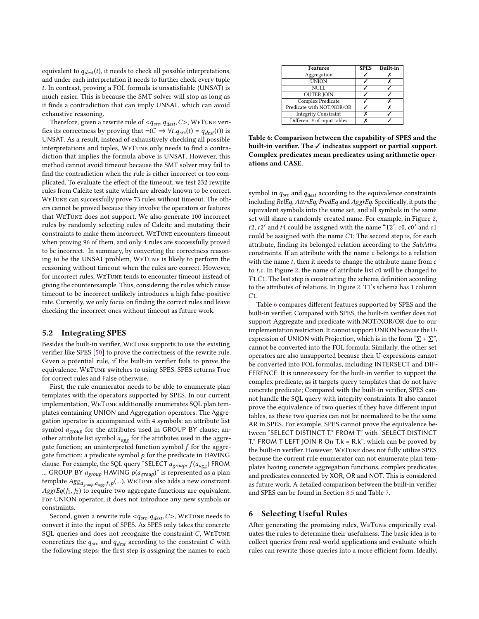equivalent to  $q_{dest}(t)$ , it needs to check all possible interpretations, and under each interpretation it needs to further check every tuple . In contrast, proving a FOL formula is unsatisfiable (UNSAT) is much easier. This is because the SMT solver will stop as long as it finds a contradiction that can imply UNSAT, which can avoid exhaustive reasoning.

Therefore, given a rewrite rule of  $\langle q_{src}, q_{dest}, C \rangle$ , WETUNE verifies its correctness by proving that  $\neg(C \Rightarrow \forall t. q_{src}(t) = q_{dest}(t))$  is UNSAT. As a result, instead of exhaustively checking all possible interpretations and tuples, WeTune only needs to find a contradiction that implies the formula above is UNSAT. However, this method cannot avoid timeout because the SMT solver may fail to find the contradiction when the rule is either incorrect or too complicated. To evaluate the effect of the timeout, we test 232 rewrite rules from Calcite test suite which are already known to be correct. WeTune can successfully prove 73 rules without timeout. The others cannot be proved because they involve the operators or features that WeTune does not support. We also generate 100 incorrect rules by randomly selecting rules of Calcite and mutating their constraints to make them incorrect. WeTune encounters timeout when proving 96 of them, and only 4 rules are successfully proved to be incorrect. In summary, by converting the correctness reasoning to be the UNSAT problem, WeTune is likely to perform the reasoning without timeout when the rules are correct. However, for incorrect rules, WeTune tends to encounter timeout instead of giving the counterexample. Thus, considering the rules which cause timeout to be incorrect unlikely introduces a high false-positive rate. Currently, we only focus on finding the correct rules and leave checking the incorrect ones without timeout as future work.

#### <span id="page-8-1"></span>5.2 Integrating SPES

Besides the built-in verifier, WeTune supports to use the existing verifier like SPES [\[50\]](#page-13-29) to prove the correctness of the rewrite rule. Given a potential rule, if the built-in verifier fails to prove the equivalence, WeTune switches to using SPES. SPES returns True for correct rules and False otherwise.

First, the rule enumerator needs to be able to enumerate plan templates with the operators supported by SPES. In our current implementation, WeTune additionally enumerates SQL plan templates containing UNION and Aggregation operators. The Aggregation operator is accompanied with 4 symbols: an attribute list symbol  $a_{group}$  for the attributes used in GROUP BY clause; another attribute list symbol  $a_{agg}$  for the attributes used in the aggregate function; an uninterpreted function symbol  $f$  for the aggregate function; a predicate symbol  $p$  for the predicate in HAVING clause. For example, the SQL query "SELECT  $a_{group}$ ,  $f(a_{agg})$  FROM ... GROUP BY  $a_{group}$  HAVING  $p(a_{group})$ " is represented as a plan template  $Agg_{a_{group},a_{agg},f,p}(...)$  WeTune also adds a new constraint AggrEq( $f_1$ ,  $f_2$ ) to require two aggregate functions are equivalent. For UNION operator, it does not introduce any new symbols or constraints.

Second, given a rewrite rule  $\langle q_{src}, q_{dest}, C \rangle$ , WETUNE needs to convert it into the input of SPES. As SPES only takes the concrete SQL queries and does not recognize the constraint  $C$ , WETUNE concretizes the  $q_{src}$  and  $q_{dest}$  according to the constraint  $C$  with the following steps: the first step is assigning the names to each

<span id="page-8-2"></span>

| <b>Features</b>             | <b>SPES</b> | <b>Built-in</b> |
|-----------------------------|-------------|-----------------|
| Aggregation                 |             |                 |
| <b>UNION</b>                |             |                 |
| NULL                        |             |                 |
| <b>OUTER JOIN</b>           |             |                 |
| Complex Predicate           |             | x               |
| Predicate with NOT/XOR/OR   |             |                 |
| <b>Integrity Constraint</b> |             |                 |
| Different # of input tables |             |                 |

Table 6: Comparison between the capability of SPES and the built-in verifier. The ✓ indicates support or partial support. Complex predicates mean predicates using arithmetic operations and CASE.

symbol in  $q_{src}$  and  $q_{dest}$  according to the equivalence constraints including RelEq, AttrsEq, PredEq and AggrEq. Specifically, it puts the equivalent symbols into the same set, and all symbols in the same set will share a randomly created name. For example, in Figure [2,](#page-3-1) t2, t2' and t4 could be assigned with the name "T2".  $c0$ ,  $c0'$  and  $c1$ could be assigned with the name  $C1$ ; The second step is, for each attribute, finding its belonged relation according to the SubAttrs constraints. If an attribute with the name  $c$  belongs to a relation with the name  $t$ , then it needs to change the attribute name from  $c$ to  $t.c.$  In Figure [2,](#page-3-1) the name of attribute list  $c0$  will be changed to  $T1.C1.$  The last step is constructing the schema definition according to the attributes of relations. In Figure [2,](#page-3-1) T1's schema has 1 column  $C1.$ 

Table [6](#page-8-2) compares different features supported by SPES and the built-in verifier. Compared with SPES, the built-in verifier does not support Aggregate and predicate with NOT/XOR/OR due to our implementation restriction. It cannot support UNION because the Uexpression of UNION with Projection, which is in the form " $\Sigma$  +  $\Sigma$ ", cannot be converted into the FOL formula. Similarly, the other set operators are also unsupported because their U-expressions cannot be converted into FOL formulas, including INTERSECT and DIF-FERENCE. It is unnecessary for the built-in verifier to support the complex predicate, as it targets query templates that do not have concrete predicate; Compared with the built-in verifier, SPES cannot handle the SQL query with integrity constraints. It also cannot prove the equivalence of two queries if they have different input tables, as these two queries can not be normalized to be the same AR in SPES. For example, SPES cannot prove the equivalence between "SELECT DISTINCT T.\* FROM T" with "SELECT DISTINCT T.\* FROM T LEFT JOIN R On T. $k = R$ . $k$ ", which can be proved by the built-in verifier. However, WeTune does not fully utilize SPES because the current rule enumerator can not enumerate plan templates having concrete aggregation functions, complex predicates and predicates connected by XOR, OR and NOT. This is considered as future work. A detailed comparison between the built-in verifier and SPES can be found in Section [8.5](#page-10-0) and Table [7.](#page-11-0)

#### <span id="page-8-0"></span>6 Selecting Useful Rules

After generating the promising rules, WeTune empirically evaluates the rules to determine their usefulness. The basic idea is to collect queries from real-world applications and evaluate which rules can rewrite those queries into a more efficient form. Ideally,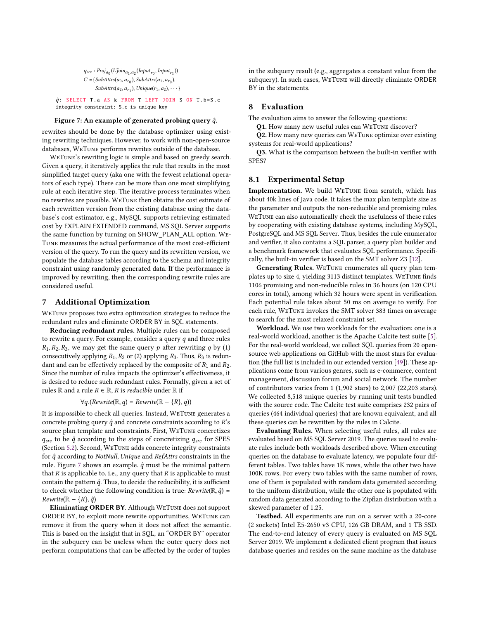$q_{src}: Proj_{a_0}(L\text{Join}_{a_1,a_2}(Input_{r_0},Input_{r_1}))$  $C = \{SubAttrs(a_0, a_{r_0}), SubAttrs(a_1, a_{r_0}),\}$  $SubAttrs(a_2, a_{r_1}), Unique(r_1, a_2), \cdots\}$ 

<span id="page-9-0"></span> $\hat{q}$ : SELECT T.a AS k FROM T LEFT JOIN S ON T.b=S.c integrity constraint: S.c is unique key

#### Figure 7: An example of generated probing query  $\hat{q}$ .

rewrites should be done by the database optimizer using existing rewriting techniques. However, to work with non-open-source databases, WeTune performs rewrites outside of the database.

WeTune's rewriting logic is simple and based on greedy search. Given a query, it iteratively applies the rule that results in the most simplified target query (aka one with the fewest relational operators of each type). There can be more than one most simplifying rule at each iterative step. The iterative process terminates when no rewrites are possible. WeTune then obtains the cost estimate of each rewritten version from the existing database using the database's cost estimator, e.g., MySQL supports retrieving estimated cost by EXPLAIN EXTENDED command, MS SQL Server supports the same function by turning on SHOW\_PLAN\_ALL option. We-Tune measures the actual performance of the most cost-efficient version of the query. To run the query and its rewritten version, we populate the database tables according to the schema and integrity constraint using randomly generated data. If the performance is improved by rewriting, then the corresponding rewrite rules are considered useful.

#### 7 Additional Optimization

WeTune proposes two extra optimization strategies to reduce the redundant rules and eliminate ORDER BY in SQL statements.

Reducing redundant rules. Multiple rules can be composed to rewrite a query. For example, consider a query  $q$  and three rules  $R_1, R_2, R_3$ , we may get the same query  $p$  after rewriting  $q$  by (1) consecutively applying  $R_1$ ,  $R_2$  or (2) applying  $R_3$ . Thus,  $R_3$  is redundant and can be effectively replaced by the composite of  $R_1$  and  $R_2$ . Since the number of rules impacts the optimizer's effectiveness, it is desired to reduce such redundant rules. Formally, given a set of rules  $\mathbb R$  and a rule  $R \in \mathbb R$ ,  $R$  is *reducible* under  $\mathbb R$  if

 $\forall q.$ (Rewrite( $\mathbb{R}, q$ ) = Rewrite( $\mathbb{R} - \{R\}, q$ ))

It is impossible to check all queries. Instead, WeTune generates a concrete probing query  $\hat{q}$  and concrete constraints according to  $R$ 's source plan template and constraints. First, WeTune concretizes  $q_{src}$  to be  $\hat{q}$  according to the steps of concretizing  $q_{src}$  for SPES (Section [5.2\)](#page-8-1). Second, WeTune adds concrete integrity constraints for  $\hat{q}$  according to NotNull, Unique and RefAttrs constraints in the rule. Figure [7](#page-9-0) shows an example.  $\hat{q}$  must be the minimal pattern that  $R$  is applicable to. i.e., any query that  $R$  is applicable to must contain the pattern  $\hat{q}$ . Thus, to decide the reducibility, it is sufficient to check whether the following condition is true:  $Rewrite(\mathbb{R}, \hat{q}) =$  $Rewrite(\mathbb{R} - \{R\}, \hat{q})$ 

Eliminating ORDER BY. Although WeTune does not support ORDER BY, to exploit more rewrite opportunities, WeTune can remove it from the query when it does not affect the semantic. This is based on the insight that in SQL, an "ORDER BY" operator in the subquery can be useless when the outer query does not perform computations that can be affected by the order of tuples

in the subquery result (e.g., aggregates a constant value from the subquery). In such cases, WeTune will directly eliminate ORDER BY in the statements.

## 8 Evaluation

The evaluation aims to answer the following questions:

Q1. How many new useful rules can WeTune discover?

Q2. How many new queries can WeTune optimize over existing systems for real-world applications?

Q3. What is the comparison between the built-in verifier with SPES?

## 8.1 Experimental Setup

Implementation. We build WeTune from scratch, which has about 40k lines of Java code. It takes the max plan template size as the parameter and outputs the non-reducible and promising rules. WeTune can also automatically check the usefulness of these rules by cooperating with existing database systems, including MySQL, PostgreSQL and MS SQL Server. Thus, besides the rule enumerator and verifier, it also contains a SQL parser, a query plan builder and a benchmark framework that evaluates SQL performance. Specifically, the built-in verifier is based on the SMT solver Z3 [\[12\]](#page-13-32).

Generating Rules. WeTune enumerates all query plan templates up to size 4, yielding 3113 distinct templates. WeTune finds 1106 promising and non-reducible rules in 36 hours (on 120 CPU cores in total), among which 32 hours were spent in verification. Each potential rule takes about 50 ms on average to verify. For each rule, WeTune invokes the SMT solver 383 times on average to search for the most relaxed constraint set.

Workload. We use two workloads for the evaluation: one is a real-world workload, another is the Apache Calcite test suite [\[5\]](#page-13-33). For the real-world workload, we collect SQL queries from 20 opensource web applications on GitHub with the most stars for evaluation (the full list is included in our extended version [\[49\]](#page-13-18)). These applications come from various genres, such as e-commerce, content management, discussion forum and social network. The number of contributors varies from 1 (1,902 stars) to 2,007 (22,203 stars). We collected 8,518 unique queries by running unit tests bundled with the source code. The Calcite test suite comprises 232 pairs of queries (464 individual queries) that are known equivalent, and all these queries can be rewritten by the rules in Calcite.

Evaluating Rules. When selecting useful rules, all rules are evaluated based on MS SQL Server 2019. The queries used to evaluate rules include both workloads described above. When executing queries on the database to evaluate latency, we populate four different tables. Two tables have 1K rows, while the other two have 100K rows. For every two tables with the same number of rows, one of them is populated with random data generated according to the uniform distribution, while the other one is populated with random data generated according to the Zipfian distribution with a skewed parameter of 1.25.

Testbed. All experiments are run on a server with a 20-core (2 sockets) Intel E5-2650 v3 CPU, 126 GB DRAM, and 1 TB SSD. The end-to-end latency of every query is evaluated on MS SQL Server 2019. We implement a dedicated client program that issues database queries and resides on the same machine as the database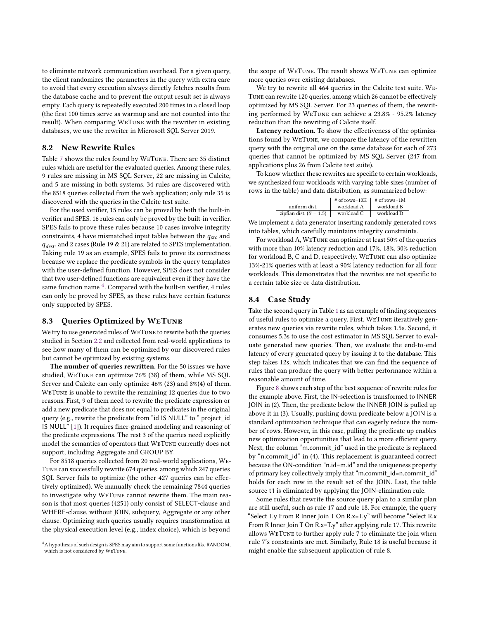to eliminate network communication overhead. For a given query, the client randomizes the parameters in the query with extra care to avoid that every execution always directly fetches results from the database cache and to prevent the output result set is always empty. Each query is repeatedly executed 200 times in a closed loop (the first 100 times serve as warmup and are not counted into the result). When comparing WeTune with the rewriter in existing databases, we use the rewriter in Microsoft SQL Server 2019.

#### 8.2 New Rewrite Rules

Table [7](#page-11-0) shows the rules found by WeTune. There are 35 distinct rules which are useful for the evaluated queries. Among these rules, 9 rules are missing in MS SQL Server, 22 are missing in Calcite, and 5 are missing in both systems. 34 rules are discovered with the 8518 queries collected from the web application; only rule 35 is discovered with the queries in the Calcite test suite.

For the used verifier, 15 rules can be proved by both the built-in verifier and SPES. 16 rules can only be proved by the built-in verifier. SPES fails to prove these rules because 10 cases involve integrity constraints, 4 have mismatched input tables between the  $q_{src}$  and  $q_{dest}$ , and 2 cases (Rule 19 & 21) are related to SPES implementation. Taking rule 19 as an example, SPES fails to prove its correctness because we replace the predicate symbols in the query templates with the user-defined function. However, SPES does not consider that two user-defined functions are equivalent even if they have the same function name <sup>[4](#page-0-0)</sup>. Compared with the built-in verifier, 4 rules can only be proved by SPES, as these rules have certain features only supported by SPES.

#### 8.3 Queries Optimized by WeTune

We try to use generated rules of WeTune to rewrite both the queries studied in Section [2.2](#page-2-0) and collected from real-world applications to see how many of them can be optimized by our discovered rules but cannot be optimized by existing systems.

The number of queries rewritten. For the 50 issues we have studied, WeTune can optimize 76% (38) of them, while MS SQL Server and Calcite can only optimize 46% (23) and 8%(4) of them. WeTune is unable to rewrite the remaining 12 queries due to two reasons. First, 9 of them need to rewrite the predicate expression or add a new predicate that does not equal to predicates in the original query (e.g., rewrite the predicate from "id IS NULL" to " project id IS NULL" [\[1\]](#page-13-34)). It requires finer-grained modeling and reasoning of the predicate expressions. The rest 3 of the queries need explicitly model the semantics of operators that WeTune currently does not support, including Aggregate and GROUP BY.

For 8518 queries collected from 20 real-world applications, We-Tune can successfully rewrite 674 queries, among which 247 queries SQL Server fails to optimize (the other 427 queries can be effectively optimized). We manually check the remaining 7844 queries to investigate why WeTune cannot rewrite them. The main reason is that most queries (4251) only consist of SELECT-clause and WHERE-clause, without JOIN, subquery, Aggregate or any other clause. Optimizing such queries usually requires transformation at the physical execution level (e.g., index choice), which is beyond

the scope of WeTune. The result shows WeTune can optimize more queries over existing databases.

We try to rewrite all 464 queries in the Calcite test suite. We-Tune can rewrite 120 queries, among which 26 cannot be effectively optimized by MS SQL Server. For 23 queries of them, the rewriting performed by WeTune can achieve a 23.8% - 95.2% latency reduction than the rewriting of Calcite itself.

Latency reduction. To show the effectiveness of the optimizations found by WeTune, we compare the latency of the rewritten query with the original one on the same database for each of 273 queries that cannot be optimized by MS SQL Server (247 from applications plus 26 from Calcite test suite).

To know whether these rewrites are specific to certain workloads, we synthesized four workloads with varying table sizes (number of rows in the table) and data distribution, as summarized below:

|                                 | $\#$ of rows=10K $\#$ of rows=1M |            |
|---------------------------------|----------------------------------|------------|
| uniform dist.                   | workload A                       | workload B |
| zipfian dist. ( $\theta$ = 1.5) | workload C                       | workload D |

We implement a data generator inserting randomly generated rows into tables, which carefully maintains integrity constraints.

For workload A, WeTune can optimize at least 50% of the queries with more than 10% latency reduction and 17%, 18%, 30% reduction for workload B, C and D, respectively. WeTune can also optimize 13%-21% queries with at least a 90% latency reduction for all four workloads. This demonstrates that the rewrites are not specific to a certain table size or data distribution.

#### 8.4 Case Study

Take the second query in Table [1](#page-1-0) as an example of finding sequences of useful rules to optimize a query. First, WeTune iteratively generates new queries via rewrite rules, which takes 1.5s. Second, it consumes 5.3s to use the cost estimator in MS SQL Server to evaluate generated new queries. Then, we evaluate the end-to-end latency of every generated query by issuing it to the database. This step takes 12s, which indicates that we can find the sequence of rules that can produce the query with better performance within a reasonable amount of time.

Figure [8](#page-12-0) shows each step of the best sequence of rewrite rules for the example above. First, the IN-selection is transformed to INNER JOIN in (2). Then, the predicate below the INNER JOIN is pulled up above it in (3). Usually, pushing down predicate below a JOIN is a standard optimization technique that can eagerly reduce the number of rows. However, in this case, pulling the predicate up enables new optimization opportunities that lead to a more efficient query. Next, the column "m.commit id" used in the predicate is replaced by "n.commit\_id" in (4). This replacement is guaranteed correct because the ON-condition "n.id=m.id" and the uniqueness property of primary key collectively imply that "m.commit\_id=n.commit\_id" holds for each row in the result set of the JOIN. Last, the table source t1 is eliminated by applying the JOIN-elimination rule.

<span id="page-10-0"></span>Some rules that rewrite the source query plan to a similar plan are still useful, such as rule 17 and rule 18. For example, the query "Select T.y From R Inner Join T On R.x=T.y" will become "Select R.x From R Inner Join T On R.x=T.y" after applying rule 17. This rewrite allows WeTune to further apply rule 7 to eliminate the join when rule 7's constraints are met. Similarly, Rule 18 is useful because it might enable the subsequent application of rule 8.

<sup>&</sup>lt;sup>4</sup>A hypothesis of such design is SPES may aim to support some functions like RANDOM, which is not considered by WeTune.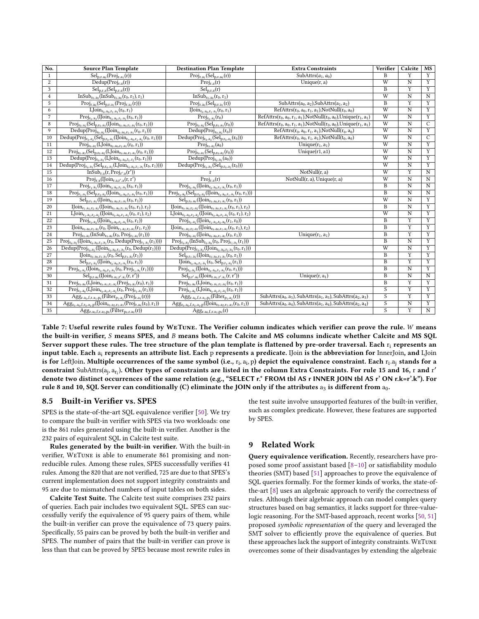<span id="page-11-0"></span>

| No.             | <b>Source Plan Template</b>                                                                           | <b>Destination Plan Template</b>                                                                 | <b>Extra Constraints</b>                                                     | Verifier                | Calcite                 | <b>MS</b>               |
|-----------------|-------------------------------------------------------------------------------------------------------|--------------------------------------------------------------------------------------------------|------------------------------------------------------------------------------|-------------------------|-------------------------|-------------------------|
| 1               | $Sel_{p,r.a_0}(Proj_{r.a_1}(r))$                                                                      | $Proj_{r.a_1}(Sel_{p,r.a_0}(r))$                                                                 | SubAttrs $(a_1, a_0)$                                                        | B                       | Y                       | $\overline{Y}$          |
| $\overline{2}$  | $\overline{\text{Dedup}(\text{Proj}_{r.a}(r))}$                                                       | $Proj_{r,a}(r)$                                                                                  | Unique $(r, a)$                                                              | $\overline{W}$          | $\overline{N}$          | Y                       |
| 3               | $Selp,r.a(Selp,r.a(r))$                                                                               | $Sel_{p,r.a}(r)$                                                                                 |                                                                              | B                       | Y                       | Y                       |
| 4               | $InSub_{r_0.a_0}(InSub_{r_0.a_0}(r_0, r_1), r_1)$                                                     | $\overline{\text{InSub}}_{r_0.a_0}(r_0,r_1)$                                                     |                                                                              | $\overline{W}$          | $\overline{N}$          | N                       |
| 5               | $Proj_{r.a_0}(Sel_{p,r.a_1}(Proj_{r.a_2}(r)))$                                                        | $Proj_{r.a_0}(Sel_{p,r.a_1}(r))$                                                                 | $SubAttrs(a0, a2), SubAttrs(a1, a2)$                                         | B                       | Y                       | Y                       |
| 6               | $LJoin_{r_0.a_0,r_1.a_1}(r_0,r_1)$                                                                    | $\text{IJoin}_{r_0, a_0, r_1, a_1}(r_0, r_1)$                                                    | RefAttrs $(r_0, a_0, r_1, a_1)$ , NotNull $(r_0, a_0)$                       | $\overline{W}$          | $\overline{N}$          | Y                       |
| $\overline{7}$  | $\text{Proj}_{r_0.a_2}(\text{IJoin}_{r_0.a_0,r_1.a_1}(r_0,r_1))$                                      | $Proj_{r_0.a_2}(r_0)$                                                                            | RefAttrs $(r_0, a_0, r_1, a_1)$ , NotNull $(r_0, a_0)$ , Unique $(r_1, a_1)$ | W                       | $\mathbf N$             | Y                       |
| 8               | $\mathrm{Proj}_{r_0.a_2}(\mathrm{Sel}_{p,r_0.a_3}(\mathrm{Join}_{r_0.a_0,r_1.a_1}(r_0,r_1)))$         | $Proj_{r_0.a_2}(Sel_{p,r_0.a_3}(r_0))$                                                           | RefAttrs $(r_0, a_0, r_1, a_1)$ , NotNull $(r_0, a_0)$ , Unique $(r_1, a_1)$ | $\overline{W}$          | $\overline{\rm N}$      | $\overline{C}$          |
| 9               | $Dedup(Proj_{r_0.a_2}(IJoin_{r_0.a_0,r_1.a_1}(r_0,r_1)))$                                             | $Dedup(Proj_{r_0.a_2}(r_0))$                                                                     | RefAttrs $(r_0, a_0, r_1, a_1)$ , NotNull $(r_0, a_0)$                       | W                       | N                       | Y                       |
| 10              | $Dedup(Proj_{r_0.a_2}(Sel_{p,r_0.a_3}(IJoin_{r_0.a_0,r_1.a_1}(r_0,r_1))))$                            | $Dedup(Proj_{r_0.a_2}(Sel_{p,r_0.a_3}(r_0)))$                                                    | $RefAttrs(r_0, a_0, r_1, a_1), NotNull(t_0, a_0)$                            | W                       | $\rm N$                 | $\overline{C}$          |
| 11              | $Proj_{r_0.a_2}(LJoin_{r_0.a_0,r_1.a_1}(r_0,r_1))$                                                    | $Proj_{r_0.a_2}(a_0)$                                                                            | Unique $(r_1, a_1)$                                                          | $\overline{W}$          | $\overline{\text{N}}$   | $\overline{\textbf{Y}}$ |
| 12              | $Proj_{r_0.a_3}(Sel_{p,r_0.a_2}(LJoin_{r_0.a_0,r_1.a_1}(r_0,r_1)))$                                   | $Proj_{r_0.a_3}(Sel_{p,r_0.a_2}(r_0))$                                                           | Unique $(r1, a1)$                                                            | W                       | N                       | Y                       |
| 13              | $\text{Dedup}(\text{Proj}_{r_0.a_2}(L\text{Join}_{r_0.a_0,t_1.r_2}(r_0,r_1)))$                        | $\overline{\mathrm{Dedup}(\mathrm{Proj}_{r_0.a_2}(a_0))}$                                        |                                                                              | $\overline{W}$          | $\overline{N}$          | Y                       |
| 14              | $Dedup(Proj_{r_0.a_3}(Sel_{p,r_0.a_2}(LJoin_{r_0.a_0,r_1.a_1}(r_0,r_1))))$                            | Dedup(Proj <sub>ro.a3</sub> (Sel <sub>p,ro.a2</sub> (r <sub>0</sub> )))                          |                                                                              | W                       | $\rm N$                 | Y                       |
| 15              | $\overline{\text{InSub}}_{r.a}(r, \text{Proj}_{r'.a}(r'))$                                            | r                                                                                                | NotNull(r, a)                                                                | $\overline{W}$          | $\overline{Y}$          | $\overline{\mathbf{N}}$ |
| 16              | $Proj_{r.a}(IJoin_{r.a,r'.a}(r,r'))$                                                                  | $Proj_{r,a}(r)$                                                                                  | $NotNull(r, a)$ , Unique $(r, a)$                                            | W                       | N                       | $\mathbf N$             |
| 17              | $Proj_{r_1.a_1}(IJoin_{r_0.a_0,r_1.a_1}(r_0,r_1))$                                                    | $Proj_{r_0.a_0}(IJoin_{r_0.a_0,r_1.a_1}(r_0,r_1))$                                               |                                                                              | $\overline{B}$          | $\overline{\mathsf{N}}$ | N                       |
| 18              | $\mathrm{Proj}_{r_1.a_1}(\mathrm{Sel}_{p,r_0.a_2}(\mathrm{UJoin}_{r_0.a_0,r_1.a_1}(r_0,r_1)))$        | $\mathrm{Proj}_{r_0.a_0}(\mathrm{Sel}_{p,r_0.a_2}(\mathrm{Join}_{r_0.a_0,r_1.a_1}(r_0,r_1)))$    |                                                                              | B                       | N                       | N                       |
| 19              | $Sel_{p,r_1,a_1}(IJoin_{r_0,a_0,r_1,a_1}(r_0,r_1))$                                                   | $Sel_{p,r_0.a_0}(IJoin_{r_0.a_0,r_1.a_1}(r_0,r_1))$                                              |                                                                              | $\overline{W}$          | $\overline{N}$          | Y                       |
| 20              | $\overline{ I \text{Join}_{r_1, a_1, r_2, a_2} ( \text{Join}_{r_0, a_0, r_1, a_1} (r_0, r_1), r_2) }$ | $\overline{IJoin}_{r_{0}.a_{0},r_{2}.a_{2}}(IJoin_{r_{0}.a_{0},r_{1}.a_{1}}(r_{0},r_{1}),r_{2})$ |                                                                              | $\overline{B}$          | $\overline{\mathbf{N}}$ | Y                       |
| 21              | $\mathrm{LJoin}_{r_1.a_1,r_2.a_2}(\mathrm{IJoin}_{r_0.a_0,r_1.a_1}(r_0,r_1),r_2)$                     | $\mathrm{LJoin}_{r_0.a_0,r_2.a_2}(\mathrm{Join}_{r_0.a_0,r_1.a_1}(r_0,r_1),r_2)$                 |                                                                              | W                       | $\rm N$                 | $\overline{\textbf{Y}}$ |
| $\overline{22}$ | $Proj_{r_0.a_2}(IJoin_{r_0.a_0,r_1.a_1}(r_0,r_1))$                                                    | $Proj_{r_0.a_2}(IJoin_{r_1.a_1,r_0.a_0}(r_1,r_0))$                                               |                                                                              | $\overline{B}$          | $\overline{Y}$          | Y                       |
| 23              | $\text{Join}_{r_0.a_0,r_1.a_1}(r_0, \text{Join}_{r_1.a_2,r_2.a_3}(r_1,r_2))$                          | $\text{IJoin}_{r_1.a_2,r_2.a_3}(\text{IJoin}_{r_0.a_0,r_1.a_1}(r_0,r_1),r_2)$                    |                                                                              | B                       | Y                       | Y                       |
| 24              | $Proj_{r_0.a_2}(InSub_{r_0.a_0}(r_0, Proj_{r_1.a_1}(r_1)))$                                           | $Proj_{r_0.a_2}(IJoin_{r_0.a_0,r_1.a_1}(r_0,r_1))$                                               | $\overline{\text{Unique}}(r_1, a_1)$                                         | $\overline{B}$          | $\overline{\text{Y}}$   | $\overline{Y}$          |
| 25              | $Proj_{r_0.a_2}(IJoin_{r_0.a_0,r_1.a_1}(r_0, Dedup(Proj_{r_1.a_1}(r_1))))$                            | $Proj_{r_0.a_2}(InSub_{r_0.a_0}(r_0, Proj_{r_1.a_1}(r_1)))$                                      |                                                                              | B                       | $\overline{N}$          | $\overline{\textbf{Y}}$ |
| 26              | $Dedup(Proj_{r_0.a_2}(IJoin_{r_0.a_0,r_1.a_1}(r_0, Dedup(r_1))))$                                     | $Dedup(Proj_{r_0.a_2}(IJoin_{r_0.a_0,r_1.a_1}(r_0,r_1)))$                                        |                                                                              | W                       | $\rm N$                 | Y                       |
| 27              | $\text{IJoin}_{r_0.a_0,r_1.a_1}(r_0, \text{Sel}_{p,r_1.a_2}(r_1))$                                    | $Sel_{p,r_1.a_2}(IJoin_{r_0.a_0,r_1.a_1}(r_0,r_1))$                                              |                                                                              | $\overline{B}$          | Y                       | Y                       |
| 28              | $Sel_{p,r_1.a_2}(IJoin_{r_0.a_0,r_1.a_1}(r_0,r_1))$                                                   | $\text{IJoin}_{r_0.a_0,r_1.a_1}(r_0, \text{Sel}_{p,r_1.a_2}(r_1))$                               |                                                                              | $\overline{B}$          | Y                       | $\overline{\textbf{Y}}$ |
| 29              | $Proj_{r_0.a_2}(IJoin_{r_0.a_0,r_1.a_1}(r_0, Proj_{r_1.a_1}(r_1))))$                                  | $Proj_{r_0.a_2}(IJoin_{r_0.a_0,r_1.a_1}(r_0,r_1)))$                                              |                                                                              | $\overline{\mathbf{B}}$ | $\overline{\text{N}}$   | $\overline{Y}$          |
| 30              | $Sel_{p,r.a_0}(IJoin_{r.a_1,r'.a_1}(r,r'))$                                                           | $Sel_{p,r',a_0}(IJoin_{r.a_1,r',a_1}(r,r'))$                                                     | Unique $(r, a_1)$                                                            | $\, {\bf B}$            | $\rm N$                 | $\rm N$                 |
| $\overline{31}$ | $Proj_{r_0.a_0}(\overline{LJoin_{r_0.a_1,r_1.a_2}(Proj_{r_0.a_3}(r_0),r_1)})$                         | $Proj_{r_0.a_0}(LJoin_{r_0.a_1,r_1.a_2}(r_0,r_1))$                                               |                                                                              | $\overline{B}$          | Y                       | Y                       |
| 32              | $\mathrm{Proj}_{r_0.a_0}(\mathrm{LJoin}_{r_0.a_1,r_1.a_2}(r_0,\mathrm{Proj}_{r_1.a_3}(r_1)))$         | $Proj_{r_0,a_0}(LJoin_{r_0,a_1,r_1,a_2}(r_0,r_1))$                                               |                                                                              | $\overline{S}$          | Y                       | Y                       |
| $\overline{33}$ | $\text{Agg}_{r.a_0,f,r.a_1,p_0}(\text{Filter}_{p_1,a_2}(\text{Proj}_{r.a_3}(r)))$                     | $\text{Agg}_{r.a_0,f,r.a_1,p_0}(\text{Filter}_{p_1,a_2}(r))$                                     | $SubAttrs(a0, a3), SubAttrs(a1, a3), SubAttrs(a2, a3)$                       | $\overline{s}$          | $\overline{\text{Y}}$   | Y                       |
| 34              | $\text{Agg}_{r_0.a_0,f,r_0.a_1,p}(\text{Join}_{r_0.a_2,r_1.a_3}(\text{Proj}_{r.a_4}(r_0),r_1))$       | $\text{Agg}_{r_0.a_0,f,r_0.a_1,p}(\text{Join}_{r_0.a_2,r_1.a_3}(r_0,r_1))$                       | $SubAttrs(a0, a4), SubAttrs(a1, a4), SubAttrs(a2, a4)$                       | $\overline{s}$          | $\overline{\text{N}}$   | $\overline{Y}$          |
| 35              | $\text{Agg}_{r.a_0,f,r.a_1,p_0}(\text{Filter}_{p_0,r.a_0}(r))$                                        | $Agg_{r.a_0,f,r.a_1,p_0}(r)$                                                                     |                                                                              | $\overline{S}$          | Y                       | $\overline{N}$          |

Table 7: Useful rewrite rules found by WETUNE. The Verifier column indicates which verifier can prove the rule. W means the built-in verifier,  $S$  means SPES, and  $B$  means both. The Calcite and MS columns indicate whether Calcite and MS SQL Server support these rules. The tree structure of the plan template is flattened by pre-order traversal. Each  $r_i$  represents an input table. Each a<sub>i</sub> represents an attribute list. Each p represents a predicate. IJoin is the abbreviation for InnerJoin, and LJoin is for LeftJoin. Multiple occurrences of the same symbol (i.e.,  $\rm r_i$ ,  $\rm a_i$ ,  $\rm p)$  depict the equivalence constraint. Each  $\rm r_i. \rm a_j$  stands for a constraint SubAttrs( $a_j, a_{r_i}$ ). Other types of constraints are listed in the column Extra Constraints. For rule 15 and 16, r and r $^\prime$ denote two distinct occurrences of the same relation (e.g., "SELECT r.\* FROM tbl AS r INNER JOIN tbl AS r' ON r.k=r'.k"). For rule 8 and 10, SQL Server can conditionally (C) eliminate the JOIN only if the attributes  $a_3$  is different from  $a_0$ .

#### 8.5 Built-in Verifier vs. SPES

SPES is the state-of-the-art SQL equivalence verifier [\[50\]](#page-13-29). We try to compare the built-in verifier with SPES via two workloads: one is the 861 rules generated using the built-in verifier. Another is the 232 pairs of equivalent SQL in Calcite test suite.

Rules generated by the built-in verifier. With the built-in verifier, WeTune is able to enumerate 861 promising and nonreducible rules. Among these rules, SPES successfully verifies 41 rules. Among the 820 that are not verified, 725 are due to that SPES's current implementation does not support integrity constraints and 95 are due to mismatched numbers of input tables on both sides.

Calcite Test Suite. The Calcite test suite comprises 232 pairs of queries. Each pair includes two equivalent SQL. SPES can successfully verify the equivalence of 95 query pairs of them, while the built-in verifier can prove the equivalence of 73 query pairs. Specifically, 55 pairs can be proved by both the built-in verifier and SPES. The number of pairs that the built-in verifier can prove is less than that can be proved by SPES because most rewrite rules in

the test suite involve unsupported features of the built-in verifier, such as complex predicate. However, these features are supported by SPES.

#### 9 Related Work

Query equivalence verification. Recently, researchers have proposed some proof assistant based [\[8](#page-13-30)[–10\]](#page-13-11) or satisfiability modulo theories (SMT) based [\[51\]](#page-13-35) approaches to prove the equivalence of SQL queries formally. For the former kinds of works, the state-ofthe-art [\[8\]](#page-13-30) uses an algebraic approach to verify the correctness of rules. Although their algebraic approach can model complex query structures based on bag semantics, it lacks support for three-valuelogic reasoning. For the SMT-based approach, recent works [\[50,](#page-13-29) [51\]](#page-13-35) proposed symbolic representation of the query and leveraged the SMT solver to efficiently prove the equivalence of queries. But these approaches lack the support of integrity constraints. WeTune overcomes some of their disadvantages by extending the algebraic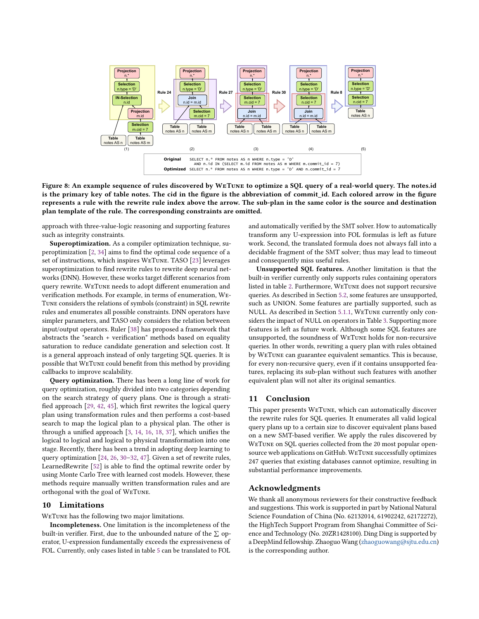<span id="page-12-0"></span>

Figure 8: An example sequence of rules discovered by WeTune to optimize a SQL query of a real-world query. The notes.id is the primary key of table notes. The cid in the figure is the abbreviation of commit\_id. Each colored arrow in the figure represents a rule with the rewrite rule index above the arrow. The sub-plan in the same color is the source and destination plan template of the rule. The corresponding constraints are omitted.

approach with three-value-logic reasoning and supporting features such as integrity constraints.

Superoptimization. As a compiler optimization technique, superoptimization [\[2,](#page-13-14) [34\]](#page-13-36) aims to find the optimal code sequence of a set of instructions, which inspires WeTune. TASO [\[23\]](#page-13-37) leverages superoptimization to find rewrite rules to rewrite deep neural networks (DNN). However, these works target different scenarios from query rewrite. WeTune needs to adopt different enumeration and verification methods. For example, in terms of enumeration, We-Tune considers the relations of symbols (constraint) in SQL rewrite rules and enumerates all possible constraints. DNN operators have simpler parameters, and TASO only considers the relation between input/output operators. Ruler [\[38\]](#page-13-38) has proposed a framework that abstracts the "search + verification" methods based on equality saturation to reduce candidate generation and selection cost. It is a general approach instead of only targeting SQL queries. It is possible that WeTune could benefit from this method by providing callbacks to improve scalability.

Query optimization. There has been a long line of work for query optimization, roughly divided into two categories depending on the search strategy of query plans. One is through a stratified approach [\[29,](#page-13-39) [42,](#page-13-8) [45\]](#page-13-40), which first rewrites the logical query plan using transformation rules and then performs a cost-based search to map the logical plan to a physical plan. The other is through a unified approach [\[3,](#page-13-41) [14,](#page-13-42) [16,](#page-13-2) [18,](#page-13-3) [37\]](#page-13-7), which unifies the logical to logical and logical to physical transformation into one stage. Recently, there has been a trend in adopting deep learning to query optimization [\[24,](#page-13-43) [26,](#page-13-44) [30–](#page-13-45)[32,](#page-13-46) [47\]](#page-13-47). Given a set of rewrite rules, LearnedRewrite [\[52\]](#page-13-48) is able to find the optimal rewrite order by using Monte Carlo Tree with learned cost models. However, these methods require manually written transformation rules and are orthogonal with the goal of WeTune.

#### 10 Limitations

WeTune has the following two major limitations.

Incompleteness. One limitation is the incompleteness of the built-in verifier. First, due to the unbounded nature of the  $\Sigma$  operator, U-expression fundamentally exceeds the expressiveness of FOL. Currently, only cases listed in table [5](#page-7-1) can be translated to FOL

and automatically verified by the SMT solver. How to automatically transform any U-expression into FOL formulas is left as future work. Second, the translated formula does not always fall into a decidable fragment of the SMT solver; thus may lead to timeout and consequently miss useful rules.

Unsupported SQL features. Another limitation is that the built-in verifier currently only supports rules containing operators listed in table [2.](#page-4-1) Furthermore, WeTune does not support recursive queries. As described in Section [5.2,](#page-8-1) some features are unsupported, such as UNION. Some features are partially supported, such as NULL. As described in Section [5.1.1,](#page-5-4) WeTune currently only considers the impact of NULL on operators in Table [3.](#page-5-2) Supporting more features is left as future work. Although some SQL features are unsupported, the soundness of WeTune holds for non-recursive queries. In other words, rewriting a query plan with rules obtained by WeTune can guarantee equivalent semantics. This is because, for every non-recursive query, even if it contains unsupported features, replacing its sub-plan without such features with another equivalent plan will not alter its original semantics.

#### 11 Conclusion

This paper presents WeTune, which can automatically discover the rewrite rules for SQL queries. It enumerates all valid logical query plans up to a certain size to discover equivalent plans based on a new SMT-based verifier. We apply the rules discovered by WeTune on SQL queries collected from the 20 most popular opensource web applications on GitHub. WeTune successfully optimizes 247 queries that existing databases cannot optimize, resulting in substantial performance improvements.

#### Acknowledgments

We thank all anonymous reviewers for their constructive feedback and suggestions. This work is supported in part by National Natural Science Foundation of China (No. 62132014, 61902242, 62172272), the HighTech Support Program from Shanghai Committee of Science and Technology (No. 20ZR1428100). Ding Ding is supported by a DeepMind fellowship. Zhaoguo Wang [\(zhaoguowang@sjtu.edu.cn\)](mailto:zhaoguowang@sjtu.edu.cn) is the corresponding author.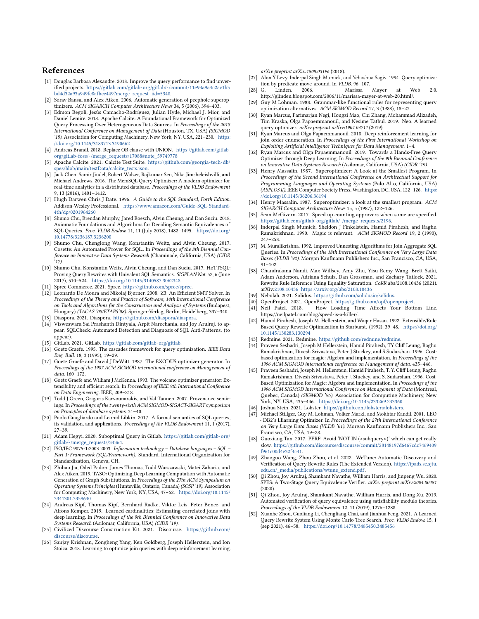#### References

- <span id="page-13-34"></span>[1] Douglas Barbosa Alexandre. 2018. Improve the query performance to find unverified projects. [https://gitlab.com/gitlab-org/gitlab/-/commit/11e93a9a4c2ac1b5](https://gitlab.com/gitlab-org/gitlab/-/commit/11e93a9a4c2ac1b5bd4d32a93a949fc8afbcc449?merge_request_iid=5348) [bd4d32a93a949fc8afbcc449?merge\\_request\\_iid=5348.](https://gitlab.com/gitlab-org/gitlab/-/commit/11e93a9a4c2ac1b5bd4d32a93a949fc8afbcc449?merge_request_iid=5348)
- <span id="page-13-14"></span>[2] Sorav Bansal and Alex Aiken. 2006. Automatic generation of peephole superoptimizers. ACM SIGARCH Computer Architecture News 34, 5 (2006), 394–403.
- <span id="page-13-41"></span>[3] Edmon Begoli, Jesús Camacho-Rodríguez, Julian Hyde, Michael J. Mior, and Daniel Lemire. 2018. Apache Calcite: A Foundational Framework for Optimized Query Processing Over Heterogeneous Data Sources. In Proceedings of the 2018 International Conference on Management of Data (Houston, TX, USA) (SIGMOD '18). Association for Computing Machinery, New York, NY, USA, 221–230. [https:](https://doi.org/10.1145/3183713.3190662) [//doi.org/10.1145/3183713.3190662](https://doi.org/10.1145/3183713.3190662)
- <span id="page-13-26"></span>[4] Andreas Brandl. 2018. Replace OR clause with UNION. [https://gitlab.com/gitlab](https://gitlab.com/gitlab-org/gitlab-foss/-/merge_requests/17088#note_59749778)[org/gitlab-foss/-/merge\\_requests/17088#note\\_59749778](https://gitlab.com/gitlab-org/gitlab-foss/-/merge_requests/17088#note_59749778)
- <span id="page-13-33"></span>[5] Apache Calcite. 2021. Calcite Test Suite. [https://github.com/georgia-tech-db/](https://github.com/georgia-tech-db/spes/blob/main/testData/calcite_tests.json) [spes/blob/main/testData/calcite\\_tests.json.](https://github.com/georgia-tech-db/spes/blob/main/testData/calcite_tests.json)
- <span id="page-13-4"></span>[6] Jack Chen, Samir Jindel, Robert Walzer, Rajkumar Sen, Nika Jimsheleishvilli, and Michael Andrews. 2016. The MemSQL Query Optimizer: A modern optimizer for real-time analytics in a distributed database. Proceedings of the VLDB Endowment 9, 13 (2016), 1401–1412.
- <span id="page-13-10"></span>[7] Hugh Darwen Chris J Date. 1996. A Guide to the SQL Standard, Forth Edition. Addison-Wesley Professional. [https://www.amazon.com/Guide-SQL-Standard-](https://www.amazon.com/Guide-SQL-Standard-4th/dp/0201964260)[4th/dp/0201964260](https://www.amazon.com/Guide-SQL-Standard-4th/dp/0201964260)
- <span id="page-13-30"></span>[8] Shumo Chu, Brendan Murphy, Jared Roesch, Alvin Cheung, and Dan Suciu. 2018. Axiomatic Foundations and Algorithms for Deciding Semantic Equivalences of SQL Queries. Proc. VLDB Endow. 11, 11 (July 2018), 1482–1495. [https://doi.org/](https://doi.org/10.14778/3236187.3236200) [10.14778/3236187.3236200](https://doi.org/10.14778/3236187.3236200)
- [9] Shumo Chu, Chenglong Wang, Konstantin Weitz, and Alvin Cheung. 2017. Cosette: An Automated Prover for SQL.. In Proceedings of the 8th Biennial Conference on Innovative Data Systems Research (Chaminade, California, USA) (CIDR
- <span id="page-13-11"></span>'17). [10] Shumo Chu, Konstantin Weitz, Alvin Cheung, and Dan Suciu. 2017. HoTTSQL: Proving Query Rewrites with Univalent SQL Semantics. SIGPLAN Not. 52, 6 (June 2017), 510–524. <https://doi.org/10.1145/3140587.3062348>
- <span id="page-13-19"></span>[11] Spree Commerce. 2021. Spree. [https://github.com/spree/spree.](https://github.com/spree/spree)
- <span id="page-13-32"></span>[12] Leonardo De Moura and Nikolaj Bjørner. 2008. Z3: An Efficient SMT Solver. In Proceedings of the Theory and Practice of Software, 14th International Conference on Tools and Algorithms for the Construction and Analysis of Systems (Budapest, Hungary) (TACAS '08/ETAPS'08). Springer-Verlag, Berlin, Heidelberg, 337–340.
- <span id="page-13-20"></span>[13] Diaspora. 2021. Diaspora. [https://github.com/diaspora/diaspora.](https://github.com/diaspora/diaspora)
- <span id="page-13-42"></span>[14] Visweswara Sai Prashanth Dintyala, Arpit Narechania, and Joy Arulraj. to appear. SQLCheck: Automated Detection and Diagnosis of SQL Anti-Patterns. (to appear).
- <span id="page-13-16"></span>[15] GitLab. 2021. GitLab. [https://gitlab.com/gitlab-org/gitlab.](https://gitlab.com/gitlab-org/gitlab)
- <span id="page-13-2"></span>[16] Goetz Graefe. 1995. The cascades framework for query optimization. IEEE Data Eng. Bull. 18, 3 (1995), 19–29.
- [17] Goetz Graefe and David J DeWitt. 1987. The EXODUS optimizer generator. In Proceedings of the 1987 ACM SIGMOD international conference on Management of data. 160–172.
- <span id="page-13-3"></span>[18] Goetz Graefe and William J McKenna. 1993. The volcano optimizer generator: Extensibility and efficient search. In Proceedings of IEEE 9th International Conference on Data Engineering. IEEE, 209–218.
- <span id="page-13-31"></span>[19] Todd J Green, Grigoris Karvounarakis, and Val Tannen. 2007. Provenance semirings. In Proceedings of the twenty-sixth ACM SIGMOD-SIGACT-SIGART symposium on Principles of database systems. 31–40.
- <span id="page-13-12"></span>[20] Paolo Guagliardo and Leonid Libkin. 2017. A formal semantics of SOL queries, its validation, and applications. Proceedings of the VLDB Endowment 11, 1 (2017), 27–39.
- <span id="page-13-13"></span>[21] Adam Hegyi. 2020. Suboptimal Query in Gitlab. [https://gitlab.com/gitlab-org/](https://gitlab.com/gitlab-org/gitlab/-/merge_requests/34364) [gitlab/-/merge\\_requests/34364.](https://gitlab.com/gitlab-org/gitlab/-/merge_requests/34364)
- <span id="page-13-17"></span>[22] ISO/IEC 9075-1:2003 2003. Information technology – Database languages – SQL – Part 1: Framework (SQL/Framework). Standard. International Organization for Standardization, Geneva, CH.
- <span id="page-13-37"></span>[23] Zhihao Jia, Oded Padon, James Thomas, Todd Warszawski, Matei Zaharia, and Alex Aiken. 2019. TASO: Optimizing Deep Learning Computation with Automatic Generation of Graph Substitutions. In Proceedings of the 27th ACM Symposium on Operating Systems Principles (Huntsville, Ontario, Canada) (SOSP '19). Association for Computing Machinery, New York, NY, USA, 47–62. [https://doi.org/10.1145/](https://doi.org/10.1145/3341301.3359630) [3341301.3359630](https://doi.org/10.1145/3341301.3359630)
- <span id="page-13-43"></span>[24] Andreas Kipf, Thomas Kipf, Bernhard Radke, Viktor Leis, Peter Boncz, and Alfons Kemper. 2019. Learned cardinalities: Estimating correlated joins with deep learning. In Proceedings of the 9th Biennial Conference on Innovative Data Systems Research (Asilomar, California, USA) (CIDR '19).
- <span id="page-13-21"></span>[25] Civilized Discourse Construction Kit. 2021. Discourse. [https://github.com/](https://github.com/discourse/discourse) [discourse/discourse.](https://github.com/discourse/discourse)
- <span id="page-13-44"></span>[26] Sanjay Krishnan, Zongheng Yang, Ken Goldberg, Joseph Hellerstein, and Ion Stoica. 2018. Learning to optimize join queries with deep reinforcement learning.

arXiv preprint arXiv:1808.03196 (2018).

- <span id="page-13-5"></span>[27] Alon Y Levy, Inderpal Singh Mumick, and Yehoshua Sagiv. 1994. Query optimization by predicate move-around. In VLDB. 96-107.<br>G. Linden. 2006. Marissa
- <span id="page-13-0"></span>[28] G. Linden. 2006. Marissa Mayer at Web 2.0. http://glinden.blogspot.com/2006/11/marissa-mayer-at-web-20.html/.
- <span id="page-13-39"></span>[29] Guy M Lohman. 1988. Grammar-like functional rules for representing query optimization alternatives. ACM SIGMOD Record 17, 3 (1988), 18–27.
- <span id="page-13-45"></span>[30] Ryan Marcus, Parimarjan Negi, Hongzi Mao, Chi Zhang, Mohammad Alizadeh, Tim Kraska, Olga Papaemmanouil, and Nesime Tatbul. 2019. Neo: A learned query optimizer. arXiv preprint arXiv:1904.03711 (2019).
- [31] Ryan Marcus and Olga Papaemmanouil. 2018. Deep reinforcement learning for join order enumeration. In Proceedings of the First International Workshop on Exploiting Artificial Intelligence Techniques for Data Management. 1–4.
- <span id="page-13-46"></span>[32] Ryan Marcus and Olga Papaemmanouil. 2019. Towards a Hands-Free Query Optimizer through Deep Learning. In Proceedings of the 9th Biennial Conference on Innovative Data Systems Research (Asilomar, California, USA) (CIDR '19).
- <span id="page-13-15"></span>[33] Henry Massalin. 1987. Superoptimizer: A Look at the Smallest Program. In Proceedings of the Second International Conference on Architectual Support for Programming Languages and Operating Systems (Palo Alto, California, USA) (ASPLOS II). IEEE Computer Society Press, Washington, DC, USA, 122–126. [https:](https://doi.org/10.1145/36206.36194) [//doi.org/10.1145/36206.36194](https://doi.org/10.1145/36206.36194)
- <span id="page-13-36"></span>[34] Henry Massalin. 1987. Superoptimizer: a look at the smallest program. ACM SIGARCH Computer Architecture News 15, 5 (1987), 122–126.
- <span id="page-13-27"></span>[35] Sean McGivern. 2017. Speed up counting approvers when some are specified. [https://gitlab.com/gitlab-org/gitlab/-/merge\\_requests/2196.](https://gitlab.com/gitlab-org/gitlab/-/merge_requests/2196)
- <span id="page-13-6"></span>[36] Inderpal Singh Mumick, Sheldon J Finkelstein, Hamid Pirahesh, and Raghu Ramakrishnan. 1990. Magic is relevant. ACM SIGMOD Record 19, 2 (1990), 247–258.
- <span id="page-13-7"></span>[37] M. Muralikrishna. 1992. Improved Unnesting Algorithms for Join Aggregate SQL Queries. In Proceedings of the 18th International Conference on Very Large Data Bases (VLDB '92). Morgan Kaufmann Publishers Inc., San Francisco, CA, USA, 91–102.
- <span id="page-13-38"></span>[38] Chandrakana Nandi, Max Willsey, Amy Zhu, Yisu Remy Wang, Brett Saiki, Adam Anderson, Adriana Schulz, Dan Grossman, and Zachary Tatlock. 2021. Rewrite Rule Inference Using Equality Saturation. CoRR abs/2108.10436 (2021). arXiv[:2108.10436](https://arxiv.org/abs/2108.10436) <https://arxiv.org/abs/2108.10436>
- <span id="page-13-22"></span>[39] Nebulab. 2021. Solidus. [https://github.com/solidusio/solidus.](https://github.com/solidusio/solidus)
- <span id="page-13-23"></span>[40] OpenProject. 2021. OpenProject. [https://github.com/opf/openproject.](https://github.com/opf/openproject)
- <span id="page-13-1"></span>[41] Neil Patel. 2018. How Loading Time Affects Your Bottom Line. https://neilpatel.com/blog/speed-is-a-killer/.
- <span id="page-13-8"></span>[42] Hamid Pirahesh, Joseph M. Hellerstein, and Waqar Hasan. 1992. Extensible/Rule Based Query Rewrite Optimization in Starburst. (1992), 39–48. [https://doi.org/](https://doi.org/10.1145/130283.130294) [10.1145/130283.130294](https://doi.org/10.1145/130283.130294)
- <span id="page-13-24"></span>[43] Redmine. 2021. Redmine. https://github.com/redmine/redmine
- <span id="page-13-9"></span>[44] Praveen Seshadri, Joseph M Hellerstein, Hamid Pirahesh, TY Cliff Leung, Raghu Ramakrishnan, Divesh Srivastava, Peter J Stuckey, and S Sudarshan. 1996. Costbased optimization for magic: Algebra and implementation. In Proceedings of the 1996 ACM SIGMOD international conference on Management of data. 435–446.
- <span id="page-13-40"></span>[45] Praveen Seshadri, Joseph M. Hellerstein, Hamid Pirahesh, T. Y. Cliff Leung, Raghu Ramakrishnan, Divesh Srivastava, Peter J. Stuckey, and S. Sudarshan. 1996. Cost-Based Optimization for Magic: Algebra and Implementation. In Proceedings of the 1996 ACM SIGMOD International Conference on Management of Data (Montreal, Quebec, Canada) (SIGMOD '96). Association for Computing Machinery, New York, NY, USA, 435–446. <https://doi.org/10.1145/233269.233360>
- <span id="page-13-25"></span>[46] Joshua Stein. 2021. Lobster. [https://github.com/lobsters/lobsters.](https://github.com/lobsters/lobsters)
- <span id="page-13-47"></span>[47] Michael Stillger, Guy M. Lohman, Volker Markl, and Mokhtar Kandil. 2001. LEO - DB2's LEarning Optimizer. In Proceedings of the 27th International Conference on Very Large Data Bases (VLDB '01). Morgan Kaufmann Publishers Inc., San Francisco, CA, USA, 19–28.
- <span id="page-13-28"></span>[48] Guoxiang Tan. 2017. PERF: Avoid 'NOT IN (<subquery>)' which can get really slow. [https://github.com/discourse/discourse/commit/28148197d6467cdc7469409](https://github.com/discourse/discourse/commit/28148197d6467cdc7469409f961c00d4e32f4c41) [f961c00d4e32f4c41.](https://github.com/discourse/discourse/commit/28148197d6467cdc7469409f961c00d4e32f4c41)
- <span id="page-13-18"></span>[49] Zhaoguo Wang, Zhou Zhou, et al. 2022. WeTune: Automatic Discovery and Verification of Query Rewrite Rules (The Extended Version). [https://ipads.se.sjtu.](https://ipads.se.sjtu.edu.cn/_media/publications/wtune_extend.pdf) [edu.cn/\\_media/publications/wtune\\_extend.pdf.](https://ipads.se.sjtu.edu.cn/_media/publications/wtune_extend.pdf)
- <span id="page-13-29"></span>[50] Qi Zhou, Joy Arulraj, Shamkant Navathe, William Harris, and Jinpeng Wu. 2020. SPES: A Two-Stage Query Equivalence Verifier. arXiv preprint arXiv:2004.00481 (2020).
- <span id="page-13-35"></span>[51] Qi Zhou, Joy Arulraj, Shamkant Navathe, William Harris, and Dong Xu. 2019. Automated verification of query equivalence using satisfiability modulo theories. Proceedings of the VLDB Endowment 12, 11 (2019), 1276–1288.
- <span id="page-13-48"></span>[52] Xuanhe Zhou, Guoliang Li, Chengliang Chai, and Jianhua Feng. 2021. A Learned Query Rewrite System Using Monte Carlo Tree Search. Proc. VLDB Endow. 15, 1 (sep 2021), 46–58. <https://doi.org/10.14778/3485450.3485456>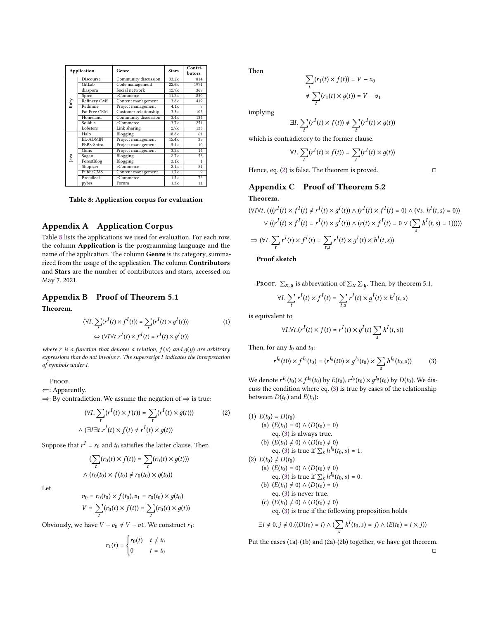<span id="page-14-0"></span>

| <b>Application</b> |                  | Genre                 | <b>Stars</b> | Contri-         |  |
|--------------------|------------------|-----------------------|--------------|-----------------|--|
|                    |                  |                       |              | butors          |  |
|                    | Discourse        | Community discussion  | 33.2k        | 814             |  |
|                    | GitLab           | Code management       | 22.6k        | 1971            |  |
|                    | diaspora         | Social network        | 12.7k        | 367             |  |
|                    | Spree            | eCommerce             | 11.2k        | 850             |  |
| Ruby               | Refinery CMS     | Content management    | 3.8k         | 419             |  |
|                    | Redmine          | Project management    | 4.1k         | 7               |  |
|                    | Fat Free CRM     | Customer relationship | 3.3k         | 105             |  |
|                    | Homeland         | Community discussion  | 3.4k         | 134             |  |
|                    | Solidus          | eCommerce             | 3.7k         | 251             |  |
|                    | Lobsters         | Link sharing          | 2.9k         | 138             |  |
|                    | Halo             | Blogging              | 18.8k        | 61              |  |
|                    | <b>EL-ADMIN</b>  | Project management    | 15.4k        | 35              |  |
|                    | FEBS-Shiro       | Project management    | 5.4k         | 10              |  |
|                    | Guns             | Project management    | 3.2k         | 14              |  |
| Java               | Sagan            | Blogging              | 2.7k         | 53              |  |
|                    | ForestBlog       | Blogging              | 3.1k         | 1               |  |
|                    | Shopizer         | eCommerce             | 2.1k         | $\overline{21}$ |  |
|                    | PublicCMS        | Content management    | 1.7k         | 9               |  |
|                    | <b>Broadleaf</b> | eCommerce             | 1.5k         | $\overline{72}$ |  |
|                    | pybss            | Forum                 | 1.3k         | 11              |  |

Table 8: Application corpus for evaluation

## Appendix A Application Corpus

Table [8](#page-14-0) lists the applications we used for evaluation. For each row, the column Application is the programming language and the name of the application. The column Genre is its category, summarized from the usage of the application. The column Contributors and Stars are the number of contributors and stars, accessed on May 7, 2021.

### Appendix B Proof of Theorem 5.1

Theorem.

$$
(\forall I. \sum_{t} (r^{I}(t) \times f^{I}(t)) = \sum_{t} (r^{I}(t) \times g^{I}(t)))
$$
\n
$$
\Leftrightarrow (\forall I \forall t. r^{I}(t) \times f^{I}(t) = r^{I}(t) \times g^{I}(t))
$$
\n
$$
(1)
$$

where r is a function that denotes a relation,  $f(x)$  and  $g(y)$  are arbitrary expressions that do not involve  $r$ . The superscript  $I$  indicates the interpretation of symbols under I.

PROOF.

⇐: Apparently.

⇒: By contradiction. We assume the negation of ⇒ is true:

$$
(\forall I. \sum_{t} (r^{I}(t) \times f(t)) = \sum_{t} (r^{I}(t) \times g(t)))
$$
\n
$$
\wedge (\exists I \exists t. r^{I}(t) \times f(t) \neq r^{I}(t) \times g(t))
$$
\n(2)

Suppose that  $r^I$  =  $r_0$  and  $t_0$  satisfies the latter clause. Then

$$
(\sum_{t} (r_0(t) \times f(t)) = \sum_{t} (r_0(t) \times g(t)))
$$
  
 
$$
\land (r_0(t_0) \times f(t_0) \neq r_0(t_0) \times g(t_0))
$$

Let

$$
v_0 = r_0(t_0) \times f(t_0), v_1 = r_0(t_0) \times g(t_0)
$$
  

$$
V = \sum_t (r_0(t) \times f(t)) = \sum_t (r_0(t) \times g(t))
$$

Obviously, we have  $V - v_0 \neq V - v_1$ . We construct  $r_1$ :

$$
r_1(t) = \begin{cases} r_0(t) & t \neq t_0 \\ 0 & t = t_0 \end{cases}
$$

Then

$$
\sum_{t} (r_1(t) \times f(t)) = V - v_0
$$
  

$$
\neq \sum_{t} (r_1(t) \times g(t)) = V - v_1
$$

implying

$$
\exists I. \sum_{t} (r^{I}(t) \times f(t)) \neq \sum_{t} (r^{I}(t) \times g(t))
$$

which is contradictory to the former clause.

 $\lambda$ 

$$
T \cdot \sum_{t} (r^{I}(t) \times f(t)) = \sum_{t} (r^{I}(t) \times g(t))
$$

Hence, eq. [\(2\)](#page-14-1) is false. The theorem is proved.  $□$ 

## Appendix C Proof of Theorem 5.2 Theorem.

$$
(\forall I \forall t. (((r^{I}(t) \times f^{I}(t) \neq r^{I}(t) \times g^{I}(t)) \land (r^{I}(t) \times f^{I}(t) = 0) \land (\forall s. h^{I}(t, s) = 0))
$$
  

$$
\lor ((r^{I}(t) \times f^{I}(t) = r^{I}(t) \times g^{I}(t)) \land (r(t) \times f^{I}(t) = 0 \lor (\sum_{s} h^{I}(t, s) = 1))))
$$
  

$$
\Rightarrow (\forall I. \sum_{t} r^{I}(t) \times f^{I}(t) = \sum_{t,s} r^{I}(t) \times g^{I}(t) \times h^{I}(t, s))
$$

Proof sketch

Proof.  $\sum_{x,y}$  is abbreviation of  $\sum_{x} \sum_{y}$ . Then, by theorem 5.1,

$$
\forall I. \sum_{t} r^{I}(t) \times f^{I}(t) = \sum_{t,s} r^{I}(t) \times g^{I}(t) \times h^{I}(t,s)
$$

is equivalent to

$$
\forall I. \forall t. (r^{I}(t) \times f(t) = r^{I}(t) \times g^{I}(t) \sum_{s} h^{I}(t, s))
$$

Then, for any  $I_0$  and  $t_0$ :

<span id="page-14-2"></span>
$$
r^{I_0}(t0) \times f^{I_0}(t_0) = (r^{I_0}(t0) \times g^{I_0}(t_0) \times \sum_s h^{I_0}(t_0, s))
$$
 (3)

We denote  $r^{I_0}(t_0) \times f^{I_0}(t_0)$  by  $E(t_0)$ ,  $r^{I_0}(t_0) \times g^{I_0}(t_0)$  by  $D(t_0)$ . We discuss the condition where eq. [\(3\)](#page-14-2) is true by cases of the relationship between  $D(t_0)$  and  $E(t_0)$ :

<span id="page-14-1"></span>(1)  $E(t_0) = D(t_0)$ (a)  $(E(t_0) = 0) \wedge (D(t_0) = 0)$ eq. [\(3\)](#page-14-2) is always true. (b)  $(E(t_0) \neq 0) \wedge (D(t_0) \neq 0)$ eq. [\(3\)](#page-14-2) is true if  $\sum_{s} h^{I_0}(t_0, s) = 1$ . (2)  $E(t_0) \neq D(t_0)$ (a)  $(E(t_0) = 0) \wedge (D(t_0) \neq 0)$ eq. [\(3\)](#page-14-2) is true if  $\sum_{s} h^{I_0}(t_0, s) = 0$ . (b)  $(E(t_0) \neq 0) \wedge (D(t_0) = 0)$ eq. [\(3\)](#page-14-2) is never true. (c)  $(E(t_0) \neq 0) \wedge (D(t_0) \neq 0)$ eq. [\(3\)](#page-14-2) is true if the following proposition holds

$$
\exists i \neq 0, j \neq 0.((D(t_0) = i) \land (\sum_s h^I(t_0, s) = j) \land (E(t_0) = i \times j))
$$

Put the cases (1a)-(1b) and (2a)-(2b) together, we have got theorem. □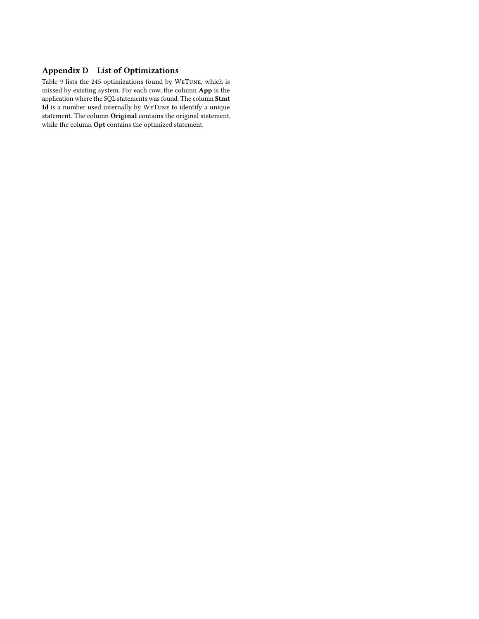## Appendix D List of Optimizations

Table [9](#page-16-0) lists the 245 optimizations found by WeTune, which is missed by existing system. For each row, the column App is the application where the SQL statements was found. The column Stmt Id is a number used internally by WeTune to identify a unique statement. The column Original contains the original statement, while the column Opt contains the optimized statement.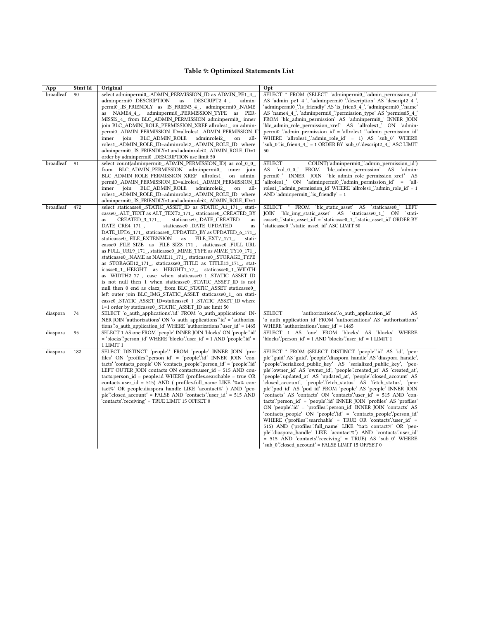## Table 9: Optimized Statements List

<span id="page-16-0"></span>

| App                    | Stmt Id  | Original                                                                                                                                                                                                                                                                                                                                                                                                                                                                                                                                                                                                                                                                                                                                                                                                                                                                                                                                                                                                                                                                   | Opt                                                                                                                                                                                                                                                                                                                                                                                                                                                                                                                                                                                                                                                                                                                                                                                                                                                                                                                                                                                                                                                                                                             |
|------------------------|----------|----------------------------------------------------------------------------------------------------------------------------------------------------------------------------------------------------------------------------------------------------------------------------------------------------------------------------------------------------------------------------------------------------------------------------------------------------------------------------------------------------------------------------------------------------------------------------------------------------------------------------------------------------------------------------------------------------------------------------------------------------------------------------------------------------------------------------------------------------------------------------------------------------------------------------------------------------------------------------------------------------------------------------------------------------------------------------|-----------------------------------------------------------------------------------------------------------------------------------------------------------------------------------------------------------------------------------------------------------------------------------------------------------------------------------------------------------------------------------------------------------------------------------------------------------------------------------------------------------------------------------------------------------------------------------------------------------------------------------------------------------------------------------------------------------------------------------------------------------------------------------------------------------------------------------------------------------------------------------------------------------------------------------------------------------------------------------------------------------------------------------------------------------------------------------------------------------------|
| broadleaf<br>broadleaf | 90<br>91 | select adminpermi0 .ADMIN PERMISSION ID as ADMIN PE1 4,<br>adminpermi0 .DESCRIPTION<br>as<br>DESCRIPT2 4,<br>admin-<br>permi0_.IS_FRIENDLY as IS_FRIEN3_4_, adminpermi0_.NAME<br>as NAME4 4, adminpermi0 .PERMISSION TYPE as PER-<br>MISSI5 4 from BLC ADMIN PERMISSION adminpermi0 inner<br>join BLC ADMIN ROLE PERMISSION XREF allroles1 on admin-<br>permi0 .ADMIN PERMISSION ID=allroles1 .ADMIN PERMISSION ID<br>join<br>BLC ADMIN ROLE<br>adminrolei2<br>all-<br>inner<br>on<br>roles1_.ADMIN_ROLE_ID=adminrolei2_.ADMIN_ROLE_ID where<br>adminpermi0_IS_FRIENDLY=1 and adminrolei2_.ADMIN_ROLE_ID=1<br>order by adminpermi0_DESCRIPTION asc limit 50<br>select count(adminpermi0 .ADMIN PERMISSION ID) as col 0 0                                                                                                                                                                                                                                                                                                                                                   | SELECT * FROM (SELECT 'adminpermi0 ".admin permission id"<br>AS 'admin_pe1_4_', 'adminpermi0_'.'description' AS 'descript2_4_',<br>'adminpermi0_'.'is_friendly' AS 'is_frien3_4_', 'adminpermi0_'.'name'<br>AS 'name4_4_', 'adminpermi0_'.'permission_type' AS 'permissi5_4_'<br>FROM 'blc_admin_permission' AS 'adminpermi0_' INNER JOIN<br>'blc admin role permission xref' AS 'allroles1 ' ON 'admin-<br>permi0_"admin_permission_id' = 'allroles1_"admin_permission_id'<br>WHERE 'allroles1 "admin role id' = 1) AS 'sub 0' WHERE<br>'sub_0'.'is_frien3_4_' = 1 ORDER BY 'sub_0'.'descript2_4_' ASC LIMIT<br>50<br><b>SELECT</b><br>COUNT('adminpermi0_'.'admin_permission_id')                                                                                                                                                                                                                                                                                                                                                                                                                             |
|                        |          | from BLC ADMIN PERMISSION adminpermi0 inner join<br>BLC_ADMIN_ROLE_PERMISSION_XREF allroles1_ on admin-<br>permi0_.ADMIN_PERMISSION_ID=allroles1_.ADMIN_PERMISSION_ID<br>BLC ADMIN ROLE<br>join<br>adminrolei2<br>all-<br>inner<br>on<br>roles1 .ADMIN ROLE ID=adminrolei2 .ADMIN ROLE ID where<br>adminpermi0 .IS FRIENDLY=1 and adminrolei2 .ADMIN ROLE ID=1                                                                                                                                                                                                                                                                                                                                                                                                                                                                                                                                                                                                                                                                                                             | AS<br>col 0 0 '<br>FROM<br>'blc admin permission' AS 'admin-<br>permi0 ' INNER JOIN<br>'blc_admin_role_permission_xref'<br>AS<br>'allroles1_' ON 'adminpermi0_'.'admin_permission_id' = 'all-<br>roles1 "admin permission id' WHERE 'allroles1 "admin role id' = 1<br>AND 'admin $perm0$ ' "is friendly' = 1                                                                                                                                                                                                                                                                                                                                                                                                                                                                                                                                                                                                                                                                                                                                                                                                    |
| broadleaf              | 472      | select staticasse0 .STATIC ASSET ID as STATIC A1 171, stati-<br>casse0_.ALT_TEXT as ALT_TEXT2_171_, staticasse0_.CREATED_BY<br>CREATED 3 171,<br>staticasse0 .DATE CREATED<br>as<br>as<br>DATE CRE4 171,<br>staticasse0 .DATE UPDATED<br>as<br>DATE UPD5 171, staticasse0 .UPDATED BY as UPDATED 6 171,<br>staticasse0 .FILE EXTENSION<br>as FILE EXT7 171,<br>stati-<br>casse0_FILE_SIZE as FILE_SIZ8_171_, staticasse0_FULL_URL<br>as FULL_URL9_171_, staticasse0_.MIME_TYPE as MIME_TY10_171_,<br>staticasse0_NAME as NAME11_171_, staticasse0_STORAGE_TYPE<br>as STORAGE12_171_, staticasse0_TITLE as TITLE13_171_, stat-<br>icasse0_1_.HEIGHT as HEIGHT1_77_, staticasse0_1_.WIDTH<br>as WIDTH2_77_, case when staticasse0_1_.STATIC_ASSET_ID<br>is not null then 1 when staticasse0_STATIC_ASSET_ID is not<br>null then 0 end as clazz_ from BLC_STATIC_ASSET staticasse0_<br>left outer join BLC_IMG_STATIC_ASSET staticasse0_1_ on stati-<br>casse0_.STATIC_ASSET_ID=staticasse0_1_.STATIC_ASSET_ID where<br>1=1 order by staticasse0_STATIC_ASSET_ID asc limit 50 | SELECT * FROM 'blc static asset' AS 'staticasse0 '<br>LEFT<br>JOIN 'blc_img_static_asset' AS 'staticasse0_1_' ON<br>`stati-<br>casse0_".static_asset_id' = 'staticasse0_1_".static_asset_id' ORDER BY<br>'staticasse0_'.'static_asset_id' ASC LIMIT 50                                                                                                                                                                                                                                                                                                                                                                                                                                                                                                                                                                                                                                                                                                                                                                                                                                                          |
| diaspora               | 74       | SELECT 'o auth applications' id FROM 'o auth applications' IN-<br>NER JOIN 'authorizations' ON 'o_auth_applications' id ' = 'authoriza-<br>tions".o_auth_application_id' WHERE 'authorizations" user_id' = 1465                                                                                                                                                                                                                                                                                                                                                                                                                                                                                                                                                                                                                                                                                                                                                                                                                                                            | <b>SELECT</b><br>'authorizations'.'o auth application id'<br>AS<br>'o_auth_application_id' FROM 'authorizations' AS 'authorizations'<br>WHERE 'authorizations' user_id' = 1465                                                                                                                                                                                                                                                                                                                                                                                                                                                                                                                                                                                                                                                                                                                                                                                                                                                                                                                                  |
| diaspora               | 95       | SELECT 1 AS one FROM 'people' INNER JOIN 'blocks' ON 'people'.id'<br>= 'blocks'.'person id' WHERE 'blocks'.'user id' = 1 AND 'people'.'id' =<br>1 LIMIT 1                                                                                                                                                                                                                                                                                                                                                                                                                                                                                                                                                                                                                                                                                                                                                                                                                                                                                                                  | SELECT 1 AS 'one' FROM 'blocks' AS 'blocks' WHERE<br>'blocks'.'person id' = 1 AND 'blocks'.'user id' = 1 LIMIT 1                                                                                                                                                                                                                                                                                                                                                                                                                                                                                                                                                                                                                                                                                                                                                                                                                                                                                                                                                                                                |
| diaspora               | 182      | SELECT DISTINCT 'people'.* FROM 'people' INNER JOIN 'pro-<br>files' ON 'profiles''person_id' = 'people''id' INNER JOIN 'con-<br>tacts' 'contacts_people' ON 'contacts_people''person_id' = 'people'.'id'<br>LEFT OUTER JOIN contacts ON contacts.user_id = 515 AND con-<br>$tacts.person$ id = people.id WHERE (profiles.searchable = true OR<br>contacts.user id = 515) AND ( profiles.full name LIKE '%a% con-<br>tact%' OR people.diaspora_handle LIKE 'acontact%' ) AND 'peo-<br>ple':closed_account' = FALSE AND 'contacts':user_id' = 515 AND<br>'contacts'.'receiving' = TRUE LIMIT 15 OFFSET 0                                                                                                                                                                                                                                                                                                                                                                                                                                                                     | SELECT * FROM (SELECT DISTINCT 'people' id' AS 'id', 'peo-<br>ple''guid' AS 'guid', 'people''diaspora_handle' AS 'diaspora_handle',<br>'people'.'serialized_public_key' AS 'serialized_public_key', 'peo-<br>ple'.'owner_id' AS 'owner_id', 'people'.'created_at' AS 'created_at',<br>'people'.'updated_at' AS 'updated_at', 'people'.'closed_account' AS<br>'closed account', 'people'.'fetch status' AS 'fetch status', 'peo-<br>ple''pod_id' AS 'pod_id' FROM 'people' AS 'people' INNER JOIN<br>'contacts' AS 'contacts' ON 'contacts'.'user_id' = 515 AND 'con-<br>tacts''person_id' = 'people''id' INNER JOIN 'profiles' AS 'profiles'<br>ON 'people' id' = 'profiles' person id' INNER JOIN 'contacts' AS<br>'contacts people' ON 'people' id' = 'contacts people' person id'<br>WHERE ('profiles''searchable' = TRUE OR 'contacts''user $id'$ =<br>515) AND ('profiles'.'full_name' LIKE '%a% contact%' OR 'peo-<br>ple'.'diaspora handle' LIKE 'acontact%') AND 'contacts'.'user id'<br>= 515 AND 'contacts' receiving' = TRUE) AS 'sub 0' WHERE<br>'sub_0'.'closed_account' = FALSE LIMIT 15 OFFSET 0 |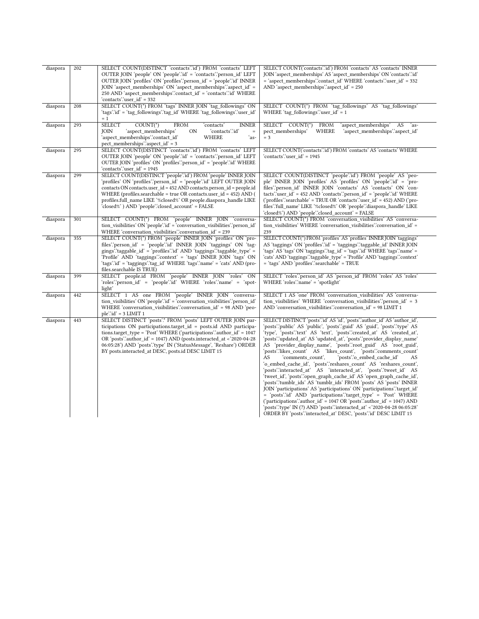| diaspora | 202 | SELECT COUNT(DISTINCT 'contacts'.id') FROM 'contacts' LEFT<br>OUTER JOIN 'people' ON 'people' id' = 'contacts' person_id' LEFT<br>OUTER JOIN 'profiles' ON 'profiles' person id' = 'people' id' INNER<br>JOIN 'aspect_memberships' ON 'aspect_memberships' 'aspect_id' =<br>250 AND 'aspect_memberships'.contact_id' = 'contacts'.id' WHERE<br>'contacts'.'user id' = 332                                        | SELECT COUNT('contacts'.id') FROM 'contacts' AS 'contacts' INNER<br>JOIN 'aspect_memberships' AS 'aspect_memberships' ON 'contacts'.id'<br>= 'aspect memberships'.'contact id' WHERE 'contacts'.'user id' = 332<br>AND 'aspect_memberships'.'aspect_id' = $250$                                                                                                                                                                                                                                                                                                                                                                                                                                                                                                                                                                                                                                                                                                                                                                                                                                                                                                                     |
|----------|-----|------------------------------------------------------------------------------------------------------------------------------------------------------------------------------------------------------------------------------------------------------------------------------------------------------------------------------------------------------------------------------------------------------------------|-------------------------------------------------------------------------------------------------------------------------------------------------------------------------------------------------------------------------------------------------------------------------------------------------------------------------------------------------------------------------------------------------------------------------------------------------------------------------------------------------------------------------------------------------------------------------------------------------------------------------------------------------------------------------------------------------------------------------------------------------------------------------------------------------------------------------------------------------------------------------------------------------------------------------------------------------------------------------------------------------------------------------------------------------------------------------------------------------------------------------------------------------------------------------------------|
| diaspora | 208 | SELECT COUNT(*) FROM 'tags' INNER JOIN 'tag_followings' ON<br>'tags'.'id' = 'tag_followings'.'tag_id' WHERE 'tag_followings'.'user_id'<br>$= 1$                                                                                                                                                                                                                                                                  | SELECT COUNT(*) FROM 'tag_followings' AS 'tag_followings'<br>WHERE 'tag followings' 'user $id' = 1$                                                                                                                                                                                                                                                                                                                                                                                                                                                                                                                                                                                                                                                                                                                                                                                                                                                                                                                                                                                                                                                                                 |
| diaspora | 293 | <b>SELECT</b><br>$COUNT(*)$<br><b>FROM</b><br>'contacts'<br><b>INNER</b><br>'contacts'.'id'<br>'aspect_memberships'<br>JOIN<br>ON<br>$\equiv$<br>'aspect_memberships'.'contact_id'<br>WHERE<br>ʻas-<br>pect_memberships".aspect_id' = 3                                                                                                                                                                          | SELECT COUNT(*) FROM<br>'aspect memberships' AS<br>`as-<br>pect_memberships'<br>WHERE<br>'aspect_memberships'.'aspect_id'<br>$=$ 3                                                                                                                                                                                                                                                                                                                                                                                                                                                                                                                                                                                                                                                                                                                                                                                                                                                                                                                                                                                                                                                  |
| diaspora | 295 | SELECT COUNT(DISTINCT 'contacts'.id') FROM 'contacts' LEFT<br>OUTER JOIN 'people' ON 'people' id' = 'contacts' person_id' LEFT<br>OUTER JOIN 'profiles' ON 'profiles' person id' = 'people' id' WHERE<br>'contacts'.'user id' = 1945                                                                                                                                                                             | SELECT COUNT('contacts':id') FROM 'contacts' AS 'contacts' WHERE<br>'contacts'.'user_id' = 1945                                                                                                                                                                                                                                                                                                                                                                                                                                                                                                                                                                                                                                                                                                                                                                                                                                                                                                                                                                                                                                                                                     |
| diaspora | 299 | SELECT COUNT(DISTINCT 'people'.id') FROM 'people' INNER JOIN<br>'profiles' ON 'profiles'.'person_id' = 'people'.'id' LEFT OUTER JOIN<br>contacts ON contacts.user id = 452 AND contacts.person id = people.id<br>WHERE (profiles.searchable = true OR contacts.user_id = 452) AND (<br>profiles.full_name LIKE '%closed%' OR people.diaspora_handle LIKE<br>'closed%' ) AND 'people'.'closed_account' = FALSE    | SELECT COUNT(DISTINCT 'people'.id') FROM 'people' AS 'peo-<br>ple' INNER JOIN 'profiles' AS 'profiles' ON 'people'.'id' = 'pro-<br>files"person_id' INNER JOIN 'contacts' AS 'contacts' ON 'con-<br>tacts":user_id' = 452 AND 'contacts":person_id' = 'people":id' WHERE<br>('profiles'.'searchable' = TRUE OR 'contacts'.'user_id' = 452) AND ('pro-<br>files".full_name" LIKE '%closed%' OR 'people".diaspora_handle" LIKE<br>'closed%') AND 'people':'closed_account' = FALSE                                                                                                                                                                                                                                                                                                                                                                                                                                                                                                                                                                                                                                                                                                    |
| diaspora | 301 | SELECT COUNT(*) FROM 'people' INNER JOIN 'conversa-<br>tion visibilities ON 'people' id = 'conversation visibilities' person id t<br>WHERE 'conversation_visibilities'.'conversation_id' = 239                                                                                                                                                                                                                   | SELECT COUNT(*) FROM 'conversation_visibilities' AS 'conversa-<br>tion_visibilities' WHERE 'conversation_visibilities'.conversation_id' =<br>239                                                                                                                                                                                                                                                                                                                                                                                                                                                                                                                                                                                                                                                                                                                                                                                                                                                                                                                                                                                                                                    |
| diaspora | 355 | SELECT COUNT(*) FROM 'people' INNER JOIN 'profiles' ON 'pro-<br>files "person id" = "people" id " INNER JOIN 'taggings' ON 'tag-<br>gings''taggable $id' = 'profiles'':id' AND 'taggings'':taggable type' =$<br>'Profile' AND 'taggings'.'context' = 'tags' INNER JOIN 'tags' ON<br>'tags'.'id' = 'taggings'.'tag_id' WHERE 'tags'.'name' = 'cats' AND (pro-<br>files.searchable IS TRUE)                        | SELECT COUNT(*) FROM 'profiles' AS 'profiles' INNER JOIN 'taggings'<br>AS 'taggings' ON 'profiles' id' = 'taggings' taggable_id' INNER JOIN<br>'tags' AS 'tags' ON 'taggings'.'tag_id' = 'tags'.'id' WHERE 'tags'.'name' =<br>'cats' AND 'taggings'.'taggable_type' = 'Profile' AND 'taggings'.'context'<br>= 'tags' AND 'profiles'.'searchable' = TRUE                                                                                                                                                                                                                                                                                                                                                                                                                                                                                                                                                                                                                                                                                                                                                                                                                             |
| diaspora | 399 | SELECT people.id FROM 'people' INNER JOIN 'roles' ON<br>'roles''person id' = 'people''id' WHERE 'roles''name' = 'spot-<br>light'                                                                                                                                                                                                                                                                                 | SELECT 'roles'.'person_id' AS 'person_id' FROM 'roles' AS 'roles'<br>WHERE 'roles'.'name' = 'spotlight'                                                                                                                                                                                                                                                                                                                                                                                                                                                                                                                                                                                                                                                                                                                                                                                                                                                                                                                                                                                                                                                                             |
| diaspora | 442 | SELECT 1 AS one FROM 'people' INNER JOIN 'conversa-<br>tion visibilities ON 'people' id = 'conversation visibilities' person id t<br>WHERE 'conversation_visibilities'.conversation_id' = 98 AND 'peo-<br>$ple'$ : $id' = 3$ LIMIT 1                                                                                                                                                                             | SELECT 1 AS 'one' FROM 'conversation_visibilities' AS 'conversa-<br>tion visibilities' WHERE 'conversation visibilities' 'person id' = 3<br>AND 'conversation_visibilities'.conversation_id' = 98 LIMIT 1                                                                                                                                                                                                                                                                                                                                                                                                                                                                                                                                                                                                                                                                                                                                                                                                                                                                                                                                                                           |
| diaspora | 443 | SELECT DISTINCT 'posts'.* FROM 'posts' LEFT OUTER JOIN par-<br>ticipations ON participations.target id = posts.id AND participa-<br>tions.target_type = 'Post' WHERE ('participations' 'author_id' = 1047<br>OR 'posts' author_id' = 1047) AND (posts.interacted_at < $2020-04-28$<br>06:05:28') AND 'posts'.'type' IN ('StatusMessage', 'Reshare') ORDER<br>BY posts.interacted_at DESC, posts.id DESC LIMIT 15 | SELECT DISTINCT 'posts'id' AS 'id', 'posts' author id' AS 'author id',<br>'posts'.'public' AS 'public', 'posts'.'guid' AS 'guid', 'posts'.'type' AS<br>'type', 'posts'.'text' AS 'text', 'posts'.'created_at' AS 'created_at',<br>'posts'.'updated_at' AS 'updated_at', 'posts'.'provider_display_name'<br>AS 'provider_display_name', 'posts'.root_guid' AS 'root_guid',<br>'posts'.'likes_count' AS 'likes_count', 'posts'.'comments_count'<br>AS<br>'comments count',<br>'posts'.'o_embed_cache_id'<br>AS<br>'o_embed_cache_id', 'posts'.'reshares_count' AS 'reshares_count',<br>'posts'.'interacted at' AS 'interacted at', 'posts'.'tweet id' AS<br>'tweet_id', 'posts'.'open_graph_cache_id' AS 'open_graph_cache_id',<br>'posts'.'tumblr_ids' AS 'tumblr_ids' FROM 'posts' AS 'posts' INNER<br>JOIN 'participations' AS 'participations' ON 'participations' target id'<br>= 'posts'.'id' AND 'participations'.'target_type' = 'Post' WHERE<br>('participations' author_id' = $1047$ OR 'posts' author_id' = $1047$ ) AND<br>'posts'.'type' IN (?) AND 'posts'.'interacted_at' < '2020-04-28 06:05:28'<br>ORDER BY 'posts'.'interacted_at' DESC, 'posts'.'id' DESC LIMIT 15 |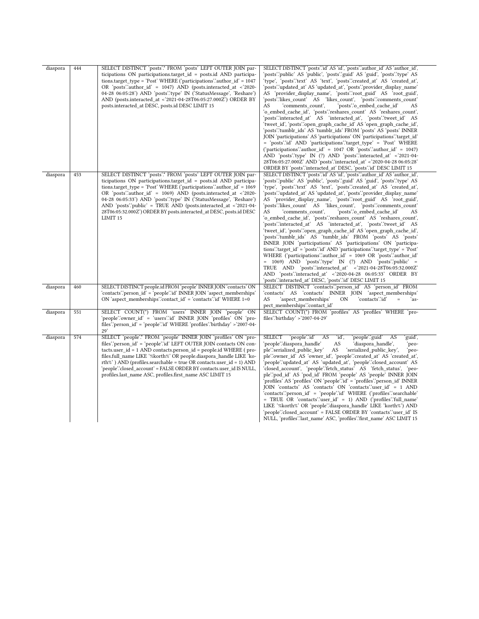| diaspora | 444 | SELECT DISTINCT 'posts'.* FROM 'posts' LEFT OUTER JOIN par-<br>ticipations ON participations.target_id = posts.id AND participa-<br>tions.target_type = 'Post' WHERE ('participations'.'author_id' = 1047<br>OR 'posts' author id' = $1047$ ) AND (posts.interacted at < 2020-<br>04-28 06:05:28') AND 'posts' type' IN ('StatusMessage', 'Reshare')<br>AND (posts.interacted_at <'2021-04-28T06:05:27.000Z') ORDER BY<br>posts.interacted_at DESC, posts.id DESC LIMIT 15                               | SELECT DISTINCT 'posts'.'id' AS 'id', 'posts'.'author_id' AS 'author_id',<br>'posts'.'public' AS 'public', 'posts'.'guid' AS 'guid', 'posts'.'type' AS<br>'type', 'posts'.'text' AS 'text', 'posts'.'created_at' AS 'created_at',<br>'posts'.'updated at' AS 'updated at', 'posts'.'provider display name'<br>AS 'provider display name', 'posts' root guid' AS 'root guid',<br>'posts'.'likes_count' AS 'likes_count', 'posts'.'comments_count'<br>AS<br>'comments count',<br>'posts'.'o_embed_cache_id'<br>AS<br>'o_embed_cache_id', 'posts'.'reshares_count' AS 'reshares_count',<br>'posts'.'interacted_at' AS 'interacted_at', 'posts'.'tweet_id' AS<br>'tweet_id', 'posts'.'open_graph_cache_id' AS 'open_graph_cache_id',<br>'posts'.'tumblr_ids' AS 'tumblr_ids' FROM 'posts' AS 'posts' INNER<br>JOIN 'participations' AS 'participations' ON 'participations' target id'<br>= 'posts'.'id' AND 'participations'.'target_type' = 'Post' WHERE<br>('participations'.'author_id' = $1047$ OR 'posts'.'author_id' = $1047$ )<br>AND 'posts' type' IN (?) AND 'posts' interacted_at' <'2021-04-<br>28T06:05:27.000Z' AND 'posts'.interacted_at' <'2020-04-28 06:05:28'<br>ORDER BY 'posts':interacted_at' DESC, 'posts':id' DESC LIMIT 15                              |
|----------|-----|----------------------------------------------------------------------------------------------------------------------------------------------------------------------------------------------------------------------------------------------------------------------------------------------------------------------------------------------------------------------------------------------------------------------------------------------------------------------------------------------------------|-----------------------------------------------------------------------------------------------------------------------------------------------------------------------------------------------------------------------------------------------------------------------------------------------------------------------------------------------------------------------------------------------------------------------------------------------------------------------------------------------------------------------------------------------------------------------------------------------------------------------------------------------------------------------------------------------------------------------------------------------------------------------------------------------------------------------------------------------------------------------------------------------------------------------------------------------------------------------------------------------------------------------------------------------------------------------------------------------------------------------------------------------------------------------------------------------------------------------------------------------------------------------------|
| diaspora | 453 | SELECT DISTINCT 'posts'.* FROM 'posts' LEFT OUTER JOIN par-<br>ticipations ON participations.target_id = posts.id AND participa-<br>tions.target_type = 'Post' WHERE ('participations'.'author_id' = 1069<br>OR 'posts' author_id' = 1069) AND (posts.interacted_at <'2020-<br>04-28 06:05:33') AND 'posts'.'type' IN ('StatusMessage', 'Reshare')<br>AND 'posts'.'public' = TRUE AND (posts.interacted_at <'2021-04-<br>28T06:05:32.000Z') ORDER BY posts.interacted_at DESC, posts.id DESC<br>LIMIT 15 | SELECT DISTINCT 'posts'id' AS 'id', 'posts' author id' AS 'author id',<br>'posts'.'public' AS 'public', 'posts'.'guid' AS 'guid', 'posts'.'type' AS<br>'type', 'posts'.'text' AS 'text', 'posts'.'created_at' AS 'created_at',<br>'posts'.'updated_at' AS 'updated_at', 'posts'.'provider_display_name'<br>AS 'provider_display_name', 'posts'.root_guid' AS 'root_guid',<br>'posts'.'likes_count' AS 'likes_count', 'posts'.'comments_count'<br>AS<br>'comments_count',<br>'posts'.'o_embed_cache_id'<br>AS<br>'o_embed_cache_id', 'posts'.'reshares_count' AS 'reshares_count',<br>'posts'.'interacted at' AS 'interacted at', 'posts'.'tweet id' AS<br>'tweet_id', 'posts'.'open_graph_cache_id' AS 'open_graph_cache_id',<br>'posts'.'tumblr ids' AS 'tumblr ids' FROM 'posts' AS 'posts'<br>INNER JOIN 'participations' AS 'participations' ON 'participa-<br>tions".target_id' = 'posts".id' AND 'participations".target_type' = 'Post'<br>WHERE ('participations' author id' = 1069 OR 'posts' author id'<br>$= 1069$ AND 'posts'.'type' IN (?) AND 'posts'.'public' $=$<br>TRUE AND 'posts'.'interacted_at' < '2021-04-28T06:05:32.000Z'<br>AND 'posts'.'interacted_at' <'2020-04-28 06:05:33' ORDER BY<br>'posts'.'interacted_at' DESC, 'posts'.'id' DESC LIMIT 15 |
| diaspora | 460 | SELECT DISTINCT people.id FROM 'people' INNER JOIN 'contacts' ON<br>'contacts'.'person_id' = 'people'.'id' INNER JOIN 'aspect_memberships'<br>ON 'aspect memberships': contact id' = 'contacts' id' WHERE 1=0                                                                                                                                                                                                                                                                                            | SELECT DISTINCT 'contacts'.'person_id' AS 'person_id' FROM<br>'contacts' AS 'contacts' INNER JOIN 'aspect_memberships'<br>AS<br>'contacts'.'id'<br>'aspect memberships'<br>0N<br>$=$<br>ʻas-<br>pect memberships".contact id"                                                                                                                                                                                                                                                                                                                                                                                                                                                                                                                                                                                                                                                                                                                                                                                                                                                                                                                                                                                                                                               |
| diaspora | 551 | SELECT COUNT(*) FROM 'users' INNER JOIN 'people' ON<br>'people'.'owner_id' = 'users'.'id' INNER JOIN 'profiles' ON 'pro-<br>files "person id' = 'people' id' WHERE 'profiles "birthday' >'2007-04-<br>29'                                                                                                                                                                                                                                                                                                | SELECT COUNT(*) FROM 'profiles' AS 'profiles' WHERE 'pro-<br>files'.'birthday' >'2007-04-29'                                                                                                                                                                                                                                                                                                                                                                                                                                                                                                                                                                                                                                                                                                                                                                                                                                                                                                                                                                                                                                                                                                                                                                                |
| diaspora | 574 | SELECT 'people'.* FROM 'people' INNER JOIN 'profiles' ON 'pro-<br>files "person id" = "people" id" LEFT OUTER JOIN contacts ON con-<br>tacts.user_id = 1 AND contacts.person_id = people.id WHERE (pro-<br>files.full_name LIKE '%korth%' OR people.diaspora_handle LIKE 'ko-<br>rth%') AND (profiles.searchable = true OR contacts.user $id = 1$ ) AND<br>'people'.'closed account' = FALSE ORDER BY contacts.user id IS NULL,<br>profiles.last_name ASC, profiles.first_name ASC LIMIT 15              | <b>SELECT</b><br>'people'.'id'<br>'id',<br>'people'.'guid'<br>AS<br>AS<br>'guid',<br>'people'.'diaspora handle'<br>AS<br>'diaspora handle',<br>`peo-<br>ple"serialized public key"<br>AS<br>'serialized_public_key',<br>`peo-<br>ple''owner_id' AS 'owner_id', 'people''created_at' AS 'created_at',<br>'people'.'updated at' AS 'updated at', 'people'.'closed account' AS<br>'closed_account', 'people'.'fetch_status' AS 'fetch_status', 'peo-<br>ple"pod_id' AS 'pod_id' FROM 'people' AS 'people' INNER JOIN<br>'profiles' AS 'profiles' ON 'people'.'id' = 'profiles'.'person_id' INNER<br>JOIN 'contacts' AS 'contacts' ON 'contacts' user_id' = 1 AND<br>'contacts'.'person_id' = 'people'.'id' WHERE ('profiles'.'searchable'<br>= TRUE OR 'contacts'.'user_id' = 1) AND ('profiles'.'full_name'<br>LIKE '%korth%' OR 'people'.'diaspora handle' LIKE 'korth%') AND<br>'people'.'closed_account' = FALSE ORDER BY 'contacts'.'user_id' IS<br>NULL, 'profiles'.'last name' ASC, 'profiles'.'first name' ASC LIMIT 15                                                                                                                                                                                                                                                |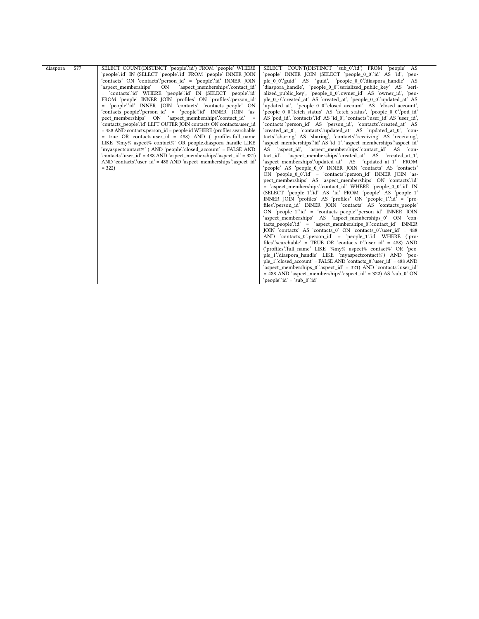| diaspora | 577 | SELECT COUNT(DISTINCT 'people'.'id') FROM 'people' WHERE                       | SELECT COUNT(DISTINCT 'sub 0"id') FROM 'people' AS                                                                       |
|----------|-----|--------------------------------------------------------------------------------|--------------------------------------------------------------------------------------------------------------------------|
|          |     | 'people'.'id' IN (SELECT 'people'.'id' FROM 'people' INNER JOIN                | 'people' INNER JOIN (SELECT 'people_0_0'.'id' AS 'id', 'peo-                                                             |
|          |     | 'contacts' ON 'contacts'.'person id' = 'people'.'id' INNER JOIN                | ple 0 0" guid" AS 'guid', 'people 0 0" diaspora handle<br><b>AS</b>                                                      |
|          |     | 'aspect memberships'<br>ON<br>'aspect memberships'.'contact id'                | 'diaspora handle', 'people 0 0''serialized public key' AS<br>'seri-                                                      |
|          |     | = 'contacts'.id' WHERE 'people'.id' IN (SELECT 'people'.id'                    | alized public key', 'people 0 0''owner id' AS 'owner id', 'peo-                                                          |
|          |     | FROM 'people' INNER JOIN 'profiles' ON 'profiles' person_id'                   | ple 0 0"created at AS 'created at', 'people 0 0" updated at AS                                                           |
|          |     | = 'people'.'id' INNER JOIN 'contacts' 'contacts people' ON                     | 'updated at', 'people 0 0'.'closed account' AS 'closed account',                                                         |
|          |     | 'contacts_people'.'person_id' = 'people'.'id' INNER JOIN 'as-                  | 'people 0 0'.'fetch status' AS 'fetch status', 'people 0 0'.'pod id'                                                     |
|          |     | pect memberships' ON 'aspect memberships'.contact id'                          | AS 'pod_id', 'contacts'.'id' AS 'id_0', 'contacts'.'user_id' AS 'user_id',                                               |
|          |     | 'contacts people'.'id' LEFT OUTER JOIN contacts ON contacts.user id            | 'contacts'.'person id' AS 'person id', 'contacts'.'created at' AS                                                        |
|          |     | $=$ 488 AND contacts person $id = people.id WHERE$ (profiles searchable        | 'created at 0', 'contacts'.'updated at AS 'updated at 0', 'con-                                                          |
|          |     | = true OR contacts.user id = 488) AND ( profiles.full name                     | tacts".sharing' AS 'sharing', 'contacts".receiving' AS 'receiving',                                                      |
|          |     | LIKE '%my% aspect% contact%' OR people.diaspora handle LIKE                    | 'aspect_memberships'.'id' AS 'id_1', 'aspect_memberships'.'aspect_id'                                                    |
|          |     | 'myaspectcontact%') AND 'people'.'closed account' = FALSE AND                  | AS 'aspect id', 'aspect memberships''contact id' AS 'con-                                                                |
|          |     | 'contacts' user id' = 488 AND 'aspect memberships' aspect id' = 321)           | tact id', 'aspect_memberships'.'created_at' AS 'created_at_1',                                                           |
|          |     | AND 'contacts'.'user_id' = 488 AND 'aspect_memberships'.'aspect_id'<br>$= 322$ | 'aspect memberships'.'updated at' AS 'updated at 1' FROM<br>'people' AS 'people 0 0' INNER JOIN 'contacts' AS 'contacts' |
|          |     |                                                                                | ON 'people 0 0''id' = 'contacts''person id' INNER JOIN 'as-                                                              |
|          |     |                                                                                | pect memberships' AS 'aspect memberships' ON 'contacts'id'                                                               |
|          |     |                                                                                | = 'aspect_memberships'.'contact_id' WHERE 'people_0_0'.'id' IN                                                           |
|          |     |                                                                                | (SELECT 'people 1''id' AS 'id' FROM 'people' AS 'people 1'                                                               |
|          |     |                                                                                | INNER JOIN 'profiles' AS 'profiles' $ON$ 'people $1$ " $id' = 'pro$ -                                                    |
|          |     |                                                                                | files" person id INNER JOIN 'contacts' AS 'contacts people'                                                              |
|          |     |                                                                                | ON 'people 1'.'id' = 'contacts people'.'person id' INNER JOIN                                                            |
|          |     |                                                                                | 'aspect memberships' AS 'aspect memberships 0' ON 'con-                                                                  |
|          |     |                                                                                | tacts people"id" = "aspect memberships 0":contact id" INNER                                                              |
|          |     |                                                                                | JOIN 'contacts' AS 'contacts 0' ON 'contacts 0''user id' = 488                                                           |
|          |     |                                                                                | AND 'contacts $0$ " person id = 'people $1$ " id WHERE ('pro-                                                            |
|          |     |                                                                                | files" searchable" = TRUE OR "contacts 0" user id" = 488) AND                                                            |
|          |     |                                                                                | ('profiles'.'full name' LIKE '%my% aspect% contact%' OR 'peo-                                                            |
|          |     |                                                                                | ple 1"diaspora handle' LIKE 'myaspectcontact%') AND 'peo-                                                                |
|          |     |                                                                                | ple 1"closed account' = FALSE AND 'contacts 0" user id' = 488 AND                                                        |
|          |     |                                                                                | 'aspect memberships 0"aspect id' = 321) AND 'contacts" user id                                                           |
|          |     |                                                                                | $=$ 488 AND 'aspect memberships' aspect id' $=$ 322) AS 'sub 0' ON                                                       |
|          |     |                                                                                | 'people'.'id' = 'sub 0'.'id'                                                                                             |
|          |     |                                                                                |                                                                                                                          |
|          |     |                                                                                |                                                                                                                          |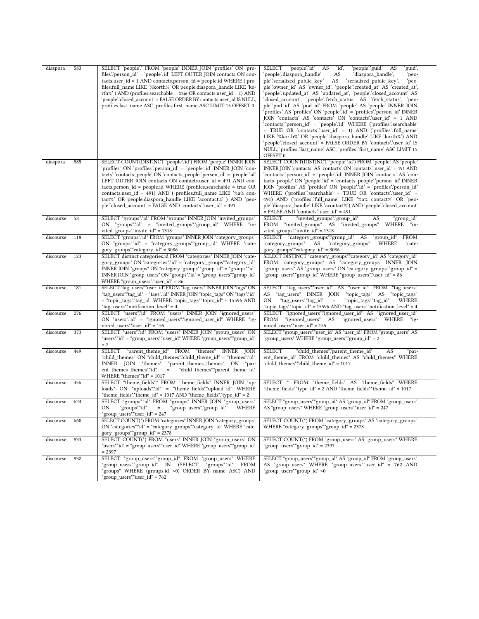| diaspora  | 583 | SELECT 'people'.* FROM 'people' INNER JOIN 'profiles' ON 'pro-                  | 'id',<br>'people'.'guid'<br>SELECT<br>'people'.'id'<br>AS<br>AS<br>'guid', |
|-----------|-----|---------------------------------------------------------------------------------|----------------------------------------------------------------------------|
|           |     | files''person_id' = 'people''id' LEFT OUTER JOIN contacts ON con-               | 'people'.'diaspora_handle'<br>AS<br>'diaspora_handle',<br>peo-             |
|           |     | tacts.user_id = 1 AND contacts.person_id = people.id WHERE (pro-                | ple"serialized_public_key"<br>AS<br>'serialized_public_key',<br>`peo-      |
|           |     | files.full_name LIKE '%korth%' OR people.diaspora_handle LIKE 'ko-              | ple''owner_id' AS 'owner_id', 'people''created_at' AS 'created_at',        |
|           |     | rth%') AND (profiles.searchable = true OR contacts.user $id = 1$ ) AND          | 'people'.'updated_at' AS 'updated_at', 'people'.'closed_account' AS        |
|           |     | 'people'.'closed_account' = FALSE ORDER BY contacts.user_id            IS NULL, | 'closed_account', 'people'.'fetch_status' AS 'fetch_status', 'peo-         |
|           |     | profiles.last name ASC, profiles.first name ASC LIMIT 15 OFFSET 0               | ple''pod id' AS 'pod id' FROM 'people' AS 'people' INNER JOIN              |
|           |     |                                                                                 | 'profiles' AS 'profiles' ON 'people'.'id' = 'profiles'.'person id' INNER   |
|           |     |                                                                                 |                                                                            |
|           |     |                                                                                 | JOIN 'contacts' AS 'contacts' ON 'contacts' user_id' = 1 AND               |
|           |     |                                                                                 | 'contacts'.'person_id' = 'people'.'id' WHERE ('profiles'.'searchable'      |
|           |     |                                                                                 | = TRUE OR 'contacts' user id' = 1) AND ('profiles' full name'              |
|           |     |                                                                                 | LIKE '%korth%' OR 'people'.'diaspora_handle' LIKE 'korth%') AND            |
|           |     |                                                                                 | 'people'.'closed_account' = FALSE ORDER BY 'contacts'.'user_id' IS         |
|           |     |                                                                                 | NULL, 'profiles'.'last_name' ASC, 'profiles'.'first_name' ASC LIMIT 15     |
|           |     |                                                                                 | OFFSET 0                                                                   |
| diaspora  | 585 | SELECT COUNT(DISTINCT 'people'.id') FROM 'people' INNER JOIN                    | SELECT COUNT(DISTINCT 'people'.id') FROM 'people' AS 'people'              |
|           |     | 'profiles' ON 'profiles'.'person_id' = 'people'.'id' INNER JOIN 'con-           | INNER JOIN 'contacts' AS 'contacts' ON 'contacts' user_id' = 491 AND       |
|           |     |                                                                                 |                                                                            |
|           |     | tacts' 'contacts_people' ON 'contacts_people'.'person_id' = 'people'.'id'       | 'contacts'.'person_id' = 'people'.'id' INNER JOIN 'contacts' AS 'con-      |
|           |     | LEFT OUTER JOIN contacts ON contacts.user_id = 491 AND con-                     | tacts_people' ON 'people' id' = 'contacts_people' person_id' INNER         |
|           |     | tacts.person_id = people.id WHERE (profiles.searchable = true OR                | JOIN 'profiles' AS 'profiles' ON 'people' id' = 'profiles' person_id'      |
|           |     | contacts.user_id = 491) AND ( profiles.full_name LIKE '%a% con-                 | WHERE ('profiles''searchable' = TRUE OR 'contacts''user_id' =              |
|           |     | tact%' OR people.diaspora_handle LIKE 'acontact%' ) AND 'peo-                   | 491) AND ('profiles'.'full_name' LIKE '%a% contact%' OR 'peo-              |
|           |     | ple'.'closed_account' = FALSE AND 'contacts'.'user_id' = 491                    | ple''diaspora_handle' LIKE 'acontact%') AND 'people''closed_account'       |
|           |     |                                                                                 | $=$ FALSE AND 'contacts' user_id' $=$ 491                                  |
| discourse | 58  | SELECT "groups"."id" FROM "groups" INNER JOIN "invited_groups"                  | SELECT<br>"invited_groups"."group_id"<br>"group_id"<br>AS                  |
|           |     | ON "groups"."id" = "invited_groups"."group_id" WHERE "in-                       | FROM "invited groups" AS "invited groups" WHERE "in-                       |
|           |     |                                                                                 |                                                                            |
|           |     | vited_groups"."invite_id" = 1318                                                | vited_groups"."invite_id" = 1318                                           |
| discourse | 118 | SELECT "groups"."id" FROM "groups" INNER JOIN "category groups"                 | SELECT "category_groups"."group_id" AS<br><b>FROM</b><br>"group_id"        |
|           |     | ON "groups"."id" = "category_groups"."group_id" WHERE "cate-                    | "category_groups" AS "category_groups"<br>WHERE<br>"cate-                  |
|           |     | gory_groups"."category_id" = 3086                                               | gory_groups"."category_id" = 3086                                          |
| discourse | 123 | SELECT distinct categories.id FROM "categories" INNER JOIN "cate-               | SELECT DISTINCT "category_groups"."category_id" AS "category_id"           |
|           |     | gory_groups" ON "categories"."id" = "category_groups"."category_id"             | FROM "category_groups" AS "category_groups" INNER JOIN                     |
|           |     | INNER JOIN "groups" ON "category_groups"."group_id" = "groups"."id"             | "group_users" AS "group_users" ON "category_groups"."group_id" =           |
|           |     | INNER JOIN "group_users" ON "groups"."id" = "group_users"."group_id"            | "group_users"."group_id" WHERE "group_users"."user_id" = 86                |
|           |     | WHERE "group_users"."user_id" = 86                                              |                                                                            |
| discourse | 181 | SELECT "tag_users"."user_id" FROM "tag_users" INNER JOIN "tags" ON              | SELECT "tag_users"."user_id" AS "user_id" FROM "tag_users"                 |
|           |     |                                                                                 |                                                                            |
|           |     | "tag_users"."tag_id" = "tags"."id" INNER JOIN "topic_tags" ON "tags"."id"       | AS "tag_users" INNER JOIN "topic_tags" AS "topic_tags"                     |
|           |     | = "topic_tags"."tag_id" WHERE "topic_tags"."topic_id" = 15596 AND               | ON<br>"tag_users"."tag_id"<br>$\equiv$<br>"topic_tags"."tag_id"<br>WHERE   |
|           |     | "tag_users"."notification_level" = 4                                            | "topic_tags"."topic_id" = 15596 AND "tag_users"."notification_level" = 4   |
| discourse | 276 | SELECT "users"."id" FROM "users" INNER JOIN "ignored_users"                     | SELECT "ignored_users"."ignored_user_id" AS "ignored_user_id"              |
|           |     | ON "users"."id" = "ignored_users"."ignored_user_id" WHERE "ig-                  | "ignored users" AS "ignored users" WHERE<br>FROM<br>"ig-                   |
|           |     | nored_users"."user_id" = 155                                                    | $nored$ _users"."user_id" = 155                                            |
| discourse | 373 | SELECT "users"."id" FROM "users" INNER JOIN "group users" ON                    | SELECT "group_users"."user_id" AS "user_id" FROM "group_users" AS          |
|           |     | "users"."id" = "group_users"."user_id" WHERE "group_users"."group_id"           | "group_users" WHERE "group_users"."group_id" = 2                           |
|           |     | $= 2$                                                                           |                                                                            |
| discourse | 449 | SELECT "parent_theme_id" FROM "themes" INNER JOIN                               | "child_themes"."parent_theme_id"<br><b>SELECT</b><br>AS<br>"par-           |
|           |     |                                                                                 |                                                                            |
|           |     | "child_themes" ON "child_themes"."child_theme_id" = "themes"."id"               | ent_theme_id" FROM "child_themes" AS "child_themes" WHERE                  |
|           |     | INNER JOIN "themes"<br>"parent_themes_themes" ON "par-                          | "child_themes"."child_theme_id" = 1017                                     |
|           |     | ent_themes_themes"."id"<br>"child_themes"."parent_theme_id"<br>$=$              |                                                                            |
|           |     | WHERE "themes"." $id$ " = 1017                                                  |                                                                            |
| discourse | 456 | SELECT "theme fields".* FROM "theme fields" INNER JOIN "up-                     | SELECT * FROM "theme_fields" AS "theme_fields" WHERE                       |
|           |     | loads" ON "uploads"."id" = "theme fields"."upload id" WHERE                     | "theme fields"."type $id$ " = 2 AND "theme fields"."theme $id$ " = 1017    |
|           |     | "theme fields"."theme $id$ " = 1017 AND "theme fields"."type $id$ " = 2         |                                                                            |
| discourse | 624 | SELECT "groups"."id" FROM "groups" INNER JOIN "group_users"                     | SELECT "group users"."group id" AS "group id" FROM "group users"           |
|           |     | "group_users"."group_id"<br>WHERE<br>ON<br>"groups"."id"<br>$=$                 | AS "group_users" WHERE "group_users"."user_id" = 247                       |
|           |     | "group_users"."user_id" = 247                                                   |                                                                            |
|           |     |                                                                                 |                                                                            |
| discourse | 660 | SELECT COUNT(*) FROM "categories" INNER JOIN "category_groups"                  | SELECT COUNT(*) FROM "category_groups" AS "category_groups"                |
|           |     | ON "categories"."id" = "category_groups"."category_id" WHERE "cate-             | WHERE "category groups"."group id" = 2378                                  |
|           |     | gory groups"."group $id$ " = 2378                                               |                                                                            |
| discourse | 833 | SELECT COUNT(*) FROM "users" INNER JOIN "group_users" ON                        | SELECT COUNT(*) FROM "group_users" AS "group_users" WHERE                  |
|           |     | "users"."id" = "group_users"."user_id" WHERE "group_users"."group_id"           | "group users"."group id" = 2397                                            |
|           |     | $= 2397$                                                                        |                                                                            |
| discourse | 932 | SELECT "group_users"."group_id" FROM "group_users" WHERE                        | SELECT "group_users"."group_id" AS "group_id" FROM "group_users"           |
|           |     | "group_users"."group_id" IN (SELECT<br>"groups"."id"<br><b>FROM</b>             | AS "group_users" WHERE "group_users"."user_id" = 762 AND                   |
|           |     | "groups" WHERE (groups.id >0) ORDER BY name ASC) AND                            | "group_users"."group_id" >0                                                |
|           |     |                                                                                 |                                                                            |
|           |     | "group_users"."user_id" = 762                                                   |                                                                            |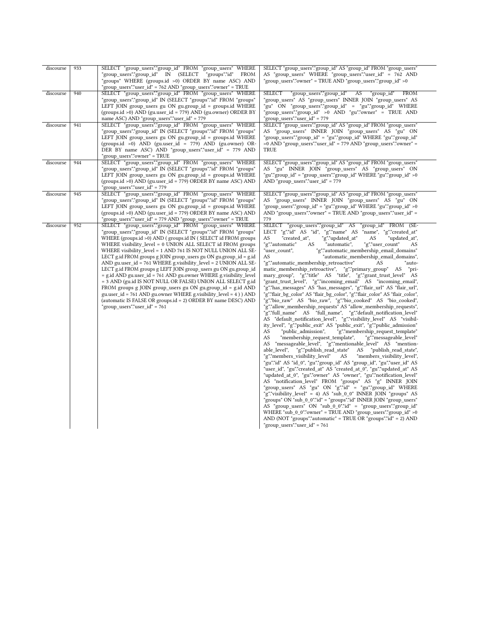| discourse | 933 | SELECT "group_users"."group_id" FROM "group_users" WHERE                                                                                                                                                                                                                                                                                                                                                                                                                                                                                                                                                                                                                                                                                                                                                                                                                                                          | SELECT "group_users"."group_id" AS "group_id" FROM "group_users"                                                                                                                                                                                                                                                                                                                                                                                                                                                                                                                                                                                                                                                                                                                                                                                                                                                                                                                                                                                                                                                                                                                                                                                                                                                                                                                                                                                                                                                                                                                                                                                                                                                                                                                                                                                                                                                                                                                                                                                                                                                                                                                                                                                          |
|-----------|-----|-------------------------------------------------------------------------------------------------------------------------------------------------------------------------------------------------------------------------------------------------------------------------------------------------------------------------------------------------------------------------------------------------------------------------------------------------------------------------------------------------------------------------------------------------------------------------------------------------------------------------------------------------------------------------------------------------------------------------------------------------------------------------------------------------------------------------------------------------------------------------------------------------------------------|-----------------------------------------------------------------------------------------------------------------------------------------------------------------------------------------------------------------------------------------------------------------------------------------------------------------------------------------------------------------------------------------------------------------------------------------------------------------------------------------------------------------------------------------------------------------------------------------------------------------------------------------------------------------------------------------------------------------------------------------------------------------------------------------------------------------------------------------------------------------------------------------------------------------------------------------------------------------------------------------------------------------------------------------------------------------------------------------------------------------------------------------------------------------------------------------------------------------------------------------------------------------------------------------------------------------------------------------------------------------------------------------------------------------------------------------------------------------------------------------------------------------------------------------------------------------------------------------------------------------------------------------------------------------------------------------------------------------------------------------------------------------------------------------------------------------------------------------------------------------------------------------------------------------------------------------------------------------------------------------------------------------------------------------------------------------------------------------------------------------------------------------------------------------------------------------------------------------------------------------------------------|
|           |     | "group_users"."group_id" IN (SELECT "groups"."id" FROM<br>"groups" WHERE (groups.id >0) ORDER BY name ASC) AND                                                                                                                                                                                                                                                                                                                                                                                                                                                                                                                                                                                                                                                                                                                                                                                                    | AS "group_users" WHERE "group_users"."user_id" = 762 AND<br>"group_users"."owner" = TRUE AND "group_users"."group_id" >0                                                                                                                                                                                                                                                                                                                                                                                                                                                                                                                                                                                                                                                                                                                                                                                                                                                                                                                                                                                                                                                                                                                                                                                                                                                                                                                                                                                                                                                                                                                                                                                                                                                                                                                                                                                                                                                                                                                                                                                                                                                                                                                                  |
|           |     | "group users"."user id" = 762 AND "group users"."owner" = TRUE                                                                                                                                                                                                                                                                                                                                                                                                                                                                                                                                                                                                                                                                                                                                                                                                                                                    |                                                                                                                                                                                                                                                                                                                                                                                                                                                                                                                                                                                                                                                                                                                                                                                                                                                                                                                                                                                                                                                                                                                                                                                                                                                                                                                                                                                                                                                                                                                                                                                                                                                                                                                                                                                                                                                                                                                                                                                                                                                                                                                                                                                                                                                           |
| discourse | 940 | SELECT "group users"."group id" FROM "group users" WHERE<br>"group_users"."group_id" IN (SELECT "groups"."id" FROM "groups"<br>LEFT JOIN group users gu ON gu.group id = groups.id WHERE<br>(groups.id >0) AND (gu.user_id = 779) AND (gu.owner) ORDER BY<br>name ASC) AND "group_users"."user_id" = 779                                                                                                                                                                                                                                                                                                                                                                                                                                                                                                                                                                                                          | "group users"."group id" AS<br>"group id" FROM<br><b>SELECT</b><br>"group users" AS "group users" INNER JOIN "group users" AS<br>"gu" ON "group users"."group id" = "gu"."group id" WHERE<br>"group users"."group id" >0 AND "gu"."owner" = TRUE AND<br>"group users"."user id" = 779                                                                                                                                                                                                                                                                                                                                                                                                                                                                                                                                                                                                                                                                                                                                                                                                                                                                                                                                                                                                                                                                                                                                                                                                                                                                                                                                                                                                                                                                                                                                                                                                                                                                                                                                                                                                                                                                                                                                                                     |
|           |     |                                                                                                                                                                                                                                                                                                                                                                                                                                                                                                                                                                                                                                                                                                                                                                                                                                                                                                                   |                                                                                                                                                                                                                                                                                                                                                                                                                                                                                                                                                                                                                                                                                                                                                                                                                                                                                                                                                                                                                                                                                                                                                                                                                                                                                                                                                                                                                                                                                                                                                                                                                                                                                                                                                                                                                                                                                                                                                                                                                                                                                                                                                                                                                                                           |
| discourse | 941 | SELECT "group users"."group id" FROM "group users" WHERE<br>"group users"."group id" IN (SELECT "groups"."id" FROM "groups"<br>LEFT JOIN group users gu ON gu.group id = groups.id WHERE<br>(groups.id >0) AND (gu.user_id = 779) AND (gu.owner) OR-<br>DER BY name ASC) AND "group users"."user id" = 779 AND<br>"group users"."owner" = TRUE                                                                                                                                                                                                                                                                                                                                                                                                                                                                                                                                                                    | SELECT "group users"."group id" AS "group id" FROM "group users"<br>AS "group users" INNER JOIN "group users" AS "gu" ON<br>"group users"."group id" = "gu"."group id" WHERE "gu"."group id"<br>$>0$ AND "group users"."user id" = 779 AND "group users"."owner" =<br><b>TRUE</b>                                                                                                                                                                                                                                                                                                                                                                                                                                                                                                                                                                                                                                                                                                                                                                                                                                                                                                                                                                                                                                                                                                                                                                                                                                                                                                                                                                                                                                                                                                                                                                                                                                                                                                                                                                                                                                                                                                                                                                         |
| discourse | 944 | SELECT "group_users"."group_id" FROM "group_users" WHERE<br>"group_users"."group_id" IN (SELECT "groups"."id" FROM "groups"<br>LEFT JOIN group_users gu ON gu.group_id = groups.id WHERE<br>(groups.id >0) AND (gu.user_id = 779) ORDER BY name ASC) AND<br>"group users"."user id" = 779                                                                                                                                                                                                                                                                                                                                                                                                                                                                                                                                                                                                                         | SELECT "group_users"."group_id" AS "group_id" FROM "group_users"<br>AS "gu" INNER JOIN "group_users" AS "group_users" ON<br>"gu"."group_id" = "group_users"."group_id" WHERE "gu"."group_id" >0<br>AND "group_users"."user_id" = 779                                                                                                                                                                                                                                                                                                                                                                                                                                                                                                                                                                                                                                                                                                                                                                                                                                                                                                                                                                                                                                                                                                                                                                                                                                                                                                                                                                                                                                                                                                                                                                                                                                                                                                                                                                                                                                                                                                                                                                                                                      |
| discourse | 945 | SELECT "group users"."group id" FROM "group users" WHERE<br>"group users"."group id" IN (SELECT "groups"."id" FROM "groups"<br>LEFT JOIN group users gu ON gugroup id = groups.id WHERE<br>(groups.id >0) AND (gu.user_id = 779) ORDER BY name ASC) AND<br>"group_users"."user_id" = 779 AND "group_users"."owner" = TRUE                                                                                                                                                                                                                                                                                                                                                                                                                                                                                                                                                                                         | SELECT "group users"."group id" AS "group id" FROM "group users"<br>AS "group users" INNER JOIN "group users" AS "gu" ON<br>"group users"."group id" = "gu"."group id" WHERE "gu"."group id" > 0<br>AND "group users"."owner" = TRUE AND "group users"."user id" =<br>779                                                                                                                                                                                                                                                                                                                                                                                                                                                                                                                                                                                                                                                                                                                                                                                                                                                                                                                                                                                                                                                                                                                                                                                                                                                                                                                                                                                                                                                                                                                                                                                                                                                                                                                                                                                                                                                                                                                                                                                 |
| discourse | 952 | SELECT "group users"."group id" FROM "group users" WHERE<br>"group users"."group id" IN (SELECT "groups"."id" FROM "groups"<br>WHERE (groups.id >0) AND (groups.id IN (SELECT id FROM groups<br>WHERE visibility level = 0 UNION ALL SELECT id FROM groups<br>WHERE visibility level = 1 AND 761 IS NOT NULL UNION ALL SE-<br>LECT g.id FROM groups g JOIN group_users gu ON gu.group_id = g.id<br>AND gu.user_id = 761 WHERE g.visibility_level = 2 UNION ALL SE-<br>LECT g.id FROM groups g LEFT JOIN group_users gu ON gu.group_id<br>= g.id AND gu.user_id = 761 AND gu.owner WHERE g.visibility_level<br>= 3 AND (gu.id IS NOT NULL OR FALSE) UNION ALL SELECT g.id<br>FROM groups g JOIN group_users gu ON gu.group_id = g.id AND<br>gu.user $id = 761$ AND gu.owner WHERE g.visibility $level = 4$ ) AND<br>(automatic IS FALSE OR groups.id = 2) ORDER BY name DESC) AND<br>"group users"."user id" = 761 | SELECT "group users"."group id" AS<br>"group id" FROM (SE-<br>LECT "g"."id" AS "id", "g"."name" AS<br>"name", "g"."created at"<br>AS<br>"created at",<br>"g"."updated at"<br>AS<br>"updated at",<br>"g"."automatic"<br>"automatic",<br>"g"."user_count"<br>AS<br>AS<br>"user count",<br>"g"."automatic_membership_email_domains"<br>"automatic membership email domains",<br>AS<br>"g"."automatic_membership_retroactive"<br>AS<br>"auto-<br>matic_membership_retroactive", "g"."primary_group" AS<br>"pri-<br>mary_group", "g"."title" AS "title", "g"."grant_trust_level" AS<br>"grant_trust_level", "g"."incoming_email" AS "incoming_email",<br>"g"."has messages" AS "has messages", "g"."flair url" AS "flair url",<br>"g"."flair bg color" AS "flair bg color", "g"."flair color" AS "flair color",<br>"g"."bio raw" AS "bio raw", "g"."bio cooked" AS "bio cooked",<br>"g"."allow membership requests" AS "allow membership requests",<br>"g"."full name" AS "full name", "g"."default notification level"<br>AS "default notification level", "g"."visibility level" AS "visibil-<br>ity_level", "g"."public_exit" AS "public_exit", "g"."public_admission"<br>"public admission",<br>"g"."membership request template"<br>AS<br>"membership_request_template",<br>"g"."messageable_level"<br>AS<br>AS "messageable_level", "g"."mentionable_level" AS "mention-<br>able level",<br>"g"."publish_read_state"<br>AS "publish_read_state",<br>"g"."members_visibility_level"<br>AS<br>"members_visibility_level",<br>"gu"."id" AS "id_0", "gu"."group_id" AS "group_id", "gu"."user_id" AS<br>"user_id", "gu"."created_at" AS "created_at_0", "gu"."updated at" AS<br>"updated_at_0", "gu"."owner" AS "owner", "gu"."notification_level"<br>AS "notification level" FROM "groups" AS "g" INNER JOIN<br>"group users" AS "gu" ON "g"."id" = "gu"."group id" WHERE<br>"g"."visibility level" = 4) AS "sub 0 0" INNER JOIN "groups" AS<br>"groups" ON "sub 0 0"."id" = "groups"."id" INNER JOIN "group users"<br>AS "group_users" ON "sub_0_0"."id" = "group_users"."group_id"<br>WHERE "sub_0_0"."owner" = TRUE AND "group_users"."group_id" >0<br>AND (NOT "groups"."automatic" = TRUE OR "groups"."id" = 2) AND<br>"group_users"."user_id" = $761$ |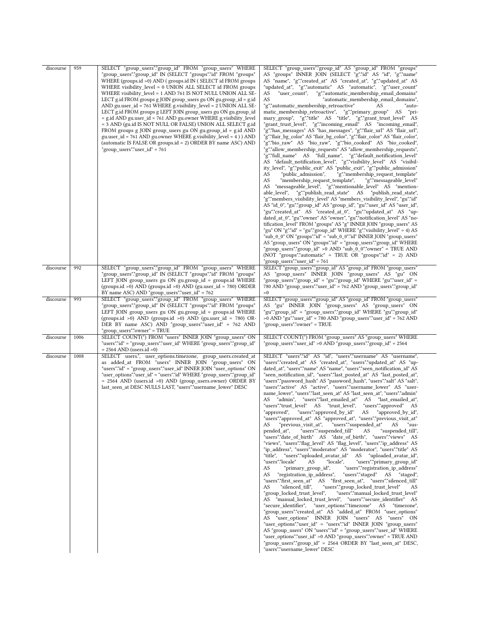| discourse<br>discourse | 959<br>992 | SELECT "group_users"."group_id" FROM "group_users" WHERE<br>"group_users"."group_id" IN (SELECT "groups"."id" FROM "groups"<br>WHERE (groups.id >0) AND (groups.id IN (SELECT id FROM groups<br>WHERE visibility_level = 0 UNION ALL SELECT id FROM groups<br>WHERE visibility_level = 1 AND 761 IS NOT NULL UNION ALL SE-<br>LECT g.id FROM groups g JOIN group_users gu ON gu.group_id = g.id<br>AND gu.user id = 761 WHERE g.visibility level = 2 UNION ALL SE-<br>LECT g.id FROM groups g LEFT JOIN group_users gu ON gu.group_id<br>= g.id AND gu.user_id = 761 AND gu.owner WHERE g.visibility_level<br>= 3 AND (gu.id IS NOT NULL OR FALSE) UNION ALL SELECT g.id<br>FROM groups g JOIN group_users gu ON gu.group_id = g.id AND<br>gu.user_id = 761 AND gu.owner WHERE g.visibility_level = 4 ) ) AND<br>(automatic IS FALSE OR groups.id = 2) ORDER BY name ASC) AND<br>"group users"."user id" = 761<br>SELECT "group_users"."group_id" FROM "group_users" WHERE | SELECT "group_users"."group_id" AS "group_id" FROM "groups"<br>AS "groups" INNER JOIN (SELECT "g"."id" AS "id", "g"."name"<br>AS "name", "g"."created_at" AS "created_at", "g"."updated_at" AS<br>"updated_at", "g"."automatic" AS "automatic", "g"."user_count"<br>AS<br>"user count",<br>"g"."automatic_membership_email_domains"<br>AS<br>"automatic_membership_email_domains",<br>"g"."automatic membership retroactive"<br>"auto-<br>matic_membership_retroactive", "g"."primary_group" AS<br>"pri-<br>mary_group", "g"."title" AS "title", "g"."grant_trust_level" AS<br>"grant_trust_level", "g"."incoming_email" AS "incoming_email",<br>"g"."has_messages" AS "has_messages", "g"."flair_url" AS "flair_url",<br>"g"."flair_bg_color" AS "flair_bg_color", "g"."flair_color" AS "flair_color",<br>"g"."bio_raw" AS "bio_raw", "g"."bio_cooked" AS "bio_cooked",<br>"g"."allow_membership_requests" AS "allow_membership_requests",<br>"g"."full_name" AS "full_name", "g"."default_notification_level"<br>AS "default_notification_level", "g"."visibility_level" AS "visibil-<br>ity_level", "g"."public_exit" AS "public_exit", "g"."public_admission"<br>AS<br>"public_admission",<br>"g"."membership_request_template"<br>AS<br>"membership_request_template",<br>"g"."messageable_level"<br>"messageable_level", "g"."mentionable_level" AS "mention-<br>AS<br>able_level", "g"."publish_read_state" AS "publish_read_state",<br>"g"."members_visibility_level" AS "members_visibility_level", "gu"."id"<br>AS "id_0", "gu"."group_id" AS "group_id", "gu"."user_id" AS "user_id",<br>"gu"."created_at" AS "created_at_0", "gu"."updated_at" AS "up-<br>dated_at_0", "gu"."owner" AS "owner", "gu"."notification_level" AS "no-<br>tification level" FROM "groups" AS "g" INNER JOIN "group users" AS<br>"gu" ON "g"."id" = "gu"."group_id" WHERE "g"."visibility_level" = 4) AS<br>"sub_0_0" ON "groups"."id" = "sub_0_0"."id" INNER JOIN "group_users"<br>AS "group_users" ON "groups"."id" = "group_users"."group_id" WHERE<br>"group_users"."group_id" >0 AND "sub_0_0"."owner" = TRUE AND<br>(NOT "groups"."automatic" = TRUE OR "groups"."id" = 2) AND<br>"group_users"."user_id" = 761<br>SELECT "group_users"."group_id" AS "group_id" FROM "group_users" |
|------------------------|------------|----------------------------------------------------------------------------------------------------------------------------------------------------------------------------------------------------------------------------------------------------------------------------------------------------------------------------------------------------------------------------------------------------------------------------------------------------------------------------------------------------------------------------------------------------------------------------------------------------------------------------------------------------------------------------------------------------------------------------------------------------------------------------------------------------------------------------------------------------------------------------------------------------------------------------------------------------------------------------|---------------------------------------------------------------------------------------------------------------------------------------------------------------------------------------------------------------------------------------------------------------------------------------------------------------------------------------------------------------------------------------------------------------------------------------------------------------------------------------------------------------------------------------------------------------------------------------------------------------------------------------------------------------------------------------------------------------------------------------------------------------------------------------------------------------------------------------------------------------------------------------------------------------------------------------------------------------------------------------------------------------------------------------------------------------------------------------------------------------------------------------------------------------------------------------------------------------------------------------------------------------------------------------------------------------------------------------------------------------------------------------------------------------------------------------------------------------------------------------------------------------------------------------------------------------------------------------------------------------------------------------------------------------------------------------------------------------------------------------------------------------------------------------------------------------------------------------------------------------------------------------------------------------------------------------------------------------------------------------------------------------------------------------------------------------------------------------------------------------------------------------------------------------------------------------------------------------------------------------------------------------------------------|
|                        |            | "group_users"."group_id" IN (SELECT "groups"."id" FROM "groups"<br>LEFT JOIN group users gu ON gugroup id = groups.id WHERE<br>(groups.id $>0$ ) AND (groups.id $>0$ ) AND (gu.user_id = 780) ORDER<br>BY name ASC) AND "group_users"."user_id" = $762$                                                                                                                                                                                                                                                                                                                                                                                                                                                                                                                                                                                                                                                                                                                    | AS "group users" INNER JOIN "group users" AS "gu" ON<br>"group users"."group id" = "gu"."group id" WHERE "gu"."user id" =<br>780 AND "group_users"."user_id" = 762 AND "group_users"."group_id"<br>>0                                                                                                                                                                                                                                                                                                                                                                                                                                                                                                                                                                                                                                                                                                                                                                                                                                                                                                                                                                                                                                                                                                                                                                                                                                                                                                                                                                                                                                                                                                                                                                                                                                                                                                                                                                                                                                                                                                                                                                                                                                                                           |
| discourse              | 993        | SELECT "group_users"."group_id" FROM "group_users" WHERE<br>"group_users"."group_id" IN (SELECT "groups"."id" FROM "groups"<br>LEFT JOIN group_users gu ON gu.group_id = groups.id WHERE<br>(groups.id >0) AND (groups.id >0) AND (gu.user_id = 780) OR-<br>DER BY name ASC) AND "group_users"."user_id" = 762 AND<br>"group users"."owner" = TRUE                                                                                                                                                                                                                                                                                                                                                                                                                                                                                                                                                                                                                         | SELECT "group_users"."group_id" AS "group_id" FROM "group_users"<br>AS "gu" INNER JOIN "group_users" AS "group_users" ON<br>"gu"."group_id" = "group_users"."group_id" WHERE "gu"."group_id"<br>>0 AND "gu"."user_id" = 780 AND "group_users"."user_id" = 762 AND<br>"group_users"."owner" = TRUE                                                                                                                                                                                                                                                                                                                                                                                                                                                                                                                                                                                                                                                                                                                                                                                                                                                                                                                                                                                                                                                                                                                                                                                                                                                                                                                                                                                                                                                                                                                                                                                                                                                                                                                                                                                                                                                                                                                                                                               |
| discourse              | 1006       | SELECT COUNT(*) FROM "users" INNER JOIN "group_users" ON<br>"users"."id" = "group_users"."user_id" WHERE "group_users"."group_id"<br>$= 2564$ AND (users.id $>0$ )                                                                                                                                                                                                                                                                                                                                                                                                                                                                                                                                                                                                                                                                                                                                                                                                         | SELECT COUNT(*) FROM "group_users" AS "group_users" WHERE<br>"group_users"."user_id" >0 AND "group_users"."group_id" = 2564                                                                                                                                                                                                                                                                                                                                                                                                                                                                                                                                                                                                                                                                                                                                                                                                                                                                                                                                                                                                                                                                                                                                                                                                                                                                                                                                                                                                                                                                                                                                                                                                                                                                                                                                                                                                                                                                                                                                                                                                                                                                                                                                                     |
| discourse              | 1008       | SELECT users.*, user_options.timezone, group_users.created_at<br>as added_at FROM "users" INNER JOIN "group_users" ON<br>"users"."id" = "group_users"."user_id"            INNER JOIN "user_options"    ON<br>"user_options"."user_id" = "users"."id" WHERE "group_users"."group_id"<br>= 2564 AND (users.id >0) AND (group_users.owner) ORDER BY<br>last_seen_at DESC NULLS LAST, "users"."username_lower" DESC                                                                                                                                                                                                                                                                                                                                                                                                                                                                                                                                                           | SELECT "users"."id" AS "id", "users"."username" AS "username",<br>"users"."created_at" AS "created_at", "users"."updated_at" AS "up-<br>dated at", "users"."name" AS "name", "users"."seen notification id" AS<br>"seen notification id", "users"."last posted at" AS "last posted at",<br>"users"."password hash" AS "password hash", "users"."salt" AS "salt",<br>"users"."active" AS "active", "users"."username_lower" AS "user-<br>name_lower", "users"."last_seen_at" AS "last_seen_at", "users"."admin"<br>"admin", "users"."last emailed at" AS "last emailed at",<br>AS<br>"users"."trust_level" AS "trust_level", "users"."approved" AS<br>"approved", "users"."approved_by_id" AS "approved_by_id",<br>"users"."approved_at" AS "approved_at", "users"."previous_visit_at"<br>AS<br>AS<br>"sus-<br>pended at",<br>"users"."suspended till"<br>AS<br>"suspended till",<br>"users"."date_of_birth" AS "date_of_birth", "users"."views" AS<br>"views", "users"."flag_level" AS "flag_level", "users"."ip_address" AS<br>"ip_address", "users"."moderator" AS "moderator", "users"."title" AS<br>"title", "users"."uploaded_avatar_id" AS "uploaded_avatar_id",<br>"users"."locale"<br>"locale",<br>"users"."primary_group_id"<br>AS<br>"primary_group_id",<br>"users"."registration_ip_address"<br>AS<br>"registration_ip_address",<br>"users"."staged" AS "staged",<br>AS<br>"users"."first seen at" AS "first seen at", "users"."silenced till"<br>"silenced till",<br>"users"."group_locked_trust_level"<br>AS<br>AS<br>"group locked trust level",<br>"users"."manual_locked_trust_level"<br>AS "manual locked trust level", "users"."secure identifier" AS<br>"secure identifier", "user options"."timezone" AS "timezone",<br>"group_users"."created_at" AS "added_at" FROM "user_options"<br>AS "user options" INNER JOIN "users" AS "users" ON<br>"user options"."user id" = "users"."id" INNER JOIN "group users"<br>AS "group_users" ON "users"."id" = "group_users"."user_id" WHERE<br>"user_options"."user_id" >0 AND "group_users"."owner" = TRUE AND<br>"group users"."group id" = 2564 ORDER BY "last seen at" DESC,<br>"users"."username lower" DESC                                                                                                    |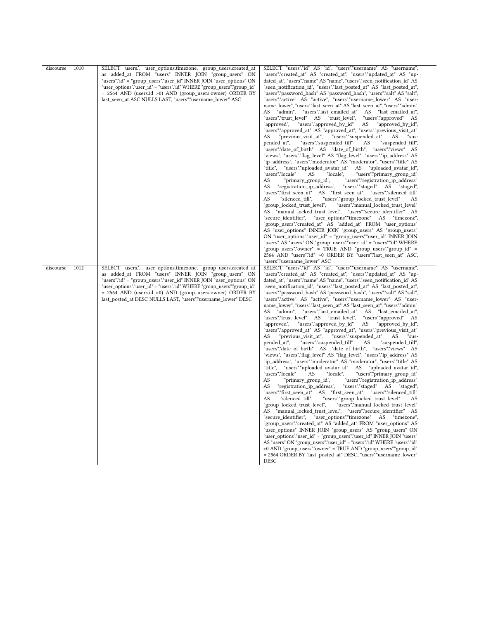| discourse | 1010 | SELECT users.*, user_options.timezone, group_users.created_at<br>as added at FROM "users" INNER JOIN "group users" ON<br>"users"."id" = "group users"."user id" INNER JOIN "user options" ON<br>"user options"."user id" = "users"."id" WHERE "group users"."group id"<br>= 2564 AND (users.id >0) AND (group_users.owner) ORDER BY<br>last_seen_at ASC NULLS LAST, "users"."username_lower" ASC     | SELECT "users"."id" AS "id", "users"."username" AS "username",<br>"users"."created at" AS "created at", "users"."updated at" AS "up-<br>dated at", "users"."name" AS "name", "users"."seen notification id" AS<br>"seen_notification_id", "users"."last_posted_at" AS "last_posted_at",<br>"users"."password_hash" AS "password_hash", "users"."salt" AS "salt",<br>"users"."active" AS "active", "users"."username_lower" AS "user-<br>name lower", "users"."last seen at" AS "last seen at", "users"."admin"<br>AS "admin", "users"."last_emailed_at" AS "last_emailed_at",<br>"users"."trust level"<br>AS "trust level",<br>"users"."approved"<br>AS<br>"users"."approved_by_id"<br>"approved",<br>AS<br>"approved_by_id",<br>"users"."approved_at" AS "approved_at", "users"."previous_visit_at"<br>"users"."suspended at"<br>"previous visit at",<br>AS<br>AS.<br>"sus-<br>"users"."suspended_till"<br>pended at",<br>AS<br>"suspended_till",<br>"users"."date_of_birth" AS "date_of_birth", "users"."views" AS<br>"views", "users"."flag_level" AS "flag_level", "users"."ip_address" AS<br>"ip address", "users"."moderator" AS "moderator", "users"."title" AS<br>"title", "users"."uploaded avatar id" AS "uploaded avatar id",<br>"users"."locale"<br>"locale",<br>"users"."primary group id"<br>AS<br>AS<br>"primary group id",<br>"users"."registration ip address"<br>AS<br>"registration_ip_address",<br>"users"."staged" AS "staged",<br>AS "first_seen_at", "users"."silenced_till"<br>"users"."first seen at"<br>"silenced till",<br>"users"."group_locked_trust_level"<br>AS<br>AS<br>"group locked trust level",<br>"users"."manual locked trust level"<br>AS "manual_locked_trust_level", "users"."secure_identifier" AS<br>"user_options"."timezone" AS "timezone",<br>"secure identifier",<br>"group_users"."created_at" AS "added_at" FROM "user_options"<br>AS "user_options" INNER JOIN "group_users" AS "group_users"<br>ON "user_options"."user_id" = "group_users"."user_id" INNER JOIN<br>"users" AS "users" ON "group_users"."user_id" = "users"."id" WHERE<br>"group_users"."owner" = TRUE AND "group_users"."group_id" =<br>2564 AND "users"."id" >0 ORDER BY "users"."last_seen_at" ASC,<br>"users"."username_lower" ASC |
|-----------|------|------------------------------------------------------------------------------------------------------------------------------------------------------------------------------------------------------------------------------------------------------------------------------------------------------------------------------------------------------------------------------------------------------|-----------------------------------------------------------------------------------------------------------------------------------------------------------------------------------------------------------------------------------------------------------------------------------------------------------------------------------------------------------------------------------------------------------------------------------------------------------------------------------------------------------------------------------------------------------------------------------------------------------------------------------------------------------------------------------------------------------------------------------------------------------------------------------------------------------------------------------------------------------------------------------------------------------------------------------------------------------------------------------------------------------------------------------------------------------------------------------------------------------------------------------------------------------------------------------------------------------------------------------------------------------------------------------------------------------------------------------------------------------------------------------------------------------------------------------------------------------------------------------------------------------------------------------------------------------------------------------------------------------------------------------------------------------------------------------------------------------------------------------------------------------------------------------------------------------------------------------------------------------------------------------------------------------------------------------------------------------------------------------------------------------------------------------------------------------------------------------------------------------------------------------------------------------------------------------------------------------------------------------------------------------|
| discourse | 1012 | SELECT users.*, user_options.timezone, group_users.created_at<br>as added_at FROM "users" INNER JOIN "group_users" ON<br>"users"."id" = "group_users"."user_id" INNER JOIN "user_options" ON<br>"user_options"."user_id" = "users"."id" WHERE "group_users"."group_id"<br>= 2564 AND (users.id >0) AND (group_users.owner) ORDER BY<br>last_posted_at DESC NULLS LAST, "users"."username_lower" DESC | SELECT "users"."id" AS "id", "users"."username" AS "username",<br>"users"."created_at" AS "created_at", "users"."updated_at" AS "up-<br>dated_at", "users"."name" AS "name", "users"."seen_notification_id" AS<br>"seen_notification_id",            "users"."last_posted_at" AS "last_posted_at",<br>"users"."password_hash" AS "password_hash", "users"."salt" AS "salt",<br>"users"."active" AS "active", "users"."username_lower" AS "user-<br>name lower", "users"."last seen at" AS "last seen at", "users"."admin"<br>"admin", "users"."last emailed at"<br>AS "last emailed at",<br>AS<br>"users"."trust level" AS "trust level",<br>"users"."approved"<br>AS<br>"approved",<br>"users"."approved by id"<br>AS<br>"approved by id",<br>"users"."approved at" AS "approved at", "users"."previous visit at"<br>"previous visit at",<br>"users"."suspended at"<br>AS<br>AS<br>"sus-<br>pended at",<br>"users"."suspended_till"<br>AS<br>"suspended till",<br>"views", "users"."flag level" AS "flag level", "users"."ip address" AS<br>"ip_address", "users"."moderator" AS "moderator", "users"."title" AS<br>"title",<br>"users"."uploaded_avatar_id"<br>AS "uploaded_avatar_id",<br>"users"."locale"<br>AS<br>"locale",<br>"users"."primary group id"<br>AS<br>"users"."registration_ip_address"<br>"primary_group_id",<br>AS<br>"registration_ip_address",<br>"users"."staged" AS "staged",<br>"users"."group_locked_trust_level"<br>AS<br>"silenced till",<br>AS.<br>"group_locked_trust_level",<br>"users"."manual_locked_trust_level"<br>AS "manual_locked_trust_level", "users"."secure_identifier" AS<br>"secure identifier", "user options"."timezone" AS<br>"timezone",<br>"group users"."created at" AS "added at" FROM "user options" AS<br>"user_options" INNER JOIN "group_users" AS "group_users" ON<br>"user_options"."user_id" = "group_users"."user_id" INNER JOIN "users"<br>AS "users" ON "group_users"."user_id" = "users"."id" WHERE "users"."id"<br>>0 AND "group users"."owner" = TRUE AND "group users"."group id"<br>= 2564 ORDER BY "last_posted_at" DESC, "users"."username_lower"<br>DESC                                                                                                                             |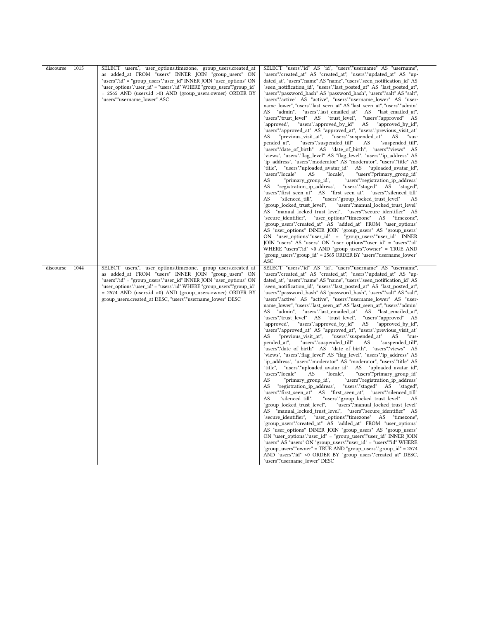| discourse | 1015 | SELECT users.*, user_options.timezone, group_users.created_at<br>as added_at FROM "users" INNER JOIN "group_users" ON<br>"users"."id" = "group_users"."user_id" INNER JOIN "user_options" ON<br>"user_options"."user_id" = "users"."id" WHERE "group_users"."group_id"<br>= 2565 AND (users.id >0) AND (group_users.owner) ORDER BY<br>"users"."username_lower" ASC                               | SELECT "users"."id" AS "id", "users"."username" AS "username",<br>"users"."created_at" AS "created_at", "users"."updated_at" AS "up-<br>dated_at", "users"."name" AS "name", "users"."seen_notification_id" AS<br>"seen notification id", "users"."last posted at" AS "last posted at",<br>"users"."password hash" AS "password hash", "users"."salt" AS "salt",<br>"users"."active" AS "active", "users"."username_lower" AS "user-<br>name lower", "users"."last seen at" AS "last seen at", "users"."admin"<br>"admin", "users"."last_emailed_at" AS "last_emailed_at",<br>AS<br>"users"."trust_level" AS "trust_level",<br>"users"."approved" AS<br>"approved",<br>"users"."approved_by_id"<br>AS<br>"approved_by_id",<br>"users"."approved_at" AS "approved_at", "users"."previous_visit_at"<br>"previous visit at",<br>"users"."suspended_at"<br>AS<br>AS<br>"sus-<br>pended at",<br>"users"."suspended till"<br>AS<br>"suspended till",<br>"users"."date of birth" AS "date of birth", "users"."views" AS<br>"views", "users"."flag level" AS "flag level", "users"."ip address" AS<br>"ip_address", "users"."moderator" AS "moderator", "users"."title" AS<br>"title", "users"."uploaded avatar id" AS "uploaded avatar id",<br>"users"."locale"<br>"locale",<br>"users"."primary_group_id"<br>AS<br>"users"."registration_ip_address"<br>AS<br>'primary_group_id",<br>"registration_ip_address",<br>"users"."staged" AS "staged",<br>AS<br>"users"."first_seen_at"<br>AS "first_seen_at", "users"."silenced_till"<br>"silenced till",<br>"users"."group locked trust level"<br>AS<br>AS<br>"users"."manual locked trust level"<br>"group locked trust level",<br>"manual locked trust level", "users"."secure identifier" AS<br>AS<br>"group_users"."created_at" AS "added_at" FROM "user_options"<br>AS "user options" INNER JOIN "group users" AS "group users"<br>ON "user_options"."user_id" = "group_users"."user_id" INNER<br>JOIN "users" AS "users" ON "user_options"."user_id" = "users"."id"<br>WHERE "users"."id" >0 AND "group_users"."owner" = TRUE AND<br>"group_users"."group_id" = 2565 ORDER BY "users"."username_lower"<br>ASC                                  |
|-----------|------|---------------------------------------------------------------------------------------------------------------------------------------------------------------------------------------------------------------------------------------------------------------------------------------------------------------------------------------------------------------------------------------------------|--------------------------------------------------------------------------------------------------------------------------------------------------------------------------------------------------------------------------------------------------------------------------------------------------------------------------------------------------------------------------------------------------------------------------------------------------------------------------------------------------------------------------------------------------------------------------------------------------------------------------------------------------------------------------------------------------------------------------------------------------------------------------------------------------------------------------------------------------------------------------------------------------------------------------------------------------------------------------------------------------------------------------------------------------------------------------------------------------------------------------------------------------------------------------------------------------------------------------------------------------------------------------------------------------------------------------------------------------------------------------------------------------------------------------------------------------------------------------------------------------------------------------------------------------------------------------------------------------------------------------------------------------------------------------------------------------------------------------------------------------------------------------------------------------------------------------------------------------------------------------------------------------------------------------------------------------------------------------------------------------------------------------------------------------------------------------------------------------------------------------------------------------------------------------------------------|
| discourse | 1044 | SELECT users.*, user_options.timezone, group_users.created_at<br>as added at FROM "users" INNER JOIN "group users" ON<br>"users"."id" = "group users"."user id" INNER JOIN "user options" ON<br>"user_options"."user_id" = "users"."id" WHERE "group_users"."group_id"<br>= 2574 AND (users.id >0) AND (group_users.owner) ORDER BY<br>group_users.created_at DESC, "users"."username_lower" DESC | SELECT "users"."id" AS "id", "users"."username" AS "username",<br>"users"."created at" AS "created at", "users"."updated at" AS "up-<br>dated at", "users"."name" AS "name", "users"."seen notification id" AS<br>"seen_notification_id", "users"."last_posted_at" AS "last_posted_at",<br>"users"."password hash" AS "password hash", "users"."salt" AS "salt",<br>"users"."active" AS "active", "users"."username_lower" AS "user-<br>name_lower", "users"."last_seen_at" AS "last_seen_at", "users"."admin"<br>"admin", "users"."last_emailed_at" AS "last_emailed_at",<br>AS<br>"users"."trust_level" AS "trust_level",<br>"users"."approved" AS<br>"approved",<br>"users"."approved_by_id"<br>AS<br>"approved by id",<br>"users"."approved_at" AS "approved_at", "users"."previous_visit_at"<br>"previous_visit_at",<br>"users"."suspended at"<br>AS<br>AS<br>"sus-<br>"users"."suspended_till"<br>pended at",<br>AS<br>"suspended till",<br>"users"."date_of_birth" AS "date_of_birth", "users"."views" AS<br>"views", "users"."flag level" AS "flag level", "users"."ip address" AS<br>"ip_address", "users"."moderator" AS "moderator", "users"."title" AS<br>"title",<br>"users"."uploaded_avatar_id"<br>AS "uploaded_avatar_id",<br>"users"."locale"<br>"locale",<br>"users"."primary_group_id"<br>AS<br>AS<br>"primary_group_id",<br>"users"."registration_ip_address"<br>"users"."staged" AS "staged",<br>AS<br>"registration ip address",<br>"users"."first_seen_at" AS "first_seen_at", "users"."silenced_till"<br>"silenced till",<br>"users"."group locked trust level"<br>AS<br>AS<br>"group locked trust level",<br>"users"."manual locked trust level"<br>AS "manual_locked_trust_level", "users"."secure_identifier" AS<br>"group_users"."created_at" AS "added_at" FROM "user_options"<br>AS "user_options" INNER JOIN "group_users" AS "group_users"<br>ON "user_options"."user_id" = "group_users"."user_id" INNER JOIN<br>"users" AS "users" ON "group_users"."user_id" = "users"."id" WHERE<br>"group users"."owner" = TRUE AND "group users"."group id" = 2574<br>AND "users"."id" >0 ORDER BY "group_users"."created_at" DESC,<br>"users"."username lower" DESC |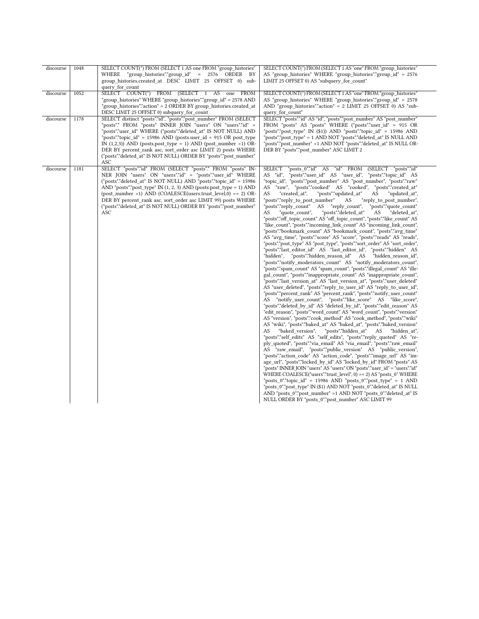| discourse | 1048 | SELECT COUNT(*) FROM (SELECT 1 AS one FROM "group histories"<br>"group_histories"."group_id" = 2576 ORDER BY<br>WHERE<br>group histories.created at DESC LIMIT 25 OFFSET 0) sub-<br>query for count                                                                                                                                                                                                                                                                                         | SELECT COUNT(*) FROM (SELECT 1 AS "one" FROM "group histories"<br>AS "group_histories" WHERE "group_histories"."group_id" = 2576<br>LIMIT 25 OFFSET 0) AS "subquery for count"                                                                                                                                                                                                                                                                                                                                                                                                                                                                                                                                                                                                                                                                                                                                                                                                                                                                                                                                                                                                                                                                                                                                                                                                                                                                                                                                                                                                                                                                                                                                                                                                                                                                                                                                                                                                                                                                                                                                                                                                                                                                                                                                                                                                                                                                                                                                                                                                                                                                                                                                                                                      |
|-----------|------|---------------------------------------------------------------------------------------------------------------------------------------------------------------------------------------------------------------------------------------------------------------------------------------------------------------------------------------------------------------------------------------------------------------------------------------------------------------------------------------------|---------------------------------------------------------------------------------------------------------------------------------------------------------------------------------------------------------------------------------------------------------------------------------------------------------------------------------------------------------------------------------------------------------------------------------------------------------------------------------------------------------------------------------------------------------------------------------------------------------------------------------------------------------------------------------------------------------------------------------------------------------------------------------------------------------------------------------------------------------------------------------------------------------------------------------------------------------------------------------------------------------------------------------------------------------------------------------------------------------------------------------------------------------------------------------------------------------------------------------------------------------------------------------------------------------------------------------------------------------------------------------------------------------------------------------------------------------------------------------------------------------------------------------------------------------------------------------------------------------------------------------------------------------------------------------------------------------------------------------------------------------------------------------------------------------------------------------------------------------------------------------------------------------------------------------------------------------------------------------------------------------------------------------------------------------------------------------------------------------------------------------------------------------------------------------------------------------------------------------------------------------------------------------------------------------------------------------------------------------------------------------------------------------------------------------------------------------------------------------------------------------------------------------------------------------------------------------------------------------------------------------------------------------------------------------------------------------------------------------------------------------------------|
| discourse | 1052 | SELECT COUNT(*) FROM (SELECT 1 AS one FROM<br>"group_histories" WHERE "group_histories"."group_id" = 2578 AND<br>"group histories"."action" = 2 ORDER BY group histories.created at<br>DESC LIMIT 25 OFFSET 0) subquery_for_count                                                                                                                                                                                                                                                           | SELECT COUNT(*) FROM (SELECT 1 AS "one" FROM "group histories"<br>AS "group_histories" WHERE "group_histories"."group_id" = 2578<br>AND "group histories"."action" = 2 LIMIT 25 OFFSET 0) AS "sub-<br>query for count"                                                                                                                                                                                                                                                                                                                                                                                                                                                                                                                                                                                                                                                                                                                                                                                                                                                                                                                                                                                                                                                                                                                                                                                                                                                                                                                                                                                                                                                                                                                                                                                                                                                                                                                                                                                                                                                                                                                                                                                                                                                                                                                                                                                                                                                                                                                                                                                                                                                                                                                                              |
| discourse | 1178 | SELECT distinct "posts"."id", "posts"."post_number" FROM (SELECT<br>"posts".* FROM "posts" INNER JOIN "users" ON "users"."id" =<br>"posts"."user id" WHERE ("posts"."deleted at" IS NOT NULL) AND<br>"posts"."topic $id$ " = 15986 AND (posts.user $id$ = 915 OR post type<br>IN $(1,2,3)$ ) AND (posts.post_type = 1) AND (post_number >1) OR-<br>DER BY percent rank asc, sort order asc LIMIT 2) posts WHERE<br>("posts"."deleted at" IS NOT NULL) ORDER BY "posts"."post number"<br>ASC | SELECT "posts"."id" AS "id", "posts"."post number" AS "post number"<br>FROM "posts" AS "posts" WHERE ("posts"."user id" = 915 OR<br>"posts"."post_type" IN (\$1)) AND "posts"."topic_id" = 15986 AND<br>"posts"."post_type" = 1 AND NOT "posts"."deleted_at" IS NULL AND<br>"posts"."post_number" >1 AND NOT "posts"."deleted_at" IS NULL OR-<br>DER BY "posts"."post_number" ASC LIMIT 2                                                                                                                                                                                                                                                                                                                                                                                                                                                                                                                                                                                                                                                                                                                                                                                                                                                                                                                                                                                                                                                                                                                                                                                                                                                                                                                                                                                                                                                                                                                                                                                                                                                                                                                                                                                                                                                                                                                                                                                                                                                                                                                                                                                                                                                                                                                                                                           |
| discourse | 1181 | SELECT "posts"."id" FROM (SELECT "posts".* FROM "posts" IN-<br>NER JOIN "users" ON "users"."id" = "posts"."user id" WHERE<br>("posts"."deleted at" IS NOT NULL) AND "posts"."topic id" = 15986<br>AND "posts"."post type" IN $(1, 2, 3)$ AND (posts.post type = 1) AND<br>(post_number >1) AND (COALESCE(users.trust_level,0) >= 2) OR-<br>DER BY percent rank asc, sort order asc LIMIT 99) posts WHERE<br>("posts"."deleted at" IS NOT NULL) ORDER BY "posts"."post number"<br>ASC        | "posts 0"."id" AS "id" FROM (SELECT "posts"."id"<br>SELECT<br>AS "id", "posts"."user id" AS "user id", "posts"."topic id" AS<br>"topic id", "posts"."post number" AS "post number", "posts"."raw"<br>AS "raw", "posts"."cooked" AS "cooked", "posts"."created at"<br>"created at",<br>"posts"."updated_at"<br>"updated at",<br>AS<br>AS<br>"posts"."reply to post number"<br>AS<br>"reply_to_post_number",<br>"posts"."reply_count"<br>AS "reply count",<br>"posts"."quote count"<br>"posts"."deleted at"<br>"quote count",<br>AS<br>"deleted at",<br>AS<br>"posts"."off topic count" AS "off topic count", "posts"."like count" AS<br>"like count", "posts"."incoming link count" AS "incoming link count",<br>"posts"."bookmark_count" AS "bookmark_count", "posts"."avg_time"<br>AS "avg_time", "posts"."score" AS "score", "posts"."reads" AS "reads",<br>"posts"."post_type" AS "post_type", "posts"."sort_order" AS "sort_order",<br>"posts"."last editor id" AS "last editor id", "posts"."hidden" AS<br>"hidden",<br>"posts"."hidden_reason_id" AS "hidden_reason_id",<br>"posts"."notify moderators count" AS "notify moderators count",<br>"posts"."spam_count" AS "spam_count", "posts"."illegal_count" AS "ille-<br>gal_count", "posts"."inappropriate_count" AS "inappropriate_count",<br>"posts"."last_version_at" AS "last_version_at", "posts"."user_deleted"<br>AS "user_deleted", "posts"."reply_to_user_id" AS "reply_to_user_id",<br>"posts"."percent_rank" AS "percent_rank", "posts"."notify_user_count"<br>AS "notify user count", "posts"."like score" AS "like score",<br>"posts"."deleted by id" AS "deleted by id", "posts"."edit reason" AS<br>"edit_reason", "posts"."word_count" AS "word_count", "posts"."version"<br>AS "version", "posts"."cook_method" AS "cook_method", "posts"."wiki"<br>AS "wiki", "posts"."baked at" AS "baked at", "posts"."baked version"<br>"baked version",<br>"posts"."hidden at"<br>AS<br>"hidden at",<br>AS<br>"posts"."self_edits" AS "self_edits", "posts"."reply_quoted" AS "re-<br>ply_quoted", "posts"."via_email" AS "via_email", "posts"."raw_email"<br>AS "raw email", "posts"."public version" AS "public version",<br>"posts"."action code" AS "action code", "posts"."image url" AS "im-<br>age url", "posts"."locked by id" AS "locked by id" FROM "posts" AS<br>"posts" INNER JOIN "users" AS "users" ON "posts"."user_id" = "users"."id"<br>WHERE COALESCE("users"."trust level", $0$ ) >= 2) AS "posts $0$ " WHERE<br>"posts 0"."topic id" = 15986 AND "posts 0"."post type" = 1 AND<br>"posts 0"."post type" IN (\$1) AND NOT "posts 0"."deleted at" IS NULL<br>AND "posts_0"."post_number" >1 AND NOT "posts_0"."deleted_at" IS<br>NULL ORDER BY "posts 0"."post number" ASC LIMIT 99 |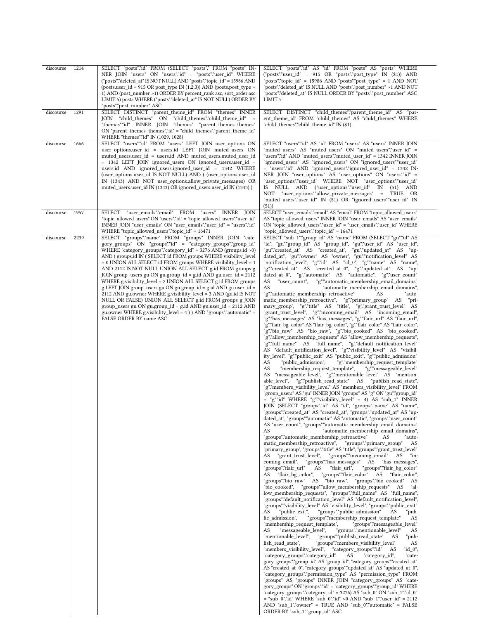| discourse | 1214 | SELECT "posts"."id" FROM (SELECT "posts".* FROM "posts" IN-<br>NER JOIN "users" ON "users"."id" = "posts"."user_id" WHERE<br>("posts"."deleted_at" IS NOT NULL) AND "posts"."topic_id" = 15986 AND<br>$(possuser_id = 915 OR post_type IN (1,2,3)) AND (posts.post_type =$<br>1) AND (post_number >1) ORDER BY percent_rank asc, sort_order asc<br>LIMIT 5) posts WHERE ("posts"."deleted_at" IS NOT NULL) ORDER BY<br>"posts"."post_number" ASC                                                                                                                                                                                                                                                                                                                                                                                                                                                         | SELECT "posts"."id" AS "id" FROM "posts" AS "posts" WHERE<br>("posts"."user_id" = 915 OR "posts"."post_type" IN (\$1)) AND<br>"posts"."topic id" = 15986 AND "posts"."post type" = 1 AND NOT<br>"posts"."deleted at" IS NULL AND "posts"."post number" >1 AND NOT<br>"posts"."deleted_at" IS NULL ORDER BY "posts"."post_number" ASC<br>LIMIT <sub>5</sub>                                                                                                                                                                                                                                                                                                                                                                                                                                                                                                                                                                                                                                                                                                                                                                                                                                                                                                                                                                                                                                                                                                                                                                                                                                                                                                                                                                                                                                                                                                                                                                                                                                                                                                                                                                                                                                                                                                                                                                                                                                                                                                                                                                                                                                                                                                                                                                                                                                                                                                                                                                                                                                                                                                                                                                                                                                                                                                                                                                                                                                                                                                                                                                                                                                                                                                                                                                                                                                                                                                                                                                                                                                                                                                                                                                                                                                                                                      |
|-----------|------|----------------------------------------------------------------------------------------------------------------------------------------------------------------------------------------------------------------------------------------------------------------------------------------------------------------------------------------------------------------------------------------------------------------------------------------------------------------------------------------------------------------------------------------------------------------------------------------------------------------------------------------------------------------------------------------------------------------------------------------------------------------------------------------------------------------------------------------------------------------------------------------------------------|-------------------------------------------------------------------------------------------------------------------------------------------------------------------------------------------------------------------------------------------------------------------------------------------------------------------------------------------------------------------------------------------------------------------------------------------------------------------------------------------------------------------------------------------------------------------------------------------------------------------------------------------------------------------------------------------------------------------------------------------------------------------------------------------------------------------------------------------------------------------------------------------------------------------------------------------------------------------------------------------------------------------------------------------------------------------------------------------------------------------------------------------------------------------------------------------------------------------------------------------------------------------------------------------------------------------------------------------------------------------------------------------------------------------------------------------------------------------------------------------------------------------------------------------------------------------------------------------------------------------------------------------------------------------------------------------------------------------------------------------------------------------------------------------------------------------------------------------------------------------------------------------------------------------------------------------------------------------------------------------------------------------------------------------------------------------------------------------------------------------------------------------------------------------------------------------------------------------------------------------------------------------------------------------------------------------------------------------------------------------------------------------------------------------------------------------------------------------------------------------------------------------------------------------------------------------------------------------------------------------------------------------------------------------------------------------------------------------------------------------------------------------------------------------------------------------------------------------------------------------------------------------------------------------------------------------------------------------------------------------------------------------------------------------------------------------------------------------------------------------------------------------------------------------------------------------------------------------------------------------------------------------------------------------------------------------------------------------------------------------------------------------------------------------------------------------------------------------------------------------------------------------------------------------------------------------------------------------------------------------------------------------------------------------------------------------------------------------------------------------------------------------------------------------------------------------------------------------------------------------------------------------------------------------------------------------------------------------------------------------------------------------------------------------------------------------------------------------------------------------------------------------------------------------------------------------------------------------------------------------------|
| discourse | 1291 | SELECT DISTINCT "parent theme id" FROM "themes" INNER<br>JOIN "child themes" ON "child themes"."child theme id" =<br>"themes"."id" INNER JOIN "themes" "parent_themes_themes"<br>ON "parent_themes_themes"."id" = "child_themes"."parent_theme_id"<br>WHERE "themes"."id" IN (1029, 1028)                                                                                                                                                                                                                                                                                                                                                                                                                                                                                                                                                                                                                | SELECT DISTINCT "child_themes"."parent_theme_id" AS "par-<br>ent_theme_id" FROM "child_themes" AS "child_themes" WHERE<br>"child_themes"."child_theme_id" IN (\$1)                                                                                                                                                                                                                                                                                                                                                                                                                                                                                                                                                                                                                                                                                                                                                                                                                                                                                                                                                                                                                                                                                                                                                                                                                                                                                                                                                                                                                                                                                                                                                                                                                                                                                                                                                                                                                                                                                                                                                                                                                                                                                                                                                                                                                                                                                                                                                                                                                                                                                                                                                                                                                                                                                                                                                                                                                                                                                                                                                                                                                                                                                                                                                                                                                                                                                                                                                                                                                                                                                                                                                                                                                                                                                                                                                                                                                                                                                                                                                                                                                                                                              |
| discourse | 1666 | SELECT "users"."id" FROM "users" LEFT JOIN user_options ON<br>user_options.user_id = users.id LEFT JOIN muted_users ON<br>muted users.user id = users.id AND muted users.muted user id<br>= 1342 LEFT JOIN ignored_users ON ignored_users.user_id =<br>users.id AND ignored users.ignored user id = 1342 WHERE<br>(user_options.user_id IS NOT NULL) AND ((user_options.user_id<br>IN (1343) AND NOT user_options.allow_private_messages) OR<br>muted_users.user_id IN (1343) OR ignored_users.user_id IN (1343) )                                                                                                                                                                                                                                                                                                                                                                                       | SELECT "users"."id" AS "id" FROM "users" AS "users" INNER JOIN<br>"muted_users" AS "muted_users" ON "muted_users"."user_id" =<br>"users"."id" AND "muted users"."muted user id" = 1342 INNER JOIN<br>"ignored_users" AS "ignored_users" ON "ignored_users"."user_id"<br>= "users"."id" AND "ignored users"."ignored user id" = 1342 IN-<br>NER JOIN "user options" AS "user options" ON "users"."id" =<br>"user_options"."user_id" WHERE NOT "user_options"."user_id"<br>IS NULL AND ("user_options"."user_id" IN (\$1) AND<br>NOT "user_options"."allow_private_messages" = TRUE OR<br>"muted_users"."user_id" IN (\$1) OR "ignored_users"."user id" IN<br>( \$1)                                                                                                                                                                                                                                                                                                                                                                                                                                                                                                                                                                                                                                                                                                                                                                                                                                                                                                                                                                                                                                                                                                                                                                                                                                                                                                                                                                                                                                                                                                                                                                                                                                                                                                                                                                                                                                                                                                                                                                                                                                                                                                                                                                                                                                                                                                                                                                                                                                                                                                                                                                                                                                                                                                                                                                                                                                                                                                                                                                                                                                                                                                                                                                                                                                                                                                                                                                                                                                                                                                                                                                              |
| discourse | 1957 | SELECT "user_emails"."email" FROM "users" INNER JOIN<br>"topic_allowed_users" ON "users"."id" = "topic_allowed_users"."user_id"<br>INNER JOIN "user emails" ON "user emails"."user id" = "users"."id"<br>WHERE "topic allowed users"."topic id" = 16471                                                                                                                                                                                                                                                                                                                                                                                                                                                                                                                                                                                                                                                  | SELECT "user_emails"."email" AS "email" FROM "topic_allowed_users"<br>AS "topic allowed users" INNER JOIN "user emails" AS "user emails"<br>ON "topic allowed users"."user id" = "user emails"."user id" WHERE<br>"topic allowed users"."topic id" = 16471                                                                                                                                                                                                                                                                                                                                                                                                                                                                                                                                                                                                                                                                                                                                                                                                                                                                                                                                                                                                                                                                                                                                                                                                                                                                                                                                                                                                                                                                                                                                                                                                                                                                                                                                                                                                                                                                                                                                                                                                                                                                                                                                                                                                                                                                                                                                                                                                                                                                                                                                                                                                                                                                                                                                                                                                                                                                                                                                                                                                                                                                                                                                                                                                                                                                                                                                                                                                                                                                                                                                                                                                                                                                                                                                                                                                                                                                                                                                                                                      |
| discourse | 2239 | SELECT "groups"."name" FROM "groups" INNER JOIN "cate-<br>gory_groups" ON "groups"."id" = "category_groups"."group_id"<br>WHERE "category_groups"."category_id" = 3276 AND (groups.id >0)<br>AND (groups.id IN (SELECT id FROM groups WHERE visibility_level<br>= 0 UNION ALL SELECT id FROM groups WHERE visibility_level = 1<br>AND 2112 IS NOT NULL UNION ALL SELECT g.id FROM groups g<br>JOIN group_users gu ON gu.group_id = g.id AND gu.user_id = 2112<br>WHERE g.visibility_level = 2 UNION ALL SELECT g.id FROM groups<br>g LEFT JOIN group_users gu ON gu.group_id = g.id AND gu.user_id =<br>2112 AND gu.owner WHERE g.visibility_level = 3 AND (gu.id IS NOT<br>NULL OR FALSE) UNION ALL SELECT g.id FROM groups g JOIN<br>group_users gu ON gu.group_id = g.id AND gu.user_id = 2112 AND<br>gu.owner WHERE g.visibility_level = 4 ) ) AND "groups"."automatic" =<br>FALSE ORDER BY name ASC | SELECT "sub_1"."group_id" AS "name" FROM (SELECT "gu"."id" AS<br>"id", "gu"."group id" AS "group id", "gu"."user id" AS "user id",<br>"gu"."created_at" AS "created_at", "gu"."updated_at" AS "up-<br>dated_at", "gu"."owner" AS "owner", "gu"."notification_level" AS<br>"notification_level", "g"."id" AS "id_0", "g"."name" AS "name",<br>"g"."created_at" AS "created_at_0", "g"."updated_at" AS "up-<br>dated at 0", "g"."automatic" AS "automatic", "g"."user count"<br>AS<br>"user count",<br>"g"."automatic_membership_email_domains"<br>AS<br>"automatic_membership_email_domains",<br>"g"."automatic_membership_retroactive"<br>AS<br>"auto-<br>matic_membership_retroactive", "g"."primary_group" AS<br>"pri-<br>mary_group", "g"."title" AS "title", "g"."grant_trust_level" AS<br>"grant_trust_level", "g"."incoming_email" AS "incoming_email",<br>"g"."has_messages" AS "has_messages", "g"."flair_url" AS "flair_url",<br>"g"."flair_bg_color" AS "flair_bg_color", "g"."flair_color" AS "flair_color",<br>"g"."bio_raw" AS "bio_raw", "g"."bio_cooked" AS "bio_cooked",<br>"g"."allow_membership_requests" AS "allow_membership_requests",<br>"g"."full_name" AS "full_name", "g"."default_notification_level"<br>AS "default_notification_level", "g"."visibility_level" AS "visibil-<br>ity_level", "g"."public_exit" AS "public_exit", "g"."public_admission"<br>AS<br>"public_admission",<br>"g"."membership_request_template"<br>"membership_request_template",<br>"g"."messageable_level"<br>AS<br>AS "messageable_level", "g"."mentionable_level" AS "mention-<br>able level", "g"."publish read state" AS "publish read state",<br>"g"."members_visibility_level" AS "members_visibility_level" FROM<br>"group_users" AS "gu" INNER JOIN "groups" AS "g" ON "gu"."group_id"<br>= "g"."id" WHERE "g"."visibility_level" = 4) AS "sub_1" INNER<br>JOIN (SELECT "groups"."id" AS "id", "groups"."name" AS "name",<br>"groups"."created_at" AS "created_at", "groups"."updated_at" AS "up-<br>dated at", "groups"."automatic" AS "automatic", "groups"."user count"<br>AS "user count", "groups"."automatic membership email domains"<br>"automatic membership email domains",<br>AS<br>"groups"."automatic membership retroactive"<br>AS<br>"auto-<br>matic membership retroactive",<br>"groups"."primary_group"<br>AS<br>"primary_group", "groups"."title" AS "title", "groups"."grant_trust_level"<br>AS "grant trust level",<br>"groups"."incoming_email" AS "in-<br>coming_email", "groups"."has_messages" AS "has_messages",<br>"groups"."flair url"<br>"flair url",<br>"groups"."flair bg color"<br>AS<br>AS "flair bg color",<br>"groups"."flair color" AS "flair color",<br>"groups"."bio_raw" AS "bio_raw", "groups"."bio_cooked" AS<br>"groups"."allow membership requests" AS<br>"bio cooked",<br>"al-<br>low membership requests", "groups"."full name" AS "full name",<br>"groups"."default notification level" AS "default notification level",<br>"groups"."visibility_level" AS "visibility_level", "groups"."public_exit"<br>"public exit",<br>"groups"."public_admission"<br>AS<br>AS<br>"pub-<br>lic admission",<br>"groups"."membership_request_template"<br>AS<br>"membership request template",<br>"groups"."messageable level"<br>"messageable level",<br>"groups"."mentionable level"<br>AS<br>AS<br>"mentionable level",<br>"groups"."publish_read_state"<br>AS<br>"pub-<br>lish read state",<br>"groups"."members visibility level"<br>AS<br>"members visibility level", "category groups"."id"<br>"id $0$ ",<br>AS<br>"category_groups"."category_id"<br>AS<br>"category id",<br>"cate-<br>gory_groups"."group_id" AS "group_id", "category_groups"."created_at"<br>AS "created at 0", "category groups"."updated at" AS "updated at 0",<br>"category groups"."permission_type" AS "permission_type" FROM<br>"groups" AS "groups" INNER JOIN "category groups" AS "cate-<br>gory groups" ON "groups"."id" = "category groups"."group id" WHERE<br>"category_groups"."category_id" = 3276) AS "sub_0" ON "sub_1"."id_0"<br>$=$ "sub 0"."id" WHERE "sub 0"."id" >0 AND "sub 1"."user id" = 2112<br>AND "sub 1"."owner" = TRUE AND "sub 0"."automatic" = FALSE<br>ORDER BY "sub_1"."group_id" ASC |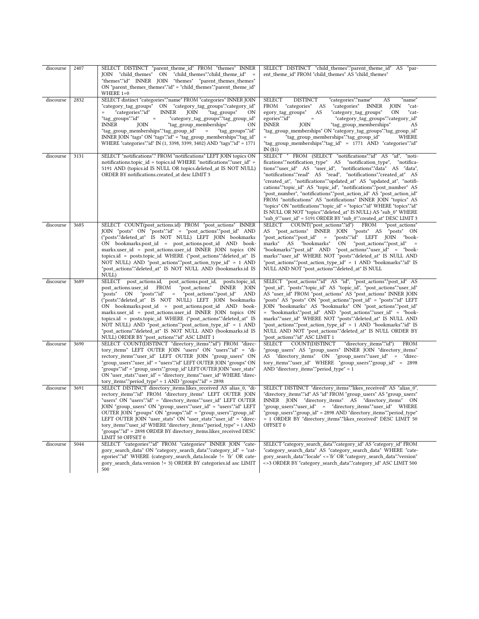| discourse | 2407 | SELECT DISTINCT "parent theme id" FROM "themes" INNER<br>JOIN "child themes" ON "child themes"."child theme id"<br>"themes"."id" INNER JOIN "themes" "parent themes themes"                                                                                                                                                                                                                                                                                                                                                                                                                                                                 | SELECT DISTINCT "child_themes"."parent_theme_id" AS<br>"par-<br>ent theme id" FROM "child themes" AS "child themes"                                                                                                                                                                                                                                                                                                                                                                                                                                                                                                                                                                                                                                                                        |
|-----------|------|---------------------------------------------------------------------------------------------------------------------------------------------------------------------------------------------------------------------------------------------------------------------------------------------------------------------------------------------------------------------------------------------------------------------------------------------------------------------------------------------------------------------------------------------------------------------------------------------------------------------------------------------|--------------------------------------------------------------------------------------------------------------------------------------------------------------------------------------------------------------------------------------------------------------------------------------------------------------------------------------------------------------------------------------------------------------------------------------------------------------------------------------------------------------------------------------------------------------------------------------------------------------------------------------------------------------------------------------------------------------------------------------------------------------------------------------------|
|           |      | ON "parent themes themes"."id" = "child themes"."parent theme id"<br>WHERE $1=0$                                                                                                                                                                                                                                                                                                                                                                                                                                                                                                                                                            |                                                                                                                                                                                                                                                                                                                                                                                                                                                                                                                                                                                                                                                                                                                                                                                            |
| discourse | 2832 | SELECT distinct "categories"."name" FROM "categories" INNER JOIN<br>"category_tag_groups"<br>ON "category_tag_groups"."category_id"<br>"categories"."id"<br>"tag groups"<br><b>INNER</b><br>JOIN<br>ON<br>"tag_groups"."id"<br>"category_tag_groups"."tag_group_id"<br>$=$<br>"tag group memberships"<br>INNER<br>JOIN<br>ΟN<br>"tag group memberships"."tag group id"<br>"tag groups"."id"<br>$=$<br>INNER JOIN "tags" ON "tags"."id" = "tag group memberships"."tag id"<br>WHERE "categories"."id" IN (1, 3398, 3399, 3402) AND "tags"."id" = 1771                                                                                        | <b>SELECT</b><br><b>DISTINCT</b><br>"categories"."name"<br>AS<br>"name"<br>FROM "categories"<br>"categories" INNER<br><b>JOIN</b><br>AS<br>"cat-<br>egory tag groups"<br>"category_tag_groups"<br><b>ON</b><br>AS<br>"cat-<br>egories"."id"<br>"category_tag_groups"."category_id"<br>$\equiv$<br><b>INNER</b><br>JOIN<br>"tag group memberships"<br>AS<br>"tag group memberships" ON "category tag groups"."tag group id"<br>"tag group memberships"."tag group id"<br>WHERE<br>"tag_group_memberships"."tag_id" = 1771 AND "categories"."id"<br>IN $(31)$                                                                                                                                                                                                                                |
| discourse | 3131 | SELECT "notifications".* FROM "notifications" LEFT JOIN topics ON<br>notifications.topic id = topics.id WHERE "notifications"."user id" =<br>5191 AND (topics.id IS NULL OR topics.deleted at IS NOT NULL)<br>ORDER BY notifications.created at desc LIMIT 3                                                                                                                                                                                                                                                                                                                                                                                | SELECT * FROM (SELECT "notifications"."id" AS "id", "noti-<br>fications"."notification type" AS "notification type",<br>"notifica-<br>tions"."user id" AS "user id", "notifications"."data" AS "data",<br>"notifications"."read" AS "read", "notifications"."created at" AS<br>"created_at", "notifications"."updated_at" AS "updated_at", "notifi-<br>cations"."topic id" AS "topic id", "notifications"."post number" AS<br>"post_number", "notifications"."post_action_id" AS "post_action_id"<br>FROM "notifications" AS "notifications" INNER JOIN "topics" AS<br>"topics" ON "notifications"."topic id" = "topics"."id" WHERE "topics"."id"<br>IS NULL OR NOT "topics"."deleted at" IS NULL) AS "sub 0" WHERE<br>"sub 0"."user id" = 5191 ORDER BY "sub 0"."created at" DESC LIMIT 3 |
| discourse | 3685 | SELECT COUNT(post actions.id) FROM "post actions" INNER<br>JOIN "posts" ON "posts"."id" = "post actions"."post id" AND<br>("posts"."deleted at" IS NOT NULL) LEFT JOIN bookmarks<br>ON bookmarks.post_id = post_actions.post_id AND book-<br>marks.user id = post actions.user id INNER JOIN topics ON<br>topics.id = posts.topic_id WHERE ("post_actions"."deleted_at" IS<br>NOT NULL) AND "post actions"."post action type id" = 1 AND<br>"post actions"."deleted at" IS NOT NULL AND (bookmarks.id IS<br>NULL)                                                                                                                           | SELECT<br>COUNT("post actions"."id")<br>FROM<br>"post actions"<br>"post actions" INNER JOIN "posts" AS "posts" ON<br>AS<br>"posts"."id" LEFT JOIN<br>"post actions"."post id" =<br>"book-<br>"bookmarks"<br>"post_actions"."post_id"<br>marks"<br>AS<br>ON<br>"bookmarks"."post id" AND "post actions"."user id" = "book-<br>marks"."user id" WHERE NOT "posts"."deleted at" IS NULL AND<br>"post actions"."post action type id" = 1 AND "bookmarks"."id" IS<br>NULL AND NOT "post actions"."deleted at" IS NULL                                                                                                                                                                                                                                                                           |
| discourse | 3689 | SELECT post actions.id, post actions.post id,<br>posts.topic id,<br>post actions.user id FROM "post actions"<br><b>INNER</b><br>JOIN<br>= "post actions"."post id"<br>"posts" ON<br>"posts"."id"<br>AND<br>("posts"."deleted at" IS NOT NULL) LEFT JOIN bookmarks<br>ON bookmarks.post_id = post_actions.post_id AND book-<br>marks.user id = post actions.user id INNER JOIN topics ON<br>topics.id = posts.topic_id WHERE ("post_actions"."deleted_at" IS<br>NOT NULL) AND "post actions"."post action type id" = 1 AND<br>"post actions"."deleted at" IS NOT NULL AND (bookmarks.id IS<br>NULL) ORDER BY "post actions"."id" ASC LIMIT 1 | SELECT "post actions"."id" AS "id", "post actions"."post id" AS<br>"post_id", "posts"."topic_id" AS "topic_id", "post_actions"."user_id"<br>AS "user id" FROM "post actions" AS "post actions" INNER JOIN<br>"posts" AS "posts" ON "post actions"."post id" = "posts"."id" LEFT<br>JOIN "bookmarks" AS "bookmarks" ON "post actions"."post id"<br>= "bookmarks"."post_id" AND "post_actions"."user_id" = "book-<br>marks"."user id" WHERE NOT "posts"."deleted at" IS NULL AND<br>"post actions"."post action type id" = 1 AND "bookmarks"."id" IS<br>NULL AND NOT "post_actions"."deleted_at" IS NULL ORDER BY<br>"post actions"."id" ASC LIMIT 1                                                                                                                                         |
| discourse | 3690 | SELECT COUNT(DISTINCT "directory_items"."id") FROM "direc-<br>tory items" LEFT OUTER JOIN "users" ON "users"."id" = "di-<br>rectory items"."user id" LEFT OUTER JOIN "group users" ON<br>"group users"."user id" = "users"."id" LEFT OUTER JOIN "groups" ON<br>"groups"."id" = "group users"."group id" LEFT OUTER JOIN "user stats"<br>ON "user stats"."user id" = "directory items"."user id" WHERE "direc-<br>tory items"."period type" = $1$ AND "groups"."id" = 2898                                                                                                                                                                   | SELECT COUNT(DISTINCT<br>"directory items"."id")<br><b>FROM</b><br>'group_users" AS "group_users" INNER JOIN "directory_items"<br>AS "directory items" ON "group users"."user id" = "direc-<br>tory items"."user id" WHERE "group users"."group id" = 2898<br>AND "directory items"."period type" = $1$                                                                                                                                                                                                                                                                                                                                                                                                                                                                                    |
| discourse | 3691 | SELECT DISTINCT directory items.likes received AS alias 0, "di-<br>rectory items"."id" FROM "directory items" LEFT OUTER JOIN<br>"users" ON "users"."id" = "directory_items"."user_id" LEFT OUTER<br>JOIN "group users" ON "group users"."user id" = "users"."id" LEFT<br>OUTER JOIN "groups" ON "groups"."id" = "group_users"."group_id"<br>LEFT OUTER JOIN "user stats" ON "user stats"."user id" = "direc-<br>tory items"."user id" WHERE "directory items"."period type" = 1 AND<br>"groups"."id" = 2898 ORDER BY directory items.likes received DESC<br>LIMIT 50 OFFSET 0                                                              | SELECT DISTINCT "directory items"."likes received" AS "alias 0",<br>"directory items"."id" AS "id" FROM "group users" AS "group users"<br>INNER JOIN "directory items" AS "directory items"<br>ON<br>"group users"."user id" = "directory items"."user id" WHERE<br>"group users"."group id" = 2898 AND "directory items"."period type"<br>= 1 ORDER BY "directory items"."likes received" DESC LIMIT 50<br>OFFSET 0                                                                                                                                                                                                                                                                                                                                                                       |
| discourse | 5044 | SELECT "categories"."id" FROM "categories" INNER JOIN "cate-<br>gory search data" ON "category search data"."category id" = "cat-<br>egories"."id" WHERE (category_search_data.locale != 'fr' OR cate-<br>gory search data.version != 3) ORDER BY categories.id asc LIMIT<br>500                                                                                                                                                                                                                                                                                                                                                            | SELECT "category_search_data"."category_id" AS "category_id" FROM<br>"category search data" AS "category search data" WHERE "cate-<br>gory_search_data"."locale" <>'fr' OR "category_search_data"."version"<br><>3 ORDER BY "category search data"."category id" ASC LIMIT 500                                                                                                                                                                                                                                                                                                                                                                                                                                                                                                             |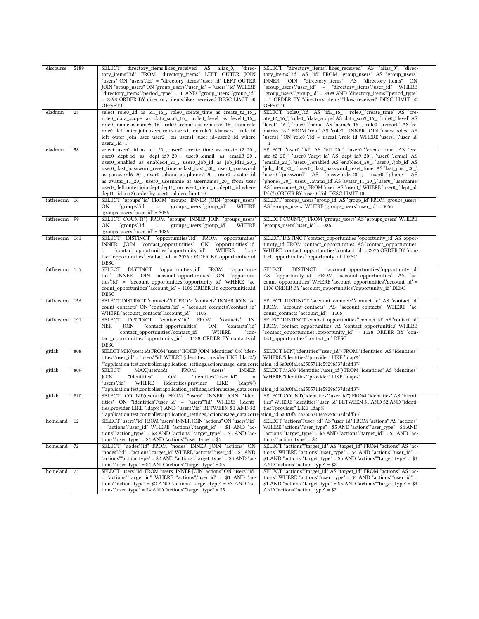| discourse      | 5189 | SELECT directory_items.likes_received AS<br>"direc-<br>alias 0,<br>tory items"."id" FROM "directory items" LEFT OUTER JOIN<br>"users" ON "users"."id" = "directory_items"."user_id" LEFT OUTER<br>JOIN "group users" ON "group users"."user id" = "users"."id" WHERE<br>"directory_items"."period_type" = 1 AND "group_users"."group_id"<br>= 2898 ORDER BY directory_items.likes_received DESC LIMIT 50<br>OFFSET 0                                                                                                        | SELECT "directory_items"."likes_received" AS "alias_0", "direc-<br>tory_items"."id" AS "id" FROM "group_users" AS "group_users"<br>INNER JOIN "directory_items" AS "directory_items" ON<br>"group users"."user id" = "directory items"."user id" WHERE<br>"group_users"."group_id" = 2898 AND "directory_items"."period_type"<br>= 1 ORDER BY "directory_items"."likes_received" DESC LIMIT 50<br>OFFSET 0                                                                                                                                                   |
|----------------|------|-----------------------------------------------------------------------------------------------------------------------------------------------------------------------------------------------------------------------------------------------------------------------------------------------------------------------------------------------------------------------------------------------------------------------------------------------------------------------------------------------------------------------------|--------------------------------------------------------------------------------------------------------------------------------------------------------------------------------------------------------------------------------------------------------------------------------------------------------------------------------------------------------------------------------------------------------------------------------------------------------------------------------------------------------------------------------------------------------------|
| eladmin        | 28   | select role0_.id as id1_16_, role0_.create_time as create_t2_16_,<br>role0 .data scope as data sco3 16, role0 .level as level4 16,<br>role0_name as name5_16_, role0_.remark as remark6_16_from role<br>role0_left outer join users_roles users1_ on role0_id=users1_.role_id<br>left outer join user user2_ on users1_.user_id=user2_.id where<br>user $2$ .id=1                                                                                                                                                           | SELECT 'role0_'.'id' AS 'id1_16_', 'role0_'.'create_time' AS 'cre-<br>ate t2 16 ', 'role0 ''data scope' AS 'data sco3 16 ', 'role0 ''level' AS<br>'level4_16_', 'role0_'.'name' AS 'name5_16_', 'role0_'.'remark' AS 're-<br>mark6_16_'FROM 'role' AS 'role0_' INNER JOIN 'users_roles' AS<br>'users1_' ON 'role0_'.'id' = 'users1_'.'role_id' WHERE 'users1_'.'user_id'<br>$= 1$                                                                                                                                                                            |
| eladmin        | 58   | select user0 .id as id1 20, user0 .create time as create t2 20,<br>user0 .dept id as dept_id9_20_, user0_.email as email3_20_,<br>user0_enabled as enabled4_20_, user0_job_id as job_id10_20_,<br>user0_.last_password_reset_time as last_pas5_20_, user0_.password<br>as password6_20_, user0_phone as phone7_20_, user0_avatar_id<br>as avatar_11_20_, user0_.username as username8_20_ from user<br>user0_left outer join dept dept1_ on user0_dept_id=dept1_id where<br>dept1_id in (2) order by user0_id desc limit 10 | SELECT 'user0 "id' AS 'id1 20 ', 'user0 "create time' AS 'cre-<br>ate_t2_20_', 'user0_'.'dept_id' AS 'dept_id9_20_', 'user0_'.'email' AS<br>'email3_20_', 'user0_'.'enabled' AS 'enabled4_20_', 'user0_'.'job_id' AS<br>'job_id10_20_', 'user0_'.'last_password_reset_time' AS 'last_pas5_20_',<br>'user0 "password' AS 'password6 20 ', 'user0 "phone' AS<br>'phone7_20_', 'user0_'.'avatar_id' AS 'avatar_11_20_', 'user0_'.'username'<br>AS 'username8_20_' FROM 'user' AS 'user0_' WHERE 'user0_' dept_id'<br>IN (?) ORDER BY 'user0_'.id' DESC LIMIT 10 |
| fatfreecrm 16  |      | SELECT 'groups' id' FROM 'groups' INNER JOIN 'groups_users'<br>'groups_users'.'group_id'<br>ON<br>`groups∵id`<br>$\equiv$<br>WHERE<br>'groups_users'.'user_id' = 3056                                                                                                                                                                                                                                                                                                                                                       | SELECT 'groups_users''group_id' AS 'group_id' FROM 'groups_users'<br>AS 'groups_users' WHERE 'groups_users' user_id' = 3056                                                                                                                                                                                                                                                                                                                                                                                                                                  |
| fatfreecrm 99  |      | SELECT COUNT(*) FROM 'groups' INNER JOIN 'groups_users'<br>ON<br>'groups'.'id'<br>'groups_users'.'group_id'<br>WHERE<br>$\quad =$<br>'groups_users'.'user_id' = 1086                                                                                                                                                                                                                                                                                                                                                        | SELECT COUNT(*) FROM 'groups_users' AS 'groups_users' WHERE<br>'groups users'.'user id' = 1086                                                                                                                                                                                                                                                                                                                                                                                                                                                               |
| fatfreecrm 141 |      | SELECT DISTINCT 'opportunities':id' FROM 'opportunities'<br>INNER JOIN 'contact opportunities' ON 'opportunities'id'<br>'contact_opportunities'.'opportunity_id'<br>WHERE<br>`con-<br>tact_opportunities''.contact_id' = 2076 ORDER BY opportunities.id<br><b>DESC</b>                                                                                                                                                                                                                                                      | SELECT DISTINCT 'contact opportunities' opportunity id AS 'oppor-<br>tunity_id'FROM 'contact_opportunities' AS 'contact_opportunities'<br>WHERE 'contact_opportunities':contact_id' = 2076 ORDER BY 'con-<br>tact_opportunities'.'opportunity_id' DESC                                                                                                                                                                                                                                                                                                       |
| fatfreecrm 155 |      | SELECT DISTINCT<br>'opportunities'.'id'<br><b>FROM</b><br>'opportuni-<br>ties' INNER JOIN 'account opportunities' ON<br>'opportuni-<br>ties"d' = 'account_opportunities".opportunity_id' WHERE 'ac-<br>count_opportunities':\account_id\ldmg = 1106 ORDER BY opportunities.id<br>DESC                                                                                                                                                                                                                                       | SELECT<br><b>DISTINCT</b><br>'account opportunities'.'opportunity id'<br>AS<br>'opportunity_id' FROM 'account_opportunities' AS 'ac-<br>count_opportunities' WHERE 'account_opportunities'.'account_id' =<br>1106 ORDER BY 'account_opportunities'.'opportunity_id' DESC                                                                                                                                                                                                                                                                                     |
| fatfreecrm 156 |      | SELECT DISTINCT 'contacts' id 'FROM 'contacts' INNER JOIN 'ac-<br>count_contacts' ON 'contacts' id' = 'account_contacts' contact_id'<br>WHERE 'account_contacts' account_id' = $1106$                                                                                                                                                                                                                                                                                                                                       | SELECT DISTINCT 'account_contacts'.'contact_id' AS 'contact_id'<br>FROM 'account_contacts' AS 'account_contacts' WHERE 'ac-<br>count_contacts".account_id' = 1106                                                                                                                                                                                                                                                                                                                                                                                            |
| fatfreecrm 191 |      | SELECT DISTINCT 'contacts"id'<br><b>FROM</b><br>'contacts'<br>IN-<br>NER<br>JOIN<br>ON<br>'contacts'.'id'<br>'contact_opportunities'<br>WHERE<br>$\!=$<br>'contact_opportunities'.'contact_id'<br>`con-<br>tact_opportunities''opportunity_id' = 1128 ORDER BY contacts.id<br>DESC                                                                                                                                                                                                                                          | SELECT DISTINCT 'contact_opportunities'.'contact_id' AS 'contact_id'<br>FROM 'contact_opportunities' AS 'contact_opportunities' WHERE<br>'contact_opportunities'.'opportunity_id' = 1128 ORDER BY 'con-<br>tact_opportunities".contact_id' DESC                                                                                                                                                                                                                                                                                                              |
| gitlab         | 808  | SELECT MIN(users.id) FROM "users" INNER JOIN "identities" ON "iden-<br>tities"."user_id" = "users"."id" WHERE (identities.provider LIKE 'ldap%')<br>/*application:test,controller:application_settings,action:usage_data,corre                                                                                                                                                                                                                                                                                              | SELECT MIN("identities"."user_id") FROM "identities" AS "identities"<br>WHERE "identities"."provider" LIKE 'ldap%'<br>/*tion_id:6a0c0fa1ca2505711e59296537dcdff3                                                                                                                                                                                                                                                                                                                                                                                             |
| gitlab         | 809  | <b>SELECT</b><br>MAX(users.id)<br><b>FROM</b><br>"users"<br><b>INNER</b><br>JOIN<br>"identities"."user id"<br>"identities"<br>ON<br>$\quad =$<br>WHERE<br>'ldap%')<br>"users"."id"<br>(identities.provider<br>LIKE<br>/*application:test,controller:application_settings,action:usage_data,correlation_id:6a0c0fa1ca2505711e59296537dcdff3*/                                                                                                                                                                                | SELECT MAX("identities"."user id") FROM "identities" AS "identities"<br>WHERE "identities"."provider" LIKE 'ldap%'                                                                                                                                                                                                                                                                                                                                                                                                                                           |
| gitlab         | 810  | SELECT COUNT(users.id) FROM "users" INNER JOIN "iden-<br>tities" ON "identities"."user_id" = "users"."id" WHERE (identi-<br>ties.provider LIKE 'ldap%') AND "users"."id" BETWEEN \$1 AND \$2<br>*application:test,controller:application_settings,action:usage_data,corre ation_id:6a0c0fa1ca2505711e59296537dcdff3*/                                                                                                                                                                                                       | SELECT COUNT("identities"."user id") FROM "identities" AS "identi-<br>ties" WHERE "identities"."user_id" BETWEEN \$1 AND \$2 AND "identi-<br>ties"."provider" LIKE 'ldap%'                                                                                                                                                                                                                                                                                                                                                                                   |
| homeland       | 12   | SELECT "users"."id" FROM "users" INNER JOIN "actions" ON "users"."id"<br>= "actions"."user_id" WHERE "actions"."target_id" = \$1 AND "ac-<br>tions"."action_type" = $$2$ AND "actions"."target_type" = $$3$ AND "ac-<br>tions"."user_type" = $$4$ AND "actions"."user_type" = $$5$                                                                                                                                                                                                                                          | SELECT "actions"."user_id" AS "user_id" FROM "actions" AS "actions"<br>WHERE "actions"."user_type" = \$5 AND "actions"."user_type" = \$4 AND<br>"actions"."target_type" = \$3 AND "actions"."target_id" = \$1 AND "ac-<br>tions"."action_type" = $$2$                                                                                                                                                                                                                                                                                                        |
| homeland   72  |      | SELECT "nodes"."id" FROM "nodes" INNER JOIN "actions" ON<br>"nodes"."id" = "actions"."target id" WHERE "actions"."user id" = \$1 AND<br>"actions"."action_type" = \$2 AND "actions"."target_type" = \$3 AND "ac-<br>tions"."user type" = $$4$ AND "actions"."target type" = $$5$                                                                                                                                                                                                                                            | SELECT "actions"."target id" AS "target id" FROM "actions" AS "ac-<br>tions" WHERE "actions"."user_type" = \$4 AND "actions"."user_id" =<br>$$1$ AND "actions"."target type" = \$5 AND "actions"."target type" = \$3<br>AND "actions"." action_type" = $$2$                                                                                                                                                                                                                                                                                                  |
| homeland       | 73   | SELECT "users"."id" FROM "users" INNER JOIN "actions" ON "users"."id"<br>= "actions"."target id" WHERE "actions"."user id" = \$1 AND "ac-<br>tions"."action_type" = $$2$ AND "actions"."target_type" = $$3$ AND "ac-<br>$tions$ "."user_type" = \$4 AND "actions"."target_type" = \$5                                                                                                                                                                                                                                       | SELECT "actions"."target id" AS "target id" FROM "actions" AS "ac-<br>tions" WHERE "actions"."user type" = $$4$ AND "actions"."user id" =<br>\$1 AND "actions"."target_type" = \$5 AND "actions"."target_type" = \$3<br>AND "actions"." action type" = $$2$                                                                                                                                                                                                                                                                                                  |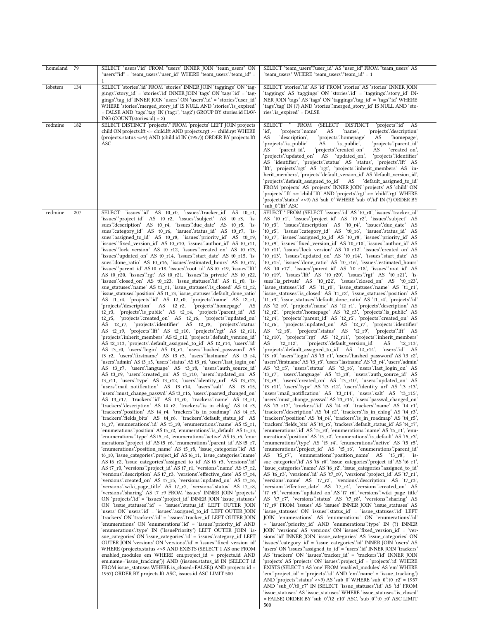| homeland | 79  | SELECT "users"."id" FROM "users" INNER JOIN "team users" ON                                                                                                                                                                                                                                                                                                                                                                                                                                                                                                                                                                                                                                                                                                                                                                                                                                                                                                                                                                                                                                                                                                                                                                                                                                                                                                                                                                                                                                                                                                                                                                                                                                                                                                                                                                                                                                                                                                                                                                                                                                                                                                                                                                                                                                                                                                                                                                                                                                                                                                                                                                                                                                                                                                                                                                                                                                                                                                                                                                                                                                                                                                                                                                                                                                                                                                                                                                                                                                                                                                                                                                                                                                                                                                                                                                                                                                                                                                                                                                                                                                                                                                                                                                                                                                           | SELECT "team_users"."user_id" AS "user_id" FROM "team_users" AS                                                                                                                                                                                                                                                                                                                                                                                                                                                                                                                                                                                                                                                                                                                                                                                                                                                                                                                                                                                                                                                                                                                                                                                                                                                                                                                                                                                                                                                                                                                                                                                                                                                                                                                                                                                                                                                                                                                                                                                                                                                                                                                                                                                                                                                                                                                                                                                                                                                                                                                                                                                                                                                                                                                                                                                                                                                                                                                                                                                                                                                                                                                                                                                                                                                                                                                                                                                                                                                                                                                                                                                                                                                                                                                                                                                                                                                                                                                                                                                                                                                                                                                                                                                                                                                                                                                                                                                                                                                                                                                                                                                                                                                                                   |
|----------|-----|-------------------------------------------------------------------------------------------------------------------------------------------------------------------------------------------------------------------------------------------------------------------------------------------------------------------------------------------------------------------------------------------------------------------------------------------------------------------------------------------------------------------------------------------------------------------------------------------------------------------------------------------------------------------------------------------------------------------------------------------------------------------------------------------------------------------------------------------------------------------------------------------------------------------------------------------------------------------------------------------------------------------------------------------------------------------------------------------------------------------------------------------------------------------------------------------------------------------------------------------------------------------------------------------------------------------------------------------------------------------------------------------------------------------------------------------------------------------------------------------------------------------------------------------------------------------------------------------------------------------------------------------------------------------------------------------------------------------------------------------------------------------------------------------------------------------------------------------------------------------------------------------------------------------------------------------------------------------------------------------------------------------------------------------------------------------------------------------------------------------------------------------------------------------------------------------------------------------------------------------------------------------------------------------------------------------------------------------------------------------------------------------------------------------------------------------------------------------------------------------------------------------------------------------------------------------------------------------------------------------------------------------------------------------------------------------------------------------------------------------------------------------------------------------------------------------------------------------------------------------------------------------------------------------------------------------------------------------------------------------------------------------------------------------------------------------------------------------------------------------------------------------------------------------------------------------------------------------------------------------------------------------------------------------------------------------------------------------------------------------------------------------------------------------------------------------------------------------------------------------------------------------------------------------------------------------------------------------------------------------------------------------------------------------------------------------------------------------------------------------------------------------------------------------------------------------------------------------------------------------------------------------------------------------------------------------------------------------------------------------------------------------------------------------------------------------------------------------------------------------------------------------------------------------------------------------------------------------------------------------------------------------------------------------------------|---------------------------------------------------------------------------------------------------------------------------------------------------------------------------------------------------------------------------------------------------------------------------------------------------------------------------------------------------------------------------------------------------------------------------------------------------------------------------------------------------------------------------------------------------------------------------------------------------------------------------------------------------------------------------------------------------------------------------------------------------------------------------------------------------------------------------------------------------------------------------------------------------------------------------------------------------------------------------------------------------------------------------------------------------------------------------------------------------------------------------------------------------------------------------------------------------------------------------------------------------------------------------------------------------------------------------------------------------------------------------------------------------------------------------------------------------------------------------------------------------------------------------------------------------------------------------------------------------------------------------------------------------------------------------------------------------------------------------------------------------------------------------------------------------------------------------------------------------------------------------------------------------------------------------------------------------------------------------------------------------------------------------------------------------------------------------------------------------------------------------------------------------------------------------------------------------------------------------------------------------------------------------------------------------------------------------------------------------------------------------------------------------------------------------------------------------------------------------------------------------------------------------------------------------------------------------------------------------------------------------------------------------------------------------------------------------------------------------------------------------------------------------------------------------------------------------------------------------------------------------------------------------------------------------------------------------------------------------------------------------------------------------------------------------------------------------------------------------------------------------------------------------------------------------------------------------------------------------------------------------------------------------------------------------------------------------------------------------------------------------------------------------------------------------------------------------------------------------------------------------------------------------------------------------------------------------------------------------------------------------------------------------------------------------------------------------------------------------------------------------------------------------------------------------------------------------------------------------------------------------------------------------------------------------------------------------------------------------------------------------------------------------------------------------------------------------------------------------------------------------------------------------------------------------------------------------------------------------------------------------------------------------------------------------------------------------------------------------------------------------------------------------------------------------------------------------------------------------------------------------------------------------------------------------------------------------------------------------------------------------------------------------------------------------------------------------------------------------------------------------|
| lobsters | 134 | "users"."id" = "team_users"."user_id" WHERE "team_users"."team_id" =<br>1<br>SELECT 'stories' id' FROM 'stories' INNER JOIN 'taggings' ON 'tag-<br>gings'.'story_id' = 'stories'.'id' INNER JOIN 'tags' ON 'tags'.'id' = 'tag-<br>gings''tag_id' INNER JOIN 'users' ON 'users''id' = 'stories''user_id'<br>WHERE 'stories' merged story id' IS NULL AND 'stories' is expired'<br>= FALSE AND 'tags'.'tag' IN ('tag1', 'tag2') GROUP BY stories.id HAV-<br>$ING (COUNT(stories.id) = 2)$                                                                                                                                                                                                                                                                                                                                                                                                                                                                                                                                                                                                                                                                                                                                                                                                                                                                                                                                                                                                                                                                                                                                                                                                                                                                                                                                                                                                                                                                                                                                                                                                                                                                                                                                                                                                                                                                                                                                                                                                                                                                                                                                                                                                                                                                                                                                                                                                                                                                                                                                                                                                                                                                                                                                                                                                                                                                                                                                                                                                                                                                                                                                                                                                                                                                                                                                                                                                                                                                                                                                                                                                                                                                                                                                                                                                               | "team users" WHERE "team users"."team id" = 1<br>SELECT 'stories'.'id' AS 'id' FROM 'stories' AS 'stories' INNER JOIN<br>'taggings' AS 'taggings' ON 'stories'.'id' = 'taggings'.'story_id' IN-<br>NER JOIN 'tags' AS 'tags' ON 'taggings' 'tag_id' = 'tags' 'id' WHERE<br>'tags'.'tag' IN (?) AND 'stories'.'merged_story_id' IS NULL AND 'sto-<br>ries''is_expired' = FALSE                                                                                                                                                                                                                                                                                                                                                                                                                                                                                                                                                                                                                                                                                                                                                                                                                                                                                                                                                                                                                                                                                                                                                                                                                                                                                                                                                                                                                                                                                                                                                                                                                                                                                                                                                                                                                                                                                                                                                                                                                                                                                                                                                                                                                                                                                                                                                                                                                                                                                                                                                                                                                                                                                                                                                                                                                                                                                                                                                                                                                                                                                                                                                                                                                                                                                                                                                                                                                                                                                                                                                                                                                                                                                                                                                                                                                                                                                                                                                                                                                                                                                                                                                                                                                                                                                                                                                                     |
| redmine  | 182 | SELECT DISTINCT 'projects'.* FROM 'projects' LEFT JOIN projects<br>child ON projects. Ift <= child. Ift AND projects. rgt >= child. rgt WHERE<br>(projects.status <> 9) AND (child.id IN (1957)) ORDER BY projects.lft<br>ASC                                                                                                                                                                                                                                                                                                                                                                                                                                                                                                                                                                                                                                                                                                                                                                                                                                                                                                                                                                                                                                                                                                                                                                                                                                                                                                                                                                                                                                                                                                                                                                                                                                                                                                                                                                                                                                                                                                                                                                                                                                                                                                                                                                                                                                                                                                                                                                                                                                                                                                                                                                                                                                                                                                                                                                                                                                                                                                                                                                                                                                                                                                                                                                                                                                                                                                                                                                                                                                                                                                                                                                                                                                                                                                                                                                                                                                                                                                                                                                                                                                                                         | SELECT * FROM<br>(SELECT DISTINCT<br>'projects'.'id' AS<br>'projects'.'name'<br>'id',<br>AS<br>'name',<br>'projects'.'description'<br>AS<br>'projects'.'homepage'<br>'description',<br>AS<br>'homepage',<br>'projects'.'is_public'<br>'is_public',<br>'projects'.'parent_id'<br>AS<br>'parent_id',<br>'projects'.'created_on'<br>created on.<br>AS<br>AS<br>'projects'.'updated_on' AS 'updated_on',<br>'projects'.'identifier'<br>AS 'identifier', 'projects' status' AS 'status', 'projects' lft' AS<br>'lft', 'projects'.'rgt' AS 'rgt', 'projects'.'inherit_members' AS 'in-<br>herit_members', 'projects'.'default_version_id' AS 'default_version_id',<br>'projects'.'default assigned to id' AS 'default assigned to id'<br>FROM 'projects' AS 'projects' INNER JOIN 'projects' AS 'child' ON<br>'projects'.'lft' <= 'child'.'lft' AND 'projects'.'rgt' >= 'child'.'rgt' WHERE<br>'projects' status' <>9) AS 'sub 0' WHERE 'sub 0' id' IN (?) ORDER BY<br>'sub 0'.'Ift' ASC                                                                                                                                                                                                                                                                                                                                                                                                                                                                                                                                                                                                                                                                                                                                                                                                                                                                                                                                                                                                                                                                                                                                                                                                                                                                                                                                                                                                                                                                                                                                                                                                                                                                                                                                                                                                                                                                                                                                                                                                                                                                                                                                                                                                                                                                                                                                                                                                                                                                                                                                                                                                                                                                                                                                                                                                                                                                                                                                                                                                                                                                                                                                                                                                                                                                                                                                                                                                                                                                                                                                                                                                                                                                                                                                                                |
| redmine  | 207 | SELECT 'issues'id' AS t0_r0, 'issues''tracker_id' AS t0_r1,<br>'issues''project id' AS t0 r2, 'issues''subject' AS t0 r3, 'is-<br>sues":description" AS t0_r4, 'issues":due_date' AS t0_r5, 'is-<br>sues":category_id" AS t0_r6, 'issues":status_id" AS t0_r7, 'is-<br>sues"assigned_to_id' AS t0_r8, 'issues"priority_id' AS t0_r9,<br>'issues'.'fixed_version_id' AS t0_r10, 'issues'.'author_id' AS t0_r11,<br>'issues'.'lock_version' AS t0_r12, 'issues'.'created_on' AS t0_r13,<br>'issues'.'updated_on' AS t0_r14, 'issues'.'start_date' AS t0_r15, 'is-<br>sues"done_ratio' AS t0_r16, 'issues"estimated_hours' AS t0_r17,<br>'issues'.'parent id' AS t0 r18, 'issues'.'root id' AS t0 r19, 'issues'.'Ift'<br>AS t0 r20, 'issues'.'rgt' AS t0 r21, 'issues'.'is private' AS t0 r22,<br>'issues'.'closed_on' AS t0_r23, 'issue_statuses'.'id' AS t1_r0, 'is-<br>sue_statuses'.'name' AS t1_r1, 'issue_statuses'.'is_closed' AS t1_r2,<br>'issue_statuses''position' AS t1_r3, 'issue_statuses''default_done_ratio'<br>AS t1_r4, 'projects'.id' AS t2_r0, 'projects'.'name' AS t2_r1,<br>'projects'.'description' AS t2_r2,<br>'projects'.'homepage'<br>AS<br>t2_r3, 'projects' is_public' AS t2_r4, 'projects' parent_id' AS<br>t2_r5, 'projects'.'created_on' AS t2_r6, 'projects'.'updated_on'<br>AS t2_r7, 'projects'.identifier' AS t2_r8, 'projects'.status'<br>AS t2_r9, 'projects'.'Ift' AS t2_r10, 'projects'.'rgt' AS t2_r11,<br>'projects'.'inherit_members' AS t2_r12, 'projects'.'default_version_id'<br>AS t2_r13, 'projects'.'default_assigned_to_id' AS t2_r14, 'users'.'id'<br>AS t3_r0, 'users'.'login' AS t3_r1, 'users'.'hashed_password' AS<br>t3_r2, 'users'.'firstname' AS t3_r3, 'users'.'lastname' AS t3_r4,<br>'users'.'admin' AS t3_r5, 'users'.'status' AS t3_r6, 'users'.'last_login_on'<br>AS t3_r7, 'users'.'language' AS t3_r8, 'users'.'auth_source_id'<br>AS t3 r9, 'users' created on AS t3 r10, 'users' updated on AS<br>t3_r11, 'users'.'type' AS t3_r12, 'users'.'identity_url' AS t3_r13,<br>'users'.'mail_notification' AS t3_r14, 'users'.'salt' AS t3_r15,<br>'users'.'must_change_passwd' AS t3_r16, 'users'.'passwd_changed_on'<br>AS t3_r17, 'trackers'.id' AS t4_r0, 'trackers'.'name' AS t4_r1,<br>'trackers'.'description' AS t4_r2, 'trackers'.'is_in_chlog' AS t4_r3,<br>'trackers''position' AS t4_r4, 'trackers''is_in_roadmap' AS t4_r5,<br>'trackers'.'fields_bits' AS t4_r6, 'trackers'.'default_status_id' AS<br>t4 r7, 'enumerations' id' AS t5 r0, 'enumerations' name' AS t5 r1,<br>'enumerations''position' AS t5_r2, 'enumerations''s default' AS t5_r3,<br>'enumerations' type' AS t5 r4, 'enumerations' active' AS t5 r5, 'enu-<br>merations''project_id' AS t5_r6, 'enumerations''parent_id' AS t5_r7,<br>'enumerations''position_name' AS t5_r8, 'issue_categories''id' AS<br>t6_r0, 'issue_categories'.'project_id' AS t6_r1, 'issue_categories'.'name'<br>AS t6_r2, 'issue_categories' assigned_to_id' AS t6_r3, 'versions' id'<br>AS t7_r0, 'versions'.'project_id' AS t7_r1, 'versions'.'name' AS t7_r2,<br>'versions'.'description' AS t7_r3, 'versions'.'effective_date' AS t7_r4,<br>'versions'.'created on' AS t7 r5, 'versions'.'updated on' AS t7 r6,<br>'versions'.'wiki_page_title' AS t7_r7, 'versions'.'status' AS t7_r8,<br>'versions'.'sharing' AS t7 r9 FROM 'issues' INNER JOIN 'projects'<br>ON 'projects' id' = 'issues' project_id' INNER JOIN 'issue_statuses'<br>ON 'issue_statuses' \cd' = 'issues' \csubstatus_id' LEFT OUTER JOIN<br>'users' ON 'users' id' = 'issues' assigned_to_id' LEFT OUTER JOIN<br>'trackers' ON 'trackers'.'id' = 'issues'.'tracker  id' LEFT OUTER JOIN<br>'enumerations' ON 'enumerations' d' = 'issues' priority_id' AND<br>'enumerations''type' IN ('IssuePriority') LEFT OUTER JOIN 'is-<br>sue_categories' ON 'issue_categories' id' = 'issues' category_id' LEFT<br>OUTER JOIN 'versions' ON 'versions' id' = 'issues' fixed_version_id'<br>WHERE (projects.status <> 9 AND EXISTS (SELECT 1 AS one FROM<br>enabled_modules em WHERE em.project_id = projects.id AND<br>em.name='issue_tracking')) AND ((issues.status_id IN (SELECT id<br>FROM issue_statuses WHERE is_closed=FALSE)) AND projects.id =<br>1957) ORDER BY projects. Ift ASC, issues.id ASC LIMIT 500 | SELECT * FROM (SELECT 'issues'.'id' AS 't0_r0', 'issues'.'tracker_id'<br>AS 't0_r1', 'issues''project_id' AS 't0_r2', 'issues''subject' AS<br>'t0_r3', 'issues'.'description' AS 't0_r4', 'issues'.'due_date' AS<br>'t0 r5', 'issues':category id' AS 't0 r6', 'issues':status id' AS<br>'t0_r7', 'issues'.'assigned_to_id' AS 't0_r8', 'issues'.'priority_id' AS<br>'t0 r9', 'issues'.'fixed version id' AS 't0 r10', 'issues'.'author id' AS<br>'t0 r11', 'issues'.'lock version' AS 't0 r12', 'issues'.'created on' AS<br>'t0_r13', 'issues'.'updated_on' AS 't0_r14', 'issues'.'start_date' AS<br>'t0_r15', 'issues'.'done_ratio' AS 't0_r16', 'issues'.'estimated_hours'<br>AS 't0_r17', 'issues'.'parent_id' AS 't0_r18', 'issues'.'root_id' AS<br>'t0 r19', 'issues'.'Ift' AS 't0 r20', 'issues'.'rgt' AS 't0 r21', 'is-<br>sues"is_private" AS 't0_r22', 'issues":closed_on' AS 't0_r23',<br>'issue_statuses'.id' AS 't1_r0', 'issue_statuses'.'name' AS 't1_r1',<br>'issue_statuses'.'is_closed' AS 't1_r2', 'issue_statuses'.'position' AS<br>'t1 r3', 'issue statuses' default done ratio AS 't1 r4', 'projects' id<br>AS 't2_r0', 'projects'.'name' AS 't2_r1', 'projects'.'description' AS<br>'t2_r2', 'projects'.'homepage' AS 't2_r3', 'projects'.'is_public' AS<br>'t2_r4', 'projects'.'parent_id' AS 't2_r5', 'projects'.'created_on' AS<br>'t2_r6', 'projects'.'updated_on' AS 't2_r7', 'projects'.'identifier'<br>AS 't2_r8', 'projects'.'status' AS 't2_r9', 'projects'.'lft' AS<br>'t2_r10', 'projects'.'rgt' AS 't2_r11', 'projects'.'inherit_members'<br>'t2 $r12'$ ,<br>'projects''default_version_id'<br>AS<br>'t2 r13',<br>AS<br>'projects'.'default_assigned_to_id' AS 't2_r14', 'users'.'id' AS<br>'t3_r0', 'users'.'login' AS 't3_r1', 'users'.'hashed_password' AS 't3_r2',<br>'users'.'firstname' AS 't3_r3', 'users'.'lastname' AS 't3_r4', 'users'.'admin'<br>AS 't3_r5', 'users'.'status' AS 't3_r6', 'users'.'last_login_on' AS<br>'t3 r7', 'users'.'language' AS 't3 r8', 'users'.'auth source id' AS<br>'t3_r9', 'users'.'created_on' AS 't3_r10', 'users'.'updated_on' AS<br>'t3_r11', 'users'.'type' AS 't3_r12', 'users'.'identity_url' AS 't3_r13',<br>'users'.'mail_notification' AS 't3_r14', 'users'.'salt' AS 't3_r15',<br>'users'.'must_change_passwd' AS 't3_r16', 'users'.'passwd_changed_on'<br>AS 't3 r17', 'trackers'.id' AS 't4 r0', 'trackers'.'name' AS 't4 r1',<br>'trackers'.'description' AS 't4 r2', 'trackers'.'is in chlog' AS 't4 r3',<br>'trackers''position' AS 't4_r4', 'trackers''is_in_roadmap' AS 't4_r5',<br>'trackers'.'fields_bits' AS 't4_r6', 'trackers'.'default_status_id' AS 't4_r7',<br>'enumerations' id AS 't5 r0', 'enumerations' name AS 't5 r1', 'enu-<br>merations" position AS 't5_r2', 'enumerations" is_default AS 't5_r3',<br>'enumerations'.'type' AS 't5_r4', 'enumerations'.'active' AS 't5_r5',<br>'enumerations''project_id' AS 't5_r6', 'enumerations''parent_id'<br>AS 't5_r7', 'enumerations''position_name' AS 't5_r8', 'is-<br>sue_categories''id' AS 't6_r0', 'issue_categories''project_id' AS 't6_r1',<br>'issue_categories''name' AS 't6_r2', 'issue_categories''assigned_to_id'<br>AS 't6 r3', 'versions' id AS 't7 r0', 'versions' project id AS 't7 r1',<br>'versions".name' AS 't7_r2', 'versions".description' AS 't7_r3',<br>'versions'.'effective_date' AS 't7_r4', 'versions'.'created_on' AS<br>'t7_r5', 'versions'.'updated_on' AS 't7_r6', 'versions'.'wiki_page_title'<br>AS 't7 r7', 'versions'.'status' AS 't7 r8', 'versions'.'sharing' AS<br>'t7 r9' FROM 'issues' AS 'issues' INNER JOIN 'issue statuses' AS<br>'issue_statuses' ON 'issues'.'status_id' = 'issue_statuses'.'id' LEFT<br>JOIN 'enumerations' AS 'enumerations' ON 'enumerations'.id'<br>= 'issues'.'priority_id' AND 'enumerations'.'type' IN (?) INNER<br>JOIN 'versions' AS 'versions' ON 'issues'.'fixed_version_id' = 'ver-<br>sions'id' INNER JOIN 'issue_categories' AS 'issue_categories' ON<br>'issues'.'category_id' = 'issue_categories'.'id' INNER JOIN 'users' AS<br>'users' ON 'issues'.'assigned_to_id' = 'users'.'id' INNER JOIN 'trackers'<br>AS 'trackers' ON 'issues''tracker_id' = 'trackers''id' INNER JOIN<br>'projects' AS 'projects' ON 'issues' project_id' = 'projects' id' WHERE<br>EXISTS (SELECT 1 AS 'one' FROM 'enabled_modules' AS 'em' WHERE<br>'em'.'project_id' = 'projects'.'id' AND 'em'.'name' = 'issue_tracking')<br>AND 'projects' status' <>9) AS 'sub_0' WHERE 'sub_0' $t0_r^2 = 1957$<br>AND 'sub_0'.'t0_r7' IN (SELECT 'issue_statuses'.'id' AS 'id' FROM<br>'issue statuses' AS 'issue statuses' WHERE 'issue statuses' is closed'<br>$=$ FALSE) ORDER BY 'sub_0'.'t2_r10' ASC, 'sub_0'.'t0_r0' ASC LIMIT<br>500 |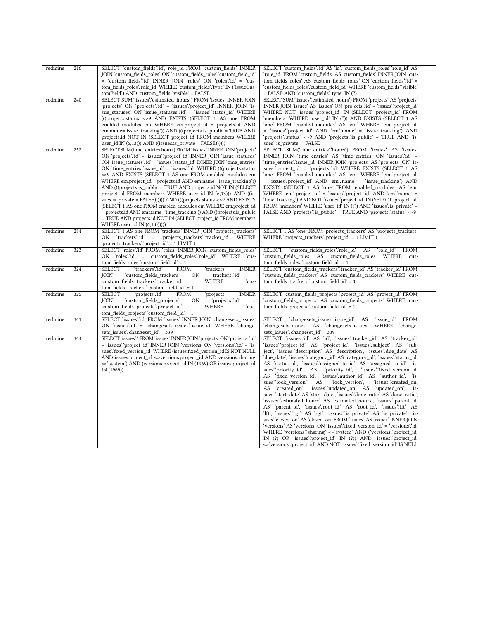| redmine | 216 | SELECT 'custom fields'.'id', role id FROM 'custom fields' INNER<br>JOIN 'custom_fields_roles' ON 'custom_fields_roles'.'custom_field_id'<br>= 'custom fields'.id' INNER JOIN 'roles' ON 'roles'.id' = 'cus-<br>tom fields roles" role id WHERE 'custom fields" type 'IN ('IssueCus-<br>tomField') AND 'custom_fields'.'visible' = FALSE                                                                                                                                                                                                                                                                                                                                                                                                                                                                                                                                                  | SELECT 'custom fields'.'id' AS 'id', 'custom fields roles'.'role id' AS<br>'role_id' FROM 'custom_fields' AS 'custom_fields' INNER JOIN 'cus-<br>tom fields roles' AS 'custom fields roles' ON 'custom fields'.id' =<br>'custom fields roles'.'custom field id' WHERE 'custom fields'.'visible'<br>= FALSE AND 'custom_fields'.'type' IN (?)                                                                                                                                                                                                                                                                                                                                                                                                                                                                                                                                                                                                                                                                                                                                                                                                                                                                                                                                                                                                  |
|---------|-----|------------------------------------------------------------------------------------------------------------------------------------------------------------------------------------------------------------------------------------------------------------------------------------------------------------------------------------------------------------------------------------------------------------------------------------------------------------------------------------------------------------------------------------------------------------------------------------------------------------------------------------------------------------------------------------------------------------------------------------------------------------------------------------------------------------------------------------------------------------------------------------------|-----------------------------------------------------------------------------------------------------------------------------------------------------------------------------------------------------------------------------------------------------------------------------------------------------------------------------------------------------------------------------------------------------------------------------------------------------------------------------------------------------------------------------------------------------------------------------------------------------------------------------------------------------------------------------------------------------------------------------------------------------------------------------------------------------------------------------------------------------------------------------------------------------------------------------------------------------------------------------------------------------------------------------------------------------------------------------------------------------------------------------------------------------------------------------------------------------------------------------------------------------------------------------------------------------------------------------------------------|
| redmine | 240 | SELECT SUM('issues':estimated hours') FROM 'issues' INNER JOIN<br>'projects' ON 'projects'.id' = 'issues'.'project_id' INNER JOIN 'is-<br>sue_statuses' ON 'issue_statuses' id' = 'issues' status_id' WHERE<br>(((projects.status <> 9 AND EXISTS (SELECT 1 AS one FROM<br>enabled_modules em WHERE em.project_id = projects.id AND<br>em.name='issue_tracking')) AND (((projects.is_public = TRUE AND<br>projects.id NOT IN (SELECT project id FROM members WHERE<br>user_id IN $(6,13)$ )) AND $((issues.is\_private = FALSE)))))$                                                                                                                                                                                                                                                                                                                                                     | SELECT SUM('issues''estimated hours') FROM 'projects' AS 'projects'<br>INNER JOIN 'issues' AS 'issues' ON 'projects' id' = 'issues' 'project_id'<br>WHERE NOT 'issues'.'project_id' IN (SELECT 'project_id' FROM<br>'members' WHERE 'user id' IN (?)) AND EXISTS (SELECT 1 AS<br>'one' FROM 'enabled_modules' AS 'em' WHERE 'em'.'project_id'<br>= 'issues'.'project id' AND 'em'.'name' = 'issue tracking') AND<br>'projects'.'status' <>9 AND 'projects'.'is public' = TRUE AND 'is-<br>sues" is_private' = FALSE                                                                                                                                                                                                                                                                                                                                                                                                                                                                                                                                                                                                                                                                                                                                                                                                                           |
| redmine | 252 | SELECT SUM(time entries.hours) FROM 'issues' INNER JOIN 'projects'<br>ON 'projects' id' = 'issues' project id' INNER JOIN 'issue statuses'<br>ON 'issue statuses' id ' = 'issues' status id ' INNER JOIN 'time entries'<br>ON 'time_entries'.'issue_id' = 'issues'.'id' WHERE (((projects.status<br><>9 AND EXISTS (SELECT 1 AS one FROM enabled modules em<br>WHERE em.project id = projects.id AND em.name='issue tracking'))<br>AND (((projects.is_public = TRUE AND projects.id NOT IN (SELECT<br>project_id FROM members WHERE user_id IN (6,13))) AND ((is-<br>sues.is $private = FALSE))()$ )) $AND$ (((projects.status <>9 $AND$ EXISTS<br>(SELECT 1 AS one FROM enabled_modules em WHERE em.project_id<br>= projects.id AND em.name='time_tracking')) AND ((projects.is_public<br>= TRUE AND projects.id NOT IN (SELECT project_id FROM members<br>WHERE user_id IN (6,13)))))) | SELECT SUM('time entries'.'hours') FROM 'issues' AS 'issues'<br>INNER JOIN 'time entries' AS 'time entries' ON 'issues'.id' =<br>'time entries'.'issue id' INNER JOIN 'projects' AS 'projects' ON 'is-<br>sues''project_id' = 'projects'.'id' WHERE EXISTS (SELECT 1 AS<br>'one' FROM 'enabled_modules' AS 'em' WHERE 'em'.'project_id'<br>= 'issues''project id' AND 'em''name' = 'issue tracking') AND<br>EXISTS (SELECT 1 AS 'one' FROM 'enabled modules' AS 'em'<br>WHERE 'em''project_id' = 'issues''project_id' AND 'em''name' =<br>'time tracking') AND NOT 'issues'.'project id' IN (SELECT 'project id'<br>FROM 'members' WHERE 'user_id' IN (?)) AND 'issues' is_private' =<br>FALSE AND 'projects' is_public' = TRUE AND 'projects' status' <>9                                                                                                                                                                                                                                                                                                                                                                                                                                                                                                                                                                                    |
| redmine | 284 | SELECT 1 AS one FROM 'trackers' INNER JOIN 'projects trackers'<br>ON 'trackers'.'id' =<br>'projects trackers'.'tracker id' WHERE<br>'projects_trackers'.'project_id' = 1 LIMIT 1                                                                                                                                                                                                                                                                                                                                                                                                                                                                                                                                                                                                                                                                                                         | SELECT 1 AS 'one' FROM 'projects trackers' AS 'projects trackers'<br>WHERE 'projects trackers' 'project $id' = 1$ LIMIT 1                                                                                                                                                                                                                                                                                                                                                                                                                                                                                                                                                                                                                                                                                                                                                                                                                                                                                                                                                                                                                                                                                                                                                                                                                     |
| redmine | 323 | SELECT 'roles'.id' FROM 'roles' INNER JOIN 'custom fields roles'<br>ON 'roles'.'id' = 'custom fields roles'.'role id' WHERE 'cus-<br>tom fields roles' custom field $id' = 1$                                                                                                                                                                                                                                                                                                                                                                                                                                                                                                                                                                                                                                                                                                            | 'custom fields roles".role id' AS<br>SELECT<br>'role id'<br><b>FROM</b><br>'custom fields roles' AS 'custom fields roles' WHERE 'cus-<br>tom fields roles" custom field $id' = 1$                                                                                                                                                                                                                                                                                                                                                                                                                                                                                                                                                                                                                                                                                                                                                                                                                                                                                                                                                                                                                                                                                                                                                             |
| redmine | 324 | 'trackers'.'id'<br><b>SELECT</b><br><b>FROM</b><br>'trackers'<br><b>INNER</b><br>'custom fields trackers'<br>'trackers'.'id'<br><b>JOIN</b><br>0N<br>$\equiv$<br>'custom fields trackers'.'tracker id'<br>WHERE<br>ʻcus-<br>tom_fields_trackers".custom_field_id' = 1                                                                                                                                                                                                                                                                                                                                                                                                                                                                                                                                                                                                                    | SELECT 'custom_fields_trackers'.'tracker_id' AS 'tracker_id' FROM<br>'custom fields trackers' AS 'custom fields trackers' WHERE 'cus-<br>tom fields trackers'.'custom field id' = 1                                                                                                                                                                                                                                                                                                                                                                                                                                                                                                                                                                                                                                                                                                                                                                                                                                                                                                                                                                                                                                                                                                                                                           |
| redmine | 325 | <b>SELECT</b><br>'projects'.'id'<br><b>INNER</b><br><b>FROM</b><br>projects'<br><b>IOIN</b><br>'projects'.'id'<br>'custom_fields_projects'<br>ON<br>$\equiv$<br>'custom_fields_projects'.'project_id'<br>WHERE<br>'cus-<br>tom_fields_projects'.'custom_field_id' = 1                                                                                                                                                                                                                                                                                                                                                                                                                                                                                                                                                                                                                    | SELECT 'custom fields projects'.'project id' AS 'project id' FROM<br>'custom_fields_projects' AS 'custom_fields_projects' WHERE 'cus-<br>tom_fields_projects".custom_field_id' = 1                                                                                                                                                                                                                                                                                                                                                                                                                                                                                                                                                                                                                                                                                                                                                                                                                                                                                                                                                                                                                                                                                                                                                            |
| redmine | 341 | SELECT 'issues'.id' FROM 'issues' INNER JOIN 'changesets_issues'<br>ON 'issues' id' = 'changesets issues' issue id' WHERE 'change-<br>sets_issues'.'changeset_id' = 339                                                                                                                                                                                                                                                                                                                                                                                                                                                                                                                                                                                                                                                                                                                  | <b>FROM</b><br>SELECT 'changesets issues' issue id'<br>AS<br>'issue id'<br>'changesets issues' AS 'changesets issues'<br>WHERE 'change-<br>sets_issues":changeset_id" = 339                                                                                                                                                                                                                                                                                                                                                                                                                                                                                                                                                                                                                                                                                                                                                                                                                                                                                                                                                                                                                                                                                                                                                                   |
| redmine | 344 | SELECT 'issues'.* FROM 'issues' INNER JOIN 'projects' ON 'projects'.id'<br>= 'issues'.'project id' INNER JOIN 'versions' ON 'versions'.'id' = 'is-<br>sues".fixed version id WHERE (issues.fixed version id IS NOT NULL<br>AND issues.project id <>versions.project id AND versions.sharing<br><>'system') AND (versions.project_id IN (1969) OR issues.project_id<br>IN(1969)                                                                                                                                                                                                                                                                                                                                                                                                                                                                                                           | SELECT 'issues'.id' AS 'id', 'issues'.'tracker id' AS 'tracker id',<br>'issues''project_id' AS 'project_id', 'issues''subject' AS 'sub-<br>ject', 'issues''description' AS 'description', 'issues''due date' AS<br>'due date', 'issues'.'category id' AS 'category id', 'issues'.'status id'<br>AS 'status id', 'issues' assigned to id' AS 'assigned to id', 'is-<br>sues" priority id'<br>'priority_id',<br>'issues'.'fixed version id'<br>AS<br>AS 'fixed_version_id', 'issues'.'author_id' AS 'author_id', 'is-<br>sues"lock version"<br>AS<br>'lock version',<br>'issues":created on'<br>AS 'created on', 'issues' updated on' AS 'updated on', 'is-<br>sues".'start_date' AS 'start_date', 'issues".'done_ratio' AS 'done_ratio',<br>'issues'.'estimated_hours' AS 'estimated_hours', 'issues'.'parent_id'<br>AS 'parent_id', 'issues'.'root_id' AS 'root_id', 'issues'.'lft' AS<br>'lft', 'issues'.'rgt' AS 'rgt', 'issues'.'is private' AS 'is private', 'is-<br>sues":closed on' AS 'closed on' FROM 'issues' AS 'issues' INNER JOIN<br>'versions' AS 'versions' ON 'issues'.'fixed version id' = 'versions'.'id'<br>WHERE 'versions' 'sharing' <> 'system' AND ('versions' 'project_id'<br>IN (?) OR 'issues''project id' IN (?)) AND 'issues''project id'<br><>'versions'.'project_id' AND NOT 'issues'.'fixed_version_id' IS NULL |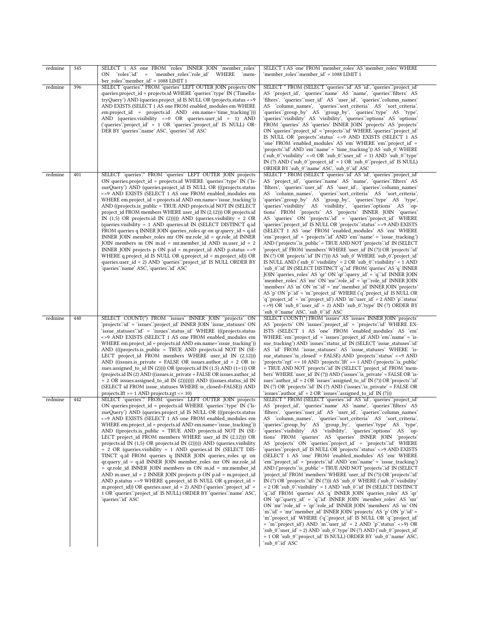| redmine | 345 | SELECT 1 AS one FROM 'roles' INNER JOIN 'member_roles'<br>= 'member_roles'.'role_id' WHERE<br>ON roles"id"<br>`mem-<br>ber_roles".member_id' = 1088 LIMIT 1                                                                                                                                                                                                                                                                                                                                                                                                                                                                                                                                                                                                                                                                                                                                                                                                                                                                                                                                                               | SELECT 1 AS 'one' FROM 'member_roles' AS 'member_roles' WHERE<br>'member_roles'.'member_id' = 1088 LIMIT 1                                                                                                                                                                                                                                                                                                                                                                                                                                                                                                                                                                                                                                                                                                                                                                                                                                                                                                                                                                                                                                                                                                                                                                                                                                                                                                                                                                                                                                                                                                                                                                                                         |
|---------|-----|---------------------------------------------------------------------------------------------------------------------------------------------------------------------------------------------------------------------------------------------------------------------------------------------------------------------------------------------------------------------------------------------------------------------------------------------------------------------------------------------------------------------------------------------------------------------------------------------------------------------------------------------------------------------------------------------------------------------------------------------------------------------------------------------------------------------------------------------------------------------------------------------------------------------------------------------------------------------------------------------------------------------------------------------------------------------------------------------------------------------------|--------------------------------------------------------------------------------------------------------------------------------------------------------------------------------------------------------------------------------------------------------------------------------------------------------------------------------------------------------------------------------------------------------------------------------------------------------------------------------------------------------------------------------------------------------------------------------------------------------------------------------------------------------------------------------------------------------------------------------------------------------------------------------------------------------------------------------------------------------------------------------------------------------------------------------------------------------------------------------------------------------------------------------------------------------------------------------------------------------------------------------------------------------------------------------------------------------------------------------------------------------------------------------------------------------------------------------------------------------------------------------------------------------------------------------------------------------------------------------------------------------------------------------------------------------------------------------------------------------------------------------------------------------------------------------------------------------------------|
| redmine | 396 | SELECT 'queries'.* FROM 'queries' LEFT OUTER JOIN projects ON<br>queries.project_id = projects.id WHERE 'queries'.'type' IN ('TimeEn-<br>tryQuery') AND (queries.project_id IS NULL OR (projects.status <>9<br>AND EXISTS (SELECT 1 AS one FROM enabled_modules em WHERE<br>em.project_id = projects.id AND em.name='time_tracking')))<br>AND (queries.visibility $\lt$ >0 OR queries.user_id = 1) AND<br>('queries''project_id' = 1 OR 'queries''project_id' IS NULL) OR-<br>DER BY 'queries' 'name' ASC, 'queries' 'id' ASC                                                                                                                                                                                                                                                                                                                                                                                                                                                                                                                                                                                             | SELECT * FROM (SELECT 'queries' id' AS 'id', 'queries' project id'<br>AS 'project_id', 'queries' name' AS 'name', 'queries' filters' AS<br>'filters', 'queries'.'user_id' AS 'user_id', 'queries'.'column_names'<br>AS 'column_names', 'queries'.'sort_criteria' AS 'sort_criteria',<br>'queries'.'group_by' AS 'group_by', 'queries'.'type' AS 'type',<br>'queries'.'visibility' AS 'visibility', 'queries'.'options' AS 'options'<br>FROM 'queries' AS 'queries' INNER JOIN 'projects' AS 'projects'<br>ON 'queries' 'project_id' = 'projects' id' WHERE 'queries' 'project_id'<br>IS NULL OR 'projects' status' <> 9 AND EXISTS (SELECT 1 AS<br>'one' FROM 'enabled_modules' AS 'em' WHERE 'em'.'project_id' =<br>'projects'.'id' AND 'em'.'name' = 'time_tracking'))            AS 'sub_0'    WHERE<br>('sub $0$ "visibility' <> 0 OR 'sub $0$ "user id' = 1) AND 'sub $0$ "type"<br>IN (?) AND ('sub $0$ " project id' = 1 OR 'sub $0$ " project id' IS NULL)<br>ORDER BY 'sub_0'.'name' ASC, 'sub_0'.'id' ASC                                                                                                                                                                                                                                                                                                                                                                                                                                                                                                                                                                                                                                                                                                |
| redmine | 401 | SELECT 'queries'.* FROM 'queries' LEFT OUTER JOIN projects<br>ON queries.project_id = projects.id WHERE 'queries'.type' IN ('Is-<br>sueQuery') AND (queries.project_id IS NULL OR (((projects.status<br><>9 AND EXISTS (SELECT 1 AS one FROM enabled_modules em<br>WHERE em.project_id = projects.id AND em.name='issue_tracking'))<br>AND ((projects.is_public = TRUE AND projects.id NOT IN (SELECT)<br>project_id FROM members WHERE user_id IN (2,12))) OR projects.id<br>IN $(1,5)$ OR projects.id IN $(2)$ )))) AND (queries.visibility = 2 OR<br>(queries.visibility = 1 AND queries.id IN (SELECT DISTINCT q.id)<br>FROM queries q INNER JOIN queries_roles qr on $qr.query_id = q_id$<br>INNER JOIN member_roles mr ON mr.role_id = qr.role_id INNER<br>JOIN members m ON m.id = mr.member_id AND m.user_id = 2<br>INNER JOIN projects p ON p.id = m.project_id AND p.status <>9<br>WHERE q.project_id IS NULL OR q.project_id = m.project_id)) OR<br>queries.user_id = 2) AND 'queries'.'project_id' IS NULL ORDER BY<br>'queries'.'name' ASC, 'queries'.'id' ASC                                               | SELECT * FROM (SELECT 'queries' id' AS 'id', 'queries' 'project_id'<br>AS 'project_id', 'queries' name' AS 'name', 'queries' filters' AS<br>'filters', 'queries' user_id' AS 'user_id', 'queries' column_names'<br>AS 'column_names', 'queries'.'sort_criteria' AS 'sort_criteria',<br>'queries'.'group_by' AS 'group_by', 'queries'.'type' AS 'type',<br>'queries'.'visibility' AS 'visibility', 'queries'.'options' AS 'op-<br>tions' FROM 'projects' AS 'projects' INNER JOIN 'queries'<br>AS 'queries' ON 'projects' id' = 'queries' project id' WHERE<br>'queries'.'project_id' IS NULL OR 'projects'.'status' <>9 AND EXISTS<br>(SELECT 1 AS 'one' FROM 'enabled modules' AS 'em' WHERE<br>'em'.'project_id' = 'projects'.'id' AND 'em'.'name' = 'issue_tracking')<br>AND ('projects' is_public' = TRUE AND NOT 'projects' id' IN (SELECT<br>'project_id' FROM 'members' WHERE 'user_id' IN (?)) OR 'projects'.'id'<br>IN (?) OR 'projects' id' IN (?))) AS 'sub_0' WHERE 'sub_0' project_id'<br>IS NULL AND $(\text{sub}_0'.\text{visible}) = 2 \text{ OR } \text{sub}_0'.\text{visible} = 1 \text{ AND}$<br>'sub_0'.'id' IN (SELECT DISTINCT 'q'.'id' FROM 'queries' AS 'q' INNER<br>JOIN 'queries roles' AS 'qr' ON 'qr' 'query id' = 'q' id' INNER JOIN<br>'member_roles' AS 'mr' ON 'mr'.'role_id' = 'qr'.'role_id' INNER JOIN<br>'members' AS 'm' ON 'm'.'id' = 'mr'.'member_id'                INNER JOIN 'projects'<br>AS 'p' ON 'p' id' = 'm' project_id' WHERE ('q' project_id' IS NULL OR<br>'q'.'project_id` = 'm'.'project_id')        AND 'm'.'user_id` = 2      AND 'p'.'status'<br><>9) OR 'sub_0'.'user_id' = 2) AND 'sub_0'.'type' IN (?) ORDER BY<br>ʻsub_0ʻ.`name' ASC, 'sub_0ʻ.`id' ASC |
| redmine | 440 | SELECT COUNT(*) FROM 'issues' INNER JOIN 'projects' ON<br>'projects'.'id' = 'issues'.'project_id' INNER JOIN 'issue_statuses' ON<br>'issue_statuses'.id' = 'issues'.'status_id' WHERE (((projects.status<br><>9 AND EXISTS (SELECT 1 AS one FROM enabled_modules em<br>WHERE em.project_id = projects.id AND em.name='issue_tracking'))<br>AND (((projects.is_public = TRUE AND projects.id NOT IN (SE-<br>LECT project_id FROM members WHERE user_id IN $(2,12)$ )<br>AND ((issues.is_private = FALSE OR issues.author_id = $2$ OR is-<br>sues.assigned_to_id IN $(2)$ ))) OR (projects.id IN $(1,5)$ AND $(1=1)$ ) OR<br>(projects.id IN (2) AND ((issues.is private = FALSE OR issues.author id<br>$= 2$ OR issues assigned to id IN (2))))))) AND ((issues status id IN<br>(SELECT id FROM issue_statuses WHERE is_closed=FALSE)) AND<br>projects. If $t = 1$ AND projects. rgt $\leq 10$ )                                                                                                                                                                                                                           | SELECT COUNT(*) FROM 'issues' AS 'issues' INNER JOIN 'projects'<br>AS 'projects' ON 'issues''project_id' = 'projects''id' WHERE EX-<br>ISTS (SELECT 1 AS 'one' FROM 'enabled_modules' AS 'em'<br>WHERE 'em'.'project_id' = 'issues'.'project_id' AND 'em'.'name' = 'is-<br>sue_tracking') AND 'issues'.'status_id' IN (SELECT 'issue_statuses'.'id'<br>AS 'id' FROM 'issue_statuses' AS 'issue_statuses' WHERE 'is-<br>sue_statuses' \cdosed' = FALSE) AND 'projects' status' <>9 AND<br>'projects'.'rgt' <= 10 AND 'projects'.'lft' >= 1 AND ('projects'.'is_public'<br>= TRUE AND NOT 'projects' id' IN (SELECT 'project_id' FROM 'mem-<br>bers' WHERE 'user id' IN (?)) AND ('issues' is private' = FALSE OR 'is-<br>sues": author_id' = $2$ OR 'issues": assigned_to_id' IN (?)) OR 'projects' id'<br>IN (?) OR 'projects' id ' IN (?) AND ('issues' is private' = FALSE OR<br>'issues'.'author_id' = $2$ OR 'issues'.'assigned_to_id' IN (?)))                                                                                                                                                                                                                                                                                                                                                                                                                                                                                                                                                                                                                                                                                                                                                                |
| redmine | 442 | SELECT 'queries'.* FROM 'queries' LEFT OUTER JOIN projects<br>ON queries.project id = projects.id WHERE 'queries' type' IN ('Is-<br>sueQuery') AND (queries.project_id IS NULL OR (((projects.status<br><>9 AND EXISTS (SELECT 1 AS one FROM enabled modules em<br>WHERE em.project_id = projects.id AND em.name='issue_tracking'))<br>AND ((projects.is public = TRUE AND projects.id NOT IN (SE-<br>LECT project_id FROM members WHERE user_id IN (2,12))) OR<br>projects.id IN $(1,5)$ OR projects.id IN $(2)$ )))) AND (queries.visibility<br>= 2 OR (queries.visibility = 1 AND queries.id IN (SELECT DIS-<br>TINCT q.id FROM queries q INNER JOIN queries roles qr on<br>qr.query_id = q.id INNER JOIN member_roles mr ON mr.role_id<br>= qr.role_id INNER JOIN members m ON m.id = mr.member_id<br>AND m.user_id = $2$ INNER JOIN projects $p$ ON $p$ .id = m.project_id<br>AND p.status <> 9 WHERE q.project_id IS NULL OR q.project_id =<br>m.project id)) OR queries user $id = 2$ ) AND ('queries' project $id' =$<br>1 OR 'queries' 'project_id' IS NULL) ORDER BY 'queries' name' ASC,<br>'queries'.'id' ASC | SELECT * FROM (SELECT 'queries' id' AS 'id', 'queries' 'project_id'<br>AS 'project_id', 'queries'.'name' AS 'name', 'queries'.'filters' AS<br>'filters', 'queries'.'user id' AS 'user id', 'queries'.'column names<br>AS 'column names', 'queries' sort criteria' AS 'sort criteria',<br>'queries".group_by' AS 'group_by', 'queries".type' AS 'type',<br>'queries'.'visibility' AS 'visibility', 'queries'.'options' AS 'op-<br>tions' FROM 'queries' AS 'queries' INNER JOIN 'projects'<br>AS 'projects' ON 'queries' project id' = 'projects' id' WHERE<br>'queries'.'project_id' IS NULL OR 'projects'.'status' <>9 AND EXISTS<br>(SELECT 1 AS 'one' FROM 'enabled_modules' AS 'em' WHERE<br>'em'.'project_id' = 'projects'.'id' AND 'em'.'name' = 'issue_tracking')<br>AND ('projects' ' is public' = TRUE AND NOT 'projects' id' IN (SELECT<br>'project_id' FROM 'members' WHERE 'user_id' IN (?)) OR 'projects' id'<br>IN (?) OR 'projects' $id' \in N$ (?))) AS 'sub 0' WHERE ('sub 0' visibility'<br>$= 2$ OR 'sub_0": visibility' $= 1$ AND 'sub_0": id ' IN (SELECT DISTINCT<br>'q'.'id' FROM 'queries' AS 'q' INNER JOIN 'queries_roles' AS 'qr'<br>ON 'qr''query_id' = 'q''id' INNER JOIN 'member_roles' AS 'mr'<br>ON 'mr' role_id' = 'qr' role_id' INNER JOIN 'members' AS 'm' ON<br>'m''id' = 'mr''member id' INNER JOIN 'projects' AS 'p' ON 'p''id' =<br>'m'.'project_id' WHERE ('q'.'project_id' IS NULL OR 'q'.'project_id'<br>$=$ 'm'.'project_id') AND 'm'.'user_id' = 2 AND 'p'.'status' <>9) OR<br>'sub_0'.'user_id' = 2) AND 'sub_0'.'type' IN (?) AND ('sub_0'.'project_id'<br>= 1 OR 'sub_0'.'project_id' IS NULL) ORDER BY 'sub_0'.'name' ASC,<br>ʻsub 0ʻʻidʻ ASC                      |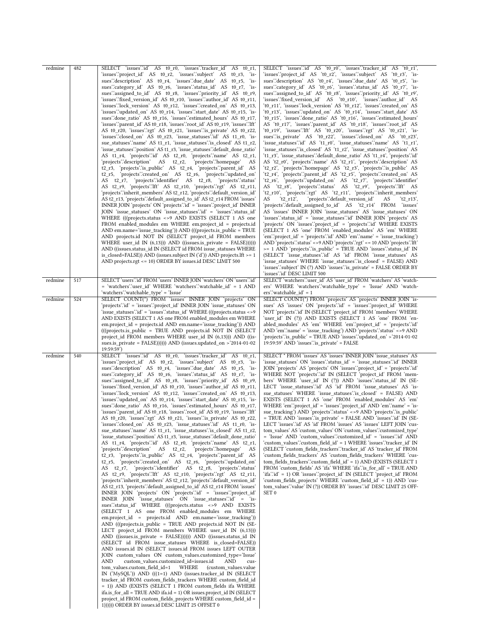| redmine | 482 | SELECT 'issues'id' AS t0_r0, 'issues''tracker_id' AS t0_r1,                                                                         | SELECT 'issues'id' AS 't0_r0', 'issues'.'tracker_id' AS 't0_r1',                                                                               |
|---------|-----|-------------------------------------------------------------------------------------------------------------------------------------|------------------------------------------------------------------------------------------------------------------------------------------------|
|         |     | 'issues''project_id' AS t0_r2, 'issues''subject' AS t0_r3, 'is-                                                                     | 'issues''project_id' AS 't0_r2', 'issues''subject' AS 't0_r3', 'is-                                                                            |
|         |     | sues''description' AS t0_r4, 'issues''due_date' AS t0_r5, 'is-                                                                      | sues description AS 't0_r4', 'issues due_date' AS 't0_r5', 'is-                                                                                |
|         |     | sues":category_id' AS t0_r6, 'issues":status_id' AS t0_r7, 'is-                                                                     | sues":category id' AS 't0 r6', 'issues":status id' AS 't0 r7', 'is-                                                                            |
|         |     | sues"assigned_to_id" AS t0_r8, 'issues":priority_id" AS t0_r9,                                                                      | sues "assigned_to_id" AS 't0_r8', 'issues "priority_id" AS 't0_r9',                                                                            |
|         |     | 'issues'.'fixed_version_id' AS t0_r10, 'issues'.'author_id' AS t0_r11,                                                              | 'issues'.'fixed_version_id' AS 't0_r10', 'issues'.'author_id' AS                                                                               |
|         |     | 'issues'.'lock version' AS t0 r12, 'issues'.'created on' AS t0 r13,                                                                 | 't0_r11', 'issues'.'lock_version' AS 't0_r12', 'issues'.'created_on' AS                                                                        |
|         |     | 'issues''updated_on' AS t0_r14, 'issues''start_date' AS t0_r15, 'is-                                                                | 't0_r13', 'issues'.'updated_on' AS 't0_r14', 'issues'.'start_date' AS                                                                          |
|         |     | sues" done ratio AS t0 r16, 'issues" estimated hours AS t0 r17,                                                                     | 't0_r15', 'issues''done_ratio' AS 't0_r16', 'issues''estimated_hours'                                                                          |
|         |     | 'issues'.'parent_id' AS t0_r18, 'issues'.'root_id' AS t0_r19, 'issues'.'lft'                                                        | AS 't0_r17', 'issues'.'parent_id' AS 't0_r18', 'issues'.'root_id' AS                                                                           |
|         |     | AS t0_r20, 'issues'.'rgt' AS t0_r21, 'issues'.'is_private' AS t0_r22,                                                               | 't0_r19', 'issues'.'lft' AS 't0_r20', 'issues'.'rgt' AS 't0_r21', 'is-                                                                         |
|         |     | 'issues''closed_on' AS t0_r23, 'issue_statuses''id' AS t1_r0, 'is-                                                                  | sues" is_private' AS 't0_r22', 'issues" closed_on' AS 't0_r23',                                                                                |
|         |     | sue_statuses".name' AS t1_r1, 'issue_statuses".is_closed' AS t1_r2,                                                                 | 'issue_statuses'.'id' AS 't1_r0', 'issue_statuses'.'name' AS 't1_r1',                                                                          |
|         |     | 'issue statuses''position' AS t1 r3, 'issue statuses''default done ratio'                                                           | 'issue_statuses'.'is_closed' AS 't1_r2', 'issue_statuses'.'position' AS                                                                        |
|         |     | AS t1_r4, 'projects' id AS t2_r0, 'projects' name AS t2_r1,                                                                         | 't1 r3', 'issue statuses'.'default done ratio' AS 't1 r4', 'projects'.'id'                                                                     |
|         |     | 'projects'.'description' AS t2_r2,<br>'projects'.'homepage'<br>AS                                                                   | AS 't2_r0', 'projects'.'name' AS 't2_r1', 'projects'.'description' AS                                                                          |
|         |     |                                                                                                                                     |                                                                                                                                                |
|         |     | t2_r3, 'projects' is_public' AS t2_r4, 'projects' parent_id' AS<br>t2 r5, 'projects'.'created on' AS t2 r6, 'projects'.'updated on' | 't2_r2', 'projects'.'homepage' AS 't2_r3', 'projects'.'is_public' AS<br>'t2_r4', 'projects'.'parent_id' AS 't2_r5', 'projects'.'created_on' AS |
|         |     | AS t2_r7, 'projects'.'identifier' AS t2_r8, 'projects'.'status'                                                                     | 't2_r6', 'projects'.'updated_on' AS 't2_r7', 'projects'.'identifier'                                                                           |
|         |     |                                                                                                                                     | AS 't2_r8', 'projects' status' AS 't2_r9', 'projects' lft' AS                                                                                  |
|         |     | AS t2_r9, 'projects'.'lft' AS t2_r10, 'projects'.'rgt' AS t2_r11,                                                                   | 't2_r10', 'projects'.'rgt' AS 't2_r11', 'projects'.'inherit_members'                                                                           |
|         |     | 'projects'.'inherit_members' AS t2_r12, 'projects'.'default_version_id'                                                             | 't2 $r12'$ ,<br>'projects'.'default_version_id'<br>AS                                                                                          |
|         |     | AS t2_r13, 'projects'.'default_assigned_to_id' AS t2_r14 FROM 'issues'                                                              | AS<br>`t2 r13`,                                                                                                                                |
|         |     | INNER JOIN 'projects' ON 'projects' id' = 'issues' project_id' INNER                                                                | 'projects'.'default_assigned_to_id' AS 't2_r14' FROM 'issues'                                                                                  |
|         |     | JOIN 'issue_statuses' ON 'issue_statuses' id' = 'issues' status_id'                                                                 | AS 'issues' INNER JOIN 'issue_statuses' AS 'issue_statuses' ON                                                                                 |
|         |     | WHERE (((projects.status <> 9 AND EXISTS (SELECT 1 AS one                                                                           | 'issues''status_id' = 'issue_statuses''id' INNER JOIN 'projects' AS                                                                            |
|         |     | FROM enabled_modules em WHERE em.project_id = projects.id                                                                           | 'projects' ON 'issues'.'project_id' = 'projects'.'id' WHERE EXISTS                                                                             |
|         |     | AND em.name='issue tracking')) AND (((projects.is public = TRUE                                                                     | (SELECT 1 AS 'one' FROM 'enabled_modules' AS 'em' WHERE                                                                                        |
|         |     | AND projects.id NOT IN (SELECT project_id FROM members                                                                              | 'em'.'project id' = 'projects'.'id' AND 'em'.'name' = 'issue tracking')                                                                        |
|         |     | WHERE user_id IN $(6,13)$ ) AND $((issues.is\_private = FALSE))))$                                                                  | AND 'projects' status' <> 9 AND 'projects' rgt' <= 10 AND 'projects' lft'                                                                      |
|         |     | AND ((issues.status id IN (SELECT id FROM issue statuses WHERE                                                                      | >= 1 AND 'projects' is public' = TRUE AND 'issues' status id' IN                                                                               |
|         |     | is closed=FALSE)) AND (issues.subject IN $('d')$ ) AND projects. If $t = 1$                                                         | (SELECT 'issue_statuses''id' AS 'id' FROM 'issue_statuses' AS                                                                                  |
|         |     | AND projects.rgt <= 10) ORDER BY issues.id DESC LIMIT 500                                                                           | 'issue_statuses' WHERE 'issue_statuses'.'is_closed' = FALSE)                  AND                                                              |
|         |     |                                                                                                                                     | 'issues'.'subject' IN (?) AND 'issues'.'is_private' = FALSE ORDER BY                                                                           |
|         |     |                                                                                                                                     | `issues`.`id` DESC LIMIT 500                                                                                                                   |
| redmine | 517 | SELECT 'users'.'id' FROM 'users' INNER JOIN 'watchers' ON 'users'.'id'                                                              | SELECT 'watchers' user id' AS 'user id' FROM 'watchers' AS 'watch-                                                                             |
|         |     | = 'watchers'.'user_id' WHERE 'watchers'.'watchable_id' = 1 AND                                                                      | ers' WHERE 'watchers'.'watchable_type' = 'Issue' AND 'watch-                                                                                   |
|         |     | 'watchers'.'watchable_type' = 'Issue'                                                                                               | ers''watchable $id' = 1$                                                                                                                       |
| redmine | 524 | SELECT COUNT(*) FROM 'issues' INNER JOIN 'projects' ON                                                                              | SELECT COUNT(*) FROM 'projects' AS 'projects' INNER JOIN 'is-                                                                                  |
|         |     | 'projects'.'id' = 'issues'.'project_id' INNER JOIN 'issue_statuses' ON                                                              | sues' AS 'issues' ON 'projects' id' = 'issues' project_id' WHERE                                                                               |
|         |     | 'issue_statuses'.'id' = 'issues'.'status_id' WHERE (((projects.status <>9                                                           | NOT 'projects' id' IN (SELECT 'project_id' FROM 'members' WHERE                                                                                |
|         |     | AND EXISTS (SELECT 1 AS one FROM enabled_modules em WHERE                                                                           | 'user_id' IN (?)) AND EXISTS (SELECT 1 AS 'one' FROM 'en-                                                                                      |
|         |     | em.project_id = projects.id AND em.name='issue_tracking')) AND                                                                      | abled modules' AS 'em' WHERE 'em' project id' = 'projects' id'                                                                                 |
|         |     | (((projects.is_public = TRUE AND projects.id NOT IN (SELECT)                                                                        | AND 'em'.'name' = 'issue_tracking') AND 'projects'.'status' <>9 AND                                                                            |
|         |     |                                                                                                                                     |                                                                                                                                                |
|         |     |                                                                                                                                     |                                                                                                                                                |
|         |     | project_id FROM members WHERE user_id IN (6,13))) AND ((is-                                                                         | 'projects'.'is_public' = TRUE AND 'issues'.'updated_on' >'2014-01-02                                                                           |
|         |     | sues.is_private = $FALSE$ }}}}) AND (issues.updated_on >'2014-01-02<br>19:59:59')                                                   | $19:59:59'$ AND 'issues' is private' = FALSE                                                                                                   |
|         | 540 |                                                                                                                                     |                                                                                                                                                |
| redmine |     | SELECT 'issues'id' AS t0_r0, 'issues''tracker_id' AS t0_r1,                                                                         | SELECT * FROM 'issues' AS 'issues' INNER JOIN 'issue statuses' AS                                                                              |
|         |     | 'issues''project_id' AS t0_r2, 'issues''subject' AS t0_r3, 'is-                                                                     | 'issue_statuses' ON 'issues'.'status_id' = 'issue_statuses'.'id' INNER                                                                         |
|         |     | sues''description' AS t0_r4, 'issues''due_date' AS t0_r5, 'is-                                                                      | JOIN 'projects' AS 'projects' ON 'issues' project_id' = 'projects' id'                                                                         |
|         |     | sues":category id' AS t0 r6, "issues":status id' AS t0 r7, "is-                                                                     | WHERE NOT 'projects' id' IN (SELECT 'project_id' FROM 'mem-                                                                                    |
|         |     | sues"assigned_to_id" AS t0_r8, 'issues":priority_id" AS t0_r9,                                                                      | bers' WHERE 'user_id' IN (?)) AND 'issues''status_id' IN (SE-                                                                                  |
|         |     | 'issues'.'fixed_version_id' AS t0_r10, 'issues'.'author_id' AS t0_r11,                                                              | LECT 'issue_statuses''id' AS 'id' FROM 'issue_statuses' AS 'is-                                                                                |
|         |     | 'issues'.'lock_version' AS t0_r12, 'issues'.'created_on' AS t0_r13,                                                                 | sue_statuses' WHERE 'issue_statuses' is_closed' = FALSE) AND<br>EXISTS (SELECT 1 AS 'one' FROM 'enabled modules' AS 'em'                       |
|         |     | 'issues'.'updated_on' AS t0_r14, 'issues'.'start_date' AS t0_r15, 'is-                                                              |                                                                                                                                                |
|         |     | sues"done_ratio' AS t0_r16, 'issues":estimated_hours' AS t0_r17,                                                                    | WHERE 'em'.'project_id' = 'issues'.'project_id' AND 'em'.'name' = 'is-                                                                         |
|         |     | 'issues''parent_id' AS t0_r18, 'issues''root_id' AS t0_r19, 'issues''lft'                                                           | sue_tracking') AND 'projects' status' <>9 AND 'projects' is_public'<br>= TRUE AND 'issues' is private' = FALSE AND 'issues' id' IN (SE-        |
|         |     | AS t0_r20, 'issues'.'rgt' AS t0_r21, 'issues'.'is_private' AS t0_r22,                                                               | LECT 'issues'.'id' AS 'id' FROM 'issues' AS 'issues' LEFT JOIN 'cus-                                                                           |
|         |     | 'issues''closed on AS t0 r23, 'issue statuses''id AS t1 r0, 'is-                                                                    |                                                                                                                                                |
|         |     | sue_statuses".name' AS t1_r1, 'issue_statuses".is_closed' AS t1_r2,                                                                 | tom values' AS 'custom_values' ON 'custom_values'.'customized_type'                                                                            |
|         |     | 'issue_statuses''.position' AS t1_r3, 'issue_statuses'.'default_done_ratio'                                                         | = 'Issue' AND 'custom_values'.'customized_id' = 'issues'.'id' AND                                                                              |
|         |     | AS t1 r4, 'projects'.id' AS t2 r0, 'projects'.'name' AS t2 r1,                                                                      | 'custom_values'.'custom_field_id' = 1 WHERE 'issues'.'tracker_id' IN                                                                           |
|         |     | 'projects'.'description' AS t2_r2,<br>'projects'.'homepage'<br>AS                                                                   | (SELECT 'custom fields trackers'.'tracker id' AS 'tracker id' FROM                                                                             |
|         |     | t2_r3, 'projects' is_public' AS t2_r4, 'projects' parent_id' AS                                                                     | 'custom fields trackers' AS 'custom fields trackers' WHERE 'cus-                                                                               |
|         |     | t2 r5, 'projects'.'created on' AS t2 r6, 'projects'.'updated on'                                                                    | tom_fields_trackers'.'custom_field_id' = 1) AND (EXISTS (SELECT 1                                                                              |
|         |     | AS t2_r7, 'projects'.'identifier' AS t2_r8, 'projects'.'status'                                                                     | FROM 'custom fields' AS 'ifa' WHERE 'ifa' is for all' = TRUE AND                                                                               |
|         |     | AS t2_r9, 'projects'.'Ift' AS t2_r10, 'projects'.'rgt' AS t2_r11,                                                                   | 'ifa''id' = 1) OR 'issues''project id' IN (SELECT 'project id' FROM                                                                            |
|         |     | 'projects'.'inherit members' AS t2 r12, 'projects'.'default version id'                                                             | 'custom fields projects' WHERE 'custom field id' = 1)) AND 'cus-                                                                               |
|         |     | AS t2 r13, 'projects' default assigned to id' AS t2 r14 FROM 'issues'                                                               | tom_values'.'value' IN (?)) ORDER BY 'issues'.'id' DESC LIMIT 25 OFF-                                                                          |
|         |     | INNER JOIN 'projects' ON 'projects' id' = 'issues' project id'                                                                      | SET <sub>0</sub>                                                                                                                               |
|         |     | INNER JOIN 'issue_statuses' ON 'issue_statuses'.'id' = 'is-                                                                         |                                                                                                                                                |
|         |     | sues"status_id' WHERE (((projects.status <> 9 AND EXISTS                                                                            |                                                                                                                                                |
|         |     | (SELECT 1 AS one FROM enabled modules em WHERE                                                                                      |                                                                                                                                                |
|         |     | em.project id = projects.id AND em.name='issue tracking'))                                                                          |                                                                                                                                                |
|         |     | AND (((projects.is_public = TRUE AND projects.id NOT IN (SE-                                                                        |                                                                                                                                                |
|         |     | LECT project_id FROM members WHERE user_id IN (6,13)))                                                                              |                                                                                                                                                |
|         |     | AND ((issues.is_private = FALSE)))))) AND ((issues.status_id IN                                                                     |                                                                                                                                                |
|         |     | (SELECT id FROM issue statuses WHERE is closed=FALSE))                                                                              |                                                                                                                                                |
|         |     | AND issues.id IN (SELECT issues.id FROM issues LEFT OUTER                                                                           |                                                                                                                                                |
|         |     | JOIN custom_values ON custom_values.customized_type='Issue'                                                                         |                                                                                                                                                |
|         |     | custom values.customized id=issues.id<br>AND<br>AND<br>cus-                                                                         |                                                                                                                                                |
|         |     | tom values.custom field id=1<br>WHERE<br>(custom values.value                                                                       |                                                                                                                                                |
|         |     | IN $('MySQL')$ ) AND $(((1=1)$ AND (issues.tracker_id IN (SELECT                                                                    |                                                                                                                                                |
|         |     | tracker id FROM custom fields trackers WHERE custom field id                                                                        |                                                                                                                                                |
|         |     | = 1)) AND (EXISTS (SELECT 1 FROM custom_fields ifa WHERE                                                                            |                                                                                                                                                |
|         |     | ifa.is for all = TRUE AND ifa.id = $1)$ OR issues.project id IN (SELECT                                                             |                                                                                                                                                |
|         |     | project_id FROM custom_fields_projects WHERE custom_field_id =<br>1)))))) ORDER BY issues.id DESC LIMIT 25 OFFSET 0                 |                                                                                                                                                |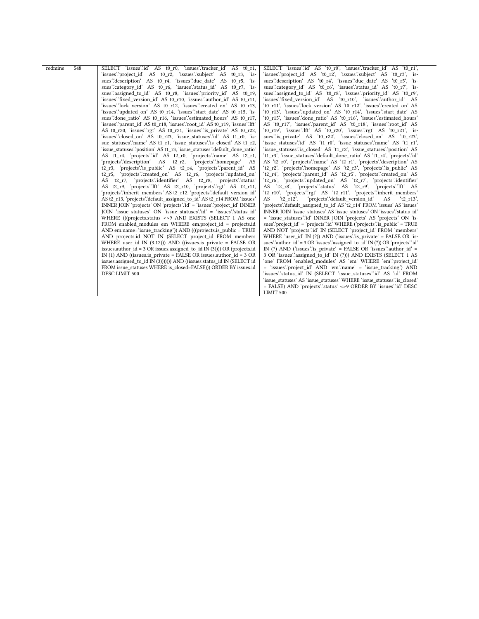| redmine | 548 | SELECT 'issues":id' AS t0 r0, 'issues":tracker id' AS t0 r1,<br>'issues":project_id' AS t0_r2, 'issues":subject' AS t0 r3, 'is-<br>sues"description" AS t0_r4, "issues"due_date" AS t0_r5, "is-<br>sues":category id' AS t0 r6, "issues":status id' AS t0 r7, "is-<br>sues" assigned to id' AS t0 r8, "issues" priority id' AS t0 r9,<br>'issues''fixed version id' AS t0 r10, 'issues''author id' AS t0 r11,<br>'issues'.'lock version' AS t0 r12, 'issues'.'created on' AS t0 r13,<br>'issues''updated on' AS t0 r14, 'issues''start date' AS t0 r15, 'is-<br>sues" done ratio" AS t0 r16, "issues" estimated hours' AS t0 r17,<br>'issues''parent id' AS t0 r18, 'issues''root id' AS t0 r19, 'issues'.'lft'<br>AS t0 r20, 'issues":rgt' AS t0 r21, 'issues": is private' AS t0 r22,<br>'issues": closed on AS t0 r23, 'issue statuses": id AS t1 r0, 'is-<br>sue statuses".name" AS t1 r1, "issue statuses".is closed" AS t1 r2,<br>'issue statuses":position' AS t1 r3, 'issue statuses":default done ratio'<br>AS t1_r4, 'projects'.id' AS t2_r0, 'projects'.name' AS t2 r1,<br>'projects'.'description' AS t2 r2, 'projects'.'homepage' AS<br>t2 r3, 'projects' is public' AS t2 r4, 'projects' parent id' AS<br>t2 r5, 'projects' created on AS t2 r6, 'projects' updated on<br>AS t2 r7, 'projects'.'identifier' AS t2 r8, 'projects'.'status'<br>AS t2 r9, 'projects'.'Ift' AS t2 r10, 'projects'.'rgt' AS t2 r11,<br>'projects'.'inherit members' AS t2 r12, 'projects'.'default version id'<br>AS t2 r13, 'projects' default assigned to id' AS t2 r14 FROM 'issues'<br>INNER JOIN 'projects' ON 'projects' id' = 'issues' project id' INNER<br>JOIN 'issue statuses' ON 'issue statuses' id' = 'issues' status id'<br>WHERE (((projects.status <> 9 AND EXISTS (SELECT 1 AS one<br>FROM enabled modules em WHERE em.project id = projects.id<br>AND em.name='issue tracking')) AND (((projects.is public = TRUE<br>AND projects.id NOT IN (SELECT project id FROM members<br>WHERE user id IN $(3,12)$ )) AND ((issues.is private = FALSE OR<br>issues author $id = 3 \text{ OR}$ issues assigned to $id \text{ IN } (3))$ ) OR (projects id<br>IN (1) AND ((issues.is private = FALSE OR issues.author $id = 3$ OR<br>issues.assigned to id IN (3))))))) AND ((issues.status id IN (SELECT id<br>FROM issue statuses WHERE is closed=FALSE))) ORDER BY issues.id<br>DESC LIMIT 500 | SELECT 'issues'id' AS 't0 r0', 'issues'.'tracker id' AS 't0 r1',<br>'issues''project id' AS 't0 r2', 'issues''subject' AS 't0 r3', 'is-<br>sues"description' AS 't0_r4', 'issues"due_date' AS 't0_r5', 'is-<br>sues":category id' AS 't0 r6', 'issues":status id' AS 't0 r7', 'is-<br>sues "assigned to id" AS 't0 r8', 'issues "priority id" AS 't0 r9',<br>'issues''fixed version id' AS 't0 r10', 'issues''author id' AS<br>'t0 r11', 'issues'.'lock version' AS 't0 r12', 'issues'.'created on' AS<br>'t0 r13', 'issues'.'updated on' AS 't0 r14', 'issues'.'start date' AS<br>'t0 r15', 'issues'.'done ratio' AS 't0 r16', 'issues'.'estimated hours'<br>AS 't0 r17', 'issues'.'parent id' AS 't0 r18', 'issues'.'root id' AS<br>'t0 r19', 'issues'.'Ift' AS 't0 r20', 'issues'.'rgt' AS 't0 r21', 'is-<br>sues"is_private' AS 't0_r22', 'issues":closed_on' AS 't0_r23',<br>'issue statuses'.'id' AS 't1 r0', 'issue statuses'.'name' AS 't1 r1',<br>'issue statuses'.'is closed' AS 't1 r2', 'issue statuses'.'position' AS<br>'t1 r3', 'issue statuses' default done ratio' AS 't1 r4', 'projects' id'<br>AS 't2 r0', 'projects'.'name' AS 't2 r1', 'projects'.'description' AS<br>'t2 r2', 'projects'.'homepage' AS 't2 r3', 'projects'.'is public' AS<br>'t2_r4', 'projects'.'parent_id' AS 't2_r5', 'projects'.'created_on' AS<br>'t2 r6', 'projects'.'updated_on' AS 't2_r7', 'projects'.'identifier'<br>AS 't2 r8', 'projects'.'status' AS 't2 r9', 'projects'.'lft' AS<br>'t2_r10', 'projects'.'rgt' AS 't2_r11', 'projects'.'inherit members'<br>'projects':default version id'<br>AS<br>'t2 $r12'$ ,<br>AS<br>'t2 $r13'$ .<br>'projects'.'default assigned to id' AS 't2 r14' FROM 'issues' AS 'issues'<br>INNER JOIN 'issue statuses' AS 'issue statuses' ON 'issues' status id'<br>= 'issue statuses' id 'INNER JOIN 'projects' AS 'projects' ON 'is-<br>sues''project id' = 'projects''d' WHERE ('projects'' is public' = TRUE<br>AND NOT 'projects' id' IN (SELECT 'project id' FROM 'members'<br>WHERE 'user id' IN (?)) AND ('issues' is private' = FALSE OR 'is-<br>sues" author $id' = 3 \text{ OR } 'issues''$ assigned to $id' \text{ IN } (?) \text{ OR } 'projects''$ ; $id'$<br>IN $(?)$ AND ('issues'' is private' = FALSE OR 'issues' author id' =<br>3 OR 'issues' assigned to id' IN (?))) AND EXISTS (SELECT 1 AS<br>'one' FROM 'enabled modules' AS 'em' WHERE 'em' project id'<br>= 'issues'.'project id' AND 'em'.'name' = 'issue tracking') AND<br>'issues'.'status id' IN (SELECT 'issue statuses'.'id' AS 'id' FROM<br>'issue statuses' AS 'issue statuses' WHERE 'issue statuses' is closed'<br>= FALSE) AND 'projects' status' <>9 ORDER BY 'issues' id 'DESC<br>LIMIT 500 |
|---------|-----|--------------------------------------------------------------------------------------------------------------------------------------------------------------------------------------------------------------------------------------------------------------------------------------------------------------------------------------------------------------------------------------------------------------------------------------------------------------------------------------------------------------------------------------------------------------------------------------------------------------------------------------------------------------------------------------------------------------------------------------------------------------------------------------------------------------------------------------------------------------------------------------------------------------------------------------------------------------------------------------------------------------------------------------------------------------------------------------------------------------------------------------------------------------------------------------------------------------------------------------------------------------------------------------------------------------------------------------------------------------------------------------------------------------------------------------------------------------------------------------------------------------------------------------------------------------------------------------------------------------------------------------------------------------------------------------------------------------------------------------------------------------------------------------------------------------------------------------------------------------------------------------------------------------------------------------------------------------------------------------------------------------------------------------------------------------------------------------------------------------------------------------------------------------------------------------------------------------------------------------------------------------------------------------------------------------------------------------------------------------------------------------------------|----------------------------------------------------------------------------------------------------------------------------------------------------------------------------------------------------------------------------------------------------------------------------------------------------------------------------------------------------------------------------------------------------------------------------------------------------------------------------------------------------------------------------------------------------------------------------------------------------------------------------------------------------------------------------------------------------------------------------------------------------------------------------------------------------------------------------------------------------------------------------------------------------------------------------------------------------------------------------------------------------------------------------------------------------------------------------------------------------------------------------------------------------------------------------------------------------------------------------------------------------------------------------------------------------------------------------------------------------------------------------------------------------------------------------------------------------------------------------------------------------------------------------------------------------------------------------------------------------------------------------------------------------------------------------------------------------------------------------------------------------------------------------------------------------------------------------------------------------------------------------------------------------------------------------------------------------------------------------------------------------------------------------------------------------------------------------------------------------------------------------------------------------------------------------------------------------------------------------------------------------------------------------------------------------------------------------------------------------------------------------------------------------------------------------------------------------------------------------------------------------------------------------------------------------------------------------------------------------------------------------------------------------------------------------------------------------------------------|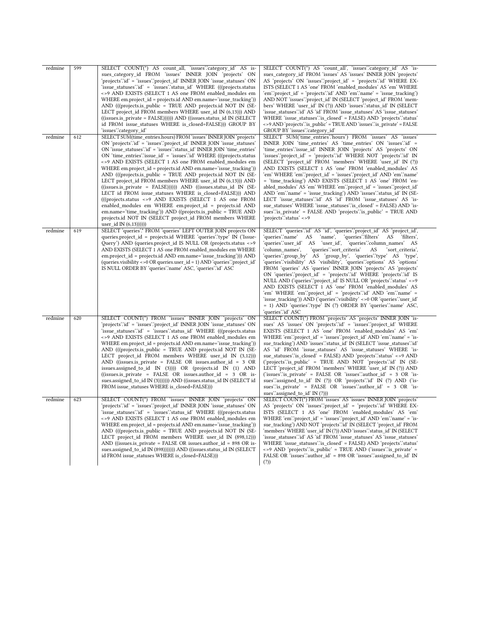| redmine<br>redmine | 599<br>612 | SELECT COUNT(*) AS count_all, 'issues':category_id' AS is-<br>sues_category_id FROM 'issues' INNER JOIN 'projects' ON<br>'projects'.'id' = 'issues'.'project_id' INNER JOIN 'issue_statuses' ON<br>'issue statuses''d' = 'issues''status id' WHERE (((projects.status)<br><>9 AND EXISTS (SELECT 1 AS one FROM enabled modules em<br>WHERE em.project id = projects.id AND em.name='issue tracking'))<br>AND (((projects.is public = TRUE AND projects.id NOT IN (SE-<br>LECT project_id FROM members WHERE user_id IN (6,13))) AND<br>$((issues.is private = FALSE))))$ $AND ((issues.status id IN (SELECT$<br>id FROM issue_statuses WHERE is_closed=FALSE))) GROUP BY<br>'issues':category id'<br>SELECT SUM(time entries.hours) FROM 'issues' INNER JOIN 'projects'                                                                                                                                       | SELECT COUNT(*) AS 'count_all', 'issues'.'category_id' AS 'is-<br>sues_category_id' FROM 'issues' AS 'issues' INNER JOIN 'projects'<br>AS 'projects' ON 'issues'.'project_id' = 'projects'.'id' WHERE EX-<br>ISTS (SELECT 1 AS 'one' FROM 'enabled modules' AS 'em' WHERE<br>'em''project id' = 'projects''d' AND 'em''name' = 'issue tracking')<br>AND NOT 'issues'.'project_id' IN (SELECT 'project_id' FROM 'mem-<br>bers' WHERE 'user id' IN (?)) AND 'issues' status id' IN (SELECT<br>'issue_statuses'.'id' AS 'id' FROM 'issue_statuses' AS 'issue_statuses'<br>WHERE 'issue statuses' is closed' = FALSE) AND 'projects' status'<br><>9 AND 'projects' is_public' = TRUE AND 'issues' is_private' = FALSE<br>GROUP BY 'issues' category id'<br>SELECT SUM('time entries'.'hours') FROM 'issues' AS 'issues'                                                                                                                                         |
|--------------------|------------|---------------------------------------------------------------------------------------------------------------------------------------------------------------------------------------------------------------------------------------------------------------------------------------------------------------------------------------------------------------------------------------------------------------------------------------------------------------------------------------------------------------------------------------------------------------------------------------------------------------------------------------------------------------------------------------------------------------------------------------------------------------------------------------------------------------------------------------------------------------------------------------------------------------|-------------------------------------------------------------------------------------------------------------------------------------------------------------------------------------------------------------------------------------------------------------------------------------------------------------------------------------------------------------------------------------------------------------------------------------------------------------------------------------------------------------------------------------------------------------------------------------------------------------------------------------------------------------------------------------------------------------------------------------------------------------------------------------------------------------------------------------------------------------------------------------------------------------------------------------------------------------|
|                    |            | ON 'projects' Id' = 'issues' 'project_id' INNER JOIN 'issue_statuses'<br>ON 'issue statuses' id ' = 'issues' status id ' INNER JOIN 'time entries'<br>$ON$ 'time entries' issue $id' = 'issues'$ id' WHERE (((projects.status)<br><>9 AND EXISTS (SELECT 1 AS one FROM enabled modules em<br>WHERE em.project id = projects.id AND em.name='issue tracking'))<br>AND (((projects.is_public = TRUE AND projects.id NOT IN (SE-<br>LECT project id FROM members WHERE user id IN $(6,13)$ ) AND<br>((issues.is_private = FALSE))))) AND ((issues.status_id IN (SE-<br>LECT id FROM issue_statuses WHERE is_closed=FALSE))) AND<br>(((projects.status <> 9 AND EXISTS (SELECT 1 AS one FROM<br>enabled modules em WHERE em.project id = projects.id AND<br>em.name='time_tracking')) AND ((projects.is_public = TRUE_AND<br>projects.id NOT IN (SELECT project_id FROM members WHERE<br>user id IN $(6,13))$ ))) | INNER JOIN 'time_entries' AS 'time_entries' ON 'issues'.id' =<br>'time entries' issue id INNER JOIN 'projects' AS 'projects' ON<br>'issues''project id' = 'projects'.'id' WHERE NOT 'projects'.'id' IN<br>(SELECT 'project id' FROM 'members' WHERE 'user id' IN (?))<br>AND EXISTS (SELECT 1 AS 'one' FROM 'enabled modules' AS<br>'em' WHERE 'em'.'project_id' = 'issues'.'project_id' AND 'em'.'name'<br>= 'time tracking') AND EXISTS (SELECT 1 AS 'one' FROM 'en-<br>abled_modules' AS 'em' WHERE 'em'.'project_id' = 'issues'.'project_id'<br>AND 'em'.'name' = 'issue_tracking') AND 'issues'.'status_id' IN (SE-<br>LECT 'issue statuses'.id' AS 'id' FROM 'issue statuses' AS 'is-<br>sue statuses' WHERE 'issue statuses''is closed' = FALSE) AND 'is-<br>sues" is private = FALSE AND 'projects" is public = TRUE AND<br>'projects'.'status' <>9                                                                                                 |
| redmine            | 619        | SELECT 'queries'.* FROM 'queries' LEFT OUTER JOIN projects ON<br>queries.project_id = projects.id WHERE 'queries' type' IN ('Issue-<br>Query') AND (queries.project_id IS NULL OR (projects.status <>9<br>AND EXISTS (SELECT 1 AS one FROM enabled modules em WHERE<br>em.project_id = projects.id AND em.name='issue_tracking'))) AND<br>(queries.visibility <> 0 OR queries.user $id = 1$ ) AND 'queries' 'project $id'$<br>IS NULL ORDER BY 'queries' name' ASC, 'queries' id' ASC                                                                                                                                                                                                                                                                                                                                                                                                                         | SELECT 'queries' id AS 'id', 'queries' project id AS 'project id',<br>'queries'.'name'<br>AS<br>'name',<br>'queries'.'filters' AS<br>`filters`,<br>'queries'.'user_id' AS 'user_id', 'queries'.'column_names' AS<br>'column names',<br>'queries'.'sort criteria'<br>AS<br>'sort criteria',<br>'queries'.'group_by' AS 'group_by', 'queries'.'type' AS 'type',<br>'queries'.'visibility' AS 'visibility', 'queries'.'options' AS 'options'<br>FROM 'queries' AS 'queries' INNER JOIN 'projects' AS 'projects'<br>ON 'queries' project id' = 'projects' id' WHERE 'projects' id' IS<br>NULL AND ('queries''project id' IS NULL OR 'projects''status' <>9<br>AND EXISTS (SELECT 1 AS 'one' FROM 'enabled_modules' AS<br>'em' WHERE 'em'.'project_id' = 'projects'.'id' AND 'em'.'name' =<br>'issue_tracking')) AND ('queries'.'visibility' <>0 OR 'queries'.'user_id'<br>= 1) AND 'queries'.'type' IN (?) ORDER BY 'queries'.'name' ASC,<br>'queries'.'id' ASC |
| redmine            | 620        | SELECT COUNT(*) FROM 'issues' INNER JOIN 'projects' ON<br>'projects' id' = 'issues' project id' INNER JOIN 'issue statuses' ON<br>'issue statuses' id = 'issues' status id WHERE (((projects.status<br><>9 AND EXISTS (SELECT 1 AS one FROM enabled_modules em<br>WHERE em.project id = projects.id AND em.name='issue tracking'))<br>AND (((projects.is public = TRUE AND projects.id NOT IN (SE-<br>LECT project id FROM members WHERE user id IN $(3,12)$ )<br>AND ((issues.is_private = FALSE OR issues.author_id = 3 OR<br>issues.assigned_to_id IN (3)))) OR (projects.id IN (1) AND<br>((issues.is private = FALSE OR issues.author $id = 3$ OR is-<br>sues.assigned to id IN (3)))))) AND ((issues.status id IN (SELECT id<br>FROM issue statuses WHERE is closed=FALSE)))                                                                                                                            | SELECT COUNT(*) FROM 'projects' AS 'projects' INNER JOIN 'is-<br>sues' AS 'issues' ON 'projects' id' = 'issues' project_id' WHERE<br>EXISTS (SELECT 1 AS 'one' FROM 'enabled modules' AS 'em'<br>WHERE 'em' 'project id' = 'issues' 'project id' AND 'em' 'name' = 'is-<br>sue tracking') AND 'issues' status id ' IN (SELECT 'issue statuses' id '<br>AS 'id' FROM 'issue statuses' AS 'issue statuses' WHERE 'is-<br>sue_statuses" is_closed = FALSE) AND 'projects" status ' <> 9 AND<br>('projects'.'is_public' = TRUE AND NOT 'projects'.'id' IN (SE-<br>LECT 'project_id' FROM 'members' WHERE 'user_id' IN (?)) AND<br>('issues'' is private' = FALSE OR 'issues' 'author $id' = 3$ OR 'is-<br>sues" assigned to id M (?)) OR 'projects" id N (?) AND ('is-<br>sues" is_private" = FALSE OR 'issues" author_id' = 3 OR 'is-<br>sues".assigned_to_id' IN (?)))                                                                                        |
| redmine            | 623        | SELECT COUNT(*) FROM 'issues' INNER JOIN 'projects' ON<br>'projects'.'id' = 'issues'.'project_id' INNER JOIN 'issue_statuses' ON<br>'issue_statuses'.'id' = 'issues'.'status_id' WHERE (((projects.status<br><>9 AND EXISTS (SELECT 1 AS one FROM enabled_modules em<br>WHERE em.project $id =$ projects.id AND em.name='issue tracking')<br>AND (((projects.is public = TRUE AND projects.id NOT IN (SE-<br>LECT project id FROM members WHERE user id IN (898,12)))<br>AND ((issues.is private = FALSE OR issues.author $id = 898$ OR is-<br>sues.assigned_to_id IN (898))))))) AND ((issues.status_id IN (SELECT<br>id FROM issue statuses WHERE is closed=FALSE)))                                                                                                                                                                                                                                        | SELECT COUNT(*) FROM 'issues' AS 'issues' INNER JOIN 'projects'<br>AS 'projects' ON 'issues''project_id' = 'projects''id' WHERE EX-<br>ISTS (SELECT 1 AS 'one' FROM 'enabled_modules' AS 'em'<br>WHERE 'em'.'project_id' = 'issues'.'project_id' AND 'em'.'name' = 'is-<br>sue_tracking') AND NOT 'projects'.'id' IN (SELECT 'project_id' FROM<br>'members' WHERE 'user id' IN (?)) AND 'issues' 'status id' IN (SELECT<br>'issue statuses'.'id' AS 'id' FROM 'issue statuses' AS 'issue statuses'<br>WHERE 'issue statuses' is closed' = FALSE) AND 'projects' status'<br><>9 AND 'projects' is_public' = TRUE AND ('issues' is_private' =<br>FALSE OR 'issues' author $id' = 898$ OR 'issues' assigned to $id'$ IN<br>(?)                                                                                                                                                                                                                                 |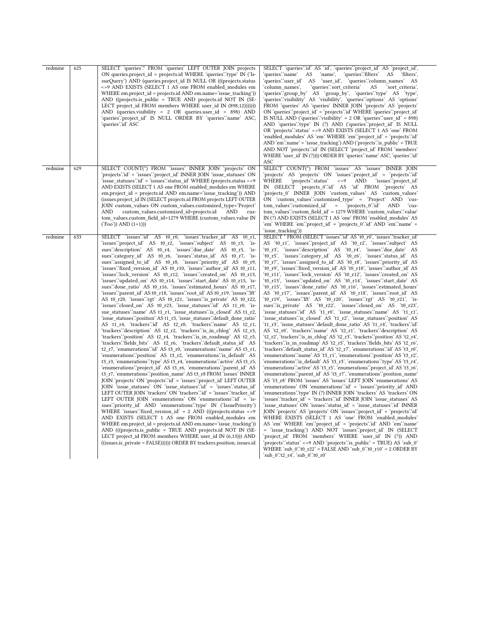| redmine | 625 | SELECT 'queries'.* FROM 'queries' LEFT OUTER JOIN projects<br>ON queries.project id = projects.id WHERE 'queries' type' IN ('Is-<br>sueQuery') AND (queries.project_id IS NULL OR (((projects.status<br><>9 AND EXISTS (SELECT 1 AS one FROM enabled modules em<br>WHERE em.project id = projects.id AND em.name='issue tracking'))<br>AND ((projects.is_public = TRUE AND projects.id NOT IN (SE-<br>LECT project_id FROM members WHERE user_id IN (898,12)))))))<br>AND (queries.visibility = $2$ OR queries.user id = 898) AND<br>'queries'.'project_id' IS NULL ORDER BY 'queries'.'name' ASC,<br>'queries'∴id' ASC                                                                                                                                                                                                                                                                                                                                                                                                                                                                                                                                                                                                                                                                                                                                                                                                                                                                                                                                                                                                                                                                                                                                                                                                                                                                                                                                                                                                                                                                                                                                                                                                                                                                                                                                                                                                                                 | SELECT 'queries'.'id' AS 'id', 'queries'.'project_id' AS 'project_id',<br>'queries'.'name'<br>AS<br>'name',<br>'queries'.'filters' AS<br>'filters',<br>'queries'.'user_id' AS 'user_id', 'queries'.'column_names' AS<br>'column names',<br>'queries'.'sort criteria'<br>AS<br>'sort criteria',<br>'queries''group by AS 'group by', 'queries''type AS 'type',<br>'queries'.'visibility' AS 'visibility', 'queries'.'options' AS 'options'<br>FROM 'queries' AS 'queries' INNER JOIN 'projects' AS 'projects'<br>ON 'queries' 'project_id' = 'projects' id 'WHERE 'queries' 'project_id'<br>IS NULL AND ('queries''visibility' = $2$ OR 'queries''user_id' = 898)<br>AND 'queries'.'type' IN (?) AND ('queries'.'project_id' IS NULL<br>OR 'projects' status' <> 9 AND EXISTS (SELECT 1 AS 'one' FROM<br>'enabled_modules' AS 'em' WHERE 'em'.'project_id' = 'projects'.'id'<br>AND 'em'.'name' = 'issue tracking') AND ('projects' is public' = TRUE<br>AND NOT 'projects' id' IN (SELECT 'project_id' FROM 'members'<br>WHERE 'user id' IN (?)))) ORDER BY 'queries' name' ASC, 'queries' id'<br>ASC                                                                                                                                                                                                                                                                                                                                                                                                                                                                                                                                                                                                                                                                                                                                                                                                                                                                                                                                                                                                                                                                                                                                                                                                                                                                                                                                                                                                                                                                                                                                                    |
|---------|-----|---------------------------------------------------------------------------------------------------------------------------------------------------------------------------------------------------------------------------------------------------------------------------------------------------------------------------------------------------------------------------------------------------------------------------------------------------------------------------------------------------------------------------------------------------------------------------------------------------------------------------------------------------------------------------------------------------------------------------------------------------------------------------------------------------------------------------------------------------------------------------------------------------------------------------------------------------------------------------------------------------------------------------------------------------------------------------------------------------------------------------------------------------------------------------------------------------------------------------------------------------------------------------------------------------------------------------------------------------------------------------------------------------------------------------------------------------------------------------------------------------------------------------------------------------------------------------------------------------------------------------------------------------------------------------------------------------------------------------------------------------------------------------------------------------------------------------------------------------------------------------------------------------------------------------------------------------------------------------------------------------------------------------------------------------------------------------------------------------------------------------------------------------------------------------------------------------------------------------------------------------------------------------------------------------------------------------------------------------------------------------------------------------------------------------------------------------------|----------------------------------------------------------------------------------------------------------------------------------------------------------------------------------------------------------------------------------------------------------------------------------------------------------------------------------------------------------------------------------------------------------------------------------------------------------------------------------------------------------------------------------------------------------------------------------------------------------------------------------------------------------------------------------------------------------------------------------------------------------------------------------------------------------------------------------------------------------------------------------------------------------------------------------------------------------------------------------------------------------------------------------------------------------------------------------------------------------------------------------------------------------------------------------------------------------------------------------------------------------------------------------------------------------------------------------------------------------------------------------------------------------------------------------------------------------------------------------------------------------------------------------------------------------------------------------------------------------------------------------------------------------------------------------------------------------------------------------------------------------------------------------------------------------------------------------------------------------------------------------------------------------------------------------------------------------------------------------------------------------------------------------------------------------------------------------------------------------------------------------------------------------------------------------------------------------------------------------------------------------------------------------------------------------------------------------------------------------------------------------------------------------------------------------------------------------------------------------------------------------------------------------------------------------------------------------------------------------------------------------------------------------|
| redmine | 629 | SELECT COUNT(*) FROM 'issues' INNER JOIN 'projects' ON<br>'projects'.'id' = 'issues'.'project_id' INNER JOIN 'issue_statuses' ON<br>'issue_statuses'.'id' = 'issues'.'status_id' WHERE (projects.status <>9<br>AND EXISTS (SELECT 1 AS one FROM enabled modules em WHERE<br>em.project id = projects.id AND em.name='issue tracking')) AND<br>(issues.project id IN (SELECT projects.id FROM projects LEFT OUTER<br>JOIN custom_values ON custom_values.customized_type='Project'<br>AND<br>custom values.customized id=projects.id<br>AND<br>cus-<br>tom_values.custom_field_id=1279 WHERE (custom_values.value IN<br>$('Foo'))$ AND $(1=1))$                                                                                                                                                                                                                                                                                                                                                                                                                                                                                                                                                                                                                                                                                                                                                                                                                                                                                                                                                                                                                                                                                                                                                                                                                                                                                                                                                                                                                                                                                                                                                                                                                                                                                                                                                                                                          | SELECT COUNT(*) FROM 'issues' AS 'issues' INNER JOIN<br>'projects' AS 'projects' ON 'issues'.'project_id' = 'projects'.'id'<br>'projects'.'status'<br>WHERE<br>$\lt$ >9<br>AND<br>'issues'.'project id'<br>IN (SELECT 'projects_0"id' AS 'id' FROM 'projects' AS<br>'projects_0' INNER JOIN 'custom_values' AS 'custom_values'<br>ON 'custom values':customized type' = 'Project' AND<br>`cus-<br>tom values":customized id"<br>'projects_0".id"<br>$\equiv$<br><b>AND</b><br>'cus-<br>tom values":custom field id' = 1279 WHERE 'custom values":value<br>IN (?) AND EXISTS (SELECT 1 AS 'one' FROM 'enabled_modules' AS<br>'em' WHERE 'em' 'project id' = 'projects 0' id' AND 'em' 'name' =<br>'issue tracking'))                                                                                                                                                                                                                                                                                                                                                                                                                                                                                                                                                                                                                                                                                                                                                                                                                                                                                                                                                                                                                                                                                                                                                                                                                                                                                                                                                                                                                                                                                                                                                                                                                                                                                                                                                                                                                                                                                                                                      |
| redmine | 633 | SELECT 'issues'id' AS to ro, 'issues' tracker id'<br>AS $t0$ r1,<br>'issues":project_id' AS t0_r2, 'issues":subject' AS t0_r3, 'is-<br>sues"description" AS t0_r4, 'issues"due_date' AS t0_r5, 'is-<br>sues":category id' AS t0 r6, "issues":status id' AS t0 r7, "is-<br>sues".assigned_to_id' AS t0_r8, 'issues".priority_id' AS t0_r9,<br>'issues''fixed_version_id' AS t0_r10, 'issues''author_id' AS t0_r11,<br>'issues'.'lock version' AS t0 r12, 'issues'.'created on' AS t0 r13,<br>'issues'.'updated on' AS t0 r14, 'issues'.'start date' AS t0 r15, 'is-<br>sues"done_ratio' AS t0_r16, 'issues":estimated_hours' AS t0_r17,<br>'issues''parent id' AS t0 r18, 'issues''root id' AS t0 r19, 'issues''lft'<br>AS t0 r20, 'issues'.'rgt' AS t0 r21, 'issues'.'is private' AS t0 r22,<br>'issues''.closed_on' AS t0_r23, 'issue_statuses'.'id' AS t1_r0, 'is-<br>sue statuses 'name' AS t1 r1, 'issue statuses 'is closed' AS t1 r2,<br>'issue_statuses''.position' AS t1_r3, 'issue_statuses'.'default_done_ratio'<br>AS t1 r4, 'trackers'.id' AS t2 r0, 'trackers'.'name' AS t2 r1,<br>'trackers'.'description' AS t2_r2, 'trackers'.'is_in_chlog' AS t2_r3,<br>'trackers'.'position' AS t2 r4, 'trackers'.'is in roadmap' AS t2 r5,<br>'trackers'.'fields_bits' AS t2_r6, 'trackers'.'default_status_id' AS<br>t2 r7, 'enumerations' id' AS t3 r0, 'enumerations' name' AS t3 r1,<br>'enumerations''position' AS t3 r2, 'enumerations''is default' AS<br>t3 r3, 'enumerations' type' AS t3 r4, 'enumerations' active' AS t3 r5,<br>'enumerations''project_id' AS t3_r6, 'enumerations''parent_id' AS<br>t3_r7, 'enumerations' 'position_name' AS t3_r8 FROM 'issues' INNER<br>JOIN 'projects' ON 'projects' id' = 'issues' 'project id' LEFT OUTER<br>JOIN 'issue_statuses' ON 'issue_statuses' id' = 'issues' status_id'<br>LEFT OUTER JOIN 'trackers' ON 'trackers' id' = 'issues' tracker id'<br>LEFT OUTER JOIN 'enumerations' ON 'enumerations' id' = 'is-<br>sues": priority id AND 'enumerations": type IN ('IssuePriority')<br>WHERE 'issues'.'fixed_version_id' = $2$ AND (((projects.status <>9<br>AND EXISTS (SELECT 1 AS one FROM enabled modules em<br>WHERE em.project_id = projects.id AND em.name='issue_tracking'))<br>AND (((projects.is public = TRUE AND projects.id NOT IN (SE-<br>LECT project_id FROM members WHERE user_id IN (6,13))) AND<br>((issues.is private = FALSE)))))) ORDER BY trackers.position, issues.id | SELECT * FROM (SELECT 'issues' id' AS 't0 r0', 'issues' tracker id'<br>AS 't0_r1', 'issues''project_id' AS 't0_r2', 'issues''subject' AS<br>'t0_r3', 'issues'.'description' AS 't0_r4', 'issues'.'due_date' AS<br>'t0_r5', 'issues'.'category_id' AS 't0_r6', 'issues'.'status id' AS<br>'t0_r7', 'issues'.'assigned_to_id' AS 't0_r8', 'issues'.'priority_id' AS<br>'t0_r9', 'issues'.'fixed_version_id' AS 't0_r10', 'issues'.'author_id' AS<br>'t0 r11', 'issues'.'lock version' AS 't0 r12', 'issues'.'created on' AS<br>'t0 r13', 'issues'.'updated on' AS 't0 r14', 'issues'.'start date' AS<br>'t0_r15', 'issues'.'done_ratio' AS 't0_r16', 'issues'.'estimated_hours'<br>AS 't0 r17', 'issues''parent id AS 't0 r18', 'issues''root id AS<br>'t0 r19', 'issues'.'lft' AS 't0 r20', 'issues'.'rgt' AS 't0 r21', 'is-<br>sues"is_private" AS 't0_r22', 'issues":closed_on' AS 't0_r23',<br>'issue statuses'id' AS 't1 r0', 'issue statuses''name' AS 't1 r1',<br>'issue_statuses''is_closed' AS 't1_r2', 'issue_statuses''position' AS<br>'t1 r3', 'issue statuses'.'default done ratio' AS 't1 r4', 'trackers'.'id'<br>AS 't2 r0', 'trackers'.'name' AS 't2 r1', 'trackers'.'description' AS<br>'t2 r2', 'trackers'.'is in chlog' AS 't2 r3', 'trackers'.'position' AS 't2 r4',<br>'trackers'.'is_in_roadmap' AS 't2_r5', 'trackers'.'fields_bits' AS 't2_r6',<br>'trackers'.'default_status_id' AS 't2_r7', 'enumerations'.'id' AS 't3_r0',<br>'enumerations'.'name' AS 't3_r1', 'enumerations'.'position' AS 't3_r2',<br>'enumerations' is default AS 't3 r3', 'enumerations' type AS 't3 r4',<br>'enumerations''active' AS 't3_r5', 'enumerations''project_id' AS 't3_r6',<br>'enumerations''parent_id' AS 't3_r7', 'enumerations''position_name'<br>AS 't3 r8' FROM 'issues' AS 'issues' LEFT JOIN 'enumerations' AS<br>'enumerations' ON 'enumerations' id' = 'issues' priority_id' AND<br>'enumerations'.'type' IN (?) INNER JOIN 'trackers' AS 'trackers' ON<br>'issues''tracker id' = 'trackers''id' INNER JOIN 'issue statuses' AS<br>'issue statuses' ON 'issues'.'status id' = 'issue statuses'.'id' INNER<br>JOIN 'projects' AS 'projects' ON 'issues' project id' = 'projects' id'<br>WHERE EXISTS (SELECT 1 AS 'one' FROM 'enabled modules'<br>AS 'em' WHERE 'em' 'project_id' = 'projects' id' AND 'em' 'name'<br>= 'issue_tracking') AND NOT 'issues'.'project_id' IN (SELECT<br>'project_id' FROM 'members' WHERE 'user_id' IN (?)) AND<br>'projects'.'status' <>9 AND 'projects'.'is public' = TRUE) AS 'sub 0'<br>WHERE 'sub $0$ ''t0 $r22'$ = FALSE AND 'sub $0$ ''t0 $r10'$ = 2 ORDER BY<br>'sub_0'.'t2_r4', 'sub_0'.'t0_r0' |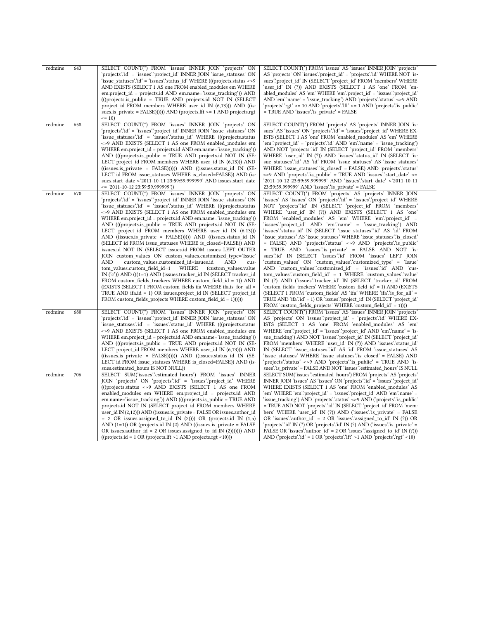| redmine | 643 | SELECT COUNT(*) FROM 'issues' INNER JOIN 'projects' ON<br>'projects'.'id' = 'issues'.'project id' INNER JOIN 'issue statuses' ON<br>'issue statuses'.'id' = 'issues'.'status id' WHERE (((projects.status <>9)<br>AND EXISTS (SELECT 1 AS one FROM enabled modules em WHERE<br>em.project_id = projects.id AND em.name='issue_tracking')) AND<br>(((projects.is public = TRUE AND projects.id NOT IN (SELECT)<br>project id FROM members WHERE user id IN (6,13))) AND ((is-<br>sues.is_private = $FALSE$ )))))) AND (projects.lft >= 1 AND projects.rgt<br>$= 10$                                                                                                                                                                                                                                                                                                                                                                                                                                                                                                                                                                                                                                                        | SELECT COUNT(*) FROM 'issues' AS 'issues' INNER JOIN 'projects'<br>AS 'projects' ON 'issues' project id' = 'projects' id' WHERE NOT 'is-<br>sues": project id 'IN (SELECT 'project id 'FROM 'members' WHERE<br>'user id' IN (?)) AND EXISTS (SELECT 1 AS 'one' FROM 'en-<br>abled_modules' AS 'em' WHERE 'em' 'project_id' = 'issues' 'project_id'<br>AND 'em' name' = 'issue tracking') AND 'projects' status' <>9 AND<br>'projects'.'rgt' <= 10 AND 'projects'.'lft' >= 1 AND 'projects'.'is public'<br>= TRUE AND 'issues' is_private' = FALSE                                                                                                                                                                                                                                                                                                                                                                                                                                                                                                                                                                                                                                                                                                                            |
|---------|-----|---------------------------------------------------------------------------------------------------------------------------------------------------------------------------------------------------------------------------------------------------------------------------------------------------------------------------------------------------------------------------------------------------------------------------------------------------------------------------------------------------------------------------------------------------------------------------------------------------------------------------------------------------------------------------------------------------------------------------------------------------------------------------------------------------------------------------------------------------------------------------------------------------------------------------------------------------------------------------------------------------------------------------------------------------------------------------------------------------------------------------------------------------------------------------------------------------------------------------|------------------------------------------------------------------------------------------------------------------------------------------------------------------------------------------------------------------------------------------------------------------------------------------------------------------------------------------------------------------------------------------------------------------------------------------------------------------------------------------------------------------------------------------------------------------------------------------------------------------------------------------------------------------------------------------------------------------------------------------------------------------------------------------------------------------------------------------------------------------------------------------------------------------------------------------------------------------------------------------------------------------------------------------------------------------------------------------------------------------------------------------------------------------------------------------------------------------------------------------------------------------------------|
| redmine | 658 | SELECT COUNT(*) FROM 'issues' INNER JOIN 'projects' ON<br>'projects'.'id' = 'issues'.'project id' INNER JOIN 'issue statuses' ON<br>'issue statuses'.id' = 'issues'.'status id' WHERE (((projects.status<br><>9 AND EXISTS (SELECT 1 AS one FROM enabled_modules em<br>WHERE em.project_id = projects.id AND em.name='issue_tracking'))<br>AND (((projects.is public = TRUE AND projects.id NOT IN (SE-<br>LECT project_id FROM members WHERE user_id IN (6,13))) AND<br>$((isuses.is private = FALSE))))$ AND $((isuses.status id IN (SE-$<br>LECT id FROM issue statuses WHERE is closed=FALSE)) AND (is-<br>sues.start_date >'2011-10-11 23:59:59.999999' AND issues.start_date<br><= '2011-10-12 23:59:59.999999'))                                                                                                                                                                                                                                                                                                                                                                                                                                                                                                   | SELECT COUNT(*) FROM 'projects' AS 'projects' INNER JOIN 'is-<br>sues' AS 'issues' ON 'projects' id' = 'issues' project id' WHERE EX-<br>ISTS (SELECT 1 AS 'one' FROM 'enabled modules' AS 'em' WHERE<br>'em'.'project_id' = 'projects'.'id' AND 'em'.'name' = 'issue_tracking')<br>AND NOT 'projects' id ' IN (SELECT 'project_id FROM 'members'<br>WHERE 'user id' IN (?)) AND 'issues' status id' IN (SELECT 'is-<br>sue statuses' id AS 'id FROM 'issue statuses' AS 'issue statuses'<br>WHERE 'issue statuses' is closed' = FALSE) AND 'projects' status'<br><>9 AND 'projects' is public' = TRUE AND 'issues' start date' <=<br>'2011-10-12 23:59:59.999999' AND 'issues'.'start date' >'2011-10-11<br>23:59:59.999999' AND 'issues' is_private' = FALSE                                                                                                                                                                                                                                                                                                                                                                                                                                                                                                               |
| redmine | 670 | SELECT COUNT(*) FROM 'issues' INNER JOIN 'projects' ON<br>'projects'.'id' = 'issues'.'project id' INNER JOIN 'issue statuses' ON<br>'issue statuses'.id' = 'issues'.'status id' WHERE (((projects.status<br><>9 AND EXISTS (SELECT 1 AS one FROM enabled_modules em<br>WHERE em.project_id = projects.id AND em.name='issue_tracking'))<br>AND (((projects.is public = TRUE AND projects.id NOT IN (SE-<br>LECT project_id FROM members WHERE user_id IN $(6,13)$ )<br>AND ((issues.is_private = FALSE)))))) AND ((issues.status_id IN<br>(SELECT id FROM issue statuses WHERE is closed=FALSE)) AND<br>issues.id NOT IN (SELECT issues.id FROM issues LEFT OUTER<br>JOIN custom_values ON custom_values.customized_type='Issue'<br><b>AND</b><br>custom values.customized id=issues.id<br>AND<br>cus-<br>tom values.custom field id=1<br>WHERE<br>(custom values.value)<br>IN $('c')$ ) AND $(((1=1)$ AND (issues.tracker id IN (SELECT tracker id<br>FROM custom_fields_trackers WHERE custom_field_id = 1)) AND<br>(EXISTS (SELECT 1 FROM custom fields if a WHERE if a.is for all =<br>TRUE AND ifa.id = 1) OR issues.project id IN (SELECT project id<br>FROM custom_fields_projects WHERE custom_field_id = 1)))))) | SELECT COUNT(*) FROM 'projects' AS 'projects' INNER JOIN<br>'issues' AS 'issues' ON 'projects' id' = 'issues' project id' WHERE<br>NOT 'projects' id IN (SELECT 'project_id FROM 'members'<br>WHERE 'user_id' IN (?)) AND EXISTS (SELECT 1 AS 'one'<br>FROM 'enabled_modules' AS 'em' WHERE 'em'.'project_id' =<br>'issues''project id AND 'em''name' = 'issue tracking') AND<br>'issues'.'status_id' IN (SELECT 'issue_statuses'.'id' AS 'id' FROM<br>'issue statuses' AS 'issue statuses' WHERE 'issue statuses' is closed'<br>= FALSE) AND 'projects' status' <>9 AND 'projects' is public'<br>= TRUE AND 'issues' is private' = FALSE AND NOT 'is-<br>sues"id" IN (SELECT 'issues"id" FROM 'issues' LEFT JOIN<br>'custom values' ON 'custom values'.'customized type' = 'Issue'<br>AND 'custom_values'.'customized_id' = 'issues'.'id' AND 'cus-<br>tom values''custom field id' = 1 WHERE 'custom values''value'<br>IN (?) AND ('issues''tracker id' IN (SELECT 'tracker id' FROM<br>'custom fields trackers' WHERE 'custom field id' = 1) AND (EXISTS<br>(SELECT 1 FROM 'custom fields' AS 'ifa' WHERE 'ifa'' is for all '<br>TRUE AND 'ifa''id' = 1) OR 'issues''project id' IN (SELECT 'project id'<br>FROM 'custom_fields_projects' WHERE 'custom_field_id' = 1)))) |
| redmine | 680 | SELECT COUNT(*) FROM 'issues' INNER JOIN 'projects' ON<br>'projects'.'id' = 'issues'.'project_id' INNER JOIN 'issue_statuses' ON<br>'issue statuses'.id' = 'issues'.'status id' WHERE (((projects.status)<br><>9 AND EXISTS (SELECT 1 AS one FROM enabled modules em<br>WHERE em.project_id = projects.id AND em.name='issue_tracking'))<br>AND (((projects.is_public = TRUE AND projects.id NOT IN (SE-<br>LECT project id FROM members WHERE user id IN (6,13))) AND<br>((issues.is private = FALSE))))) AND ((issues.status id IN (SE-<br>LECT id FROM issue statuses WHERE is closed=FALSE)) AND (is-<br>sues.estimated_hours IS NOT NULL))                                                                                                                                                                                                                                                                                                                                                                                                                                                                                                                                                                           | SELECT COUNT(*) FROM 'issues' AS 'issues' INNER JOIN 'projects'<br>AS 'projects' ON 'issues''project_id' = 'projects''id' WHERE EX-<br>ISTS (SELECT 1 AS 'one' FROM 'enabled modules' AS 'em'<br>WHERE 'em' 'project id' = 'issues' 'project id' AND 'em' 'name' = 'is-<br>sue_tracking') AND NOT 'issues'.'project_id' IN (SELECT 'project_id'<br>FROM 'members' WHERE 'user_id' IN (?)) AND 'issues' status_id'<br>IN (SELECT 'issue statuses' id AS 'id FROM 'issue statuses' AS<br>'issue statuses' WHERE 'issue statuses'.'is closed' = FALSE) AND<br>'projects'.'status' <>9 AND 'projects'.'is public' = TRUE AND 'is-<br>sues''is_private' = FALSE AND NOT 'issues''estimated_hours' IS NULL                                                                                                                                                                                                                                                                                                                                                                                                                                                                                                                                                                         |
| redmine | 706 | SELECT SUM('issues'.'estimated hours') FROM 'issues' INNER<br>JOIN 'projects' ON 'projects' id' = 'issues' project id' WHERE<br>(((projects.status <> 9 AND EXISTS (SELECT 1 AS one FROM<br>enabled_modules em WHERE em.project_id = projects.id AND<br>em.name='issue_tracking')) AND (((projects.is_public = TRUE AND<br>projects.id NOT IN (SELECT project_id FROM members WHERE<br>user_id IN $(2,12)$ )) AND ((issues.is_private = FALSE OR issues.author_id<br>$= 2$ OR issues assigned to id IN (2))) OR (projects id IN (1,5)<br>AND $(1=1)$ ) OR (projects.id IN $(2)$ AND ((issues.is private = FALSE)<br>OR issues author $id = 2$ OR issues assigned to id IN (2)))))) AND<br>$((\text{projects.id} = 1 \text{ OR} (\text{projects.lft} > 1 \text{ AND} \text{ projects.rgt} < 10)))$                                                                                                                                                                                                                                                                                                                                                                                                                         | SELECT SUM('issues''estimated hours') FROM 'projects' AS 'projects'<br>INNER JOIN 'issues' AS 'issues' ON 'projects' id' = 'issues' project id'<br>WHERE EXISTS (SELECT 1 AS 'one' FROM 'enabled modules' AS<br>'em' WHERE 'em' 'project id' = 'issues' 'project id' AND 'em ' name' =<br>'issue_tracking') AND 'projects'.'status' <>9 AND ('projects'.'is_public'<br>= TRUE AND NOT 'projects' id ' IN (SELECT 'project id 'FROM 'mem-<br>bers' WHERE 'user_id' IN (?)) AND ('issues' is_private' = FALSE<br>OR 'issues' author id' = $2$ OR 'issues' assigned to id' IN (?)) OR<br>'projects'.'id' IN (?) OR 'projects'.'id' IN (?) AND ('issues'.'is_private' =<br>FALSE OR 'issues' author $id' = 2$ OR 'issues' assigned to $id' \in \mathbb{N}$ (?)))<br>AND ('projects' id' = $1$ OR 'projects' lft' > $1$ AND 'projects' rgt' < $10$ )                                                                                                                                                                                                                                                                                                                                                                                                                              |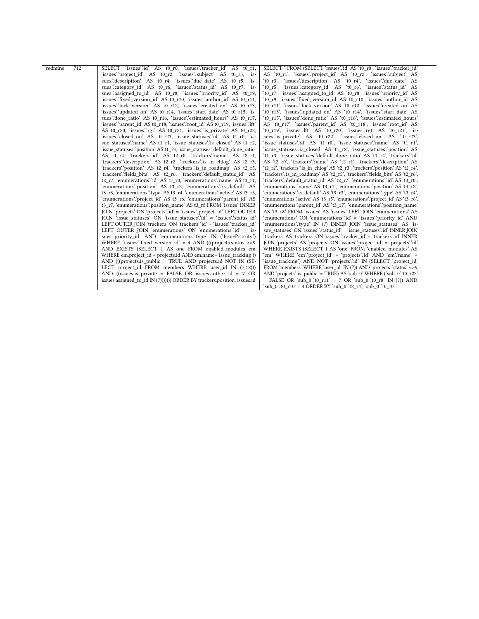| redmine | 712 | SELECT 'issues'id' AS t0 r0, 'issues' tracker id' AS t0 r1,               | SELECT * FROM (SELECT 'issues' id' AS 't0 r0', 'issues' tracker id'            |
|---------|-----|---------------------------------------------------------------------------|--------------------------------------------------------------------------------|
|         |     | 'issues''project_id' AS t0_r2, 'issues''subject' AS t0_r3, 'is-           | AS 't0 r1', 'issues''project id' AS 't0 r2', 'issues''subject' AS              |
|         |     | sues description AS to r4, 'issues due date' AS to r5, 'is-               | 't0 r3', 'issues'.'description' AS 't0 r4', 'issues'.'due date' AS             |
|         |     | sues":category id' AS t0 r6, "issues":status id' AS t0 r7, "is-           | 't0 r5', 'issues':category id' AS 't0 r6', 'issues':status id' AS              |
|         |     | sues" assigned to id' AS t0 r8, "issues" priority id' AS t0 r9,           | 't0_r7', 'issues'.'assigned_to_id' AS 't0_r8', 'issues'.'priority id' AS       |
|         |     | 'issues'.'fixed version id' AS t0 r10, 'issues'.'author id' AS t0 r11,    | 't0 r9', 'issues'.'fixed version id' AS 't0 r10', 'issues'.'author id' AS      |
|         |     | 'issues'.'lock version' AS t0 r12, 'issues'.'created on' AS t0 r13,       | 't0 r11', 'issues'.'lock version' AS 't0 r12', 'issues'.'created on' AS        |
|         |     | 'issues'.'updated on' AS t0 r14, 'issues'.'start date' AS t0 r15, 'is-    | 't0 r13', 'issues'.'updated on' AS 't0 r14', 'issues'.'start date' AS          |
|         |     | sues" done ratio" AS t0 r16, "issues" estimated hours" AS t0 r17,         | 't0 r15', 'issues''done ratio' AS 't0 r16', 'issues''estimated hours'          |
|         |     | 'issues''parent id' AS t0 r18, 'issues''root id' AS t0 r19, 'issues''lft' | AS 't0 r17', 'issues' parent id' AS 't0 r18', 'issues' root id' AS             |
|         |     | AS t0 r20, 'issues":rgt' AS t0 r21, 'issues": is private' AS t0 r22,      | 't0 r19', 'issues'.'Ift' AS 't0 r20', 'issues'.'rgt' AS 't0 r21', 'is-         |
|         |     | 'issues":closed on AS t0 r23, 'issue statuses":id AS t1 r0, 'is-          | sues" is private" AS 't0 r22', 'issues":closed on' AS 't0 r23',                |
|         |     | sue statuses 'name' AS t1 r1, 'issue statuses 'is closed' AS t1 r2,       | 'issue statuses'.'id' AS 't1 r0', 'issue statuses'.'name' AS 't1 r1',          |
|         |     | 'issue statuses''position' AS t1 r3, 'issue statuses''default done ratio' | 'issue statuses''s closed' AS 't1 r2', 'issue statuses''position' AS           |
|         |     | AS t1 r4, 'trackers'.id' AS t2 r0, 'trackers'.name' AS t2 r1,             | 't1 r3', 'issue statuses'.'default done ratio' AS 't1 r4', 'trackers'.'id'     |
|         |     | 'trackers'.'description' AS t2 r2, 'trackers'.'is in chlog' AS t2 r3,     | AS 't2 r0', 'trackers'.'name' AS 't2_r1', 'trackers'.'description' AS          |
|         |     | 'trackers'.'position' AS t2 r4, 'trackers'.'is in roadmap' AS t2 r5,      | 't2 r2', 'trackers' is in chlog' AS 't2 r3', 'trackers' 'position' AS 't2 r4', |
|         |     | 'trackers'.'fields bits' AS t2 r6, 'trackers'.'default status id' AS      | 'trackers'.'is in roadmap' AS 't2 r5', 'trackers'.'fields bits' AS 't2 r6',    |
|         |     | t2 r7, 'enumerations' id' AS t3 r0, 'enumerations' name' AS t3 r1,        | 'trackers'.'default_status_id' AS 't2_r7', 'enumerations'.'id' AS 't3_r0',     |
|         |     | 'enumerations'.'position' AS t3 r2, 'enumerations'.'is default' AS        | 'enumerations''name' AS 't3 r1', 'enumerations''position' AS 't3 r2',          |
|         |     | t3 r3, 'enumerations' type' AS t3 r4, 'enumerations' active' AS t3 r5,    | 'enumerations' is default' AS 't3 r3', 'enumerations' type' AS 't3 r4',        |
|         |     | 'enumerations''project id' AS t3 r6, 'enumerations''parent id' AS         | 'enumerations" active' AS 't3_r5', 'enumerations" project_id' AS 't3_r6',      |
|         |     | t3 r7, 'enumerations' position name' AS t3 r8 FROM 'issues' INNER         | 'enumerations''parent id' AS 't3 r7', 'enumerations''position name'            |
|         |     | JOIN 'projects' ON 'projects' id' = 'issues' 'project id' LEFT OUTER      | AS 't3 r8' FROM 'issues' AS 'issues' LEFT JOIN 'enumerations' AS               |
|         |     | JOIN 'issue statuses' ON 'issue statuses' id' = 'issues' status id'       | 'enumerations' ON 'enumerations'.'id' = 'issues'.'priority_id' AND             |
|         |     | LEFT OUTER JOIN 'trackers' ON 'trackers' id' = 'issues' tracker id'       | 'enumerations'.'type' IN (?) INNER JOIN 'issue statuses' AS 'is-               |
|         |     | LEFT OUTER JOIN 'enumerations' ON 'enumerations' id' = 'is-               | sue statuses' ON 'issues' status id' = 'issue statuses' id' INNER JOIN         |
|         |     | sues", priority id AND 'enumerations" type IN ('IssuePriority')           | 'trackers' AS 'trackers' ON 'issues'.'tracker id' = 'trackers'.'id' INNER      |
|         |     | WHERE 'issues' fixed version $id' = 4$ AND (((projects.status <>9)        | JOIN 'projects' AS 'projects' ON 'issues' project id' = 'projects' id'         |
|         |     | AND EXISTS (SELECT 1 AS one FROM enabled modules em                       | WHERE EXISTS (SELECT 1 AS 'one' FROM 'enabled modules' AS                      |
|         |     | WHERE em.project id = projects.id AND em.name='issue tracking'))          | 'em' WHERE 'em'.'project id' = 'projects'.'id' AND 'em'.'name' =               |
|         |     | AND (((projects.is public = TRUE AND projects.id NOT IN (SE-              | 'issue tracking') AND NOT 'projects'.'id' IN (SELECT 'project id'              |
|         |     | LECT project_id FROM members WHERE user id IN (7,12)))                    | FROM 'members' WHERE 'user id' IN (?)) AND 'projects' status' <>9              |
|         |     | AND ((issues.is private = FALSE OR issues.author id = $7$ OR              | AND 'projects' is public' = TRUE) AS 'sub $0'$ WHERE ('sub $0'$ to r22'        |
|         |     | issues.assigned to id IN (7))))))) ORDER BY trackers.position, issues.id  | = FALSE OR 'sub $0$ ''t0 $r11'$ = 7 OR 'sub $0$ ''t0 $r8'$ IN (?)) AND         |
|         |     |                                                                           | 'sub $0$ ''t0 $r10' = 4$ ORDER BY 'sub $0$ ''t2 $r4'$ , 'sub $0$ ''t0 $r0'$    |
|         |     |                                                                           |                                                                                |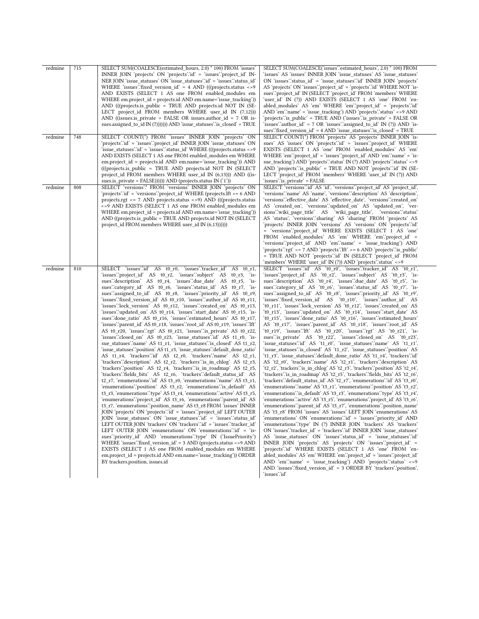| redmine | 715 | SELECT SUM(COALESCE(estimated hours, 2.0) * 100) FROM 'issues'<br>INNER JOIN 'projects' ON 'projects' id' = 'issues' project id' IN-<br>NER JOIN 'issue statuses' ON 'issue statuses' id' = 'issues' status id'<br>WHERE 'issues' fixed version $id' = 4$ AND (((projects.status <>9)<br>AND EXISTS (SELECT 1 AS one FROM enabled_modules em<br>WHERE em.project_id = projects.id AND em.name='issue_tracking'))<br>$AND$ (((projects.is_public = TRUE AND projects.id NOT IN (SE-<br>LECT project_id FROM members WHERE user_id IN $(7,12)$ )<br>AND ((issues.is_private = FALSE OR issues.author_id = $7$ OR is-<br>sues.assigned_to_id IN (7)))))) AND 'issue_statuses' is_closed' = TRUE                                                                                                                                                                                                                                                                                                                                                                                                                                                                                                                                                                                                                                                                                                                                                                                                                                                                                                                                                                                                                                                                                                                                                                                                                                                                                                                                                                                                                                                                                                                                                                                                 | SELECT SUM(COALESCE('issues':estimated_hours', 2.0) * 100) FROM<br>'issues' AS 'issues' INNER JOIN 'issue_statuses' AS 'issue_statuses'<br>ON 'issues' status id = 'issue statuses' id INNER JOIN 'projects'<br>AS 'projects' ON 'issues' project_id' = 'projects' id' WHERE NOT 'is-<br>sues''project_id' IN (SELECT 'project_id' FROM 'members' WHERE<br>'user_id' IN (?)) AND EXISTS (SELECT 1 AS 'one' FROM 'en-<br>abled_modules' AS 'em' WHERE 'em'.'project_id' = 'projects'.'id'<br>AND 'em'.'name' = 'issue_tracking') AND 'projects'.'status' <>9 AND<br>'projects'.'is_public' = TRUE AND ('issues'.'is_private' = FALSE OR<br>'issues'.'author_id' = $7 \text{ OR } '$ issues'.'assigned_to_id' IN (?)) AND 'is-<br>sues''fixed_version_id' = 4 AND 'issue_statuses''is_closed' = TRUE                                                                                                                                                                                                                                                                                                                                                                                                                                                                                                                                                                                                                                                                                                                                                                                                                                                                                                                                                                                                                                                                                                                                                                                                                                                                                                                                                                                                                                                                                                                                                                                                                                                                   |
|---------|-----|----------------------------------------------------------------------------------------------------------------------------------------------------------------------------------------------------------------------------------------------------------------------------------------------------------------------------------------------------------------------------------------------------------------------------------------------------------------------------------------------------------------------------------------------------------------------------------------------------------------------------------------------------------------------------------------------------------------------------------------------------------------------------------------------------------------------------------------------------------------------------------------------------------------------------------------------------------------------------------------------------------------------------------------------------------------------------------------------------------------------------------------------------------------------------------------------------------------------------------------------------------------------------------------------------------------------------------------------------------------------------------------------------------------------------------------------------------------------------------------------------------------------------------------------------------------------------------------------------------------------------------------------------------------------------------------------------------------------------------------------------------------------------------------------------------------------------------------------------------------------------------------------------------------------------------------------------------------------------------------------------------------------------------------------------------------------------------------------------------------------------------------------------------------------------------------------------------------------------------------------------------------------------------------------|----------------------------------------------------------------------------------------------------------------------------------------------------------------------------------------------------------------------------------------------------------------------------------------------------------------------------------------------------------------------------------------------------------------------------------------------------------------------------------------------------------------------------------------------------------------------------------------------------------------------------------------------------------------------------------------------------------------------------------------------------------------------------------------------------------------------------------------------------------------------------------------------------------------------------------------------------------------------------------------------------------------------------------------------------------------------------------------------------------------------------------------------------------------------------------------------------------------------------------------------------------------------------------------------------------------------------------------------------------------------------------------------------------------------------------------------------------------------------------------------------------------------------------------------------------------------------------------------------------------------------------------------------------------------------------------------------------------------------------------------------------------------------------------------------------------------------------------------------------------------------------------------------------------------------------------------------------------------------------------------------------------------------------------------------------------------------------------------------------------------------------------------------------------------------------------------------------------------------------------------------------------------------------------------------------------------------------------------------------------------------------------------------------------------------------------------------------------------|
| redmine | 748 | SELECT COUNT(*) FROM 'issues' INNER JOIN 'projects' ON<br>'projects'.'id' = 'issues'.'project_id' INNER JOIN 'issue_statuses' ON<br>'issue statuses'.'id' = 'issues'.'status id' WHERE (((projects.status <>9)<br>AND EXISTS (SELECT 1 AS one FROM enabled modules em WHERE<br>em.project id = projects.id AND em.name='issue tracking')) AND<br>(((projects.is_public = TRUE AND projects.id NOT IN (SELECT)<br>project_id_FROM_members_WHERE_user_id_IN_(6,13)))_AND_((is-<br>sues.is_private = FALSE)))))) AND (projects.status IN ('1'))                                                                                                                                                                                                                                                                                                                                                                                                                                                                                                                                                                                                                                                                                                                                                                                                                                                                                                                                                                                                                                                                                                                                                                                                                                                                                                                                                                                                                                                                                                                                                                                                                                                                                                                                                 | SELECT COUNT(*) FROM 'projects' AS 'projects' INNER JOIN 'is-<br>sues' AS 'issues' ON 'projects' id' = 'issues' 'project_id' WHERE<br>EXISTS (SELECT 1 AS 'one' FROM 'enabled_modules' AS 'em'<br>WHERE 'em'.'project_id' = 'issues'.'project_id' AND 'em'.'name' = 'is-<br>sue_tracking') AND 'projects' status' IN (?) AND 'projects' status' <>9<br>AND 'projects' is public' = TRUE AND NOT 'projects' id' IN (SE-<br>LECT 'project_id' FROM 'members' WHERE 'user_id' IN (?)) AND<br>'issues'.'is_private' = FALSE                                                                                                                                                                                                                                                                                                                                                                                                                                                                                                                                                                                                                                                                                                                                                                                                                                                                                                                                                                                                                                                                                                                                                                                                                                                                                                                                                                                                                                                                                                                                                                                                                                                                                                                                                                                                                                                                                                                                              |
| redmine | 808 | SELECT 'versions'.* FROM 'versions' INNER JOIN 'projects' ON<br>'projects'.'id' = 'versions'.'project_id' WHERE (projects.lft >= 6 AND<br>projects.rgt $\leq$ 7 AND projects.status $\leq$ 9) AND (((projects.status<br><>9 AND EXISTS (SELECT 1 AS one FROM enabled_modules em<br>WHERE em.project id = projects.id AND em.name='issue tracking'))<br>AND ((projects.is_public = TRUE AND projects.id NOT IN (SELECT<br>project id FROM members WHERE user id IN (6,13))))))                                                                                                                                                                                                                                                                                                                                                                                                                                                                                                                                                                                                                                                                                                                                                                                                                                                                                                                                                                                                                                                                                                                                                                                                                                                                                                                                                                                                                                                                                                                                                                                                                                                                                                                                                                                                                | SELECT 'versions' id' AS 'id', 'versions' project_id' AS 'project_id',<br>'versions''name' AS 'name', 'versions''description' AS 'description',<br>'versions'.'effective_date' AS 'effective_date', 'versions'.'created_on'<br>AS 'created_on', 'versions'.'updated_on' AS 'updated_on', 'ver-<br>sions" wiki page title AS 'wiki page title', 'versions" status<br>AS 'status', 'versions'.'sharing' AS 'sharing' FROM 'projects' AS<br>'projects' INNER JOIN 'versions' AS 'versions' ON 'projects'.id'<br>= 'versions'.'project_id' WHERE EXISTS (SELECT 1 AS 'one'<br>FROM 'enabled_modules' AS 'em' WHERE 'em'.'project_id' =<br>'versions''project_id' AND 'em''name' = 'issue_tracking') AND<br>'projects'.'rgt' <= 7 AND 'projects'.'lft' >= 6 AND 'projects'.'is_public'<br>= TRUE AND NOT 'projects'.'id' IN (SELECT 'project_id' FROM<br>'members' WHERE 'user id' IN (?)) AND 'projects' status' <>9                                                                                                                                                                                                                                                                                                                                                                                                                                                                                                                                                                                                                                                                                                                                                                                                                                                                                                                                                                                                                                                                                                                                                                                                                                                                                                                                                                                                                                                                                                                                                     |
| redmine | 810 | SELECT 'issues'id' AS t0_r0, 'issues''tracker_id' AS t0_r1,<br>'issues''project_id' AS t0_r2, 'issues''subject' AS t0_r3, 'is-<br>sues''description' AS t0_r4, 'issues''due_date' AS t0_r5, 'is-<br>sues':category_id' AS t0_r6, 'issues':status_id' AS t0_r7, 'is-<br>sues "assigned_to_id" AS t0_r8, 'issues "priority_id" AS t0_r9,<br>'issues'.'fixed_version_id' AS t0_r10, 'issues'.'author_id' AS t0_r11,<br>'issues'.'lock_version' AS t0_r12, 'issues'.'created_on' AS t0_r13,<br>'issues'.'updated_on' AS t0_r14, 'issues'.'start_date' AS t0_r15, 'is-<br>sues done_ratio AS t0_r16, 'issues 'estimated_hours' AS t0_r17,<br>'issues'.'parent_id' AS t0_r18, 'issues'.'root_id' AS t0_r19, 'issues'.'lft'<br>AS t0_r20, 'issues":rgt' AS t0_r21, 'issues":is_private' AS t0_r22,<br>'issues'.'closed_on' AS t0_r23, 'issue_statuses'.'id' AS t1_r0, 'is-<br>sue_statuses'.'name' AS t1_r1, 'issue_statuses'.'is_closed' AS t1_r2,<br>'issue_statuses''.position' AS t1_r3, 'issue_statuses'.'default_done_ratio'<br>AS t1_r4, 'trackers'.id' AS t2_r0, 'trackers'.'name' AS t2_r1,<br>'trackers'.'description' AS t2_r2, 'trackers'.'is_in_chlog' AS t2_r3,<br>'trackers'.'position' AS t2_r4, 'trackers'.'is_in_roadmap' AS t2_r5,<br>'trackers'.'fields_bits' AS t2_r6, 'trackers'.'default_status_id' AS<br>t2_r7, 'enumerations' id' AS t3_r0, 'enumerations' name' AS t3_r1,<br>'enumerations''position' AS t3_r2, 'enumerations''is_default' AS<br>$t3_r3$ , 'enumerations' type' AS $t3_r4$ , 'enumerations' active' AS $t3_r5$ ,<br>'enumerations''project_id' AS t3_r6, 'enumerations''parent_id' AS<br>t3 r7, 'enumerations' position name' AS t3 r8 FROM 'issues' INNER<br>JOIN 'projects' ON 'projects' id' = 'issues' 'project_id' LEFT OUTER<br>JOIN 'issue_statuses' ON 'issue_statuses' id' = 'issues' status_id'<br>LEFT OUTER JOIN 'trackers' ON 'trackers' id' = 'issues' tracker id'<br>LEFT OUTER JOIN 'enumerations' ON 'enumerations' id' = 'is-<br>sues''priority_id' AND 'enumerations''type' IN ('IssuePriority')<br>WHERE 'issues' fixed version id' = 3 AND (projects.status <> 9 AND<br>EXISTS (SELECT 1 AS one FROM enabled modules em WHERE<br>em.project_id = projects.id AND em.name='issue_tracking')) ORDER<br>BY trackers.position, issues.id | SELECT 'issues'id' AS 't0_r0', 'issues''tracker_id' AS 't0_r1',<br>'issues''project id' AS 't0 r2', 'issues''subject' AS 't0 r3', 'is-<br>sues description AS 't0 r4', 'issues due date' AS 't0 r5', 'is-<br>sues''category_id' AS 't0_r6', 'issues''status_id' AS 't0_r7', 'is-<br>sues"assigned_to_id' AS 't0_r8', 'issues"priority_id' AS 't0_r9',<br>'issues'.'fixed_version_id' AS 't0_r10', 'issues'.'author_id' AS<br>'t0_r11', 'issues'.'lock_version' AS 't0_r12', 'issues'.'created_on' AS<br>'t0_r13', 'issues'.'updated_on' AS 't0_r14', 'issues'.'start_date' AS<br>'t0_r15', 'issues''done_ratio' AS 't0_r16', 'issues''estimated_hours'<br>AS 't0_r17', 'issues''parent_id' AS 't0_r18', 'issues''root_id' AS<br>'t0_r19', 'issues'.'lft' AS 't0_r20', 'issues'.'rgt' AS 't0_r21', 'is-<br>sues" is private AS 't0_r22', 'issues" closed on AS 't0_r23',<br>'issue_statuses'.id' AS 't1_r0', 'issue_statuses'.'name' AS 't1_r1',<br>'issue_statuses''is_closed' AS 't1_r2', 'issue_statuses''position' AS<br>'t1_r3', 'issue_statuses'.'default_done_ratio' AS 't1_r4', 'trackers'.'id'<br>AS 't2_r0', 'trackers'.'name' AS 't2_r1', 'trackers'.'description' AS<br>'t2_r2', 'trackers'.is_in_chlog' AS 't2_r3', 'trackers'.'position' AS 't2_r4',<br>'trackers'.'is_in_roadmap' AS 't2_r5', 'trackers'.'fields_bits' AS 't2_r6',<br>'trackers'.'default_status_id' AS 't2_r7', 'enumerations'.'id' AS 't3_r0',<br>'enumerations''name' AS 't3_r1', 'enumerations''position' AS 't3_r2',<br>'enumerations'.'is_default' AS 't3_r3', 'enumerations'.'type' AS 't3_r4',<br>'enumerations'.'active' AS 't3_r5', 'enumerations'.'project_id' AS 't3_r6',<br>'enumerations''parent_id' AS 't3_r7', 'enumerations''position_name'<br>AS 't3_r8' FROM 'issues' AS 'issues' LEFT JOIN 'enumerations' AS<br>'enumerations' ON 'enumerations' id' = 'issues' priority id' AND<br>'enumerations'.'type' IN (?) INNER JOIN 'trackers' AS 'trackers'<br>ON 'issues' tracker id' = 'trackers' id' INNER JOIN 'issue statuses'<br>AS 'issue_statuses' ON 'issues''status_id' = 'issue_statuses''id'<br>INNER JOIN 'projects' AS 'projects' ON 'issues'.'project_id' =<br>'projects'.'id' WHERE EXISTS (SELECT 1 AS 'one' FROM 'en-<br>abled modules' AS 'em' WHERE 'em' 'project id' = 'issues' 'project id'<br>AND 'em'.'name' = 'issue_tracking') AND 'projects'.'status' <>9<br>AND 'issues'.'fixed version id' = 3 ORDER BY 'trackers'.'position',<br>'issues"id |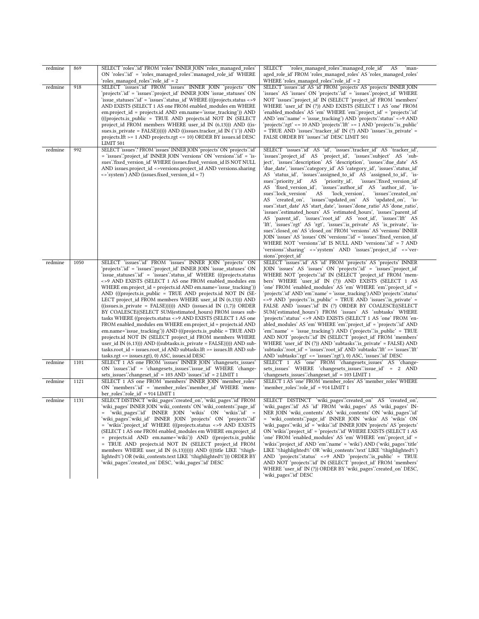| redmine | 869  | SELECT 'roles':id' FROM 'roles' INNER JOIN 'roles_managed_roles'<br>ON 'roles' id' = 'roles_managed_roles' managed_role_id' WHERE<br>'roles_managed_roles'.'role_id' = 2                                                                                                                                                                                                                                                                                                                                                                                                                                                                                                                                                                                                                                                                                                                                                                                                                                                                                                         | SELECT 'roles_managed_roles'.'managed_role_id'<br>AS<br>`man-<br>aged_role_id`FROM `roles_managed_roles`AS `roles_managed_roles`<br>WHERE 'roles_managed_roles'.'role_id' = 2                                                                                                                                                                                                                                                                                                                                                                                                                                                                                                                                                                                                                                                                                                                                                                                                                                                                                                                                                                                                                                                                                           |
|---------|------|----------------------------------------------------------------------------------------------------------------------------------------------------------------------------------------------------------------------------------------------------------------------------------------------------------------------------------------------------------------------------------------------------------------------------------------------------------------------------------------------------------------------------------------------------------------------------------------------------------------------------------------------------------------------------------------------------------------------------------------------------------------------------------------------------------------------------------------------------------------------------------------------------------------------------------------------------------------------------------------------------------------------------------------------------------------------------------|-------------------------------------------------------------------------------------------------------------------------------------------------------------------------------------------------------------------------------------------------------------------------------------------------------------------------------------------------------------------------------------------------------------------------------------------------------------------------------------------------------------------------------------------------------------------------------------------------------------------------------------------------------------------------------------------------------------------------------------------------------------------------------------------------------------------------------------------------------------------------------------------------------------------------------------------------------------------------------------------------------------------------------------------------------------------------------------------------------------------------------------------------------------------------------------------------------------------------------------------------------------------------|
| redmine | 918  | SELECT 'issues''id' FROM 'issues' INNER JOIN 'projects' ON<br>'projects'.'id' = 'issues'.'project_id' INNER JOIN 'issue_statuses' ON<br>'issue_statuses'.'id' = 'issues'.'status_id' WHERE (((projects.status <>9<br>AND EXISTS (SELECT 1 AS one FROM enabled_modules em WHERE<br>em.project_id = projects.id AND em.name='issue_tracking')) AND<br>(((projects.is_public = TRUE AND projects.id NOT IN (SELECT<br>project_id_FROM_members_WHERE_user_id_IN_(6,13)))_AND_((is-<br>sues.is_private = FALSE)))))) AND ((issues.tracker_id IN ('1')) AND<br>projects. If t >= 1 AND projects. rgt <= 10) ORDER BY issues. id DESC<br>LIMIT 501                                                                                                                                                                                                                                                                                                                                                                                                                                      | SELECT 'issues' id' AS 'id' FROM 'projects' AS 'projects' INNER JOIN<br>'issues' AS 'issues' ON 'projects' id' = 'issues' project_id' WHERE<br>NOT 'issues'.'project_id' IN (SELECT 'project_id' FROM 'members'<br>WHERE 'user_id' IN (?)) AND EXISTS (SELECT 1 AS 'one' FROM<br>'enabled_modules' AS 'em' WHERE 'em'.'project_id' = 'projects'.'id'<br>AND 'em'.'name' = 'issue_tracking') AND 'projects'.'status' <>9 AND<br>'projects'.'rgt' <= 10 AND 'projects'.'lft' >= 1 AND 'projects'.'is_public'<br>= TRUE AND 'issues''tracker_id' IN (?) AND 'issues''is_private' =<br>FALSE ORDER BY 'issues' id' DESC LIMIT 501                                                                                                                                                                                                                                                                                                                                                                                                                                                                                                                                                                                                                                           |
| redmine | 992  | SELECT 'issues'.* FROM 'issues' INNER JOIN 'projects' ON 'projects'.'id'<br>= 'issues'.'project_id' INNER JOIN 'versions' ON 'versions'.'id' = 'is-<br>sues'.'fixed_version_id' WHERE (issues.fixed_version_id IS NOT NULL<br>AND issues.project_id <>versions.project_id AND versions.sharing<br><>'system') AND (issues.fixed_version_id = 7)                                                                                                                                                                                                                                                                                                                                                                                                                                                                                                                                                                                                                                                                                                                                  | SELECT 'issues':id' AS 'id', 'issues':'tracker_id' AS 'tracker_id',<br>'issues''project_id' AS 'project_id', 'issues''subject' AS 'sub-<br>ject', 'issues''description' AS 'description', 'issues''due_date' AS<br>'due_date', 'issues'.'category_id' AS 'category_id', 'issues'.'status_id'<br>AS 'status id', 'issues' assigned to id' AS 'assigned to id', 'is-<br>sues".priority_id AS<br>'priority_id',<br>'issues'.'fixed_version_id'<br>AS 'fixed_version_id', 'issues''author_id' AS 'author_id', 'is-<br>AS<br>'lock_version',<br>'issues":created_on'<br>sues'.lock_version'<br>AS 'created_on', 'issues'.'updated_on' AS 'updated_on', 'is-<br>sues" start_date' AS 'start_date', 'issues" done_ratio' AS 'done_ratio',<br>'issues''estimated_hours' AS 'estimated_hours', 'issues''parent_id'<br>AS 'parent_id', 'issues''root_id' AS 'root_id', 'issues'.'lft' AS<br>'lft', 'issues'.'rgt' AS 'rgt', 'issues'.'is_private' AS 'is_private', 'is-<br>sues":closed_on' AS 'closed_on' FROM 'versions' AS 'versions' INNER<br>JOIN 'issues' AS 'issues' ON 'versions' id' = 'issues' fixed version id'<br>WHERE NOT 'versions' id' IS NULL AND 'versions' id' = 7 AND<br>'versions''sharing' <>'system' AND 'issues''project id' <>'ver-<br>sions" project_id |
| redmine | 1050 | SELECT 'issues'id' FROM 'issues' INNER JOIN 'projects' ON<br>'projects'.'id' = 'issues'.'project id' INNER JOIN 'issue statuses' ON<br>'issue_statuses'.'id' = 'issues'.'status_id' WHERE (((projects.status<br><>9 AND EXISTS (SELECT 1 AS one FROM enabled_modules em<br>WHERE em.project_id = projects.id AND em.name='issue_tracking'))<br>AND (((projects.is_public = TRUE AND projects.id NOT IN (SE-<br>LECT project_id FROM members WHERE user_id IN (6,13))) AND<br>((issues.is_private = FALSE)))))) AND (issues.id IN (1,7)) ORDER<br>BY COALESCE((SELECT SUM(estimated_hours) FROM issues sub-<br>tasks WHERE ((projects.status <>9 AND EXISTS (SELECT 1 AS one<br>FROM enabled_modules em WHERE em.project_id = projects.id AND<br>em.name='issue_tracking')) AND (((projects.is_public = TRUE AND<br>projects.id NOT IN (SELECT project_id FROM members WHERE<br>user_id IN (6,13))) AND ((subtasks.is_private = FALSE))))) AND sub-<br>tasks.root_id = issues.root_id AND subtasks.lft >= issues.lft AND sub-<br>tasks.rgt <= issues.rgt), 0) ASC, issues.id DESC | SELECT 'issues''id' AS 'id' FROM 'projects' AS 'projects' INNER<br>JOIN 'issues' AS 'issues' ON 'projects' id' = 'issues' project_id'<br>WHERE NOT 'projects' id' IN (SELECT 'project_id' FROM 'mem-<br>bers' WHERE 'user_id' IN (?)) AND EXISTS (SELECT 1 AS<br>'one' FROM 'enabled_modules' AS 'em' WHERE 'em'.'project_id' =<br>'projects'.'id' AND 'em'.'name' = 'issue_tracking') AND 'projects'.'status'<br><>9 AND 'projects' is_public' = TRUE AND 'issues' is_private' =<br>FALSE AND 'issues':id' IN (?) ORDER BY COALESCE((SELECT<br>SUM('estimated_hours') FROM 'issues' AS 'subtasks' WHERE<br>'projects'.'status' <>9 AND EXISTS (SELECT 1 AS 'one' FROM 'en-<br>abled_modules' AS 'em' WHERE 'em' 'project_id' = 'projects' id' AND<br>'em'.'name' = 'issue_tracking') AND ('projects'.'is_public' = TRUE<br>AND NOT 'projects' id' IN (SELECT 'project_id' FROM 'members'<br>WHERE 'user_id' IN (?)) AND 'subtasks' is_private' = FALSE) AND<br>'subtasks'.'root_id' = 'issues'.'root_id' AND 'subtasks'.'lft' >= 'issues'.'lft'<br>AND 'subtasks'.'rgt' <= 'issues'.'rgt'), 0) ASC, 'issues'.'id' DESC                                                                                                                                                 |
| redmine | 1101 | SELECT 1 AS one FROM 'issues' INNER JOIN 'changesets_issues'<br>ON 'issues' id' = 'changesets_issues' issue_id' WHERE 'change-<br>sets issues : changeset id = 103 AND 'issues : id = 2 LIMIT 1                                                                                                                                                                                                                                                                                                                                                                                                                                                                                                                                                                                                                                                                                                                                                                                                                                                                                  | SELECT 1 AS 'one' FROM 'changesets_issues' AS 'change-<br>sets_issues' WHERE 'changesets_issues''issue_id' = 2 AND<br>'changesets_issues'.'changeset_id' = 103 LIMIT 1                                                                                                                                                                                                                                                                                                                                                                                                                                                                                                                                                                                                                                                                                                                                                                                                                                                                                                                                                                                                                                                                                                  |
| redmine | 1121 | SELECT 1 AS one FROM 'members' INNER JOIN 'member roles'<br>ON 'members'.id' = 'member_roles'.member_id' WHERE 'mem-<br>ber_roles'.'role_id' = 914 LIMIT 1                                                                                                                                                                                                                                                                                                                                                                                                                                                                                                                                                                                                                                                                                                                                                                                                                                                                                                                       | SELECT 1 AS 'one' FROM 'member_roles' AS 'member_roles' WHERE<br>'member roles'.'role id' = 914 LIMIT 1                                                                                                                                                                                                                                                                                                                                                                                                                                                                                                                                                                                                                                                                                                                                                                                                                                                                                                                                                                                                                                                                                                                                                                 |
| redmine | 1131 | SELECT DISTINCT 'wiki_pages'.'created_on', 'wiki_pages'.'id' FROM<br>'wiki_pages' INNER JOIN 'wiki_contents' ON 'wiki_contents'.'page_id'<br>= 'wiki_pages'.'id' INNER JOIN 'wikis' ON 'wikis'.'id' =<br>'wiki pages'.'wiki id' INNER JOIN 'projects' ON 'projects'.'id'<br>= 'wikis'.'project_id' WHERE (((projects.status <> 9 AND EXISTS<br>(SELECT 1 AS one FROM enabled modules em WHERE em.project id<br>= projects.id AND em.name='wiki')) AND ((projects.is public<br>= TRUE AND projects.id NOT IN (SELECT project id FROM<br>members WHERE user_id IN (6,13)))))) AND (((title LIKE '%high-<br>lighted%') OR (wiki contents.text LIKE '%highlighted%'))) ORDER BY<br>'wiki pages'.'created on' DESC, 'wiki pages'.'id' DESC                                                                                                                                                                                                                                                                                                                                            | SELECT DISTINCT 'wiki_pages":created_on' AS 'created_on',<br>'wiki_pages'.'id' AS 'id' FROM 'wiki_pages' AS 'wiki_pages' IN-<br>NER JOIN 'wiki contents' AS 'wiki contents' ON 'wiki pages' id<br>= 'wiki_contents'.'page_id' INNER JOIN 'wikis' AS 'wikis' ON<br>'wiki_pages'.'wiki_id' = 'wikis'.'id' INNER JOIN 'projects' AS 'projects'<br>ON 'wikis' 'project_id' = 'projects' id' WHERE EXISTS (SELECT 1 AS<br>'one' FROM 'enabled_modules' AS 'em' WHERE 'em' 'project_id' =<br>'wikis'.'project_id' AND 'em'.'name' = 'wiki') AND ('wiki_pages'.'title'<br>LIKE '%highlighted%' OR 'wiki_contents' 'text' LIKE '%highlighted%')<br>AND 'projects'.'status' <> 9 AND 'projects'.'is_public' = TRUE<br>AND NOT 'projects' id' IN (SELECT 'project id' FROM 'members'<br>WHERE 'user id' IN (?)) ORDER BY 'wiki pages' created on' DESC,<br>'wiki pages'.'id' DESC                                                                                                                                                                                                                                                                                                                                                                                                 |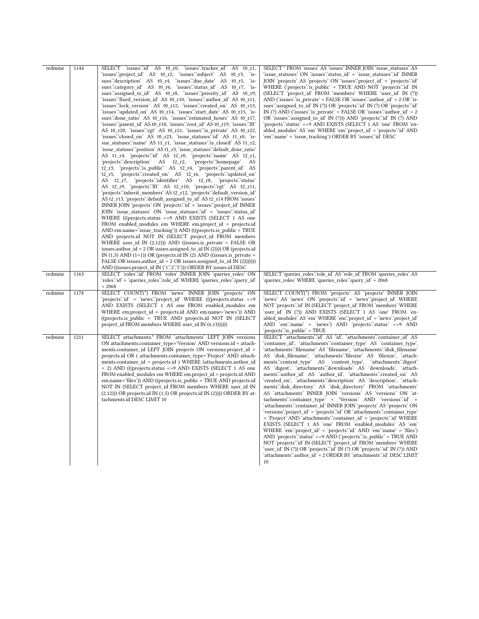| redmine | 1144 | SELECT 'issues'id' AS t0 r0, 'issues'.'tracker id'<br>AS $t0$ r1,<br>'issues'.'project_id' AS t0_r2, 'issues'.'subject' AS<br>$t0$ <sub>r</sub> 3, 'is-<br>sues description AS to r4, 'issues due date' AS to r5, 'is-<br>sues":category id' AS t0 r6, 'issues":status id' AS t0 r7, 'is-<br>sues".assigned_to_id' AS t0_r8, 'issues".priority_id' AS t0_r9,<br>'issues''fixed_version_id' AS t0_r10, 'issues''author_id' AS t0_r11,<br>'issues'.'lock version' AS t0 r12, 'issues'.'created on' AS t0 r13,<br>'issues' updated on AS t0 r14, 'issues' start date AS t0 r15, 'is-<br>sues" done ratio" AS t0 r16, "issues" estimated hours' AS t0 r17,<br>'issues'.'parent id' AS t0 r18, 'issues'.'root id' AS t0 r19, 'issues'.'lft'<br>AS t0 r20, 'issues' rgt' AS t0 r21, 'issues' is private' AS t0 r22,<br>'issues''closed on AS t0 r23, 'issue statuses''id AS t1 r0, 'is-<br>sue statuses".name' AS t1 r1, 'issue statuses" is closed' AS t1 r2,<br>'issue statuses''position' AS t1 r3, 'issue statuses''default done ratio'<br>AS t1 r4, 'projects'id' AS t2 r0, 'projects' name' AS t2 r1,<br>'projects'.'description' AS t2_r2, 'projects'.'homepage'<br>AS<br>t2 r3, 'projects' is public AS t2 r4, 'projects' parent id AS<br>t2_r5, 'projects'.'created_on' AS t2_r6, 'projects'.'updated_on'<br>AS t2 r7, 'projects'.identifier' AS t2 r8, 'projects'.status'<br>AS t2_r9, 'projects'.'lft' AS t2_r10, 'projects'.'rgt' AS t2_r11,<br>'projects'.'inherit members' AS t2 r12, 'projects'.'default version id'<br>AS t2 r13, 'projects' default assigned to id' AS t2 r14 FROM 'issues'<br>INNER JOIN 'projects' ON 'projects' id' = 'issues' project id' INNER<br>JOIN 'issue_statuses' ON 'issue_statuses''id' = 'issues''status_id'<br>WHERE (((projects.status <> 9 AND EXISTS (SELECT 1 AS one<br>FROM enabled_modules em WHERE em.project_id = projects.id<br>AND em.name='issue_tracking')) AND (((projects.is_public = TRUE<br>AND projects.id NOT IN (SELECT project id FROM members<br>WHERE user_id IN $(2,12)$ )) AND ((issues.is_private = FALSE OR<br>issues.author_id = $2$ OR issues.assigned_to_id IN (2)))) OR (projects.id<br>IN $(1,5)$ AND $(1=1)$ ) OR (projects.id IN $(2)$ AND ((issues.is private =<br>FALSE OR issues.author $id = 2$ OR issues.assigned to $id IN (2)))))$<br>AND ((issues.project_id IN ('1','2','5'))) ORDER BY issues.id DESC | SELECT * FROM 'issues' AS 'issues' INNER JOIN 'issue statuses' AS<br>'issue statuses' ON 'issues'.'status id' = 'issue statuses'.'id' INNER<br>JOIN 'projects' AS 'projects' ON 'issues' project id' = 'projects' id'<br>WHERE ('projects' is public' = TRUE AND NOT 'projects' id' IN<br>(SELECT 'project id' FROM 'members' WHERE 'user id' IN (?))<br>AND ('issues'.'is_private' = FALSE OR 'issues'.'author_id' = 2 OR 'is-<br>sues" assigned to id' IN (?)) OR 'projects" id' IN (?) OR 'projects" id'<br>IN (?) AND ('issues'' is private' = FALSE OR 'issues' 'author $id' = 2$<br>OR 'issues'.'assigned_to_id' IN (?))) AND 'projects'.'id' IN (?) AND<br>'projects'.'status' <>9 AND EXISTS (SELECT 1 AS 'one' FROM 'en-<br>abled modules' AS 'em' WHERE 'em' 'project id' = 'projects' id' AND<br>'em'.'name' = 'issue tracking') ORDER BY 'issues'.'id' DESC                                                                                                                                                                                                                                                                                                                                                                                                                                                                                                                                                                   |
|---------|------|--------------------------------------------------------------------------------------------------------------------------------------------------------------------------------------------------------------------------------------------------------------------------------------------------------------------------------------------------------------------------------------------------------------------------------------------------------------------------------------------------------------------------------------------------------------------------------------------------------------------------------------------------------------------------------------------------------------------------------------------------------------------------------------------------------------------------------------------------------------------------------------------------------------------------------------------------------------------------------------------------------------------------------------------------------------------------------------------------------------------------------------------------------------------------------------------------------------------------------------------------------------------------------------------------------------------------------------------------------------------------------------------------------------------------------------------------------------------------------------------------------------------------------------------------------------------------------------------------------------------------------------------------------------------------------------------------------------------------------------------------------------------------------------------------------------------------------------------------------------------------------------------------------------------------------------------------------------------------------------------------------------------------------------------------------------------------------------------------------------------------------------------------------------------------------------------------------------------------------------------------------------------------------------------------------------------------------------------------------------------------------------------|-------------------------------------------------------------------------------------------------------------------------------------------------------------------------------------------------------------------------------------------------------------------------------------------------------------------------------------------------------------------------------------------------------------------------------------------------------------------------------------------------------------------------------------------------------------------------------------------------------------------------------------------------------------------------------------------------------------------------------------------------------------------------------------------------------------------------------------------------------------------------------------------------------------------------------------------------------------------------------------------------------------------------------------------------------------------------------------------------------------------------------------------------------------------------------------------------------------------------------------------------------------------------------------------------------------------------------------------------------------------------------------------------------------------------------------------|
| redmine | 1163 | SELECT 'roles'.id' FROM 'roles' INNER JOIN 'queries roles' ON<br>'roles'.'id' = 'queries_roles'.'role_id' WHERE 'queries_roles'.'query_id'<br>$= 2068$                                                                                                                                                                                                                                                                                                                                                                                                                                                                                                                                                                                                                                                                                                                                                                                                                                                                                                                                                                                                                                                                                                                                                                                                                                                                                                                                                                                                                                                                                                                                                                                                                                                                                                                                                                                                                                                                                                                                                                                                                                                                                                                                                                                                                                     | SELECT 'queries roles'.'role id' AS 'role id' FROM 'queries roles' AS<br>'queries roles' WHERE 'queries roles'.'query id' = 2068                                                                                                                                                                                                                                                                                                                                                                                                                                                                                                                                                                                                                                                                                                                                                                                                                                                                                                                                                                                                                                                                                                                                                                                                                                                                                                          |
| redmine | 1178 | SELECT COUNT(*) FROM 'news' INNER JOIN 'projects' ON<br>'projects'.'id' = 'news'.'project id' WHERE (((projects.status <>9)<br>AND EXISTS (SELECT 1 AS one FROM enabled modules em<br>WHERE em.project id = projects.id AND em.name='news')) AND<br>((projects.is public = TRUE AND projects.id NOT IN (SELECT<br>project id FROM members WHERE user id IN (6,13))))))                                                                                                                                                                                                                                                                                                                                                                                                                                                                                                                                                                                                                                                                                                                                                                                                                                                                                                                                                                                                                                                                                                                                                                                                                                                                                                                                                                                                                                                                                                                                                                                                                                                                                                                                                                                                                                                                                                                                                                                                                     | SELECT COUNT(*) FROM 'projects' AS 'projects' INNER JOIN<br>'news' AS 'news' ON 'projects' d' = 'news' project id WHERE<br>NOT 'projects' id' IN (SELECT 'project id' FROM 'members' WHERE<br>'user id' IN (?)) AND EXISTS (SELECT 1 AS 'one' FROM 'en-<br>abled modules' AS 'em' WHERE 'em' 'project id' = 'news' 'project id'<br>AND 'em''name' = 'news') AND 'projects' status' <> 9 AND<br>'projects' is public' = TRUE                                                                                                                                                                                                                                                                                                                                                                                                                                                                                                                                                                                                                                                                                                                                                                                                                                                                                                                                                                                                               |
| redmine | 1211 | SELECT attachments.* FROM 'attachments' LEFT JOIN versions<br>ON attachments.container type='Version' AND versions.id = attach-<br>ments.container id LEFT JOIN projects ON versions.project id =<br>projects.id OR (attachments.container type='Project' AND attach-<br>ments.container_id = projects.id ) WHERE (attachments.author_id<br>= 2) AND (((projects.status <> 9 AND EXISTS (SELECT 1 AS one<br>FROM enabled modules em WHERE em.project id = projects.id AND<br>em.name='files')) AND ((projects.is_public = TRUE AND projects.id<br>NOT IN (SELECT project id FROM members WHERE user id IN<br>$(2,12)$ )) OR projects.id IN $(1,5)$ OR projects.id IN $(2)$ ))) ORDER BY at-<br>tachments.id DESC LIMIT 10                                                                                                                                                                                                                                                                                                                                                                                                                                                                                                                                                                                                                                                                                                                                                                                                                                                                                                                                                                                                                                                                                                                                                                                                                                                                                                                                                                                                                                                                                                                                                                                                                                                                  | SELECT 'attachments'.'id' AS 'id', 'attachments'.'container_id' AS<br>'container id', 'attachments'.'container type' AS 'container type',<br>'attachments'.'filename' AS 'filename', 'attachments'.'disk filename'<br>AS 'disk_filename', 'attachments'.'filesize' AS 'filesize', 'attach-<br>ments":content_type' AS 'content_type', 'attachments":digest<br>AS 'digest', 'attachments'.'downloads' AS 'downloads', 'attach-<br>ments".author id' AS 'author id', 'attachments".created on' AS<br>'created on', 'attachments'.'description' AS 'description', 'attach-<br>ments"disk directory' AS 'disk directory' FROM 'attachments'<br>AS 'attachments' INNER JOIN 'versions' AS 'versions' ON 'at-<br>tachments":container type' = 'Version' AND 'versions":id' =<br>'attachments'.'container_id' INNER JOIN 'projects' AS 'projects' ON<br>'versions'.'project_id' = 'projects'.'id' OR 'attachments'.'container_type'<br>= 'Project' AND 'attachments' 'container id' = 'projects' id' WHERE<br>EXISTS (SELECT 1 AS 'one' FROM 'enabled modules' AS 'em'<br>WHERE 'em'.'project id' = 'projects'.'id' AND 'em'.'name' = 'files')<br>AND 'projects' status' <> 9 AND ('projects' is public' = TRUE AND<br>NOT 'projects' id' IN (SELECT 'project id' FROM 'members' WHERE<br>'user id' IN (?)) OR 'projects' id' IN (?) OR 'projects' id' IN (?)) AND<br>'attachments'.'author id' = 2 ORDER BY 'attachments'.'id' DESC LIMIT<br>10 |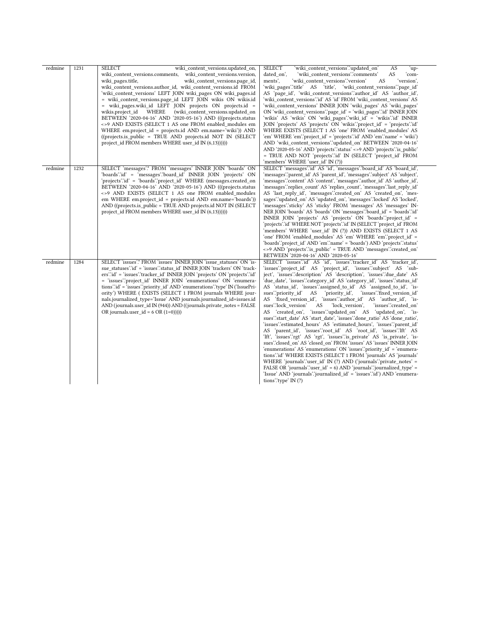| redmine | 1231 | <b>SELECT</b><br>wiki content versions.updated on,                            | 'wiki content versions".updated on'<br><b>AS</b><br><b>SELECT</b><br>ʻup-   |
|---------|------|-------------------------------------------------------------------------------|-----------------------------------------------------------------------------|
|         |      | wiki content versions.comments, wiki content versions.version,                | AS<br>dated on',<br>'wiki content versions'.'comments'<br>`com-             |
|         |      | wiki pages.title,<br>wiki content versions.page id,                           | ments'.<br>'wiki content versions'.'version'<br>AS<br>'version'.            |
|         |      | wiki content versions.author id, wiki content versions.id FROM                | 'wiki_pages'.'title' AS 'title', 'wiki_content_versions'.'page_id'          |
|         |      | 'wiki_content_versions' LEFT JOIN wiki_pages ON wiki_pages.id                 | AS 'page_id', 'wiki_content_versions'.'author_id' AS 'author_id',           |
|         |      | = wiki_content_versions.page_id LEFT JOIN wikis ON wikis.id                   | 'wiki_content_versions'.'id' AS 'id' FROM 'wiki_content_versions' AS        |
|         |      |                                                                               | 'wiki content versions' INNER JOIN 'wiki pages' AS 'wiki pages'             |
|         |      | = wiki_pages.wiki_id LEFT JOIN projects ON projects.id =                      |                                                                             |
|         |      | (wiki content versions.updated on<br>wikis.project id<br>WHERE                | ON 'wiki_content_versions'.'page_id' = 'wiki_pages'.'id' INNER JOIN         |
|         |      | BETWEEN '2020-04-16' AND '2020-05-16') AND (((projects.status                 | 'wikis' AS 'wikis' ON 'wiki_pages'.'wiki_id' = 'wikis'.'id' INNER           |
|         |      | <>9 AND EXISTS (SELECT 1 AS one FROM enabled modules em                       | JOIN 'projects' AS 'projects' ON 'wikis' project_id' = 'projects' id'       |
|         |      | WHERE em.project id = projects.id AND em.name='wiki')) AND                    | WHERE EXISTS (SELECT 1 AS 'one' FROM 'enabled modules' AS                   |
|         |      | ((projects.is public = TRUE AND projects.id NOT IN (SELECT)                   | 'em' WHERE 'em' 'project id' = 'projects' 'id' AND 'em' 'name' = 'wiki')    |
|         |      | project id FROM members WHERE user id IN $(6,13))$ )                          | AND 'wiki content versions'.'updated on' BETWEEN '2020-04-16'               |
|         |      |                                                                               | AND '2020-05-16' AND 'projects' status' <> 9 AND 'projects' is public'      |
|         |      |                                                                               | = TRUE AND NOT 'projects'.id' IN (SELECT 'project id' FROM                  |
|         |      |                                                                               | 'members' WHERE 'user id' IN (?))                                           |
| redmine | 1232 | SELECT 'messages'.* FROM 'messages' INNER JOIN 'boards' ON                    | SELECT 'messages":id' AS 'id', 'messages":board_id' AS 'board_id',          |
|         |      | 'boards'.'id' = 'messages'.'board_id' INNER JOIN 'projects' ON                | 'messages'.'parent_id' AS 'parent_id', 'messages'.'subject' AS 'subject',   |
|         |      | 'projects' id = 'boards' project id WHERE (messages.created on                | 'messages''.content' AS 'content', 'messages'.'author id' AS 'author id',   |
|         |      | BETWEEN '2020-04-16' AND '2020-05-16') AND (((projects.status                 | 'messages'.'replies count' AS 'replies count', 'messages'.'last reply id'   |
|         |      | <>9 AND EXISTS (SELECT 1 AS one FROM enabled modules                          | AS 'last_reply_id', 'messages'.'created_on' AS 'created_on', 'mes-          |
|         |      | em WHERE em.project_id = projects.id AND em.name='boards'))                   | sages'.'updated_on' AS 'updated_on', 'messages'.'locked' AS 'locked',       |
|         |      | AND ((projects.is public = TRUE AND projects.id NOT IN (SELECT                | 'messages'.'sticky' AS 'sticky' FROM 'messages' AS 'messages' IN-           |
|         |      | project id FROM members WHERE user id IN (6,13))))))                          | NER JOIN 'boards' AS 'boards' ON 'messages' board id' = 'boards' id'        |
|         |      |                                                                               | INNER JOIN 'projects' AS 'projects' ON 'boards' 'project id' =              |
|         |      |                                                                               | 'projects'.'id' WHERE NOT 'projects'.'id' IN (SELECT 'project id' FROM      |
|         |      |                                                                               | 'members' WHERE 'user id' IN (?)) AND EXISTS (SELECT 1 AS                   |
|         |      |                                                                               | 'one' FROM 'enabled modules' AS 'em' WHERE 'em'.'project id' =              |
|         |      |                                                                               | 'boards'.'project_id' AND 'em'.'name' = 'boards') AND 'projects'.'status'   |
|         |      |                                                                               | <>9 AND 'projects' is_public' = TRUE AND 'messages' created_on'             |
|         |      |                                                                               | BETWEEN '2020-04-16' AND '2020-05-16'                                       |
| redmine | 1284 | SELECT 'issues'.* FROM 'issues' INNER JOIN 'issue statuses' ON 'is-           | SELECT 'issues'id' AS 'id', 'issues'.'tracker id' AS 'tracker id',          |
|         |      | sue statuses'.id' = 'issues'.'status id' INNER JOIN 'trackers' ON 'track-     | 'issues":project_id' AS 'project_id', 'issues":subject' AS 'sub-            |
|         |      | ers''id' = 'issues''tracker id' INNER JOIN 'projects' ON 'projects''id'       | ject', 'issues'.'description' AS 'description', 'issues'.'due date' AS      |
|         |      | = 'issues''project id' INNER JOIN 'enumerations' ON 'enumera-                 | 'due date', 'issues'.'category id' AS 'category id', 'issues'.'status id'   |
|         |      | tions" id ' = 'issues" priority id ' AND 'enumerations" type ' IN ('IssuePri- | AS 'status id', 'issues''assigned to id' AS 'assigned to id', 'is-          |
|         |      | ority') WHERE (EXISTS (SELECT 1 FROM journals WHERE jour-                     | sues" priority id AS<br>'priority id',<br>'issues'.fixed version id'        |
|         |      | nals.journalized type='Issue' AND journals.journalized id=issues.id           | AS 'fixed version id', 'issues'.'author id' AS 'author id', 'is-            |
|         |      | AND (journals.user id IN (944)) AND ((journals.private notes = FALSE          | sues'.'lock version'<br>'lock version',<br>'issues'.'created on'<br>AS      |
|         |      | OR journals.user $id = 6 \text{ OR } (1=0))$ )                                | AS 'created on', 'issues' updated on' AS 'updated on', 'is-                 |
|         |      |                                                                               | sues''start_date' AS 'start_date', 'issues''done_ratio' AS 'done_ratio',    |
|         |      |                                                                               | 'issues''estimated hours' AS 'estimated hours', 'issues''parent id'         |
|         |      |                                                                               | AS<br>'parent id', 'issues''root id' AS 'root id', 'issues'.'Ift' AS        |
|         |      |                                                                               | 'lft', 'issues'.'rgt' AS 'rgt', 'issues'.'is_private' AS 'is_private', 'is- |
|         |      |                                                                               | sues":closed_on' AS 'closed_on' FROM 'issues' AS 'issues' INNER JOIN        |
|         |      |                                                                               | 'enumerations' AS 'enumerations' ON 'issues' 'priority id' = 'enumera-      |
|         |      |                                                                               | tions"id" WHERE EXISTS (SELECT 1 FROM 'journals' AS 'journals'              |
|         |      |                                                                               | WHERE 'journals' user id ' IN (?) AND ('journals' private notes' =          |
|         |      |                                                                               | FALSE OR 'journals' user $id' = 6$ ) AND 'journals' 'journalized type' =    |
|         |      |                                                                               | 'Issue' AND 'journals' 'journalized id' = 'issues' id') AND 'enumera-       |
|         |      |                                                                               | tions" type" $IN(?)$                                                        |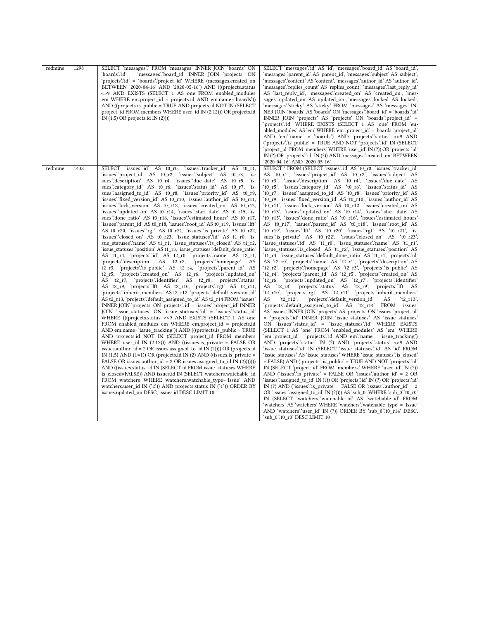| redmine | 1298 | SELECT 'messages'.* FROM 'messages' INNER JOIN 'boards' ON<br>'boards'.'id' = 'messages'.'board_id' INNER JOIN 'projects' ON<br>'projects' id' = 'boards' project id' WHERE (messages.created on<br>BETWEEN '2020-04-16' AND '2020-05-16') AND (((projects.status<br><>9 AND EXISTS (SELECT 1 AS one FROM enabled modules<br>em WHERE em.project_id = projects.id AND em.name='boards'))<br>AND ((projects.is public = TRUE AND projects.id NOT IN (SELECT)<br>project id FROM members WHERE user id IN (2,12))) OR projects.id<br>IN $(1,5)$ OR projects.id IN $(2)$ ))                                                                                                                                                                                                                                                                                                                                                                                                                                                                                                                                                                                                                                                                                                                                                                                                                                                                                                                                                                                                                                                                                                                                                                                                                                                                                                                                                                                                                                                                                                                                                                                                                                                                                                                                                                                                                                                                                                                                                                                                                                                         | SELECT 'messages' id AS 'id', 'messages' board id AS 'board id',<br>'messages''parent_id' AS 'parent_id', 'messages''subject' AS 'subject',<br>'messages''.content' AS 'content', 'messages'.'author id' AS 'author id',<br>'messages'.'replies_count' AS 'replies_count', 'messages'.'last_reply_id'<br>AS 'last_reply_id', 'messages'.'created_on' AS 'created_on', 'mes-<br>sages'.'updated_on' AS 'updated_on', 'messages'.'locked' AS 'locked',<br>'messages'.'sticky' AS 'sticky' FROM 'messages' AS 'messages' IN-<br>NER JOIN 'boards' AS 'boards' ON 'messages' board id' = 'boards' id'<br>INNER JOIN 'projects' AS 'projects' ON 'boards' 'project id' =<br>'projects'.'id' WHERE EXISTS (SELECT 1 AS 'one' FROM 'en-<br>abled modules' AS 'em' WHERE 'em' 'project id' = 'boards' 'project id'<br>AND 'em'.'name' = 'boards') AND 'projects'.'status' <>9 AND<br>('projects' is public' = TRUE AND NOT 'projects' id' IN (SELECT<br>'project id' FROM 'members' WHERE 'user id' IN (?)) OR 'projects'.'id'<br>IN (?) OR 'projects' id ' IN (?)) AND 'messages' created_on' BETWEEN<br>'2020-04-16' AND '2020-05-16'                                                                                                                                                                                                                                                                                                                                                                                                                                                                                                                                                                                                                                                                                                                                                                                                                                                                                                                                                                                                                                                                                                                                                                                                                                                                                                                                                                                                                                                                                                                                                                                                                                                                                                                                                                                                                                                 |
|---------|------|----------------------------------------------------------------------------------------------------------------------------------------------------------------------------------------------------------------------------------------------------------------------------------------------------------------------------------------------------------------------------------------------------------------------------------------------------------------------------------------------------------------------------------------------------------------------------------------------------------------------------------------------------------------------------------------------------------------------------------------------------------------------------------------------------------------------------------------------------------------------------------------------------------------------------------------------------------------------------------------------------------------------------------------------------------------------------------------------------------------------------------------------------------------------------------------------------------------------------------------------------------------------------------------------------------------------------------------------------------------------------------------------------------------------------------------------------------------------------------------------------------------------------------------------------------------------------------------------------------------------------------------------------------------------------------------------------------------------------------------------------------------------------------------------------------------------------------------------------------------------------------------------------------------------------------------------------------------------------------------------------------------------------------------------------------------------------------------------------------------------------------------------------------------------------------------------------------------------------------------------------------------------------------------------------------------------------------------------------------------------------------------------------------------------------------------------------------------------------------------------------------------------------------------------------------------------------------------------------------------------------------|---------------------------------------------------------------------------------------------------------------------------------------------------------------------------------------------------------------------------------------------------------------------------------------------------------------------------------------------------------------------------------------------------------------------------------------------------------------------------------------------------------------------------------------------------------------------------------------------------------------------------------------------------------------------------------------------------------------------------------------------------------------------------------------------------------------------------------------------------------------------------------------------------------------------------------------------------------------------------------------------------------------------------------------------------------------------------------------------------------------------------------------------------------------------------------------------------------------------------------------------------------------------------------------------------------------------------------------------------------------------------------------------------------------------------------------------------------------------------------------------------------------------------------------------------------------------------------------------------------------------------------------------------------------------------------------------------------------------------------------------------------------------------------------------------------------------------------------------------------------------------------------------------------------------------------------------------------------------------------------------------------------------------------------------------------------------------------------------------------------------------------------------------------------------------------------------------------------------------------------------------------------------------------------------------------------------------------------------------------------------------------------------------------------------------------------------------------------------------------------------------------------------------------------------------------------------------------------------------------------------------------------------------------------------------------------------------------------------------------------------------------------------------------------------------------------------------------------------------------------------------------------------------------------------------------------------------------------------------------|
| redmine | 1438 | SELECT 'issues'id' AS t0_r0, 'issues''tracker_id' AS t0_r1,<br>'issues''project_id' AS t0_r2, 'issues''subject' AS t0_r3, 'is-<br>sues" description AS t0_r4, 'issues" due_date AS t0_r5, 'is-<br>sues":category id' AS t0 r6, 'issues":status id' AS t0 r7, 'is-<br>sues"assigned_to_id" AS t0_r8, "issues"priority_id" AS t0_r9,<br>'issues'.'fixed_version_id' AS t0_r10, 'issues'.'author_id' AS t0_r11,<br>'issues'.'lock version' AS t0 r12, 'issues'.'created on' AS t0 r13,<br>'issues'.'updated on' AS t0 r14, 'issues'.'start date' AS t0 r15, 'is-<br>sues"done_ratio' AS t0_r16, 'issues"estimated_hours' AS t0_r17,<br>'issues'.'parent id' AS t0 r18, 'issues'.'root id' AS t0 r19, 'issues'.'lft'<br>AS t0_r20, 'issues":rgt' AS t0_r21, 'issues":is_private' AS t0_r22,<br>'issues':closed_on' AS t0_r23, 'issue_statuses':id' AS t1_r0, 'is-<br>sue_statuses".name' AS t1_r1, 'issue_statuses": is_closed' AS t1_r2,<br>'issue statuses''position' AS t1 r3, 'issue statuses''default done ratio'<br>AS t1_r4, 'projects' id AS t2_r0, 'projects' name AS t2_r1,<br>'projects'.'description' AS t2 r2,<br>'projects'.'homepage'<br>AS<br>t2_r3, 'projects' is_public' AS t2_r4, 'projects' parent_id' AS<br>t2_r5, 'projects'.'created_on' AS t2_r6, 'projects'.'updated_on'<br>AS t2_r7, 'projects'.'identifier' AS t2_r8, 'projects'.'status'<br>AS t2_r9, 'projects'.'Ift' AS t2_r10, 'projects'.'rgt' AS t2_r11,<br>'projects'.'inherit_members' AS t2_r12, 'projects'.'default_version_id'<br>AS t2 r13, 'projects' default assigned to id AS t2 r14 FROM 'issues'<br>INNER JOIN 'projects' ON 'projects' id' = 'issues' project id' INNER<br>JOIN 'issue statuses' ON 'issue statuses' id' = 'issues' status id'<br>WHERE (((projects.status <> 9 AND EXISTS (SELECT 1 AS one<br>FROM enabled_modules em WHERE em.project_id = projects.id<br>AND em.name='issue_tracking')) AND (((projects.is_public = TRUE<br>AND projects.id NOT IN (SELECT project_id FROM members<br>WHERE user_id IN $(2,12)$ )) AND ((issues.is_private = FALSE OR<br>issues.author_id = 2 OR issues.assigned_to_id IN $(2)$ ))) OR (projects.id<br>IN $(1,5)$ AND $(1=1)$ ) OR (projects.id IN $(2)$ AND ((issues.is_private =<br>FALSE OR issues.author_id = $2$ OR issues.assigned_to_id IN (2)))))))<br>AND ((issues.status_id IN (SELECT id FROM issue_statuses WHERE<br>is closed=FALSE)) AND issues.id IN (SELECT watchers.watchable id<br>FROM watchers WHERE watchers.watchable type='Issue' AND<br>watchers.user_id IN ('2')) AND projects.status IN ('1')) ORDER BY<br>issues.updated_on DESC, issues.id DESC LIMIT 10 | SELECT * FROM (SELECT 'issues' id' AS 't0_r0', 'issues' 'tracker_id'<br>AS 't0 r1', 'issues' project id' AS 't0 r2', 'issues' subject' AS<br>'t0_r3', 'issues'.'description' AS 't0_r4', 'issues'.'due_date' AS<br>'t0 r5', 'issues':category id' AS 't0 r6', 'issues':status id' AS<br>'t0_r7', 'issues'.'assigned_to_id' AS 't0_r8', 'issues'.'priority_id' AS<br>'t0_r9', 'issues'.'fixed_version_id' AS 't0_r10', 'issues'.'author_id' AS<br>'t0 r11', 'issues'.'lock version' AS 't0 r12', 'issues'.'created on' AS<br>'t0 r13', 'issues'.'updated on' AS 't0 r14', 'issues'.'start date' AS<br>'t0_r15', 'issues'.'done_ratio' AS 't0_r16', 'issues'.'estimated_hours'<br>AS 't0 r17', 'issues''parent id AS 't0 r18', 'issues''root id AS<br>'t0_r19', 'issues'.'lft' AS 't0_r20', 'issues'.'rgt' AS 't0_r21', 'is-<br>sues" is private AS 't0 r22', 'issues" closed on AS 't0 r23',<br>'issue statuses'.'id' AS 't1 r0', 'issue statuses'.'name' AS 't1 r1',<br>'issue statuses''s closed' AS 't1 r2', 'issue statuses''position' AS<br>'t1_r3', 'issue_statuses'.'default_done_ratio' AS 't1_r4', 'projects'.'id'<br>AS 't2_r0', 'projects'.'name' AS 't2_r1', 'projects'.'description' AS<br>'t2_r2', 'projects'.'homepage' AS 't2_r3', 'projects'.'is_public' AS<br>'t2 r4', 'projects'.'parent id' AS 't2 r5', 'projects'.'created on' AS<br>'t2_r6', 'projects'.'updated_on' AS 't2_r7', 'projects'.'identifier'<br>AS 't2_r8', 'projects'.'status' AS 't2_r9', 'projects'.'lft' AS<br>'t2_r10', 'projects'.'rgt' AS 't2_r11', 'projects'.'inherit_members'<br>'projects":default_version_id'<br>AS<br>'t2 $r12'$ ,<br>AS<br>ʻt2 r13ʻ.<br>'projects'.'default assigned to id' AS 't2 r14' FROM 'issues'<br>AS 'issues' INNER JOIN 'projects' AS 'projects' ON 'issues' project id'<br>= 'projects' id INNER JOIN 'issue statuses' AS 'issue statuses'<br>ON 'issues'.'status_id' = 'issue_statuses'.'id' WHERE EXISTS<br>(SELECT 1 AS 'one' FROM 'enabled modules' AS 'em' WHERE<br>'em'.'project_id' = 'projects'.'id' AND 'em'.'name' = 'issue_tracking')<br>AND 'projects' status' IN (?) AND 'projects' status' <> 9 AND<br>'issue statuses'.'id' IN (SELECT 'issue statuses'.'id' AS 'id' FROM<br>'issue_statuses' AS 'issue_statuses' WHERE 'issue_statuses'.'is_closed'<br>= FALSE) AND ('projects' is_public' = TRUE AND NOT 'projects' id'<br>IN (SELECT 'project id' FROM 'members' WHERE 'user id' IN (?))<br>AND ('issues''s private' = FALSE OR 'issues''author $id' = 2$ OR<br>'issues''assigned to id' IN (?)) OR 'projects''id' IN (?) OR 'projects''id'<br>IN (?) AND ('issues''s _private' = FALSE OR 'issues''author_id' = 2<br>OR 'issues' assigned_to_id' IN (?)))) AS 'sub_0' WHERE 'sub_0' t0_r0'<br>IN (SELECT 'watchers'.'watchable_id' AS 'watchable_id' FROM<br>'watchers' AS 'watchers' WHERE 'watchers'.'watchable_type' = 'Issue'<br>AND 'watchers'.'user_id' IN (?)) ORDER BY 'sub_0".t0_r14' DESC,<br>'sub 0''t0 r0' DESC LIMIT 10 |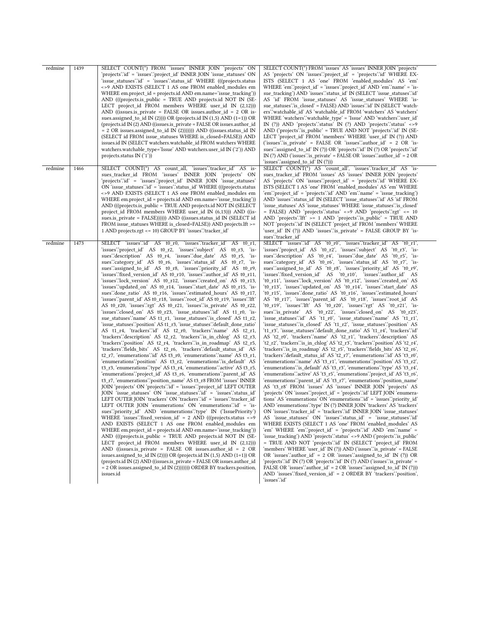| redmine | 1439 | SELECT COUNT(*) FROM 'issues' INNER JOIN 'projects' ON<br>'projects'.'id' = 'issues'.'project_id' INNER JOIN 'issue_statuses' ON<br>'issue_statuses'.'id' = 'issues'.'status_id' WHERE (((projects.status<br><>9 AND EXISTS (SELECT 1 AS one FROM enabled_modules em<br>WHERE em.project_id = projects.id AND em.name='issue_tracking'))<br>AND (((projects.is_public = TRUE AND projects.id NOT IN (SE-<br>LECT project_id FROM members WHERE user_id IN $(2,12)$ )<br>AND ((issues.is_private = FALSE OR issues.author_id = $2$ OR is-<br>sues.assigned_to_id IN $(2)$ ))) OR (projects.id IN $(1,5)$ AND $(1=1)$ ) OR<br>(projects.id IN (2) AND ((issues.is_private = FALSE OR issues.author_id<br>$= 2$ OR issues assigned to id IN (2)))))) AND ((issues status id IN<br>(SELECT id FROM issue_statuses WHERE is_closed=FALSE)) AND<br>issues.id IN (SELECT watchers.watchable_id FROM watchers WHERE<br>watchers.watchable_type='Issue' AND watchers.user_id IN ('2')) AND<br>projects.status IN $('1')$                                                                                                                                                                                                                                                                                                                                                                                                                                                                                                                                                                                                                                                                                                                                                                                                                                                                                                                                                                                                                                                                                                                                                                                                                                                                                                                                                                                                                                                                                                                                                                                                                                                                       | SELECT COUNT(*) FROM 'issues' AS 'issues' INNER JOIN 'projects'<br>AS 'projects' ON 'issues''project_id' = 'projects' id' WHERE EX-<br>ISTS (SELECT 1 AS 'one' FROM 'enabled_modules' AS 'em'<br>WHERE 'em'.'project_id' = 'issues'.'project_id' AND 'em'.'name' = 'is-<br>sue_tracking') AND 'issues'.'status_id' IN (SELECT 'issue_statuses'.'id'<br>AS 'id' FROM 'issue_statuses' AS 'issue_statuses' WHERE 'is-<br>sue_statuses'.'is_closed' = FALSE) AND 'issues'.'id' IN (SELECT 'watch-<br>ers" watchable id AS 'watchable id FROM 'watchers' AS 'watchers'<br>WHERE 'watchers'.'watchable_type' = 'Issue' AND 'watchers'.'user_id'<br>IN $(?)$ ) AND 'projects' status' IN $(?)$ AND 'projects' status' <>9<br>AND ('projects' is_public' = TRUE AND NOT 'projects' id' IN (SE-<br>LECT 'project_id' FROM 'members' WHERE 'user_id' IN (?)) AND<br>('issues''s private' = FALSE OR 'issues''author_id' = 2 OR 'is-<br>sues" assigned_to_id' IN (?)) OR 'projects' id' IN (?) OR 'projects' id'<br>IN (?) AND ('issues'' is private' = FALSE OR 'issues' author $id' = 2$ OR<br>'issues'.'assigned_to_id' IN (?)))                                                                                                                                                                                                                                                                                                                                                                                                                                                                                                                                                                                                                                                                                                                                                                                                                                                                                                                                                                                                                                                                                                                                                                                                                                                                                                                                                                                                                                                                                                                                                                                                                                                                                                                                                                    |
|---------|------|---------------------------------------------------------------------------------------------------------------------------------------------------------------------------------------------------------------------------------------------------------------------------------------------------------------------------------------------------------------------------------------------------------------------------------------------------------------------------------------------------------------------------------------------------------------------------------------------------------------------------------------------------------------------------------------------------------------------------------------------------------------------------------------------------------------------------------------------------------------------------------------------------------------------------------------------------------------------------------------------------------------------------------------------------------------------------------------------------------------------------------------------------------------------------------------------------------------------------------------------------------------------------------------------------------------------------------------------------------------------------------------------------------------------------------------------------------------------------------------------------------------------------------------------------------------------------------------------------------------------------------------------------------------------------------------------------------------------------------------------------------------------------------------------------------------------------------------------------------------------------------------------------------------------------------------------------------------------------------------------------------------------------------------------------------------------------------------------------------------------------------------------------------------------------------------------------------------------------------------------------------------------------------------------------------------------------------------------------------------------------------------------------------------------------------------------------------------------------------------------------------------------------------------------------------------------------------------------------------------------------------------------------------------------------------------|----------------------------------------------------------------------------------------------------------------------------------------------------------------------------------------------------------------------------------------------------------------------------------------------------------------------------------------------------------------------------------------------------------------------------------------------------------------------------------------------------------------------------------------------------------------------------------------------------------------------------------------------------------------------------------------------------------------------------------------------------------------------------------------------------------------------------------------------------------------------------------------------------------------------------------------------------------------------------------------------------------------------------------------------------------------------------------------------------------------------------------------------------------------------------------------------------------------------------------------------------------------------------------------------------------------------------------------------------------------------------------------------------------------------------------------------------------------------------------------------------------------------------------------------------------------------------------------------------------------------------------------------------------------------------------------------------------------------------------------------------------------------------------------------------------------------------------------------------------------------------------------------------------------------------------------------------------------------------------------------------------------------------------------------------------------------------------------------------------------------------------------------------------------------------------------------------------------------------------------------------------------------------------------------------------------------------------------------------------------------------------------------------------------------------------------------------------------------------------------------------------------------------------------------------------------------------------------------------------------------------------------------------------------------------------------------------------------------------------------------------------------------------------------------------------------------------------------------------------------------------------------------|
| redmine | 1466 | SELECT COUNT(*) AS count_all, 'issues'.'tracker_id' AS is-<br>sues_tracker_id FROM 'issues' INNER JOIN 'projects' ON<br>'projects'.'id' = 'issues'.'project_id' INNER JOIN 'issue_statuses'<br>ON 'issue_statuses' \'id' = 'issues' \'status_id' WHERE (((projects.status<br><>9 AND EXISTS (SELECT 1 AS one FROM enabled_modules em<br>WHERE em.project_id = projects.id AND em.name='issue_tracking'))<br>AND (((projects.is_public = TRUE AND projects.id NOT IN (SELECT)<br>project_id FROM members WHERE user_id IN (6,13))) AND ((is-<br>sues.is_private = FALSE)))))) AND ((issues.status_id IN (SELECT id<br>FROM issue statuses WHERE is closed=FALSE)) AND projects. If >=<br>1 AND projects.rgt <= 10) GROUP BY 'issues' tracker_id'                                                                                                                                                                                                                                                                                                                                                                                                                                                                                                                                                                                                                                                                                                                                                                                                                                                                                                                                                                                                                                                                                                                                                                                                                                                                                                                                                                                                                                                                                                                                                                                                                                                                                                                                                                                                                                                                                                                                       | SELECT COUNT(*) AS 'count_all', 'issues'.'tracker_id' AS 'is-<br>sues_tracker_id' FROM 'issues' AS 'issues' INNER JOIN 'projects'<br>AS 'projects' ON 'issues' project id' = 'projects' id' WHERE EX-<br>ISTS (SELECT 1 AS 'one' FROM 'enabled_modules' AS 'em' WHERE<br>'em'.'project_id' = 'projects'.'id' AND 'em'.'name' = 'issue_tracking')<br>AND 'issues' status_id' IN (SELECT 'issue_statuses' id' AS 'id' FROM<br>'issue_statuses' AS 'issue_statuses' WHERE 'issue_statuses'.'is_closed'<br>$=$ FALSE) AND 'projects' status' <>9 AND 'projects' rgt' <= 10<br>AND 'projects'.'Ift' $>= 1$ AND 'projects'.' s public' = TRUE AND<br>NOT 'projects'.'id' IN (SELECT 'project_id' FROM 'members' WHERE<br>'user_id' IN (?)) AND 'issues' is_private' = FALSE GROUP BY 'is-<br>sues".tracker_id"                                                                                                                                                                                                                                                                                                                                                                                                                                                                                                                                                                                                                                                                                                                                                                                                                                                                                                                                                                                                                                                                                                                                                                                                                                                                                                                                                                                                                                                                                                                                                                                                                                                                                                                                                                                                                                                                                                                                                                                                                                                                                     |
| redmine | 1473 | SELECT 'issues'id' AS t0 r0, 'issues' tracker id' AS t0 r1,<br>'issues''project_id' AS t0_r2, 'issues''subject' AS t0_r3, 'is-<br>sues description AS t0_r4, 'issues due_date' AS t0_r5, 'is-<br>sues : category_id AS t0_r6, 'issues : status_id AS t0_r7, 'is-<br>sues" assigned to id AS to r8, "issues" priority id AS to r9,<br>'issues'.'fixed version id AS t0 r10, 'issues'.'author id AS t0 r11,<br>'issues'.'lock version' AS t0 r12, 'issues'.'created on' AS t0 r13,<br>'issues'.'updated_on' AS t0_r14, 'issues'.'start_date' AS t0_r15, 'is-<br>sues" done_ratio" AS t0_r16, 'issues" estimated_hours' AS t0_r17,<br>'issues'.'parent_id' AS t0_r18, 'issues'.'root_id' AS t0_r19, 'issues'.'lft'<br>AS t0_r20, 'issues'.'rgt' AS t0_r21, 'issues'.'is_private' AS t0_r22,<br>'issues'.'closed_on' AS t0_r23, 'issue_statuses'.'id' AS t1_r0, 'is-<br>sue_statuses''name' AS t1_r1, 'issue_statuses''is_closed' AS t1_r2,<br>'issue_statuses'.'position' AS t1_r3, 'issue_statuses'.'default_done_ratio'<br>AS t1_r4, 'trackers' id' AS t2_r0, 'trackers' name' AS t2_r1,<br>'trackers'.'description' AS t2_r2, 'trackers'.'is_in_chlog' AS t2_r3,<br>'trackers'.'position' AS t2_r4, 'trackers'.'is_in_roadmap' AS t2_r5,<br>'trackers'.'fields_bits' AS t2_r6, 'trackers'.'default_status_id' AS<br>t2_r7, 'enumerations' d' AS t3_r0, 'enumerations' name' AS t3_r1,<br>'enumerations''position' AS t3_r2, 'enumerations''is_default' AS<br>t3_r3, 'enumerations'.'type' AS t3_r4, 'enumerations'.'active' AS t3_r5,<br>'enumerations''project id' AS t3 r6, 'enumerations''parent id' AS<br>t3_r7, 'enumerations' position_name' AS t3_r8 FROM 'issues' INNER<br>JOIN 'projects' ON 'projects' id = 'issues' project_id' LEFT OUTER<br>JOIN 'issue statuses' ON 'issue statuses' id' = 'issues' status id'<br>LEFT OUTER JOIN 'trackers' ON 'trackers' id' = 'issues' tracker_id'<br>LEFT OUTER JOIN 'enumerations' ON 'enumerations' id' = 'is-<br>sues": priority_id' AND 'enumerations": type' IN ('IssuePriority')<br>WHERE 'issues'.'fixed_version_id' = 2 AND (((projects.status <>9<br>AND EXISTS (SELECT 1 AS one FROM enabled modules em<br>WHERE em.project id = projects.id AND em.name='issue tracking'))<br>AND (((projects.is public = TRUE AND projects.id NOT IN (SE-<br>LECT project_id FROM members WHERE user_id IN $(2,12)$ )<br>AND ((issues.is private = FALSE OR issues.author $id = 2$ OR<br>issues.assigned_to_id IN (2)))) OR (projects.id IN $(1,5)$ AND $(1=1)$ ) OR<br>(projects.id IN (2) AND ((issues.is private = FALSE OR issues.author id<br>$= 2$ OR issues assigned_to_id IN (2))))))) ORDER BY trackers position,<br>issues.id | SELECT 'issues":id' AS 't0_r0', 'issues":tracker_id' AS 't0_r1',<br>'issues''project_id' AS 't0_r2', 'issues''subject' AS 't0_r3', 'is-<br>sues" description' AS 't0_r4', 'issues" due_date' AS 't0_r5', 'is-<br>sues''category_id' AS 't0_r6', 'issues''status_id' AS 't0_r7', 'is-<br>sues : assigned_to_id AS 't0_r8', 'issues : priority_id AS 't0_r9',<br>'issues''fixed version id' AS 't0 r10', 'issues''author id' AS<br>'t0_r11', 'issues'.'lock_version' AS 't0_r12', 'issues'.'created_on' AS<br>'t0_r13', 'issues'.'updated_on' AS 't0_r14', 'issues'.'start_date' AS<br>'t0_r15', 'issues'.'done_ratio' AS 't0_r16', 'issues'.'estimated_hours'<br>AS 't0_r17', 'issues'.'parent_id' AS 't0_r18', 'issues'.'root_id' AS<br>'t0_r19', 'issues'.'lft' AS 't0_r20', 'issues'.'rgt' AS 't0_r21', 'is-<br>sues" is_private' AS 't0_r22', 'issues" closed_on' AS 't0_r23',<br>'issue_statuses'.'id' AS 't1_r0', 'issue_statuses'.'name' AS 't1_r1',<br>'issue_statuses'.'is_closed' AS 't1_r2', 'issue_statuses'.'position' AS<br>'t1_r3', 'issue_statuses'.'default_done_ratio' AS 't1_r4', 'trackers'.'id'<br>AS 't2_r0', 'trackers'.'name' AS 't2_r1', 'trackers'.'description' AS<br>'t2_r2', 'trackers'.'is_in_chlog' AS 't2_r3', 'trackers'.'position' AS 't2_r4',<br>'trackers'.'is_in_roadmap' AS 't2_r5', 'trackers'.'fields_bits' AS 't2_r6',<br>'trackers'.'default_status_id' AS 't2_r7', 'enumerations'.'id' AS 't3_r0',<br>'enumerations'.'name' AS 't3_r1', 'enumerations'.'position' AS 't3_r2',<br>'enumerations'.'is_default' AS 't3_r3', 'enumerations'.'type' AS 't3_r4',<br>'enumerations' active' AS 't3_r5', 'enumerations' 'project_id' AS 't3_r6',<br>'enumerations''parent_id' AS 't3_r7', 'enumerations''position_name'<br>AS 't3 r8' FROM 'issues' AS 'issues' INNER JOIN 'projects' AS<br>'projects' ON 'issues'.'project_id' = 'projects'.'id' LEFT JOIN 'enumera-<br>tions' AS 'enumerations' ON 'enumerations' id' = 'issues' 'priority id'<br>AND 'enumerations' type' IN (?) INNER JOIN 'trackers' AS 'trackers'<br>ON 'issues'.'tracker_id' = 'trackers'.'id' INNER JOIN 'issue_statuses'<br>AS 'issue_statuses' ON 'issues''status_id' = 'issue_statuses''id<br>WHERE EXISTS (SELECT 1 AS 'one' FROM 'enabled_modules' AS<br>'em' WHERE 'em'.'project id' = 'projects'.'id' AND 'em'.'name' =<br>'issue_tracking') AND 'projects'.'status' <>9 AND ('projects'.'is_public'<br>= TRUE AND NOT 'projects' d' IN (SELECT 'project_id' FROM<br>'members' WHERE 'user id' IN (?)) AND ('issues' is private' = FALSE<br>OR 'issues'.'author_id' = $2$ OR 'issues'.'assigned_to_id' IN (?)) OR<br>'projects'.'id' IN (?) OR 'projects'.'id' IN (?) AND ('issues'.'is_private' =<br>FALSE OR 'issues''author $id' = 2$ OR 'issues''assigned to $id' \text{IN}(?)$ )<br>AND 'issues'.'fixed_version_id' = 2 ORDER BY 'trackers'.'position',<br>`issues`id` |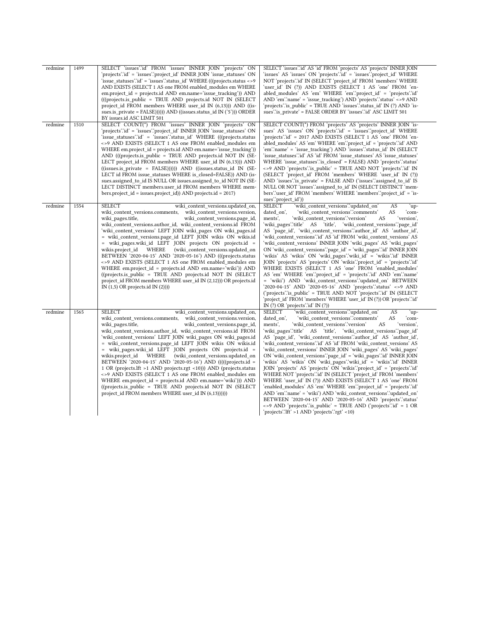| redmine | 1499 | SELECT 'issues' id FROM 'issues' INNER JOIN 'projects' ON<br>'projects'.'id' = 'issues'.'project_id'            INNER JOIN 'issue_statuses' ON<br>'issue statuses'.id' = 'issues'.'status id' WHERE (((projects.status <>9)<br>AND EXISTS (SELECT 1 AS one FROM enabled_modules em WHERE<br>em.project_id = projects.id AND em.name='issue_tracking')) AND<br>(((projects.is_public = TRUE AND projects.id NOT IN (SELECT)<br>project id FROM members WHERE user id IN $(6,13)$ ) AND $((is-$<br>sues.is_private = FALSE)))))) AND ((issues.status_id IN ('5'))) ORDER<br>BY issues.id ASC LIMIT 501                                                                                                                                                                                                                                                                                            | SELECT 'issues' id' AS 'id' FROM 'projects' AS 'projects' INNER JOIN<br>'issues' AS 'issues' ON 'projects'.'id' = 'issues'.'project id' WHERE<br>NOT 'projects' id' IN (SELECT 'project id' FROM 'members' WHERE<br>'user_id' IN (?)) AND EXISTS (SELECT 1 AS 'one' FROM 'en-<br>abled_modules' AS 'em' WHERE 'em'.'project_id' = 'projects'.'id'<br>AND 'em'.'name' = 'issue_tracking') AND 'projects'.'status' <>9 AND<br>'projects' is public' = TRUE AND 'issues' status_id' IN (?) AND 'is-<br>sues"is_private" = FALSE ORDER BY 'issues"id" ASC LIMIT 501                                                                                                                                                                                                                                                                                                                                                                                                                                                                                                                                                                                                                   |
|---------|------|-------------------------------------------------------------------------------------------------------------------------------------------------------------------------------------------------------------------------------------------------------------------------------------------------------------------------------------------------------------------------------------------------------------------------------------------------------------------------------------------------------------------------------------------------------------------------------------------------------------------------------------------------------------------------------------------------------------------------------------------------------------------------------------------------------------------------------------------------------------------------------------------------|-----------------------------------------------------------------------------------------------------------------------------------------------------------------------------------------------------------------------------------------------------------------------------------------------------------------------------------------------------------------------------------------------------------------------------------------------------------------------------------------------------------------------------------------------------------------------------------------------------------------------------------------------------------------------------------------------------------------------------------------------------------------------------------------------------------------------------------------------------------------------------------------------------------------------------------------------------------------------------------------------------------------------------------------------------------------------------------------------------------------------------------------------------------------------------------|
| redmine | 1510 | SELECT COUNT(*) FROM 'issues' INNER JOIN 'projects' ON<br>'projects' id = 'issues' project id INNER JOIN 'issue statuses' ON<br>'issue_statuses'.'id' = 'issues'.'status_id' WHERE (((projects.status<br><>9 AND EXISTS (SELECT 1 AS one FROM enabled_modules em<br>WHERE em.project id = projects.id AND em.name='issue tracking'))<br>AND (((projects.is public = TRUE AND projects.id NOT IN (SE-<br>LECT project_id FROM members WHERE user_id IN (6,13))) AND<br>((issues.is_private = FALSE))))) AND ((issues.status_id IN (SE-<br>LECT id FROM issue statuses WHERE is closed=FALSE)) AND (is-<br>sues.assigned to id IS NULL OR issues.assigned to id NOT IN (SE-<br>LECT DISTINCT members.user_id FROM members WHERE mem-<br>$bers. project_id = issues. project_id)$ $AND$ projects.id = 2017)                                                                                        | SELECT COUNT(*) FROM 'projects' AS 'projects' INNER JOIN 'is-<br>sues' AS 'issues' ON 'projects' id' = 'issues' project id' WHERE<br>'projects'.'id' = 2017 AND EXISTS (SELECT 1 AS 'one' FROM 'en-<br>abled_modules' AS 'em' WHERE 'em' 'project_id' = 'projects' id' AND<br>'em'.'name' = 'issue_tracking') AND 'issues'.'status_id' IN (SELECT<br>'issue statuses'.'id' AS 'id' FROM 'issue statuses' AS 'issue statuses'<br>WHERE 'issue_statuses'.'is_closed' = FALSE) AND 'projects'.'status'<br><>9 AND 'projects' is_public' = TRUE AND NOT 'projects' id ' IN<br>(SELECT 'project_id' FROM 'members' WHERE 'user_id' IN (?))<br>AND 'issues' is private' = FALSE AND ('issues' assigned to id' IS<br>NULL OR NOT 'issues' assigned_to_id' IN (SELECT DISTINCT 'mem-<br>bers''user_id' FROM 'members' WHERE 'members''project_id' = 'is-<br>sues": project id")                                                                                                                                                                                                                                                                                                           |
| redmine | 1554 | <b>SELECT</b><br>wiki content versions.updated on,<br>wiki content versions.comments,<br>wiki content versions.version,<br>wiki pages.title,<br>wiki_content_versions.page_id,<br>wiki_content_versions.author_id, wiki_content_versions.id FROM<br>'wiki content versions' LEFT JOIN wiki pages ON wiki pages.id<br>= wiki content versions.page id LEFT JOIN wikis ON wikis.id<br>= wiki_pages.wiki_id LEFT JOIN projects ON projects.id =<br>(wiki content versions.updated on<br>wikis.project id WHERE<br>BETWEEN '2020-04-15' AND '2020-05-16') AND (((projects.status<br><>9 AND EXISTS (SELECT 1 AS one FROM enabled modules em<br>WHERE em.project_id = projects.id AND em.name='wiki')) AND<br>((projects.is public = TRUE AND projects.id NOT IN (SELECT)<br>project_id FROM members WHERE user_id IN (2,12))) OR projects.id<br>IN $(1,5)$ OR projects.id IN $(2)$ )))              | <b>SELECT</b><br>wiki content versions" updated on<br>AS<br>`up−<br>AS<br>dated on',<br>ʻcom-<br>'wiki content versions'.'comments'<br>ments',<br>'wiki_content_versions'.'version'<br>AS<br>'version',<br>'wiki pages'.'title' AS 'title', 'wiki content versions'.'page id'<br>AS 'page_id', 'wiki_content_versions'.'author_id' AS 'author_id',<br>'wiki content versions'.'id' AS 'id' FROM 'wiki content versions' AS<br>'wiki_content_versions' INNER JOIN 'wiki_pages' AS 'wiki_pages'<br>ON 'wiki_content_versions'.'page_id' = 'wiki_pages'.'id' INNER JOIN<br>'wikis' AS 'wikis' ON 'wiki pages'.'wiki id' = 'wikis'.'id' INNER<br>JOIN 'projects' AS 'projects' ON 'wikis' project id' = 'projects' id'<br>WHERE EXISTS (SELECT 1 AS 'one' FROM 'enabled_modules'<br>AS 'em' WHERE 'em' 'project_id' = 'projects' id' AND 'em' 'name'<br>= 'wiki') AND 'wiki content versions' updated on BETWEEN<br>'2020-04-15' AND '2020-05-16' AND 'projects' status' <>9 AND<br>('projects'' is_public' = TRUE AND NOT 'projects' id' IN (SELECT<br>'project id' FROM 'members' WHERE 'user id' IN (?)) OR 'projects' id'<br>IN $(?)$ OR 'projects' id' IN $(?)$                  |
| redmine | 1565 | <b>SELECT</b><br>wiki content versions.updated on,<br>wiki_content_versions.comments, wiki_content_versions.version,<br>wiki pages.title,<br>wiki content versions.page id,<br>wiki content versions.author id, wiki content versions.id FROM<br>'wiki content versions' LEFT JOIN wiki pages ON wiki pages.id<br>= wiki_content_versions.page_id LEFT JOIN wikis ON wikis.id<br>= wiki_pages.wiki_id LEFT JOIN projects ON projects.id =<br>(wiki content versions.updated on<br>wikis.project id WHERE<br>BETWEEN '2020-04-15' AND '2020-05-16') AND (((((projects.id =<br>1 OR (projects.lft >1 AND projects.rgt <10))) AND (projects.status<br><>9 AND EXISTS (SELECT 1 AS one FROM enabled modules em<br>WHERE em.project id = projects.id AND em.name='wiki'))) AND<br>((projects.is_public = TRUE AND projects.id NOT IN (SELECT<br>project_id FROM members WHERE user_id IN (6,13)))))) | <b>SELECT</b><br>wiki content versions" updated on<br>AS<br>`up−<br>AS<br>'com-<br>dated on',<br>'wiki_content_versions'.'comments'<br>'wiki content versions'.'version'<br>AS<br>'version',<br>ments'.<br>'wiki pages'.'title' AS 'title', 'wiki content versions'.'page id'<br>AS 'page id', 'wiki content versions' author id' AS 'author id',<br>'wiki_content_versions'.'id' AS 'id' FROM 'wiki_content_versions' AS<br>'wiki content versions' INNER JOIN 'wiki pages' AS 'wiki pages'<br>ON 'wiki content versions' page id = 'wiki pages' id 'INNER JOIN<br>'wikis' AS 'wikis' ON 'wiki pages'.'wiki id' = 'wikis'.'id' INNER<br>JOIN 'projects' AS 'projects' ON 'wikis'.'project_id' = 'projects'.'id'<br>WHERE NOT 'projects' id 'IN (SELECT 'project id FROM 'members'<br>WHERE 'user id' IN (?)) AND EXISTS (SELECT 1 AS 'one' FROM<br>'enabled modules' AS 'em' WHERE 'em'.'project id' = 'projects'.'id'<br>AND 'em'.'name' = 'wiki') AND 'wiki_content_versions'.'updated_on'<br>BETWEEN '2020-04-15' AND '2020-05-16' AND 'projects' status'<br><>9 AND 'projects' is public' = TRUE AND ('projects' id' = 1 OR<br>'projects'.'lft' >1 AND 'projects'.'rgt' <10) |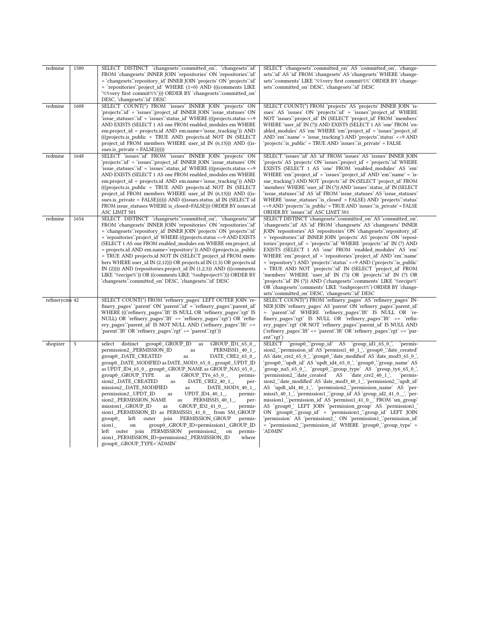| redmine        | 1580 | SELECT DISTINCT 'changesets':committed on', 'changesets':id<br>FROM 'changesets' INNER JOIN 'repositories' ON 'repositories' id'<br>= 'changesets' repository id' INNER JOIN 'projects' ON 'projects' id'<br>$=$ 'repositories' project id WHERE (1=0) AND (((comments LIKE)<br>'%%very first commit%%'))) ORDER BY 'changesets'.'committed_on'<br>DESC, 'changesets' id' DESC                                                                                                                                                                                                                                                                                                                                                                                                                                                                                                                                                                                                                         | SELECT 'changesets':committed on' AS 'committed on', 'change-<br>sets'id' AS 'id' FROM 'changesets' AS 'changesets' WHERE 'change-<br>sets''.comments' LIKE '%%very first commit%%' ORDER BY 'change-<br>sets':committed_on' DESC, 'changesets'.'id' DESC                                                                                                                                                                                                                                                                                                                                                                                                                                                                                                                                                                                                                                                                                                                                        |
|----------------|------|--------------------------------------------------------------------------------------------------------------------------------------------------------------------------------------------------------------------------------------------------------------------------------------------------------------------------------------------------------------------------------------------------------------------------------------------------------------------------------------------------------------------------------------------------------------------------------------------------------------------------------------------------------------------------------------------------------------------------------------------------------------------------------------------------------------------------------------------------------------------------------------------------------------------------------------------------------------------------------------------------------|--------------------------------------------------------------------------------------------------------------------------------------------------------------------------------------------------------------------------------------------------------------------------------------------------------------------------------------------------------------------------------------------------------------------------------------------------------------------------------------------------------------------------------------------------------------------------------------------------------------------------------------------------------------------------------------------------------------------------------------------------------------------------------------------------------------------------------------------------------------------------------------------------------------------------------------------------------------------------------------------------|
| redmine        | 1608 | SELECT COUNT(*) FROM 'issues' INNER JOIN 'projects' ON<br>'projects' id ' = 'issues' project id ' INNER JOIN 'issue statuses' ON<br>'issue_statuses'.'id' = 'issues'.'status_id' WHERE (((projects.status <>9<br>AND EXISTS (SELECT 1 AS one FROM enabled modules em WHERE<br>em.project id = projects.id AND em.name='issue tracking')) AND<br>(((projects.is public = TRUE AND projects.id NOT IN (SELECT)<br>project_id FROM members WHERE user_id IN (6,13))) AND ((is-<br>sues.is_private = FALSE))))))                                                                                                                                                                                                                                                                                                                                                                                                                                                                                           | SELECT COUNT(*) FROM 'projects' AS 'projects' INNER JOIN 'is-<br>sues' AS 'issues' ON 'projects' id' = 'issues' project_id' WHERE<br>NOT 'issues'.'project_id' IN (SELECT 'project_id' FROM 'members'<br>WHERE 'user_id' IN (?)) AND EXISTS (SELECT 1 AS 'one' FROM 'en-<br>abled modules AS 'em' WHERE 'em' project id = 'issues' project id \,<br>AND 'em'.'name' = 'issue tracking') AND 'projects'.'status' <>9 AND<br>'projects'.'is_public' = TRUE AND 'issues'.'is_private' = FALSE                                                                                                                                                                                                                                                                                                                                                                                                                                                                                                       |
| redmine        | 1648 | SELECT 'issues':id' FROM 'issues' INNER JOIN 'projects' ON<br>'projects'.'id' = 'issues'.'project_id' INNER JOIN 'issue_statuses' ON<br>'issue_statuses'.id' = 'issues'.'status_id' WHERE (((projects.status <>9)<br>AND EXISTS (SELECT 1 AS one FROM enabled modules em WHERE<br>em.project id = projects.id AND em.name='issue tracking')) AND<br>(((projects.is public = TRUE AND projects.id NOT IN (SELECT)<br>project_id_FROM_members_WHERE_user_id_IN_(6,13)))_AND_((is-<br>sues.is private = FALSE)))))) AND ((issues.status id IN (SELECT id<br>FROM issue_statuses WHERE is_closed=FALSE))) ORDER BY issues.id<br>ASC LIMIT 501                                                                                                                                                                                                                                                                                                                                                              | SELECT 'issues':id' AS 'id' FROM 'issues' AS 'issues' INNER JOIN<br>'projects' AS 'projects' ON 'issues'.'project_id' = 'projects'.'id' WHERE<br>EXISTS (SELECT 1 AS 'one' FROM 'enabled_modules' AS 'em'<br>WHERE 'em'.'project_id' = 'issues'.'project_id' AND 'em'.'name' = 'is-<br>sue tracking') AND NOT 'projects' d' IN (SELECT 'project id' FROM<br>'members' WHERE 'user id' IN (?)) AND 'issues'.'status id' IN (SELECT<br>'issue statuses'.'id' AS 'id' FROM 'issue statuses' AS 'issue statuses'<br>WHERE 'issue statuses' is closed' = FALSE) AND 'projects' status'<br><>9 AND 'projects' is_public' = TRUE AND 'issues' is_private' = FALSE<br>ORDER BY 'issues' d' ASC LIMIT 501                                                                                                                                                                                                                                                                                                 |
| redmine        | 1654 | SELECT DISTINCT 'changesets':committed_on', 'changesets':id'<br>FROM 'changesets' INNER JOIN 'repositories' ON 'repositories' id'<br>= 'changesets': repository id' INNER JOIN 'projects' ON 'projects' id'<br>= 'repositories'.'project_id' WHERE (((projects.status <> 9 AND EXISTS)<br>(SELECT 1 AS one FROM enabled_modules em WHERE em.project_id<br>= projects.id AND em.name='repository')) AND ((projects.is_public<br>= TRUE AND projects.id NOT IN (SELECT project_id FROM mem-<br>bers WHERE user_id IN $(2,12)$ )) OR projects.id IN $(1,5)$ OR projects.id<br>IN $(2)$ )) AND (repositories.project_id IN $(1,2,5)$ ) AND (((comments)<br>LIKE '%recipe%')) OR ((comments LIKE '%subproject%'))) ORDER BY<br>'changesets':committed on' DESC, 'changesets':id' DESC                                                                                                                                                                                                                       | SELECT DISTINCT 'changesets'.'committed_on' AS 'committed_on',<br>'changesets'id' AS 'id' FROM 'changesets' AS 'changesets' INNER<br>JOIN 'repositories' AS 'repositories' ON 'changesets' repository id'<br>= 'repositories' d' INNER JOIN 'projects' AS 'projects' ON 'reposi-<br>tories''project_id' = 'projects''id' WHERE 'projects''id' IN (?) AND<br>EXISTS (SELECT 1 AS 'one' FROM 'enabled_modules' AS 'em'<br>WHERE 'em'.'project_id' = 'repositories'.'project_id' AND 'em'.'name'<br>= 'repository') AND 'projects' status' <> 9 AND ('projects' is_public'<br>= TRUE AND NOT 'projects'.id' IN (SELECT 'project_id' FROM<br>'members' WHERE 'user id' IN (?)) OR 'projects'.'id' IN (?) OR<br>'projects'.'id' IN (?)) AND ('changesets'.'comments' LIKE '%recipe%'<br>OR 'changesets' comments' LIKE '%subproject%') ORDER BY 'change-<br>sets":committed on DESC, "changesets": id DESC                                                                                            |
| refinerycms 42 |      | SELECT COUNT(*) FROM 'refinery pages' LEFT OUTER JOIN 're-<br>finery pages 'parent' ON 'parent' id = 'refinery pages' parent id<br>WHERE ((('refinery pages'.'Ift' IS NULL OR 'refinery pages'.'rgt' IS<br>NULL) OR 'refinery_pages'.'lft' >= 'refinery_pages'.'rgt') OR 'refin-<br>ery_pages".parent_id' IS NOT NULL AND ('refinery_pages".lft' <=<br>'parent'.'Ift' OR 'refinery_pages'.'rgt' >= 'parent'.'rgt')                                                                                                                                                                                                                                                                                                                                                                                                                                                                                                                                                                                     | SELECT COUNT(*) FROM 'refinery_pages' AS 'refinery_pages' IN-<br>NER JOIN 'refinery pages' AS 'parent' ON 'refinery pages' parent id'<br>= 'parent'id' WHERE 'refinery pages'.'Ift' IS NULL OR 're-<br>finery_pages'.'rgt' IS NULL OR 'refinery_pages'.'lft' >= 'refin-<br>ery_pages"rgt' OR NOT 'refinery_pages".parent_id' IS NULL AND<br>('refinery_pages'.'lft' <= 'parent'.'lft' OR 'refinery_pages'.'rgt' >= 'par-<br>$ent$ : rgt')                                                                                                                                                                                                                                                                                                                                                                                                                                                                                                                                                        |
| shopizer       | 5    | group0_.GROUP_ID<br>GROUP ID1 65 0,<br>select<br>distinct<br>as<br>permission2_.PERMISSION_ID<br>PERMISSI1 40 1,<br>as<br>group0 .DATE CREATED<br>DATE CRE2 65 0,<br>as<br>group0_DATE_MODIFIED as DATE_MOD3_65_0_, group0_.UPDT_ID<br>as UPDT_ID4_65_0_, group0_.GROUP_NAME as GROUP_NA5_65_0_,<br>group0_.GROUP_TYPE<br>GROUP_TY6_65_0_,<br>as<br>permis-<br>sion2_DATE_CREATED<br>DATE_CRE2_40_1_,<br>as<br>per-<br>mission2 .DATE MODIFIED<br>DATE_MOD3_40_1_,<br>as<br>permission2 .UPDT ID<br>UPDT ID4 $40$ 1,<br>permis-<br>as<br>sion2 .PERMISSION NAME<br>PERMISSI5 40 1,<br>as<br>per-<br>mission1 .GROUP ID<br>$GROUP$ _ID2_41_0__,<br>as<br>permis-<br>sion1_.PERMISSION_ID as PERMISSI1_41_0__ from SM_GROUP<br>PERMISSION GROUP<br>group0<br>left<br>outer join<br>permis-<br>sion1<br>group0_.GROUP_ID=permission1_.GROUP_ID<br>on<br>left outer join PERMISSION permission2<br>on<br>permis-<br>sion1_.PERMISSION_ID=permission2_.PERMISSION_ID<br>where<br>group0 .GROUP TYPE='ADMIN' | SELECT<br>'group0_'.'group_id' AS<br>'group_id1_65_0_',<br>`permis-<br>sion2_"permission_id' AS 'permissi1_40_1_", 'group0_"date_created'<br>AS 'date_cre2_65_0_', 'group0_'.'date_modified' AS 'date_mod3_65_0_',<br>'group0_'.'updt_id' AS 'updt_id4_65_0_', 'group0_'.'group_name' AS<br>'group_na5_65_0_', 'group0_''group_type' AS 'group_ty6_65_0_',<br>'permission2_'.'date_created' AS 'date_cre2_40_1_',<br>'permis-<br>sion2_"date_modified' AS 'date_mod3_40_1_', 'permission2_" updt_id'<br>AS 'updt_id4_40_1_', 'permission2_'.'permission_name' AS 'per-<br>missi5_40_1_', 'permission1_''group_id' AS 'group_id2_41_0__', 'per-<br>mission1 "permission id AS 'permissi1 41 0 'FROM 'sm group'<br>AS 'group0_' LEFT JOIN 'permission_group' AS 'permission1_<br>$ON$ 'group0_'.'group_id' = 'permission1_'.'group_id' LEFT JOIN<br>'permission' AS 'permission2_' ON 'permission1_'.'permission_id'<br>= 'permission2_'.'permission_id' WHERE 'group0_'.'group_type' =<br>'ADMIN' |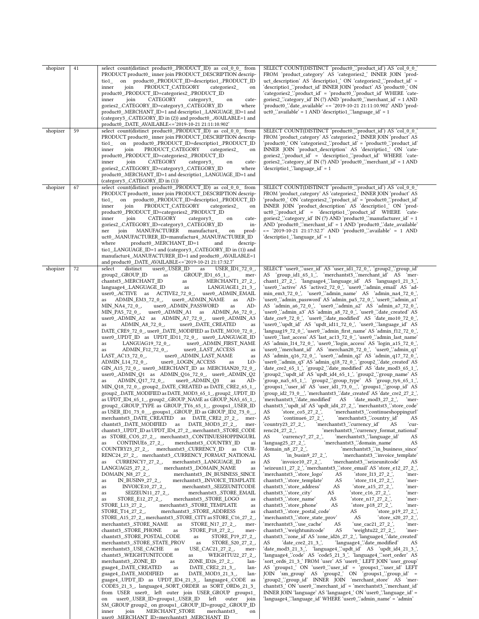| shopizer | 41<br>59 | select count(distinct product0_PRODUCT_ID) as col_0_0_ from<br>PRODUCT product0 inner join PRODUCT DESCRIPTION descrip-<br>on product0 .PRODUCT ID=descriptio1 .PRODUCT ID<br>tio1<br>PRODUCT_CATEGORY<br>categories2<br>inner<br>join<br>on<br>product0_.PRODUCT_ID=categories2_.PRODUCT_ID<br>CATEGORY<br>inner<br>join<br>category3_<br>on<br>cate-<br>gories2 .CATEGORY ID=category3 .CATEGORY ID<br>where<br>product0 .MERCHANT ID=1 and descriptio1 .LANGUAGE ID=1 and<br>(category3_.CATEGORY_ID in (2)) and product0_.AVAILABLE=1 and<br>product0_.DATE_AVAILABLE<='2019-10-21 21:11:10.902'                                                                                                                                                                                                                                                                                                                                                                                                                                                                                                                                                                                                                                                                                                                                                                                                                                                                                                                                                                                                                                                                                                                                                                                                                                                                                                                                                                                                                                                                                                                                                                                                                                                                                                                                                                                                                                                                                                                                                                                                                                                                                                                                                                                                                                                                                                                                                                                                                                                                                                                                                                                                                                                                                                                                                                                                                                   | SELECT COUNT(DISTINCT 'product0_'.'product_id') AS 'col_0_0_'<br>FROM 'product_category' AS 'categories2_' INNER JOIN 'prod-<br>uct description AS 'description' ON 'categories2 "product id' =<br>'descriptio1_'.'product_id' INNER JOIN 'product' AS 'product0_' ON<br>'categories2_'.'product_id' = 'product0_'.'product_id' WHERE 'cate-<br>gories2_"category_id" IN (?) AND 'product0_" merchant_id = 1 AND<br>'product0_'.'date_available' <= '2019-10-21 21:11:10.902' AND 'prod-<br>$uct0$ . available = 1 AND 'descriptio1. 'language_id' = 1                                                                                                                                                                                                                                                                                                                                                                                                                                                                                                                                                                                                                                                                                                                                                                                                                                                                                                                                                                                                                                                                                                                                                                                                                                                                                                                                                                                                                                                                                                                                                                                                                                                                                                                                                                                                                                                                                                                                                                                                                                                                                                                                                                                                                                                                                                                                                                                                                                                                                                                                                                                                                                                                                                                                                                                                                                                                                                                                                                                                                                                                                                                                                   |
|----------|----------|----------------------------------------------------------------------------------------------------------------------------------------------------------------------------------------------------------------------------------------------------------------------------------------------------------------------------------------------------------------------------------------------------------------------------------------------------------------------------------------------------------------------------------------------------------------------------------------------------------------------------------------------------------------------------------------------------------------------------------------------------------------------------------------------------------------------------------------------------------------------------------------------------------------------------------------------------------------------------------------------------------------------------------------------------------------------------------------------------------------------------------------------------------------------------------------------------------------------------------------------------------------------------------------------------------------------------------------------------------------------------------------------------------------------------------------------------------------------------------------------------------------------------------------------------------------------------------------------------------------------------------------------------------------------------------------------------------------------------------------------------------------------------------------------------------------------------------------------------------------------------------------------------------------------------------------------------------------------------------------------------------------------------------------------------------------------------------------------------------------------------------------------------------------------------------------------------------------------------------------------------------------------------------------------------------------------------------------------------------------------------------------------------------------------------------------------------------------------------------------------------------------------------------------------------------------------------------------------------------------------------------------------------------------------------------------------------------------------------------------------------------------------------------------------------------------------------------------------------------------------------------------------------------------------------------------------------------------------------------------------------------------------------------------------------------------------------------------------------------------------------------------------------------------------------------------------------------------------------------------------------------------------------------------------------------------------------------------------------------------------------------------------------------------------------------------|----------------------------------------------------------------------------------------------------------------------------------------------------------------------------------------------------------------------------------------------------------------------------------------------------------------------------------------------------------------------------------------------------------------------------------------------------------------------------------------------------------------------------------------------------------------------------------------------------------------------------------------------------------------------------------------------------------------------------------------------------------------------------------------------------------------------------------------------------------------------------------------------------------------------------------------------------------------------------------------------------------------------------------------------------------------------------------------------------------------------------------------------------------------------------------------------------------------------------------------------------------------------------------------------------------------------------------------------------------------------------------------------------------------------------------------------------------------------------------------------------------------------------------------------------------------------------------------------------------------------------------------------------------------------------------------------------------------------------------------------------------------------------------------------------------------------------------------------------------------------------------------------------------------------------------------------------------------------------------------------------------------------------------------------------------------------------------------------------------------------------------------------------------------------------------------------------------------------------------------------------------------------------------------------------------------------------------------------------------------------------------------------------------------------------------------------------------------------------------------------------------------------------------------------------------------------------------------------------------------------------------------------------------------------------------------------------------------------------------------------------------------------------------------------------------------------------------------------------------------------------------------------------------------------------------------------------------------------------------------------------------------------------------------------------------------------------------------------------------------------------------------------------------------------------------------------------------------------------------------------------------------------------------------------------------------------------------------------------------------------------------------------------------------------------------------------------------------------------------------------------------------------------------------------------------------------------------------------------------------------------------------------------------------------------------------------------------|
| shopizer |          | select count(distinct product0_.PRODUCT_ID) as col_0_0_ from<br>PRODUCT product0 inner join PRODUCT DESCRIPTION descrip-<br>on product0_PRODUCT_ID=descriptio1_PRODUCT_ID<br>$\frac{1}{2}$<br>PRODUCT_CATEGORY<br>inner<br>join<br>categories2_<br>on<br>product0_.PRODUCT_ID=categories2_.PRODUCT_ID<br>CATEGORY<br>inner<br>join<br>category3_<br>cate-<br>on<br>gories2_.CATEGORY_ID=category3_.CATEGORY_ID<br>where<br>product0_.MERCHANT_ID=1 and descriptio1_.LANGUAGE_ID=1 and<br>(category3_.CATEGORY_ID in (1))                                                                                                                                                                                                                                                                                                                                                                                                                                                                                                                                                                                                                                                                                                                                                                                                                                                                                                                                                                                                                                                                                                                                                                                                                                                                                                                                                                                                                                                                                                                                                                                                                                                                                                                                                                                                                                                                                                                                                                                                                                                                                                                                                                                                                                                                                                                                                                                                                                                                                                                                                                                                                                                                                                                                                                                                                                                                                                               | SELECT COUNT(DISTINCT 'product0_'.'product_id') AS 'col_0_0_'<br>FROM 'product category' AS 'categories2 ' INNER JOIN 'product' AS<br>'product0_' ON 'categories2_'.'product_id' = 'product0_'.'product_id'<br>INNER JOIN 'product_description' AS 'descriptio1_' ON 'cate-<br>gories2 "product id" = 'descriptio1 "product id" WHERE 'cate-<br>gories2_"category_id' IN (?) AND 'product0_"merchant_id' = 1 AND<br>'descriptio1_'.'language_id` = 1                                                                                                                                                                                                                                                                                                                                                                                                                                                                                                                                                                                                                                                                                                                                                                                                                                                                                                                                                                                                                                                                                                                                                                                                                                                                                                                                                                                                                                                                                                                                                                                                                                                                                                                                                                                                                                                                                                                                                                                                                                                                                                                                                                                                                                                                                                                                                                                                                                                                                                                                                                                                                                                                                                                                                                                                                                                                                                                                                                                                                                                                                                                                                                                                                                                     |
| shopizer | 67       | select count(distinct product0_PRODUCT_ID) as col_0_0_ from<br>PRODUCT product0_inner join PRODUCT_DESCRIPTION descrip-<br>on product0_PRODUCT_ID=descriptio1_PRODUCT_ID<br>$\frac{1}{2}$<br>PRODUCT_CATEGORY<br>inner<br>join<br>categories2_<br>on<br>product0_.PRODUCT_ID=categories2_.PRODUCT_ID<br>CATEGORY<br>inner<br>join<br>category3_<br>cate-<br>on<br>gories2_.CATEGORY_ID=category3_.CATEGORY_ID<br>in-<br>MANUFACTURER<br>manufactur4<br>join<br>prod-<br>ner<br>on<br>uct0 .MANUFACTURER ID=manufactur4 .MANUFACTURER ID<br>product0_.MERCHANT_ID=1<br>where<br>and<br>descrip-<br>tio1_LANGUAGE_ID=1 and (category3_CATEGORY_ID in (1)) and<br>manufactur4_.MANUFACTURER_ID=1 and product0_.AVAILABLE=1<br>and product0_.DATE_AVAILABLE<='2019-10-21 21:17:32.7'                                                                                                                                                                                                                                                                                                                                                                                                                                                                                                                                                                                                                                                                                                                                                                                                                                                                                                                                                                                                                                                                                                                                                                                                                                                                                                                                                                                                                                                                                                                                                                                                                                                                                                                                                                                                                                                                                                                                                                                                                                                                                                                                                                                                                                                                                                                                                                                                                                                                                                                                                                                                                                                       | SELECT COUNT(DISTINCT 'product0_'.'product_id') AS 'col_0_0_'<br>FROM 'product_category' AS 'categories2_' INNER JOIN 'product' AS<br>'product0_' ON 'categories2_'.'product_id' = 'product0_'.'product_id'<br>INNER JOIN 'product_description' AS 'descriptio1_' ON 'prod-<br>uct0 "product id' = 'descriptio1 "product id' WHERE 'cate-<br>gories2_'.'category_id' IN (?) AND 'product0_'.'manufacturer_id' = 1<br>AND 'product0_'.'merchant_id' = 1 AND 'product0_'.'date_available'<br><= '2019-10-21 21:17:32.7' AND 'product0_'.'available' = 1 AND<br>'descriptio1_'.'language_id' = 1                                                                                                                                                                                                                                                                                                                                                                                                                                                                                                                                                                                                                                                                                                                                                                                                                                                                                                                                                                                                                                                                                                                                                                                                                                                                                                                                                                                                                                                                                                                                                                                                                                                                                                                                                                                                                                                                                                                                                                                                                                                                                                                                                                                                                                                                                                                                                                                                                                                                                                                                                                                                                                                                                                                                                                                                                                                                                                                                                                                                                                                                                                            |
| shopizer | 72       | select<br>user0 .USER ID<br>USER ID1 72 0,<br>distinct<br>as<br>group2_.GROUP_ID<br>as<br>$GROUP$ _ID1_65_1_,<br>mer-<br>chantst3_.MERCHANT_ID<br>MERCHANT1 27 2,<br>as<br>LANGUAGE1_21_3_,<br>language4_.LANGUAGE_ID<br>as<br>user0_.ADMIN_EMAIL<br>$user0$ <sub>-</sub> .ACTIVE as $ACTIVE2$ <sub>-72</sub> <sup>0</sup> <sub>-</sub> ,<br>as ADMIN_EM3_72_0_,<br>user0_.ADMIN_NAME<br>AD-<br>as<br>MIN_NA4_72_0_,<br>user0_.ADMIN_PASSWORD<br>AD-<br>as<br>MIN PA5 72 0,<br>user0_.ADMIN_A1 as ADMIN_A6_72_0_,<br>user0_.ADMIN_A2 as ADMIN_A7_72_0_, user0_.ADMIN_A3<br>ADMIN A8 72 0,<br>user0 .DATE CREATED<br>as<br>as<br>DATE_CRE9_72_0_, user0_.DATE_MODIFIED as DATE_MO10_72_0_,<br>user0_.UPDT_ID as UPDT_ID11_72_0_, user0_.LANGUAGE_ID<br>LANGUAG19_72_0_,<br>user0_.ADMIN_FIRST_NAME<br>as<br>ADMIN_F12_72_0_,<br>user0_LAST_ACCESS<br>as<br>as<br>$LAT\_AC13\_72\_0$ ,<br>user0_.ADMIN_LAST_NAME<br>as<br>ADMIN_L14_72_0_,<br>user0_LOGIN_ACCESS<br>LO-<br>as<br>GIN_A15_72_0_, user0_.MERCHANT_ID as MERCHAN20_72_0_,<br>user0_.ADMIN_Q1 as ADMIN_Q16_72_0_, user0_.ADMIN_Q2<br>ADMIN_Q17_72_0_,<br>user0_.ADMIN_Q3<br>AD-<br>as<br>as<br>MIN_Q18_72_0_, group2_.DATE_CREATED as DATE_CRE2_65_1_,<br>group2_.DATE_MODIFIED as DATE_MOD3_65_1_, group2_.UPDT_ID<br>as UPDT_ID4_65_1_, group2_.GROUP_NAME as GROUP_NA5_65_1_,<br>group2_.GROUP_TYPE as GROUP_TY6_65_1_, groups1_.USER_ID<br>as USER_ID1_73_0__, groups1_.GROUP_ID as GROUP_ID2_73_0__,<br>merchantst3_DATE_CREATED as DATE_CRE2_27_2_,<br>mer-<br>chantst3 .DATE MODIFIED<br>DATE MOD3 27 2,<br>as<br>mer-<br>chantst3 .UPDT ID as UPDT ID4 27 2, merchantst3 .STORE CODE<br>as STORE_CO5_27_2_, merchantst3_.CONTINUESHOPPINGURL<br>merchantst3 .COUNTRY ID<br>CONTINUE6_27_2_,<br>as<br>as<br>merchantst3 .CURRENCY ID<br>COUNTRY23_27_2_,<br>as<br>CUR-<br>RENC24 27 2, merchantst3 .CURRENCY FORMAT NATIONAL<br>merchantst3_.LANGUAGE_ID<br>CURRENCY7_27_2_,<br>as<br>as<br>merchantst3 .DOMAIN NAME<br>LANGUAG25 27 2,<br>as<br>merchantst3 .IN BUSINESS SINCE<br>DOMAIN_N8_27_2_,<br>merchantst3 .INVOICE TEMPLATE<br>IN_BUSIN9_27_2_,<br>as<br>merchantst3 .SEIZEUNITCODE<br>INVOICE10_27_2_,<br>as<br>merchantst3_.STORE_EMAIL<br>SEIZEUN11 27 2,<br>as<br>STORE_E12_27_2_,<br>merchantst3 .STORE LOGO<br>as<br>as<br>merchantst3 .STORE TEMPLATE<br>STORE L13 27 2,<br>as<br>merchantst3_.STORE_ADDRESS<br>STORE_T14_27_2_,<br>as<br>STORE A15 27 2, merchantst3 .STORE CITY as STORE C16 27 2,<br>merchantst3 .STORE NAME<br>STORE N17 27 2,<br>as<br>mer-<br>chantst3_.STORE_PHONE<br>STORE_P18_27_2_,<br>as<br>mer-<br>chantst3_.STORE_POSTAL_CODE<br>STORE_P19_27_2_,<br>as<br>merchantst3 .STORE STATE PROV<br>STORE_S20_27_2_,<br>as<br>merchantst3 .USE CACHE<br>USE_CAC21_27_2_,<br>as<br>mer-<br>chantst3 .WEIGHTUNITCODE<br>WEIGHTU22_27_2_,<br>as<br>merchantst3_ZONE_ID<br>ZONE_ID26_27_2_,<br>lan-<br>as<br>guage4 .DATE CREATED<br>DATE CRE2 21 3,<br>as<br>lan-<br>guage4 .DATE MODIFIED<br>as<br>DATE MOD3 21 3,<br>lan-<br>guage4 .UPDT ID as UPDT ID4 21 3, language4 .CODE as<br>CODE5_21_3_, language4_.SORT_ORDER as SORT_ORD6_21_3_<br>from USER user0 left outer join USER GROUP groups1<br>user0 .USER ID=groups1 .USER ID<br>left<br>outer<br>join<br>on<br>SM GROUP group2 on groups1 .GROUP ID=group2 .GROUP ID<br>join<br>MERCHANT STORE<br>inner<br>merchantst3<br>on<br>user0_MERCHANT_ID=merchantst3_MERCHANT_ID_ | SELECT 'user0_''user_id' AS 'user_id1_72_0_', 'group2_''group_id'<br>AS 'group_id1_65_1_', 'merchantst3_'.'merchant_id' AS 'mer-<br>chant1_27_2_', 'language4_'.'language_id' AS 'language1_21_3_',<br>'user0_'.'active' AS 'active2_72_0_', 'user0_'.'admin_email' AS 'ad-<br>min_em3_72_0_', 'user0_'.admin_name' AS 'admin_na4_72_0_'<br>'user0_'.'admin_password' AS 'admin_pa5_72_0_', 'user0_'.'admin_a1'<br>AS 'admin_a6_72_0_', 'user0_'.'admin_a2' AS 'admin_a7_72_0_',<br>'user0_'.'admin_a3' AS 'admin_a8_72_0_', 'user0_'.'date_created' AS<br>'date_cre9_72_0_', 'user0_'.'date_modified' AS 'date_mo10_72_0_'<br>'user0_'.'updt_id' AS 'updt_id11_72_0_', 'user0_'.'language_id' AS<br>'languag19_72_0_', 'user0_'.'admin_first_name' AS 'admin_f12_72_0_',<br>'user0_'.'last_access' AS 'last_ac13_72_0_', 'user0_'.'admin_last_name'<br>AS 'admin_l14_72_0_', 'user0_'.'login_access' AS 'login_a15_72_0_'<br>'user0_'.'merchant_id' AS 'merchan20_72_0_', 'user0_'.'admin_q1'<br>AS 'admin_q16_72_0_', 'user0_'.'admin_q2' AS 'admin_q17_72_0_'<br>'user0_'.'admin_q3' AS 'admin_q18_72_0_', 'group2_'.'date_created' AS<br>'date_cre2_65_1_', 'group2_'.'date_modified' AS 'date_mod3_65_1_'<br>'group2 '.'updt id' AS 'updt id4 65 1 ', 'group2 '.'group name' AS<br>group_na5_65_1_', 'group2_''group_type' AS 'group_ty6_65_1_',<br>'groups1_'.'user_id' AS 'user_id1_73_0__', 'groups1_'.'group_id' AS<br>'merchantst3 "date modified" AS 'date mod3 27 2',<br>`mer-<br>chantst3_".updt_id' AS 'updt_id4_27_2_', 'merchantst3_".store_code'<br>AS<br>$\:$ store_co5_27_2_;<br>merchantst3_:continueshoppingurl<br>'merchantst3 "country id"<br>AS<br>'continue $6$ _27_2_'<br>AS<br>'merchantst3 "currency id"<br>'country23 27 2 $^{\prime}$ ,<br>AS<br>'cur-<br>'merchantst3_'.'currency_format_national'<br>$renc24_27_2$ ,<br>'merchantst3_'.'language_id'<br>AS<br>'currency7 27 2 ',<br>AS<br>'merchantst3 "domain name"<br>'languag25 27 2 $\dot{ }$ ,<br>AS<br>'merchantst3 "in business since"<br>'domain n8 27 2 ',<br>'merchantst3 "invoice template"<br>'in_busin9_27_2_',<br>AS<br>AS<br>'invoice $10$ $27$ $2$ $^{\prime}$ ,<br>'merchantst3 "seizeunitcode'<br>AS<br>'seizeun11_27_2_', 'merchantst3_'.'store_email' AS 'store_e12_27_2_',<br>'merchantst3_"store_logo"<br>'store_l13_27_2_',<br>AS<br>mer-<br>chantst3 "store template"<br>AS<br>'store_t14_27_2_'<br>`mer-<br>chantst3_"store_address"<br>AS<br>'store_a15_27_2 ',<br>`mer-<br>chantst3_"store_city"<br>AS<br>'store_c16_27_2_'<br>`mer-<br>chantst3 "store name"<br>AS<br>'store_n17_27_2_'<br>`mer-<br>chantst3 "store phone"<br>AS<br>'store p18 27 2 ',<br>`mer-<br>chantst3_"store_postal_code"<br>'store_p19_27_2_',<br>AS<br>'merchantst3_"store_state_prov'<br>'store_s20_27_2_'<br>AS<br>'merchantst3 "use cache"<br>AS<br>'use cac21 27 2 ',<br>`mer-<br>chantst3_"weightunitcode"<br>'weightu22_27_2_',<br>AS<br>`mer-<br>chantst3_"zone_id' AS 'zone_id26_27_2_', 'language4_"date_created'<br>'language4 "date modified"<br>AS<br>'date cre $2$ 21 3 $^{\circ}$ ,<br>AS<br>'date_mod3_21_3_', 'language4_'.'updt_id' AS 'updt_id4_21_3_'<br>'language4_'.'code' AS 'code5_21_3_', 'language4_'.'sort_order' AS<br>'sort_ord6_21_3_' FROM 'user' AS 'user0_' LEFT JOIN 'user_group'<br>AS 'groups1 ' ON 'user0 ''user id' = 'groups1 ''user id' LEFT<br>JOIN 'sm_group' AS 'group2_' ON 'groups1_'group_id' =<br>'group2_'.'group_id' INNER JOIN 'merchant_store' AS 'mer-<br>chantst3_'ON 'user0_'.'merchant_id' = 'merchantst3_'.'merchant_id'<br>INNER JOIN 'language' AS 'language4 ' ON 'user0 '.'language id' =<br>'language4 "language id' WHERE 'user0 "admin name' = 'admin' |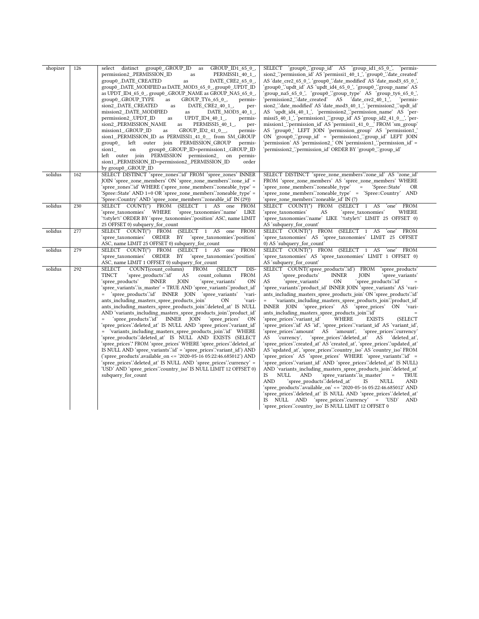| shopizer | 126 | select distinct group0_GROUP_ID as<br>GROUP ID1 65 $0$ ,<br>permission2_.PERMISSION_ID<br>PERMISSI1_40_1_,<br>as<br>group0 .DATE CREATED<br>DATE CRE2 65 0,<br>as<br>group0 .DATE MODIFIED as DATE MOD3 65 0, group0 .UPDT ID<br>as UPDT_ID4_65_0_, group0_.GROUP_NAME as GROUP_NA5_65_0_,<br>group0_.GROUP_TYPE<br>as<br>GROUP_TY6_65_0_,<br>permis-<br>sion2 .DATE CREATED<br>DATE CRE2 40 1,<br>as<br>per-<br>mission2 .DATE MODIFIED<br>DATE_MOD3_40_1_,<br>as<br>permission2_UPDT_ID<br>UPDT_ID4_40_1_,<br>permis-<br>as<br>sion2 .PERMISSION NAME<br>PERMISSI5 40 1,<br>as<br>per-<br>mission1 .GROUP ID<br>GROUP_ID2_41_0_,<br>permis-<br>as<br>sion1 .PERMISSION ID as PERMISSI1 41 0 from SM GROUP<br>PERMISSION GROUP<br>left<br>outer join<br>permis-<br>group0<br>group0_.GROUP_ID=permission1_.GROUP_ID<br>sion1<br>on<br>left outer join PERMISSION permission2 on<br>permis-<br>sion1_.PERMISSION_ID=permission2_.PERMISSION_ID<br>order<br>by group0 .GROUP ID                                                                                                                                                                                                                                                                  | SELECT 'group0_'.'group_id' AS 'group_id1_65_0_', 'permis-<br>sion2_"permission_id' AS 'permissi1_40_1_', 'group0_".date_created'<br>AS 'date_cre2_65_0_', 'group0_'.'date_modified' AS 'date_mod3_65_0_',<br>'group0_'.'updt_id' AS 'updt_id4_65_0_', 'group0_'.'group_name' AS<br>'group_na5_65_0_', 'group0_'.'group_type' AS 'group_ty6_65_0_',<br>'permission2_".date_created' AS 'date_cre2_40_1_',<br>'permis-<br>sion2 "date modified AS 'date mod3 40 1 ', 'permission2 "updt id'<br>AS 'updt_id4_40_1_', 'permission2_'.'permission_name' AS 'per-<br>missi5_40_1_', 'permission1_''group_id' AS 'group_id2_41_0__', 'per-<br>mission1 "permission id AS 'permissi1 41 0 'FROM 'sm group'<br>AS 'group0_' LEFT JOIN 'permission_group' AS 'permission1_'<br>ON 'group0_'.'group_id' = 'permission1_'.'group_id' LEFT JOIN<br>'permission' AS 'permission2 ' ON 'permission1 '.'permission id' =<br>'permission2_'.'permission_id' ORDER BY 'group0_'.'group_id'                                                                                                                                                                                                                                                                                                                                                                                                                                                                                                                                                                                                                                                  |
|----------|-----|-------------------------------------------------------------------------------------------------------------------------------------------------------------------------------------------------------------------------------------------------------------------------------------------------------------------------------------------------------------------------------------------------------------------------------------------------------------------------------------------------------------------------------------------------------------------------------------------------------------------------------------------------------------------------------------------------------------------------------------------------------------------------------------------------------------------------------------------------------------------------------------------------------------------------------------------------------------------------------------------------------------------------------------------------------------------------------------------------------------------------------------------------------------------------------------------------------------------------------------------------|----------------------------------------------------------------------------------------------------------------------------------------------------------------------------------------------------------------------------------------------------------------------------------------------------------------------------------------------------------------------------------------------------------------------------------------------------------------------------------------------------------------------------------------------------------------------------------------------------------------------------------------------------------------------------------------------------------------------------------------------------------------------------------------------------------------------------------------------------------------------------------------------------------------------------------------------------------------------------------------------------------------------------------------------------------------------------------------------------------------------------------------------------------------------------------------------------------------------------------------------------------------------------------------------------------------------------------------------------------------------------------------------------------------------------------------------------------------------------------------------------------------------------------------------------------------------------------------------------------------------------|
| solidus  | 162 | SELECT DISTINCT 'spree_zones'.id' FROM 'spree_zones' INNER<br>JOIN 'spree_zone_members' ON 'spree_zone_members'.'zone_id' =<br>'spree_zones'.'id' WHERE ('spree_zone_members'.'zoneable_type' =<br>'Spree::State' AND 1=0 OR 'spree_zone_members'.'zoneable_type' =<br>'Spree::Country' AND 'spree_zone_members'.'zoneable_id' IN (29))                                                                                                                                                                                                                                                                                                                                                                                                                                                                                                                                                                                                                                                                                                                                                                                                                                                                                                         | SELECT DISTINCT 'spree_zone_members'.'zone_id' AS 'zone_id'<br>FROM 'spree_zone_members' AS 'spree_zone_members' WHERE<br>'spree zone members'.'zoneable type'<br>$=$<br>'Spree::State'<br>OR<br>'spree_zone_members'.'zoneable_type' = 'Spree::Country' AND<br>'spree_zone_members'.'zoneable_id' IN (?)                                                                                                                                                                                                                                                                                                                                                                                                                                                                                                                                                                                                                                                                                                                                                                                                                                                                                                                                                                                                                                                                                                                                                                                                                                                                                                                  |
| solidus  | 230 | SELECT COUNT(*) FROM (SELECT 1 AS one FROM<br>'spree taxonomies' WHERE<br>'spree taxonomies'.'name'<br>LIKE<br>'%style%' ORDER BY 'spree_taxonomies'.'position' ASC, name LIMIT<br>25 OFFSET 0) subquery for count                                                                                                                                                                                                                                                                                                                                                                                                                                                                                                                                                                                                                                                                                                                                                                                                                                                                                                                                                                                                                              | SELECT COUNT(*) FROM (SELECT 1 AS<br>FROM<br>'one'<br>WHERE<br>'spree taxonomies'<br>AS<br>'spree taxonomies'<br>'spree_taxonomies'.'name' LIKE '%style%' LIMIT 25 OFFSET 0)<br>AS 'subquery for count'                                                                                                                                                                                                                                                                                                                                                                                                                                                                                                                                                                                                                                                                                                                                                                                                                                                                                                                                                                                                                                                                                                                                                                                                                                                                                                                                                                                                                    |
| solidus  | 277 | SELECT COUNT(*) FROM (SELECT 1 AS one FROM<br>'spree_taxonomies' ORDER BY 'spree_taxonomies'.'position'<br>ASC, name LIMIT 25 OFFSET 0) subquery_for_count                                                                                                                                                                                                                                                                                                                                                                                                                                                                                                                                                                                                                                                                                                                                                                                                                                                                                                                                                                                                                                                                                      | SELECT COUNT(*) FROM (SELECT 1 AS 'one'<br>FROM<br>'spree_taxonomies' AS 'spree_taxonomies' LIMIT 25 OFFSET<br>0) AS 'subquery_for_count'                                                                                                                                                                                                                                                                                                                                                                                                                                                                                                                                                                                                                                                                                                                                                                                                                                                                                                                                                                                                                                                                                                                                                                                                                                                                                                                                                                                                                                                                                  |
| solidus  | 279 | SELECT COUNT(*) FROM (SELECT 1 AS<br>one FROM<br>'spree taxonomies' ORDER BY 'spree taxonomies'.'position'<br>ASC, name LIMIT 1 OFFSET 0) subquery_for_count                                                                                                                                                                                                                                                                                                                                                                                                                                                                                                                                                                                                                                                                                                                                                                                                                                                                                                                                                                                                                                                                                    | SELECT COUNT(*) FROM (SELECT 1 AS<br><b>FROM</b><br>'one'<br>'spree taxonomies' AS 'spree taxonomies' LIMIT 1 OFFSET 0)<br>AS 'subquery_for_count'                                                                                                                                                                                                                                                                                                                                                                                                                                                                                                                                                                                                                                                                                                                                                                                                                                                                                                                                                                                                                                                                                                                                                                                                                                                                                                                                                                                                                                                                         |
| solidus  | 292 | SELECT<br>COUNT(count column)<br><b>FROM</b><br>(SELECT<br>DIS-<br>TINCT<br>'spree products'.'id'<br>AS<br>count column<br><b>FROM</b><br>'spree products'<br><b>INNER</b><br>JOIN<br>'spree variants'<br>ON<br>'spree_variants'.'is_master' = TRUE AND 'spree_variants'.'product_id'<br>= 'spree products':id' INNER JOIN 'spree variants'<br>'vari-<br>ants_including_masters_spree_products_join'<br>ON<br>ʻvari-<br>ants including masters spree products join"deleted at IS NULL<br>AND 'variants_including_masters_spree_products_join'.'product_id'<br>'spree products'id' INNER JOIN 'spree prices'<br><b>ON</b><br>'spree_prices'.'deleted_at'        IS        NULL        AND 'spree_prices'.'variant_id'<br>= 'variants including masters spree products join'id' WHERE<br>'spree_products'.'deleted_at' IS NULL AND EXISTS (SELECT<br>'spree_prices'.* FROM 'spree_prices' WHERE 'spree_prices'.'deleted_at'<br>IS NULL AND 'spree_variants' id' = 'spree_prices' variant_id') AND<br>('spree_products'.available_on <= '2020-05-16 05:22:46.685012') AND<br>'spree_prices'.'deleted_at'        IS NULL AND 'spree_prices'.'currency' =<br>'USD' AND 'spree prices'.'country iso' IS NULL LIMIT 12 OFFSET 0)<br>subquery_for_count | SELECT COUNT('spree_products'.'id') FROM<br>'spree products'<br>AS<br>'spree_products'<br><b>INNER</b><br>JOIN<br>'spree variants'<br>AS<br>'spree variants'<br><b>ON</b><br>'spree products'.'id'<br>'spree_variants'.'product_id' INNER JOIN 'spree_variants' AS 'vari-<br>ants including masters spree products join' ON 'spree products' id'<br>'variants_including_masters_spree_products_join'.'product_id'<br>INNER JOIN 'spree prices' AS 'spree prices' ON 'vari-<br>ants including masters spree products join"id"<br>'spree prices'.'variant id'<br>WHERE<br><b>EXISTS</b><br>(SELECT<br>'spree_prices'.'id' AS 'id', 'spree_prices'.'variant_id' AS 'variant_id',<br>'spree prices'.'amount' AS 'amount', 'spree prices'.'currency'<br>AS 'currency',<br>'spree_prices'.'deleted_at' AS<br>'deleted at',<br>'spree_prices'.'created_at' AS 'created_at', 'spree_prices'.'updated_at'<br>AS 'updated_at', 'spree_prices'.'country_iso' AS 'country_iso' FROM<br>'spree_prices' AS 'spree_prices' WHERE 'spree_variants'.'id' =<br>'spree_prices'.'variant_id' AND 'spree_prices'.'deleted_at' IS NULL)<br>AND 'variants including masters spree products join'deleted at<br>IS<br><b>NULL</b><br><b>AND</b><br>'spree variants'is master'<br><b>TRUE</b><br>$\equiv$<br><b>AND</b><br>'spree_products'.'deleted_at'<br><b>AND</b><br>IS<br>NULL<br>'spree_products'.'available_on' <= '2020-05-16 05:22:46.685012' AND<br>'spree prices'.'deleted at' IS NULL AND 'spree prices'.'deleted at'<br>IS NULL AND 'spree_prices'.'currency' = 'USD'<br>AND<br>'spree_prices'.'country_iso' IS NULL LIMIT 12 OFFSET 0 |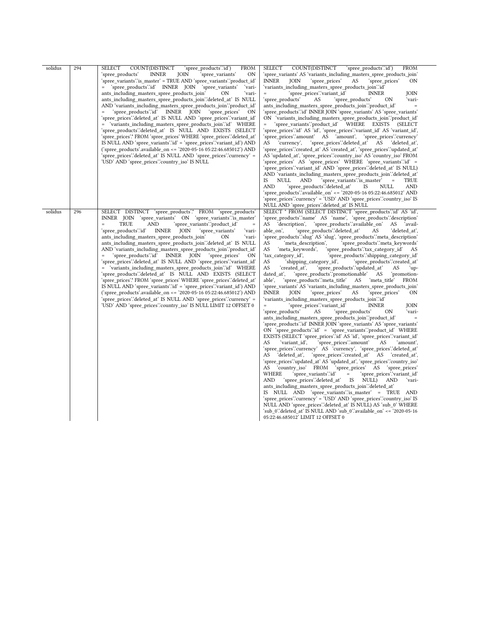| solidus | 294 | <b>SELECT</b><br>COUNT(DISTINCT<br>'spree_products'.'id')<br><b>FROM</b><br>ON<br>'spree products'<br><b>INNER</b><br>JOIN<br>'spree variants'<br>'spree_variants'.'is_master' = TRUE AND 'spree_variants'.'product_id'<br>= 'spree products' id INNER JOIN 'spree variants'<br>ʻvari-<br>ants including masters spree products join'<br>ʻvari-<br>0N<br>ants_including_masters_spree_products_join'.'deleted_at' IS NULL<br>AND 'variants including masters spree products join'.'product id'<br>'spree_products'.'id' INNER JOIN 'spree_prices'<br>ON<br>$\quad =$<br>'spree_prices'.'deleted_at'        IS        NULL AND 'spree_prices'.'variant_id'<br>= 'variants_including_masters_spree_products_join'.'id' WHERE<br>'spree_products'.'deleted_at' IS NULL AND EXISTS (SELECT<br>'spree_prices'.* FROM 'spree_prices' WHERE 'spree_prices'.'deleted_at'<br>IS NULL AND 'spree_variants' id' = 'spree_prices' variant_id') AND<br>('spree_products'.available_on <= '2020-05-16 05:22:46.685012') AND<br>'spree_prices'.'deleted_at'        IS NULL AND 'spree_prices'.'currency' =<br>'USD' AND 'spree_prices'.'country_iso' IS NULL      | <b>SELECT</b><br>COUNT(DISTINCT<br>'spree_products'.'id')<br><b>FROM</b><br>'spree variants' AS variants including masters spree products join'<br><b>INNER</b><br>JOIN<br>'spree_prices'<br>AS<br>'spree_prices'<br>OΝ<br>'variants_including_masters_spree_products_join'.'id'<br>'spree prices'.'variant id'<br>JOIN<br><b>INNER</b><br>$=$<br>`spree_products'<br>'spree_products'<br>vari-<br>AS<br>ON<br>ants including masters spree products join" product id"<br>$\quad =$<br>'spree_products'.'id' INNER JOIN 'spree_variants' AS 'spree_variants'<br>ON 'variants_including_masters_spree_products_join'.'product_id'<br>$=$<br>'spree variants'.'product id' WHERE EXISTS<br>(SELECT<br>'spree_prices'.'id' AS 'id', 'spree_prices'.'variant_id' AS 'variant_id',<br>'spree prices'.'amount' AS 'amount',<br>'spree_prices'.'currency'<br>'spree_prices'.'deleted_at'<br>AS<br>'currency',<br>AS<br>'deleted at',<br>'spree_prices'.'created_at' AS 'created_at', 'spree_prices'.'updated_at'<br>AS 'updated_at', 'spree_prices'.'country_iso' AS 'country_iso' FROM<br>'spree_prices' AS 'spree_prices' WHERE 'spree_variants'.'id' =<br>'spree_prices'.'variant_id' AND 'spree_prices'.'deleted_at' IS NULL)<br>AND 'variants_including_masters_spree_products_join'.'deleted_at'<br>IS<br>NULL<br>AND<br>`spree variants∵is master`<br>TRUE<br>$\hspace{0.1in} = \hspace{0.1in}$<br><b>AND</b><br>'spree products∵deleted at'<br>IS<br>NULL<br>AND<br>'spree_products'.'available_on' <= '2020-05-16 05:22:46.685012' AND<br>'spree_prices'.'currency' = 'USD' AND 'spree_prices'.'country_iso' IS<br>NULL AND 'spree prices': deleted at 'IS NULL                                                                                                                                                                                                                                                                                                                                                                                                                                                                                                                                                                                                                                                                                                                      |
|---------|-----|----------------------------------------------------------------------------------------------------------------------------------------------------------------------------------------------------------------------------------------------------------------------------------------------------------------------------------------------------------------------------------------------------------------------------------------------------------------------------------------------------------------------------------------------------------------------------------------------------------------------------------------------------------------------------------------------------------------------------------------------------------------------------------------------------------------------------------------------------------------------------------------------------------------------------------------------------------------------------------------------------------------------------------------------------------------------------------------------------------------------------------------------------|----------------------------------------------------------------------------------------------------------------------------------------------------------------------------------------------------------------------------------------------------------------------------------------------------------------------------------------------------------------------------------------------------------------------------------------------------------------------------------------------------------------------------------------------------------------------------------------------------------------------------------------------------------------------------------------------------------------------------------------------------------------------------------------------------------------------------------------------------------------------------------------------------------------------------------------------------------------------------------------------------------------------------------------------------------------------------------------------------------------------------------------------------------------------------------------------------------------------------------------------------------------------------------------------------------------------------------------------------------------------------------------------------------------------------------------------------------------------------------------------------------------------------------------------------------------------------------------------------------------------------------------------------------------------------------------------------------------------------------------------------------------------------------------------------------------------------------------------------------------------------------------------------------------------------------------------------------------------------------------------------------------------------------------------------------------------------------------------------------------------------------------------------------------------------------------------------------------------------------------------------------------------------------------------------------------------------------------------------------------------------------------|
| solidus | 296 | SELECT DISTINCT 'spree_products'.* FROM 'spree_products'<br>INNER JOIN<br>'spree_variants' ON 'spree_variants' is_master'<br>TRUE<br>AND<br>'spree_variants'.'product_id'<br>$=$<br>$\quad =$<br>INNER<br>`spree_products∵id`<br>JOIN<br>'spree variants'<br>`vari-<br>ants_including_masters_spree_products_join'<br>0N<br>ʻvari-<br>ants_including_masters_spree_products_join'.'deleted_at' IS NULL<br>AND 'variants including masters spree products join'.'product id'<br>'spree products'.'id' INNER JOIN<br>'spree prices'<br>ON<br>$=$<br>'spree_prices'.'deleted_at'        IS        NULL AND 'spree_prices'.'variant_id'<br>= 'variants_including_masters_spree_products_join'.'id' WHERE<br>'spree_products'.'deleted_at' IS NULL AND EXISTS (SELECT<br>'spree prices'.* FROM 'spree prices' WHERE 'spree prices'.'deleted at'<br>IS NULL AND 'spree_variants'.'id' = 'spree_prices'.'variant_id') AND<br>('spree_products'.available_on <= '2020-05-16 05:22:46.685012') AND<br>'spree_prices'.'deleted_at'        IS        NULL AND 'spree_prices'.'currency' =<br>'USD' AND 'spree prices'.'country iso' IS NULL LIMIT 12 OFFSET 0 | SELECT * FROM (SELECT DISTINCT 'spree_products':id' AS 'id',<br>'spree_products'.'name' AS 'name', 'spree_products'.'description'<br>AS<br>'description',<br>'spree_products'.'available_on'<br>AS<br>ʻavail-<br>`spree_productsʻ.`deleted_at`<br>'deleted at',<br>able_on',<br>AS<br>'spree_products'.'slug' AS 'slug', 'spree_products'.'meta_description'<br>AS<br>'meta_description',<br>'spree_products'.'meta_keywords'<br>AS<br>'meta keywords',<br>'spree products'.'tax category id'<br>AS<br>'spree products'.'shipping category id'<br>'tax category id',<br>AS<br>'shipping_category_id',<br>`spree_products∵created_at`<br>AS<br>'created at',<br>`spree_products∵updated_at`<br>AS<br>`up-<br>'spree_products'.'promotionable'<br>dated_at',<br>AS<br>'promotion-<br>'spree_products'.'meta_title'<br>able',<br><b>FROM</b><br>AS<br>`meta title`<br>'spree variants' AS 'variants including masters spree products join'<br><b>INNER</b><br>'spree_prices'<br>JOIN<br>AS<br>`spree_prices`<br>ON<br>'variants_including_masters_spree_products_join'.'id'<br>'spree prices'.'variant id'<br><b>INNER</b><br>JOIN<br>$=$<br>'spree_products'<br>'spree_products'<br>'vari-<br>AS<br>ON<br>ants_including_masters_spree_products_join'.'product_id'<br>'spree_products'.'id' INNER JOIN 'spree_variants' AS 'spree_variants'<br>ON 'spree_products'.id' = 'spree_variants'.'product_id' WHERE<br>EXISTS (SELECT 'spree prices' id 'AS 'id', 'spree prices' variant id'<br>`spree_prices∵amount`<br>AS<br>`variant id`,<br>AS<br>`amount`,<br>'spree_prices'.'currency' AS 'currency', 'spree_prices'.'deleted_at'<br>'deleted_at', 'spree_prices'.'created_at' AS 'created_at',<br>AS<br>'spree_prices'.'updated_at' AS 'updated_at',        'spree_prices'.'country_iso'<br>AS<br>'country_iso' FROM<br>'spree_prices' AS<br>'spree prices'<br>'spree_variants'.'id'<br>WHERE<br>$=$ $\,$<br>'spree_prices'.'variant_id'<br>'spree_prices'.'deleted_at' IS NULL)<br><b>AND</b><br>AND<br>`vari-<br>ants including masters spree products join"deleted at<br>IS NULL AND 'spree_variants' is_master' = TRUE AND<br>'spree prices'.'currency' = 'USD' AND 'spree prices'.'country iso' IS<br>NULL AND 'spree_prices':deleted_at' IS NULL) AS 'sub_0' WHERE<br>'sub_0'.'deleted_at' IS NULL AND 'sub_0'.'available_on' <= '2020-05-16<br>05:22:46.685012' LIMIT 12 OFFSET 0 |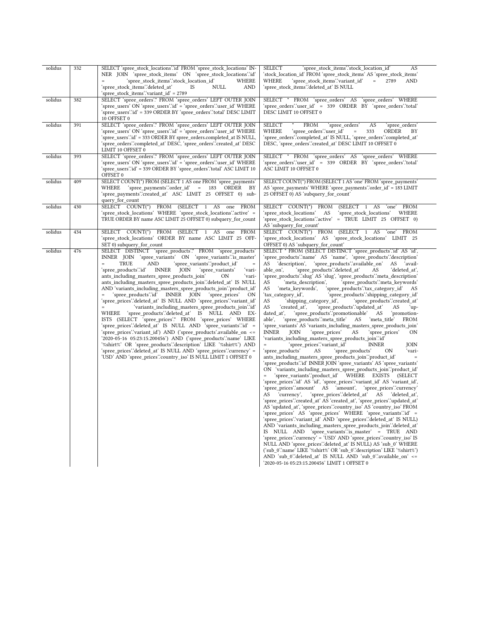| solidus | 332 | SELECT 'spree stock locations'.'id' FROM 'spree stock locations' IN-<br>NER JOIN 'spree_stock_items' ON 'spree_stock_locations'.id'<br>'spree_stock_items'.'stock_location_id'<br>WHERE                                                                                                                                                                                                                                                                                                                                                                                                                                                                                                                                                                                                                                                                                                                                                                                                                                                                                                                                                                                                                                                       | <b>SELECT</b><br>'spree_stock_items'.'stock_location_id'<br>AS<br>'stock_location_id' FROM 'spree_stock_items' AS 'spree_stock_items'<br>'spree_stock_items'.'variant_id'<br>WHERE<br>$\equiv$<br>2789<br>AND                                                                                                                                                                                                                                                                                                                                                                                                                                                                                                                                                                                                                                                                                                                                                                                                                                                                                                                                                                                                                                                                                                                                                                                                                                                                                                                                                                                                                                                                                                                                                                                                                                                                                                                                                                                                                                                                                                                                                                                                                                                                                                                                                                                                                                                      |
|---------|-----|-----------------------------------------------------------------------------------------------------------------------------------------------------------------------------------------------------------------------------------------------------------------------------------------------------------------------------------------------------------------------------------------------------------------------------------------------------------------------------------------------------------------------------------------------------------------------------------------------------------------------------------------------------------------------------------------------------------------------------------------------------------------------------------------------------------------------------------------------------------------------------------------------------------------------------------------------------------------------------------------------------------------------------------------------------------------------------------------------------------------------------------------------------------------------------------------------------------------------------------------------|--------------------------------------------------------------------------------------------------------------------------------------------------------------------------------------------------------------------------------------------------------------------------------------------------------------------------------------------------------------------------------------------------------------------------------------------------------------------------------------------------------------------------------------------------------------------------------------------------------------------------------------------------------------------------------------------------------------------------------------------------------------------------------------------------------------------------------------------------------------------------------------------------------------------------------------------------------------------------------------------------------------------------------------------------------------------------------------------------------------------------------------------------------------------------------------------------------------------------------------------------------------------------------------------------------------------------------------------------------------------------------------------------------------------------------------------------------------------------------------------------------------------------------------------------------------------------------------------------------------------------------------------------------------------------------------------------------------------------------------------------------------------------------------------------------------------------------------------------------------------------------------------------------------------------------------------------------------------------------------------------------------------------------------------------------------------------------------------------------------------------------------------------------------------------------------------------------------------------------------------------------------------------------------------------------------------------------------------------------------------------------------------------------------------------------------------------------------------|
|         |     | 'spree_stock_items'.'deleted_at'<br>NULL<br><b>AND</b><br>IS<br>'spree_stock_items'.'variant_id' = 2789                                                                                                                                                                                                                                                                                                                                                                                                                                                                                                                                                                                                                                                                                                                                                                                                                                                                                                                                                                                                                                                                                                                                       | 'spree_stock_items'.'deleted_at' IS NULL                                                                                                                                                                                                                                                                                                                                                                                                                                                                                                                                                                                                                                                                                                                                                                                                                                                                                                                                                                                                                                                                                                                                                                                                                                                                                                                                                                                                                                                                                                                                                                                                                                                                                                                                                                                                                                                                                                                                                                                                                                                                                                                                                                                                                                                                                                                                                                                                                           |
| solidus | 382 | SELECT 'spree_orders'.* FROM 'spree_orders' LEFT OUTER JOIN<br>'spree_users' ON 'spree_users'.'id' = 'spree_orders'.'user_id' WHERE<br>'spree_users'.'id' = 339 ORDER BY 'spree_orders'.'total' DESC LIMIT<br>10 OFFSET 0                                                                                                                                                                                                                                                                                                                                                                                                                                                                                                                                                                                                                                                                                                                                                                                                                                                                                                                                                                                                                     | SELECT * FROM 'spree_orders' AS 'spree_orders' WHERE<br>'spree_orders'.'user_id' = 339 ORDER BY 'spree_orders'.'total'<br>DESC LIMIT 10 OFFSET 0                                                                                                                                                                                                                                                                                                                                                                                                                                                                                                                                                                                                                                                                                                                                                                                                                                                                                                                                                                                                                                                                                                                                                                                                                                                                                                                                                                                                                                                                                                                                                                                                                                                                                                                                                                                                                                                                                                                                                                                                                                                                                                                                                                                                                                                                                                                   |
| solidus | 391 | SELECT 'spree_orders'.* FROM 'spree_orders' LEFT OUTER JOIN<br>'spree_users' ON 'spree_users'.'id' = 'spree_orders'.'user_id' WHERE<br>'spree_users'.'id' = 333 ORDER BY spree_orders.completed_at IS NULL,<br>'spree_orders'.'completed_at' DESC, 'spree_orders'.'created_at' DESC<br>LIMIT 10 OFFSET 0                                                                                                                                                                                                                                                                                                                                                                                                                                                                                                                                                                                                                                                                                                                                                                                                                                                                                                                                      | SELECT<br><b>FROM</b><br>`spree_orders`<br>AS<br>`spree_orders`<br>WHERE<br>'spree_orders'.'user_id'<br>333<br>ORDER<br>ΒY<br>$=$<br>'spree_orders'.'completed_at' IS NULL, 'spree_orders'.'completed_at'<br>DESC, 'spree orders':created at' DESC LIMIT 10 OFFSET 0                                                                                                                                                                                                                                                                                                                                                                                                                                                                                                                                                                                                                                                                                                                                                                                                                                                                                                                                                                                                                                                                                                                                                                                                                                                                                                                                                                                                                                                                                                                                                                                                                                                                                                                                                                                                                                                                                                                                                                                                                                                                                                                                                                                               |
| solidus | 393 | SELECT 'spree_orders'.* FROM 'spree_orders' LEFT OUTER JOIN<br>'spree_users' ON 'spree_users'.'id' = 'spree_orders'.'user_id' WHERE<br>'spree_users'.'id' = 339 ORDER BY 'spree_orders'.'total' ASC LIMIT 10<br>OFFSET 0                                                                                                                                                                                                                                                                                                                                                                                                                                                                                                                                                                                                                                                                                                                                                                                                                                                                                                                                                                                                                      | SELECT * FROM 'spree orders' AS 'spree orders' WHERE<br>'spree_orders'.'user_id' = 339 ORDER BY 'spree_orders'.'total'<br>ASC LIMIT 10 OFFSET 0                                                                                                                                                                                                                                                                                                                                                                                                                                                                                                                                                                                                                                                                                                                                                                                                                                                                                                                                                                                                                                                                                                                                                                                                                                                                                                                                                                                                                                                                                                                                                                                                                                                                                                                                                                                                                                                                                                                                                                                                                                                                                                                                                                                                                                                                                                                    |
| solidus | 409 | SELECT COUNT(*) FROM (SELECT 1 AS one FROM 'spree_payments'<br>'spree_payments'.'order_id' = 183 ORDER BY<br>WHERE<br>'spree_payments'.'created_at' ASC LIMIT 25 OFFSET 0) sub-<br>query_for_count                                                                                                                                                                                                                                                                                                                                                                                                                                                                                                                                                                                                                                                                                                                                                                                                                                                                                                                                                                                                                                            | SELECT COUNT(*) FROM (SELECT 1 AS 'one' FROM 'spree_payments'<br>AS 'spree_payments' WHERE 'spree_payments' order_id' = 183 LIMIT<br>25 OFFSET 0) AS 'subquery_for_count'                                                                                                                                                                                                                                                                                                                                                                                                                                                                                                                                                                                                                                                                                                                                                                                                                                                                                                                                                                                                                                                                                                                                                                                                                                                                                                                                                                                                                                                                                                                                                                                                                                                                                                                                                                                                                                                                                                                                                                                                                                                                                                                                                                                                                                                                                          |
| solidus | 430 | SELECT COUNT(*) FROM (SELECT 1 AS<br>one FROM<br>'spree_stock_locations' WHERE 'spree_stock_locations'.'active' =<br>TRUE ORDER BY name ASC LIMIT 25 OFFSET 0) subquery_for_count                                                                                                                                                                                                                                                                                                                                                                                                                                                                                                                                                                                                                                                                                                                                                                                                                                                                                                                                                                                                                                                             | SELECT COUNT(*) FROM<br>(SELECT 1 AS 'one' FROM<br>'spree_stock_locations' AS<br>WHERE<br>'spree_stock_locations'<br>'spree_stock_locations'.'active' = TRUE LIMIT 25 OFFSET 0)<br>AS 'subquery_for_count'                                                                                                                                                                                                                                                                                                                                                                                                                                                                                                                                                                                                                                                                                                                                                                                                                                                                                                                                                                                                                                                                                                                                                                                                                                                                                                                                                                                                                                                                                                                                                                                                                                                                                                                                                                                                                                                                                                                                                                                                                                                                                                                                                                                                                                                         |
| solidus | 434 | SELECT COUNT(*) FROM (SELECT 1 AS one FROM<br>'spree_stock_locations' ORDER BY name ASC LIMIT 25 OFF-<br>SET 0) subquery for count                                                                                                                                                                                                                                                                                                                                                                                                                                                                                                                                                                                                                                                                                                                                                                                                                                                                                                                                                                                                                                                                                                            | SELECT COUNT(*) FROM (SELECT 1 AS 'one' FROM<br>'spree_stock_locations' AS 'spree_stock_locations' LIMIT 25<br>OFFSET 0) AS 'subquery_for_count'                                                                                                                                                                                                                                                                                                                                                                                                                                                                                                                                                                                                                                                                                                                                                                                                                                                                                                                                                                                                                                                                                                                                                                                                                                                                                                                                                                                                                                                                                                                                                                                                                                                                                                                                                                                                                                                                                                                                                                                                                                                                                                                                                                                                                                                                                                                   |
| solidus | 476 | SELECT DISTINCT 'spree products'.* FROM 'spree products'<br>INNER JOIN 'spree_variants' ON 'spree_variants' is_master'<br><b>TRUE</b><br>AND<br>'spree variants'.'product id'<br>$\equiv$<br>$\quad =$<br>INNER JOIN<br>'spree_products'.'id'<br>'spree variants'<br>ʻvari-<br>ants_including_masters_spree_products_join'<br>ʻvari-<br>OΝ<br>ants_including_masters_spree_products_join'.'deleted_at' IS NULL<br>AND 'variants_including_masters_spree_products_join'.'product_id'<br>= 'spree_products':id' INNER JOIN 'spree_prices'<br>ON<br>'spree_prices'.'deleted_at' IS NULL AND 'spree_prices'.'variant_id'<br>'variants_including_masters_spree_products_join'.`id'<br>$=$<br>WHERE 'spree_products'.'deleted_at' IS NULL AND EX-<br>ISTS (SELECT 'spree_prices'.* FROM 'spree_prices' WHERE<br>'spree_prices'.'deleted_at' IS NULL AND 'spree_variants'.'id' =<br>'spree_prices'.'variant_id') AND ('spree_products'.available_on <=<br>'2020-05-16 05:23:15.200456') AND ('spree_products'.'name' LIKE<br>'%shirt%' OR 'spree_products'.'description' LIKE '%shirt%') AND<br>'spree_prices'.'deleted_at'        IS        NULL AND 'spree_prices'.'currency' =<br>'USD' AND 'spree_prices'.'country_iso' IS NULL LIMIT 1 OFFSET 0 | SELECT * FROM (SELECT DISTINCT 'spree_products'.id' AS 'id',<br>'spree_products'.'name' AS 'name', 'spree_products'.'description'<br>'spree_products'.'available_on'<br>AS<br>'description',<br>AS<br>`avail-<br>'spree_products'.'deleted_at'<br>'deleted at',<br>able on',<br>AS<br>'spree_products'.'slug' AS 'slug', 'spree_products'.'meta_description'<br>'meta description',<br>AS<br>`spree_products∵meta_keywords`<br>'meta_keywords',<br>'spree_products'.'tax_category_id' AS<br>AS<br>'tax category id',<br>'spree_products'.'shipping_category_id'<br>'shipping_category_id',<br>'spree_products'.'created_at'<br>AS<br>AS<br>'created_at',<br>`spree_products'.`updated_at`<br>AS<br>`up-<br>'spree_products'.'promotionable'<br>dated_at',<br>AS<br>'promotion-<br>'spree_products'.'meta_title'<br>'meta_title'<br><b>FROM</b><br>able',<br>AS<br>'spree_variants' AS 'variants_including_masters_spree_products_join'<br><b>INNER</b><br>'spree_prices'<br>JOIN<br>AS<br>'spree_prices'<br>ON<br>'variants_including_masters_spree_products_join'.'id'<br>'spree_prices'.'variant_id'<br><b>INNER</b><br>$\quad =$<br>JOIN<br>'spree_products'<br>AS<br>'spree_products'<br>ON<br>ʻvari-<br>ants_including_masters_spree_products_join".product_id"<br>$=$<br>'spree_products'.'id' INNER JOIN 'spree_variants' AS 'spree_variants'<br>ON 'variants_including_masters_spree_products_join'.'product_id'<br>'spree variants'.'product id' WHERE EXISTS (SELECT<br>'spree_prices'.'id' AS 'id', 'spree_prices'.'variant_id' AS 'variant_id',<br>'spree_prices'.'amount' AS 'amount', 'spree_prices'.'currency'<br>'spree_prices'.'deleted_at' AS<br>AS<br>`currency`,<br>'deleted at'.<br>'spree_prices'.'created_at' AS 'created_at', 'spree_prices'.'updated_at'<br>AS 'updated_at', 'spree_prices'.'country_iso' AS 'country_iso' FROM<br>'spree_prices' AS 'spree_prices' WHERE 'spree_variants'.id' =<br>'spree_prices'.'variant_id' AND 'spree_prices'.'deleted_at' IS NULL)<br>AND 'variants_including_masters_spree_products_join'.'deleted_at'<br>IS NULL AND 'spree_variants' is_master' = TRUE AND<br>'spree_prices'.'currency' = 'USD' AND 'spree_prices'.'country_iso' IS<br>NULL AND 'spree_prices'.'deleted_at' IS NULL) AS 'sub_0' WHERE<br>('sub_0".name' LIKE '%shirt%' OR 'sub_0".'description' LIKE '%shirt%')<br>AND 'sub_0":deleted_at' IS NULL AND 'sub_0":available_on' <=<br>'2020-05-16 05:23:15.200456' LIMIT 1 OFFSET 0 |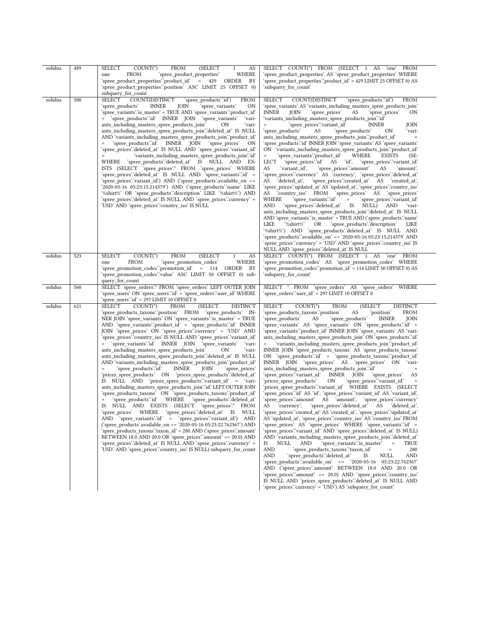| solidus | 489 | <b>SELECT</b><br>$COUNT(*)$<br><b>FROM</b><br>(SELECT<br>AS<br>$\mathbf{1}$<br><b>FROM</b><br>'spree_product_properties'<br>WHERE<br>one<br>'spree_product_properties'.'product_id' = 429 ORDER<br>BY<br>'spree_product_properties'.'position' ASC LIMIT 25 OFFSET 0)<br>subquery_for_count                                                                                                                                                                                                                                                                                                                                                                                                                                                                                                                                                                                                                                                                                                                                                                                                                                                                                                                                                                                                                                                                                                                                                                                                                                                                                                                 | SELECT COUNT(*) FROM (SELECT 1 AS 'one' FROM<br>'spree_product_properties' AS 'spree_product_properties' WHERE<br>'spree_product_properties'.'product_id' = 429 LIMIT 25 OFFSET 0) AS<br>'subquery for count'                                                                                                                                                                                                                                                                                                                                                                                                                                                                                                                                                                                                                                                                                                                                                                                                                                                                                                                                                                                                                                                                                                                                                                                                                                                                                                                                                                                                                                                                                                                                                                                                                                                                                                                                                                                                                                                                         |
|---------|-----|-------------------------------------------------------------------------------------------------------------------------------------------------------------------------------------------------------------------------------------------------------------------------------------------------------------------------------------------------------------------------------------------------------------------------------------------------------------------------------------------------------------------------------------------------------------------------------------------------------------------------------------------------------------------------------------------------------------------------------------------------------------------------------------------------------------------------------------------------------------------------------------------------------------------------------------------------------------------------------------------------------------------------------------------------------------------------------------------------------------------------------------------------------------------------------------------------------------------------------------------------------------------------------------------------------------------------------------------------------------------------------------------------------------------------------------------------------------------------------------------------------------------------------------------------------------------------------------------------------------|---------------------------------------------------------------------------------------------------------------------------------------------------------------------------------------------------------------------------------------------------------------------------------------------------------------------------------------------------------------------------------------------------------------------------------------------------------------------------------------------------------------------------------------------------------------------------------------------------------------------------------------------------------------------------------------------------------------------------------------------------------------------------------------------------------------------------------------------------------------------------------------------------------------------------------------------------------------------------------------------------------------------------------------------------------------------------------------------------------------------------------------------------------------------------------------------------------------------------------------------------------------------------------------------------------------------------------------------------------------------------------------------------------------------------------------------------------------------------------------------------------------------------------------------------------------------------------------------------------------------------------------------------------------------------------------------------------------------------------------------------------------------------------------------------------------------------------------------------------------------------------------------------------------------------------------------------------------------------------------------------------------------------------------------------------------------------------------|
| solidus | 500 | <b>SELECT</b><br>COUNT(DISTINCT<br>'spree_products'.'id')<br><b>FROM</b><br>'spree_products'<br><b>INNER</b><br>JOIN<br>'spree variants'<br>ON<br>'spree_variants'.'is_master' = TRUE AND 'spree_variants'.'product_id'<br>'spree_products'.'id' INNER JOIN 'spree_variants'<br>`vari-<br>ants_including_masters_spree_products_join'<br>ʻvari-<br>OΝ<br>ants_including_masters_spree_products_join'.'deleted_at' IS NULL<br>AND 'variants_including_masters_spree_products_join'.'product_id'<br>'spree_products'.'id' INNER JOIN 'spree prices'<br>ON<br>'spree_prices'.'deleted_at'        IS        NULL AND        'spree_prices'.'variant_id'<br>'variants including masters spree products join'id'<br>'spree_products'.'deleted_at' IS NULL AND EX-<br>WHERE<br>ISTS (SELECT 'spree_prices'.* FROM 'spree_prices' WHERE<br>'spree_prices'.'deleted_at' IS NULL AND 'spree_variants'.'id' =<br>'spree_prices'.'variant_id') AND ('spree_products'.available_on <=<br>'%shirt%' OR 'spree_products'.'description' LIKE '%shirt%') AND<br>'spree_prices'.'deleted_at'        IS        NULL AND 'spree_prices'.'currency' =<br>'USD' AND 'spree_prices'.'country_iso' IS NULL                                                                                                                                                                                                                                                                                                                                                                                                                          | SELECT<br>COUNT(DISTINCT<br>'spree_products'.'id')<br><b>FROM</b><br>'spree variants' AS 'variants including masters spree products join'<br><b>INNER</b><br>JOIN<br>'spree_prices'<br>'spree_prices'<br>ON<br>AS<br>'variants_including_masters_spree_products_join'.'id'<br>'spree_prices'.'variant_id'<br>JOIN<br><b>INNER</b><br>'spree_products'<br>'spree_products'<br>AS<br>ON<br>ʻvari-<br>ants_including_masters_spree_products_join'.'product_id'<br>'spree products'.'id' INNER JOIN 'spree variants' AS 'spree variants'<br>ON 'variants_including_masters_spree_products_join'.'product_id'<br>'spree variants'.'product id'<br>WHERE<br>EXISTS<br>$(SE-$<br>LECT<br>'spree prices' id AS 'id', 'spree prices' variant id<br>'variant id',<br>`spree_prices∵amount'<br>'amount',<br>AS<br>AS<br>'spree prices'.'currency' AS 'currency', 'spree prices'.'deleted at<br>AS 'deleted_at', 'spree_prices'.'created_at' AS 'created_at',<br>'spree_prices'.'updated_at' AS 'updated_at',        'spree_prices'.'country_iso'<br>AS 'country_iso' FROM 'spree_prices' AS 'spree_prices'<br>`spree_variants'.'id'<br>WHERE<br>'spree_prices'.'variant_id'<br>$\alpha = 1$<br>'spree_prices'.'deleted_at' IS NULL) AND<br>AND<br>`vari-<br>ants_including_masters_spree_products_join'.'deleted_at' IS NULL<br>AND 'spree_variants' is_master' = TRUE AND ('spree_products' name'<br>'spree products'.'description'<br>LIKE<br>'%shirt%'<br>OR<br>LIKE<br>'%shirt%') AND 'spree_products'.'deleted_at' IS NULL AND<br>'spree_products'.'available_on' <= '2020-05-16 05:23:15.214379' AND<br>'spree_prices'.'currency' = 'USD' AND 'spree_prices'.'country_iso' IS<br>NULL AND 'spree_prices'.'deleted_at' IS NULL                                                                                                                                                                                                                                                                                                                                                              |
| solidus | 523 | <b>SELECT</b><br>$COUNT(*)$<br><b>FROM</b><br>(SELECT<br>AS<br>$\mathbf{1}$<br>FROM<br>'spree promotion codes'<br>WHERE<br>one<br>'spree_promotion_codes'.'promotion_id' = 114 ORDER BY<br>'spree promotion codes'.'value' ASC LIMIT 50 OFFSET 0) sub-<br>query for count                                                                                                                                                                                                                                                                                                                                                                                                                                                                                                                                                                                                                                                                                                                                                                                                                                                                                                                                                                                                                                                                                                                                                                                                                                                                                                                                   | SELECT COUNT(*) FROM (SELECT 1 AS<br>`one`<br>FROM<br>'spree_promotion_codes' AS 'spree_promotion_codes' WHERE<br>'spree promotion codes'.'promotion id' = 114 LIMIT 50 OFFSET 0) AS<br>'subquery for count'                                                                                                                                                                                                                                                                                                                                                                                                                                                                                                                                                                                                                                                                                                                                                                                                                                                                                                                                                                                                                                                                                                                                                                                                                                                                                                                                                                                                                                                                                                                                                                                                                                                                                                                                                                                                                                                                          |
| solidus | 560 | SELECT 'spree_orders'.* FROM 'spree_orders' LEFT OUTER JOIN<br>'spree_users' ON 'spree_users'.'id' = 'spree_orders'.'user_id' WHERE<br>'spree users'.'id' = 297 LIMIT 10 OFFSET 0                                                                                                                                                                                                                                                                                                                                                                                                                                                                                                                                                                                                                                                                                                                                                                                                                                                                                                                                                                                                                                                                                                                                                                                                                                                                                                                                                                                                                           | SELECT * FROM 'spree_orders' AS 'spree_orders' WHERE<br>'spree_orders'.'user_id' = 297 LIMIT 10 OFFSET 0                                                                                                                                                                                                                                                                                                                                                                                                                                                                                                                                                                                                                                                                                                                                                                                                                                                                                                                                                                                                                                                                                                                                                                                                                                                                                                                                                                                                                                                                                                                                                                                                                                                                                                                                                                                                                                                                                                                                                                              |
| solidus | 621 | $COUNT(*)$<br><b>FROM</b><br><b>SELECT</b><br>(SELECT)<br><b>DISTINCT</b><br>'spree_products_taxons'.'position' FROM 'spree_products' IN-<br>NER JOIN 'spree_variants' ON 'spree_variants' is_master' = TRUE<br>$AND$ 'spree_variants''product_id' = 'spree_products''id' INNER<br>JOIN 'spree_prices' ON 'spree_prices'.'currency' = 'USD' AND<br>'spree_prices'.'country_iso' IS NULL AND 'spree_prices'.'variant_id'<br>'spree_variants'.'id' INNER JOIN 'spree_variants'<br>ʻvari-<br>$\quad =$<br>ants_including_masters_spree_products_join'<br>OΝ<br>`vari-<br>ants_including_masters_spree_products_join'.'deleted_at' IS NULL<br>AND 'variants_including_masters_spree_products_join'.'product_id'<br><b>INNER</b><br>'spree products'.'id'<br>JOIN<br>'spree prices'<br>'prices_spree_products' ON 'prices_spree_products'.'deleted_at'<br>IS NULL AND 'prices spree products''variant id' = 'vari-<br>ants_including_masters_spree_products_join'.'id' LEFT OUTER JOIN<br>'spree_products_taxons' ON 'spree_products_taxons'.'product_id'<br>IS NULL AND EXISTS (SELECT 'spree_prices'.* FROM<br>'spree_prices' WHERE 'spree_prices'.'deleted_at' IS<br><b>NULL</b><br>AND 'spree_variants':id' = 'spree_prices':variant_id') AND<br>('spree products'.available on <= '2020-05-16 05:23:22.762367') AND<br>'spree_products_taxons'.'taxon_id' = 280 AND ('spree_prices'.'amount'<br>BETWEEN 18.0 AND 20.0 OR 'spree prices' amount ' > = 20.0) AND<br>'spree prices'.'deleted at' IS NULL AND 'spree prices'.'currency' =<br>'USD' AND 'spree prices'.'country iso' IS NULL) subquery for count | <b>SELECT</b><br>$COUNT(*)$<br><b>FROM</b><br>(SELECT<br><b>DISTINCT</b><br>AS<br>'spree_products_taxons'.'position'<br>`position`<br>FROM<br>'spree_products'<br>AS<br>'spree_products'<br><b>INNER</b><br>JOIN<br>'spree_variants' AS 'spree_variants' ON 'spree_products'.'id' =<br>'spree_variants'.'product_id' INNER JOIN 'spree_variants' AS 'vari-<br>ants_including_masters_spree_products_join' ON 'spree_products'.id'<br>'variants_including_masters_spree_products_join'.'product_id'<br>$=$<br>INNER JOIN 'spree_products_taxons' AS 'spree_products_taxons'<br>ON 'spree_products':id' = 'spree_products_taxons':'product_id'<br>INNER JOIN 'spree_prices' AS 'spree_prices' ON<br>ʻvari-<br>ants_including_masters_spree_products_join'.'id'<br>'spree prices'.'variant id' INNER JOIN<br>'spree_prices'<br>AS<br>`prices_spree_products`<br>ON<br>'spree_prices'.'variant_id'<br>prices_spree_products'.'variant_id' WHERE EXISTS (SELECT<br>'spree_prices'.'id' AS 'id', 'spree_prices'.'variant_id' AS 'variant_id',<br>'spree_prices'.'amount' AS 'amount', 'spree_prices'.'currency'<br>'spree_prices'.'deleted_at' AS 'deleted_at',<br>AS currency,<br>'spree_prices'.'created_at' AS 'created_at', 'spree_prices'.'updated_at'<br>AS 'updated at', 'spree prices'.'country iso' AS 'country iso' FROM<br>'spree_prices' AS 'spree_prices' WHERE 'spree_variants'.'id' =<br>'spree_prices'.'variant_id' AND 'spree_prices'.'deleted_at' IS NULL)<br>AND 'variants_including_masters_spree_products_join'.'deleted_at'<br>IS<br>NULL<br>AND<br>'spree variants' is master'<br>$\,=\,$<br>TRUE<br><b>AND</b><br>'spree products taxons".taxon id"<br>280<br>$\quad =$<br>'spree_products'.'deleted_at'<br>AND<br>IS<br>NULL<br>AND<br>'spree_products'.'available_on' <= '2020-05-16 05:23:22.762367'<br>AND ('spree prices'.'amount' BETWEEN 18.0 AND 20.0 OR<br>'spree_prices'.'amount' >= 20.0) AND 'spree_prices'.'country_iso'<br>IS NULL AND 'prices_spree_products'.'deleted_at' IS NULL AND<br>'spree_prices'.'currency' = 'USD') AS 'subquery_for_count' |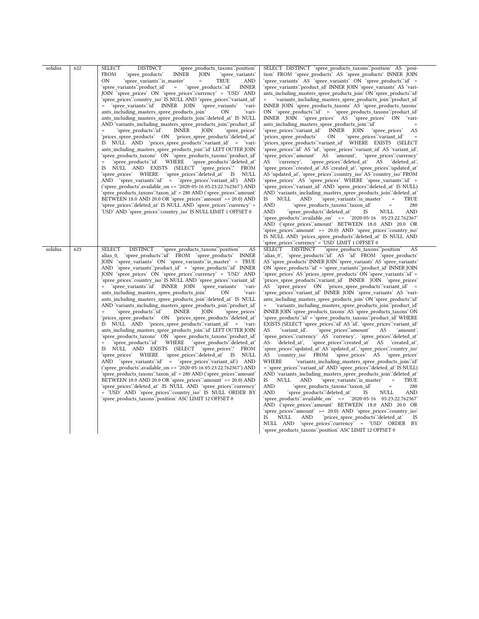| solidus | 622 | <b>SELECT</b><br><b>DISTINCT</b><br>'spree_products_taxons'.'position'<br><b>FROM</b><br>'spree_products'<br><b>INNER</b><br>JOIN<br>'spree_variants'<br>ON<br>'spree variants'.'is master'<br>TRUE<br>AND<br>'spree_variants'.'product_id'<br>'spree_products'.'id'<br><b>INNER</b><br>$=$<br>JOIN 'spree_prices' ON 'spree_prices'.'currency' = 'USD' AND<br>'spree_prices'.'country_iso' IS NULL AND 'spree_prices'.'variant_id'<br>'spree variants'.'id' INNER JOIN 'spree variants'<br>'vari-<br>$=$<br>ants including masters spree products join'<br>ON<br>ʻvari-<br>ants including masters spree products join"deleted at IS NULL<br>AND 'variants including masters spree products join'.'product id'<br>'spree_products'.'id'<br><b>INNER</b><br>'spree prices'<br>JOIN<br>'prices_spree_products' ON 'prices_spree_products'.'deleted_at'<br>IS NULL AND 'prices_spree_products'.'variant_id' = 'vari-<br>ants_including_masters_spree_products_join'.'id' LEFT OUTER JOIN<br>'spree_products_taxons' ON 'spree_products_taxons'.'product_id'<br>WHERE<br>'spree products'.'deleted at'<br>'spree products∵id'<br>IS NULL AND EXISTS (SELECT 'spree_prices'.* FROM<br>'spree_prices' WHERE<br>'spree_prices'.'deleted_at'<br>IS NULL<br>AND 'spree variants' id' = 'spree prices' variant id') AND<br>('spree_products'.available_on <= '2020-05-16 05:23:22.762367') AND<br>'spree_products_taxons'.'taxon_id' = 280 AND ('spree_prices'.'amount'<br>BETWEEN 18.0 AND 20.0 OR 'spree_prices'.'amount' >= 20.0) AND<br>'spree_prices'.'deleted_at'        IS        NULL AND 'spree_prices'.'currency' =<br>'USD' AND 'spree_prices'.'country_iso' IS NULL LIMIT 1 OFFSET 0                           | SELECT DISTINCT 'spree_products_taxons".position' AS 'posi-<br>tion' FROM 'spree_products' AS 'spree_products' INNER JOIN<br>'spree variants' AS 'spree variants' ON 'spree products' id' =<br>'spree_variants'.'product_id' INNER JOIN 'spree_variants' AS 'vari-<br>ants_including_masters_spree_products_join' ON 'spree_products'.id'<br>'variants_including_masters_spree_products_join'.'product_id'<br>$\equiv$<br>INNER JOIN 'spree products taxons' AS 'spree products taxons'<br>ON 'spree_products':id' = 'spree_products_taxons'.'product_id'<br>INNER JOIN 'spree prices' AS 'spree prices' ON<br>'vari-<br>ants_including_masters_spree_products_join'.'id'<br>$\equiv$<br>'spree prices'.'variant id'<br>AS<br>INNER JOIN<br>'spree prices'<br>'spree_prices'.'variant_id'<br>'prices_spree_products'<br>ON<br>'prices_spree_products'.'variant_id' WHERE EXISTS (SELECT<br>'spree_prices'.'id' AS 'id', 'spree_prices'.'variant_id' AS 'variant_id',<br>'spree prices'.'amount' AS 'amount', 'spree prices'.'currency'<br>'spree prices'.'deleted at'<br>AS<br>`currency`.<br>AS<br>'deleted at',<br>'spree_prices'.'created_at' AS 'created_at', 'spree_prices'.'updated_at'<br>AS 'updated_at', 'spree_prices'.'country_iso' AS 'country_iso' FROM<br>'spree_prices' AS 'spree_prices' WHERE 'spree_variants'.'id' =<br>'spree_prices'.'variant_id' AND 'spree_prices'.'deleted_at' IS NULL)<br>AND 'variants_including_masters_spree_products_join'.'deleted_at'<br>'spree_variants'.'is_master'<br>IS<br>NULL<br>AND<br>TRUE<br>$\hspace{0.1in} = \hspace{0.1in}$<br><b>AND</b><br>'spree_products_taxons'.'taxon_id'<br>280<br>$\quad =$<br><b>AND</b><br>'spree_products'.'deleted_at'<br>IS<br>NULL<br><b>AND</b><br>'spree_products'.'available_on' <= '2020-05-16 05:23:22.762367'<br>AND ('spree_prices'.'amount' BETWEEN 18.0 AND 20.0 OR<br>'spree prices''amount' >= 20.0) AND 'spree prices''country iso'<br>IS NULL AND 'prices spree products' deleted at IS NULL AND<br>'spree_prices'.'currency' = 'USD' LIMIT 1 OFFSET 0                                                              |
|---------|-----|------------------------------------------------------------------------------------------------------------------------------------------------------------------------------------------------------------------------------------------------------------------------------------------------------------------------------------------------------------------------------------------------------------------------------------------------------------------------------------------------------------------------------------------------------------------------------------------------------------------------------------------------------------------------------------------------------------------------------------------------------------------------------------------------------------------------------------------------------------------------------------------------------------------------------------------------------------------------------------------------------------------------------------------------------------------------------------------------------------------------------------------------------------------------------------------------------------------------------------------------------------------------------------------------------------------------------------------------------------------------------------------------------------------------------------------------------------------------------------------------------------------------------------------------------------------------------------------------------------------------------------------------------------------------------------------------------------------|--------------------------------------------------------------------------------------------------------------------------------------------------------------------------------------------------------------------------------------------------------------------------------------------------------------------------------------------------------------------------------------------------------------------------------------------------------------------------------------------------------------------------------------------------------------------------------------------------------------------------------------------------------------------------------------------------------------------------------------------------------------------------------------------------------------------------------------------------------------------------------------------------------------------------------------------------------------------------------------------------------------------------------------------------------------------------------------------------------------------------------------------------------------------------------------------------------------------------------------------------------------------------------------------------------------------------------------------------------------------------------------------------------------------------------------------------------------------------------------------------------------------------------------------------------------------------------------------------------------------------------------------------------------------------------------------------------------------------------------------------------------------------------------------------------------------------------------------------------------------------------------------------------------------------------------------------------------------------------------------------------------------------------------------------------------------------------------------------------------------------|
| solidus | 623 | <b>SELECT</b><br><b>DISTINCT</b><br>'spree_products_taxons'.'position'<br>AS<br>'spree products' id FROM 'spree products' INNER<br>alias 0,<br>JOIN 'spree variants' ON 'spree variants' is master' = TRUE<br>AND 'spree variants'.'product $id' = 's$ pree products'.' $id'$ INNER<br>JOIN 'spree prices' ON 'spree prices'.'currency' = 'USD' AND<br>'spree prices'.'country iso' IS NULL AND 'spree prices'.'variant id'<br>'spree_variants'.'id' INNER JOIN<br>'spree variants'<br>ʻvari-<br>ants_including_masters_spree_products_join'<br>ʻvari-<br>ON<br>ants_including_masters_spree_products_join'.'deleted_at' IS NULL<br>AND 'variants_including_masters_spree_products_join'.'product_id'<br>'spree_products'.'id'<br><b>INNER</b><br>'spree prices'<br>JOIN<br>'prices_spree_products' ON 'prices_spree_products'.'deleted_at'<br>IS NULL AND 'prices spree products' variant id = 'vari-<br>ants including masters spree products join id LEFT OUTER JOIN<br>'spree_products_taxons' ON 'spree_products_taxons'.'product_id'<br>`spree_products∵id`<br>WHERE<br>'spree_products'.'deleted_at'<br>IS NULL AND EXISTS (SELECT 'spree_prices'.* FROM<br>'spree prices' WHERE<br>'spree_prices'.'deleted_at' IS NULL<br>AND 'spree_variants'.'id' = 'spree_prices'.'variant_id') AND<br>('spree_products'.available_on <= '2020-05-16 05:23:22.762367') AND<br>'spree products taxons'.'taxon id' = 280 AND ('spree prices'.'amount'<br>BETWEEN 18.0 AND 20.0 OR 'spree prices' amount $\ge$ = 20.0) AND<br>'spree_prices'.'deleted_at' IS NULL AND 'spree_prices'.'currency'<br>= 'USD' AND 'spree_prices'.'country_iso' IS NULL ORDER BY<br>'spree_products_taxons'.'position' ASC LIMIT 12 OFFSET 0 | <b>SELECT</b><br><b>DISTINCT</b><br>'spree_products_taxons'.'position'<br>AS<br>'alias 0', 'spree products' d' AS 'id' FROM 'spree products'<br>AS 'spree products' INNER JOIN 'spree variants' AS 'spree variants'<br>ON 'spree products' id = 'spree variants' product id INNER JOIN<br>'spree prices' AS 'prices spree products' ON 'spree variants'.id' =<br>'prices spree products'.'variant id' INNER JOIN 'spree prices'<br>AS 'spree_prices' ON 'prices_spree_products''variant_id' =<br>'spree_prices'.'variant_id' INNER JOIN 'spree_variants' AS 'vari-<br>ants_including_masters_spree_products_join' ON 'spree_products'.id'<br>'variants_including_masters_spree_products_join'.'product_id'<br>INNER JOIN 'spree_products_taxons' AS 'spree_products_taxons' ON<br>'spree_products'.'id' = 'spree_products_taxons'.'product_id' WHERE<br>EXISTS (SELECT 'spree_prices' id' AS 'id', 'spree_prices' variant_id'<br>AS<br>ʻvariant idʻ.<br>`spree prices∵amount`<br>AS<br>`amount`.<br>'spree_prices'.'currency' AS 'currency', 'spree_prices'.'deleted_at'<br>AS<br>'deleted_at',<br>'spree_prices'.'created_at' AS 'created_at',<br>'spree_prices'.'updated_at' AS 'updated_at', 'spree_prices'.'country_iso'<br>AS<br>'country_iso' FROM 'spree_prices' AS 'spree_prices'<br>WHERE<br>'variants_including_masters_spree_products_join'.'id'<br>= 'spree_prices'.'variant_id' AND 'spree_prices'.'deleted_at' IS NULL)<br>AND 'variants including masters spree products join'.'deleted at<br>IS<br>NULL<br>AND<br>spree variants∵is master`<br>$\equiv$<br>TRUE<br><b>AND</b><br>'spree_products_taxons'.'taxon_id'<br>$\equiv$<br>280<br><b>AND</b><br>'spree_products'.'deleted_at'<br><b>AND</b><br>IS<br>NULL<br>'spree_products'.'available_on' <= '2020-05-16 05:23:22.762367'<br>AND ('spree_prices'.'amount' BETWEEN 18.0 AND 20.0 OR<br>'spree_prices'.'amount' >= 20.0) AND 'spree_prices'.'country_iso'<br>NULL<br>AND<br>'prices_spree_products'.'deleted_at'<br>IS<br>IS<br>NULL AND 'spree prices'.'currency' = 'USD' ORDER BY<br>'spree products taxons'.'position' ASC LIMIT 12 OFFSET 0 |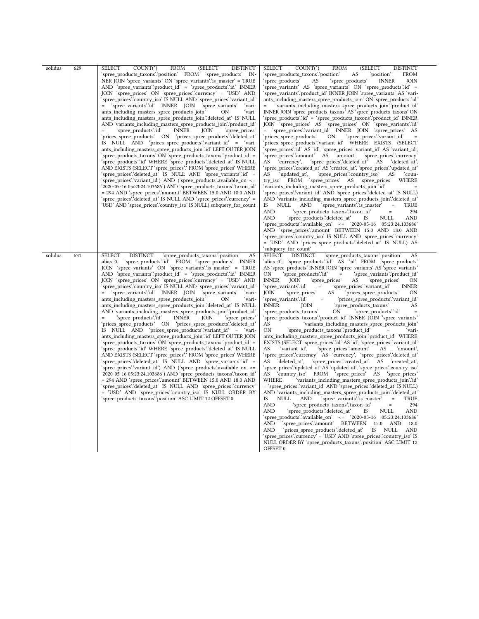| solidus | 629 | $COUNT(*)$<br>SELECT<br><b>FROM</b><br>(SELECT<br><b>DISTINCT</b><br>'spree_products_taxons'.'position' FROM<br>'spree_products' IN-<br>NER JOIN 'spree_variants' ON 'spree_variants' is_master' = TRUE<br>AND 'spree variants'.'product $id' = 's$ pree products'.' $id'$ INNER<br>JOIN 'spree_prices' ON 'spree_prices'.'currency' = 'USD' AND<br>'spree_prices'.'country_iso' IS NULL AND 'spree_prices'.'variant_id'<br>'spree_variants'.'id' INNER JOIN<br>'spree_variants'<br>$=$<br>ʻvari-<br>ants including masters spree products join'<br>ON<br>ʻvari-<br>ants_including_masters_spree_products_join'.'deleted_at' IS NULL<br>AND 'variants including masters spree products join'.'product id'<br>'spree products'.'id'<br><b>INNER</b><br>JOIN<br>'spree prices'<br>'prices spree products' ON 'prices spree products'.'deleted at'<br>IS NULL AND 'prices_spree_products''variant_id' = 'vari-<br>ants_including_masters_spree_products_join'.'id' LEFT OUTER JOIN<br>'spree products taxons' ON 'spree products taxons' 'product id' =<br>'spree_products'.'id' WHERE 'spree_products'.'deleted_at' IS NULL<br>AND EXISTS (SELECT 'spree_prices'.* FROM 'spree_prices' WHERE<br>'spree prices'.'variant id') AND ('spree products'.available on <=<br>'2020-05-16 05:23:24.103686') AND 'spree products taxons'.'taxon id'<br>= 294 AND 'spree_prices'.'amount' BETWEEN 15.0 AND 18.0 AND<br>'spree_prices'.'deleted_at'        IS        NULL AND 'spree_prices'.'currency' =<br>'USD' AND 'spree prices'.'country iso' IS NULL) subquery for count                                                                                                  | SELECT<br>$COUNT(*)$<br><b>FROM</b><br>(SELECT<br><b>DISTINCT</b><br>'spree_products_taxons'.'position'<br>AS<br>'position'<br><b>FROM</b><br>'spree products'<br>AS<br>'spree_products'<br><b>JOIN</b><br><b>INNER</b><br>'spree variants' AS 'spree variants' ON 'spree products' id =<br>'spree_variants'.'product_id' INNER JOIN 'spree_variants' AS 'vari-<br>ants_including_masters_spree_products_join' ON 'spree_products'.id'<br>'variants_including_masters_spree_products_join'.'product_id'<br>$=$<br>INNER JOIN 'spree products taxons' AS 'spree products taxons' ON<br>'spree_products'.'id' = 'spree_products_taxons'.'product_id' INNER<br>JOIN 'spree_prices' AS 'spree_prices' ON 'spree_variants'.id'<br>= 'spree prices'.'variant id' INNER JOIN 'spree prices' AS<br>'prices_spree_products'<br>'spree prices'.'variant id'<br>ON<br>'prices_spree_products'.'variant_id' WHERE EXISTS (SELECT<br>'spree_prices'.'id' AS 'id', 'spree_prices'.'variant_id' AS 'variant_id',<br>'spree prices'.'amount' AS 'amount',<br>'spree prices'.currency'<br>AS<br>'currency',<br>'spree_prices'.'deleted_at' AS<br>'deleted at',<br>'spree_prices'.'created_at' AS 'created_at', 'spree_prices'.'updated_at'<br>AS<br>'updated at',<br>'spree prices'.country iso'<br>'coun-<br>AS<br>'spree prices' AS 'spree prices' WHERE<br>try iso FROM<br>'variants_including_masters_spree_products_join'.'id'<br>'spree_prices'.'variant_id' AND 'spree_prices'.'deleted_at' IS NULL)<br>AND 'variants including masters spree products join'deleted at<br>IS.<br>NULL<br>'spree variants' is master'<br>TRUE<br>AND<br><b>AND</b><br>'spree_products_taxons'.'taxon_id'<br>294<br>$\equiv$<br><b>AND</b><br>'spree products'.'deleted at'<br>NULL<br><b>AND</b><br>IS<br>'spree products'.'available on' $\le$ 2020-05-16 05:23:24.103686'<br>AND 'spree_prices'.'amount' BETWEEN 15.0 AND 18.0 AND<br>'spree_prices'.'country_iso' IS NULL AND 'spree_prices'.'currency'<br>= 'USD' AND 'prices spree products'.'deleted at' IS NULL) AS<br>'subquery for count'                                                                                                                                                                                               |
|---------|-----|---------------------------------------------------------------------------------------------------------------------------------------------------------------------------------------------------------------------------------------------------------------------------------------------------------------------------------------------------------------------------------------------------------------------------------------------------------------------------------------------------------------------------------------------------------------------------------------------------------------------------------------------------------------------------------------------------------------------------------------------------------------------------------------------------------------------------------------------------------------------------------------------------------------------------------------------------------------------------------------------------------------------------------------------------------------------------------------------------------------------------------------------------------------------------------------------------------------------------------------------------------------------------------------------------------------------------------------------------------------------------------------------------------------------------------------------------------------------------------------------------------------------------------------------------------------------------------------------------------------------------------------------------------------------|-----------------------------------------------------------------------------------------------------------------------------------------------------------------------------------------------------------------------------------------------------------------------------------------------------------------------------------------------------------------------------------------------------------------------------------------------------------------------------------------------------------------------------------------------------------------------------------------------------------------------------------------------------------------------------------------------------------------------------------------------------------------------------------------------------------------------------------------------------------------------------------------------------------------------------------------------------------------------------------------------------------------------------------------------------------------------------------------------------------------------------------------------------------------------------------------------------------------------------------------------------------------------------------------------------------------------------------------------------------------------------------------------------------------------------------------------------------------------------------------------------------------------------------------------------------------------------------------------------------------------------------------------------------------------------------------------------------------------------------------------------------------------------------------------------------------------------------------------------------------------------------------------------------------------------------------------------------------------------------------------------------------------------------------------------------------------------------------------------------------------------------------------------------------------------------------------------------------------------------------------------------------------|
| solidus | 631 | <b>SELECT</b><br><b>DISTINCT</b><br>'spree products taxons'.'position'<br>AS<br>'spree_products'.'id' FROM 'spree_products' INNER<br>alias 0,<br>JOIN 'spree_variants' ON 'spree_variants' is_master' = TRUE<br>AND 'spree variants'.'product $id' = 's$ pree products'.' $id'$ INNER<br>JOIN 'spree_prices' ON 'spree_prices'.'currency' = 'USD' AND<br>'spree_prices'.'country_iso' IS NULL AND 'spree_prices'.'variant_id'<br>'spree_variants'.'id' INNER JOIN<br>'spree variants'<br>ʻvari-<br>ants including masters spree products join'<br>ON<br>ʻvari-<br>ants_including_masters_spree_products_join'.'deleted_at' IS NULL<br>AND 'variants_including_masters_spree_products_join'.'product_id'<br>'spree products'.'id'<br><b>INNER</b><br>JOIN<br>'spree prices'<br>'prices spree products' ON 'prices spree products'.'deleted at<br>IS NULL AND 'prices_spree_products''variant_id' = 'vari-<br>ants including masters spree products join"id" LEFT OUTER JOIN<br>'spree products taxons' ON 'spree products taxons' 'product id' =<br>'spree_products'.'id' WHERE 'spree_products'.'deleted_at' IS NULL<br>AND EXISTS (SELECT 'spree_prices'.* FROM 'spree_prices' WHERE<br>'spree prices'.'deleted at' IS NULL AND 'spree variants'.'id' =<br>'spree_prices'.'variant_id') AND ('spree_products'.available_on <=<br>'2020-05-16 05:23:24.103686') AND 'spree products taxons'.'taxon id'<br>= 294 AND 'spree_prices'.'amount' BETWEEN 15.0 AND 18.0 AND<br>'spree prices'.'deleted at' IS NULL AND 'spree prices'.'currency'<br>= 'USD' AND 'spree_prices'.'country_iso' IS NULL ORDER BY<br>'spree_products_taxons'.'position' ASC LIMIT 12 OFFSET 0 | <b>SELECT</b><br><b>DISTINCT</b><br>'spree products taxons" position"<br>AS<br>'alias_0', 'spree_products'.'id' AS 'id' FROM 'spree_products'<br>AS 'spree products' INNER JOIN 'spree variants' AS 'spree variants'<br>'spree_products∵id'<br>'spree_variants".product_id"<br>ON<br>$\qquad \qquad =$<br><b>INNER</b><br>JOIN<br>'spree_prices'<br>AS<br>'spree_prices'<br><b>ON</b><br>'spree variants'.'id'<br>'spree_prices'.'variant_id'<br>$\equiv$<br><b>INNER</b><br>'spree_prices'<br>AS<br>'prices spree products'<br>JOIN<br>ΟN<br>'spree variants'.'id'<br>'prices spree products'.'variant id'<br>$\equiv$<br><b>INNER</b><br>'spree_products_taxons'<br>JOIN<br>AS<br>'spree_products_taxons'<br>'spree products'.'id'<br>ON<br>'spree products taxons'.'product id' INNER JOIN 'spree variants'<br>AS<br>'variants including masters spree products join'<br><b>ON</b><br>'spree_products_taxons'.'product_id'<br>ʻvari-<br>ants_including_masters_spree_products_join'.'product_id' WHERE<br>EXISTS (SELECT 'spree prices' id 'AS 'id', 'spree prices' variant id<br>AS<br>'variant id',<br>'spree_prices'.'amount'<br>'amount',<br>AS<br>'spree_prices'.'currency' AS 'currency', 'spree_prices'.'deleted_at'<br>'spree prices''created at' AS 'created at',<br>AS<br>'deleted at',<br>'spree_prices'.'updated_at' AS 'updated_at',        'spree_prices'.'country_iso'<br>AS<br>'country iso' FROM 'spree prices' AS 'spree prices'<br>WHERE<br>'variants_including_masters_spree_products_join'.'id'<br>= 'spree prices'.'variant id' AND 'spree prices'.'deleted at' IS NULL)<br>AND 'variants_including_masters_spree_products_join'.'deleted_at'<br>IS.<br><b>NULL</b><br>AND<br>'spree_variants'.'is_master'<br>TRUE<br>$\equiv$<br><b>AND</b><br>'spree_products_taxons'.'taxon_id'<br>294<br>$\quad \  \, =$<br><b>AND</b><br>AND<br>spree products'deleted at'<br>IS<br>NULL<br>'spree_products'.'available_on' <= '2020-05-16 05:23:24.103686'<br>'spree prices'.'amount' BETWEEN 15.0 AND<br><b>AND</b><br>18.0<br>'prices spree products'.'deleted at'<br>AND<br>IS<br>NULL<br>AND<br>'spree_prices'.'currency' = 'USD' AND 'spree_prices'.'country_iso' IS<br>NULL ORDER BY 'spree_products_taxons'.'position' ASC LIMIT 12<br>OFFSET 0 |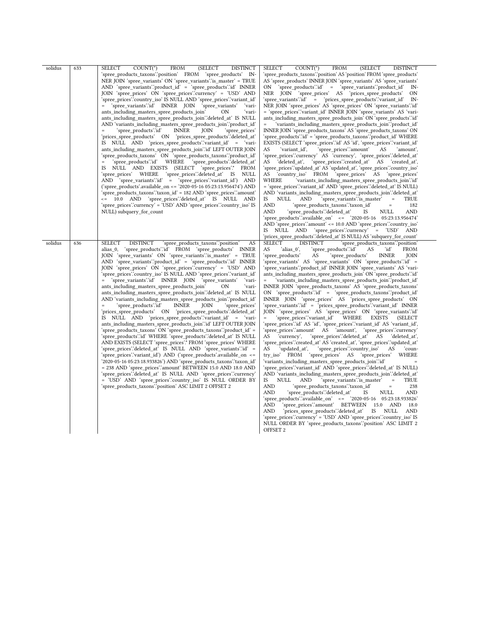| solidus | 633 | <b>SELECT</b><br>$COUNT(*)$<br><b>FROM</b><br>(SELECT<br><b>DISTINCT</b><br>'spree_products_taxons'.'position' FROM 'spree_products' IN-<br>NER JOIN 'spree variants' ON 'spree variants' is master' = TRUE<br>$AND$ 'spree_variants'.'product_id' = 'spree_products'.'id' INNER<br>JOIN 'spree prices' ON 'spree prices'.'currency' = 'USD' AND<br>'spree_prices'.'country_iso' IS NULL AND 'spree_prices'.'variant_id'<br>= 'spree_variants'.id' INNER JOIN 'spree_variants'<br>ʻvari-<br>ants_including_masters_spree_products_join'<br>ʻvari-<br>OΝ<br>ants_including_masters_spree_products_join'.'deleted_at' IS NULL<br>AND 'variants including masters spree products join'.'product id'<br>`spree_productsʻ.ʻidʻ<br><b>INNER</b><br>JOIN<br>'spree prices'<br>$=$<br>'prices_spree_products' ON 'prices_spree_products'.'deleted_at'<br>IS NULL AND 'prices_spree_products''variant_id' = 'vari-<br>ants including masters spree products join"id" LEFT OUTER JOIN<br>'spree_products_taxons' ON 'spree_products_taxons'.'product_id'<br>'spree products'.'id' WHERE<br>'spree_products'.'deleted_at'<br>$\equiv$<br>IS NULL AND EXISTS (SELECT 'spree prices'.* FROM<br>'spree_prices' WHERE 'spree_prices'.'deleted_at' IS NULL<br>AND 'spree_variants'.id' = 'spree_prices'.'variant_id') AND<br>('spree products' available on $\le$ 2020-05-16 05:23:13.956474') AND<br>'spree products taxons' taxon id' = 182 AND 'spree prices' amount'<br><= 10.0 AND 'spree prices':deleted at' IS NULL AND<br>'spree_prices'.'currency' = 'USD' AND 'spree_prices'.'country_iso' IS<br>NULL) subquery_for_count                                                       | <b>FROM</b><br>SELECT<br>$COUNT(*)$<br>(SELECT<br><b>DISTINCT</b><br>'spree_products_taxons'.'position' AS 'position' FROM 'spree_products'<br>AS 'spree products' INNER JOIN 'spree variants' AS 'spree variants'<br>'spree_products'.'id' = 'spree_variants'.'product_id'<br>ON<br>IN-<br>NER JOIN 'spree_prices' AS 'prices_spree_products'<br>ON<br>'spree_variants'.'id' = 'prices_spree_products'.'variant_id'<br>IN-<br>NER JOIN 'spree_prices' AS 'spree_prices' ON 'spree_variants'.id'<br>= 'spree_prices'.'variant_id' INNER JOIN 'spree_variants' AS 'vari-<br>ants_including_masters_spree_products_join' ON 'spree_products'.id'<br>'variants_including_masters_spree_products_join'.'product_id'<br>$=$<br>INNER JOIN 'spree_products_taxons' AS 'spree_products_taxons' ON<br>'spree_products'.'id' = 'spree_products_taxons'.'product_id' WHERE<br>EXISTS (SELECT 'spree_prices'.id' AS 'id', 'spree_prices'.'variant_id'<br>AS<br>'variant id',<br>'spree prices'.'amount'<br>AS<br>'amount',<br>'spree_prices'.'currency' AS 'currency', 'spree_prices'.'deleted_at'<br>AS<br>'deleted at',<br>'spree_prices'.'created_at' AS 'created_at',<br>'spree_prices'.'updated_at' AS 'updated_at', 'spree_prices'.'country_iso'<br>AS 'country_iso' FROM 'spree_prices' AS 'spree_prices'<br>'variants_including_masters_spree_products_join'.'id'<br>WHERE<br>= 'spree_prices'.'variant_id' AND 'spree_prices'.'deleted_at' IS NULL)<br>AND 'variants including masters spree products join'.'deleted at'<br>IS<br>NULL<br>AND<br>'spree variants'∷is master'<br>TRUE<br>$\equiv$<br><b>AND</b><br>'spree_products_taxons'.'taxon_id'<br>182<br>$\quad =$<br><b>AND</b><br>'spree products'.'deleted at'<br><b>NULL</b><br>AND<br>IS<br>'spree products'.'available on' $\le$ 2020-05-16 05:23:13.956474'<br>AND 'spree_prices'.'amount' <= 10.0 AND 'spree_prices'.'country_iso'<br>'spree prices''currency' = 'USD' AND<br>IS NULL AND                                                                                                                                                                                                                                                                              |
|---------|-----|---------------------------------------------------------------------------------------------------------------------------------------------------------------------------------------------------------------------------------------------------------------------------------------------------------------------------------------------------------------------------------------------------------------------------------------------------------------------------------------------------------------------------------------------------------------------------------------------------------------------------------------------------------------------------------------------------------------------------------------------------------------------------------------------------------------------------------------------------------------------------------------------------------------------------------------------------------------------------------------------------------------------------------------------------------------------------------------------------------------------------------------------------------------------------------------------------------------------------------------------------------------------------------------------------------------------------------------------------------------------------------------------------------------------------------------------------------------------------------------------------------------------------------------------------------------------------------------------------------------------------------------------------------------------------|------------------------------------------------------------------------------------------------------------------------------------------------------------------------------------------------------------------------------------------------------------------------------------------------------------------------------------------------------------------------------------------------------------------------------------------------------------------------------------------------------------------------------------------------------------------------------------------------------------------------------------------------------------------------------------------------------------------------------------------------------------------------------------------------------------------------------------------------------------------------------------------------------------------------------------------------------------------------------------------------------------------------------------------------------------------------------------------------------------------------------------------------------------------------------------------------------------------------------------------------------------------------------------------------------------------------------------------------------------------------------------------------------------------------------------------------------------------------------------------------------------------------------------------------------------------------------------------------------------------------------------------------------------------------------------------------------------------------------------------------------------------------------------------------------------------------------------------------------------------------------------------------------------------------------------------------------------------------------------------------------------------------------------------------------------------------------------------------------------------------------------------------------------------------------------------------------------------------------------|
| solidus | 636 | <b>SELECT</b><br><b>DISTINCT</b><br>'spree products taxons'.'position'<br>AS<br>'spree products' id FROM 'spree products' INNER<br>alias 0,<br>JOIN 'spree variants' ON 'spree variants' is master' = TRUE<br>AND 'spree variants' 'product $id' = 's$ pree products' $id'$ INNER<br>JOIN 'spree prices' ON 'spree prices'.'currency' = 'USD' AND<br>'spree prices'.'country iso' IS NULL AND 'spree prices'.'variant id'<br>'spree variants'.'id' INNER JOIN<br>'spree variants'<br>'vari-<br>$=$ $\,$<br>ants including masters spree products join'<br>ʻvari-<br>ON<br>ants_including_masters_spree_products_join'.'deleted_at' IS NULL<br>AND 'variants including masters spree products join'.'product id'<br>'spree products'.'id'<br><b>INNER</b><br>'spree prices'<br>JOIN<br>'prices_spree_products' ON 'prices_spree_products'.'deleted_at'<br>IS NULL AND 'prices_spree_products'.'variant_id' = 'vari-<br>ants including masters spree products join"id" LEFT OUTER JOIN<br>'spree products taxons' ON 'spree products taxons' product id' =<br>'spree products'.'id' WHERE 'spree products'.'deleted at' IS NULL<br>AND EXISTS (SELECT 'spree_prices'.* FROM 'spree_prices' WHERE<br>'spree prices'.'deleted at' IS NULL AND 'spree variants'.'id' =<br>'spree prices''variant id') AND ('spree products'.available on <=<br>'2020-05-16 05:23:18.933826') AND 'spree products taxons'.'taxon id'<br>= 238 AND 'spree_prices'.'amount' BETWEEN 15.0 AND 18.0 AND<br>'spree prices'.'deleted at' IS NULL AND 'spree prices'.'currency'<br>= 'USD' AND 'spree prices'.country iso' IS NULL ORDER BY<br>'spree_products_taxons'.'position' ASC LIMIT 2 OFFSET 2 | 'prices spree products'.'deleted at' IS NULL) AS 'subquery for count'<br><b>SELECT</b><br><b>DISTINCT</b><br>'spree products taxons'.'position'<br>AS<br>'spree products'.'id'<br>ʻidʻ<br>'alias 0',<br>AS<br><b>FROM</b><br>'spree products'<br>'spree products'<br><b>INNER</b><br>AS<br>JOIN<br>'spree variants' AS 'spree variants' ON 'spree products'.id' =<br>'spree variants'.'product id' INNER JOIN 'spree variants' AS 'vari-<br>ants including masters spree products join' ON 'spree products' id'<br>'variants including masters spree products join".'product id"<br>$\quad =$<br>INNER JOIN 'spree products taxons' AS 'spree products taxons'<br>ON 'spree_products':id' = 'spree_products_taxons'.'product_id'<br>INNER JOIN 'spree prices' AS 'prices spree products' ON<br>'spree variants'.id' = 'prices spree products'.'variant id' INNER<br>JOIN 'spree prices' AS 'spree prices' ON 'spree variants'.id'<br>'spree_prices'.'variant_id'<br>WHERE EXISTS<br>$=$ $\,$<br>(SELECT<br>'spree prices''id' AS 'id', 'spree prices''variant id' AS 'variant id',<br>'spree prices'.'amount' AS 'amount', 'spree prices'.'currency'<br>'spree prices':'deleted at' AS<br>AS<br>'currency',<br>'deleted at',<br>'spree_prices'.'created_at' AS 'created_at', 'spree_prices'.'updated_at'<br>'spree prices'.'country iso'<br>AS<br>'updated at',<br>AS<br>'coun-<br>try iso FROM 'spree prices' AS 'spree prices'<br>WHERE<br>'variants including masters spree products join∵id`<br>'spree_prices'.'variant_id' AND 'spree_prices'.'deleted_at' IS NULL)<br>AND 'variants including masters spree products join'deleted at<br><b>IS</b><br>'spree variants'.'is master'<br>NULL<br><b>AND</b><br><b>TRUE</b><br>$\equiv$<br><b>AND</b><br>'spree_products_taxons'.'taxon_id'<br>238<br>$=$<br>'spree_products'.'deleted_at'<br>AND<br>AND<br>NULL<br>IS<br>'spree products'.'available on' <= '2020-05-16 05:23:18.933826'<br><b>AND</b><br>'spree prices'.'amount' BETWEEN 15.0 AND<br>18.0<br>'prices_spree_products'.'deleted_at'<br>AND<br>IS NULL<br>AND<br>'spree_prices'.'currency' = 'USD' AND 'spree_prices'.'country_iso' IS<br>NULL ORDER BY 'spree products taxons' 'position' ASC LIMIT 2<br>OFFSET 2 |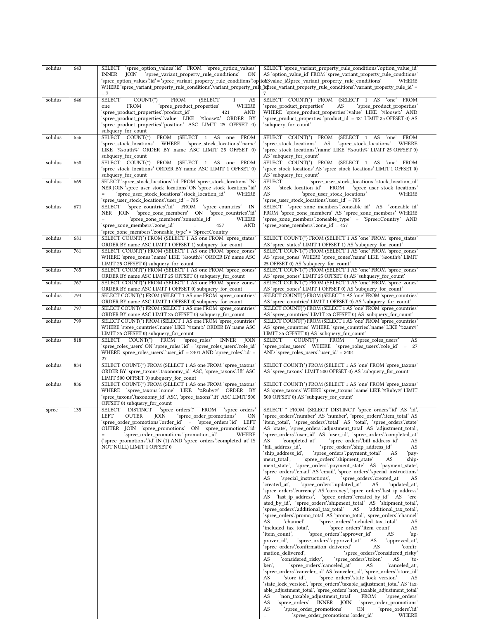| solidus | 643 | SELECT 'spree_option_values'.id' FROM 'spree_option_values'                                                                                                                                             | SELECT 'spree_variant_property_rule_conditions".option_value_id'                                                                                 |
|---------|-----|---------------------------------------------------------------------------------------------------------------------------------------------------------------------------------------------------------|--------------------------------------------------------------------------------------------------------------------------------------------------|
|         |     | JOIN<br>'spree_variant_property_rule_conditions'<br><b>ON</b><br>INNER<br>'spree_option_values'.id' = 'spree_variant_property_rule_conditions'.'optionSvalue_id\$pree_variant_property_rule_conditions' | AS 'option_value_id' FROM 'spree_variant_property_rule_conditions'<br>WHERE                                                                      |
|         |     |                                                                                                                                                                                                         | = 'WHERE 'spree_variant_property_rule_conditions'.'variant_property_rule_'upleter_variant_property_rule_conditions'.'variant_property_rule_id'   |
|         |     | $=7$                                                                                                                                                                                                    |                                                                                                                                                  |
| solidus | 646 | $COUNT(*)$<br><b>FROM</b><br><b>(SELECT</b><br><b>SELECT</b><br>AS<br>$\mathbf{1}$<br>WHERE<br><b>FROM</b><br>'spree_product_properties'<br>one                                                         | SELECT COUNT(*) FROM (SELECT 1 AS 'one' FROM<br>'spree_product_properties'<br>'spree_product_properties'<br>AS                                   |
|         |     | 'spree_product_properties'.'product_id'<br><b>AND</b><br>$=$<br>421                                                                                                                                     | WHERE 'spree_product_properties'.'value' LIKE '%loose%' AND                                                                                      |
|         |     | 'spree_product_properties'.'value' LIKE '%loose%' ORDER BY                                                                                                                                              | 'spree_product_properties'.'product_id' = 421 LIMIT 25 OFFSET 0) AS                                                                              |
|         |     | 'spree_product_properties'.'position' ASC LIMIT 25 OFFSET 0)<br>subquery_for_count                                                                                                                      | 'subquery_for_count'                                                                                                                             |
| solidus | 656 | SELECT COUNT(*) FROM (SELECT 1 AS one FROM                                                                                                                                                              | SELECT COUNT(*) FROM<br>(SELECT 1 AS<br>FROM<br>`one`                                                                                            |
|         |     | 'spree stock locations' WHERE<br>'spree_stock_locations'.'name'<br>LIKE '%south%' ORDER BY name ASC LIMIT 25 OFFSET 0)                                                                                  | 'spree_stock_locations'<br>AS<br>'spree_stock_locations' WHERE<br>'spree stock locations".name' LIKE '%south%' LIMIT 25 OFFSET 0)                |
|         |     | subquery_for_count                                                                                                                                                                                      | AS 'subquery_for_count'                                                                                                                          |
| solidus | 658 | SELECT COUNT(*) FROM (SELECT 1 AS one FROM                                                                                                                                                              | SELECT COUNT(*) FROM (SELECT 1 AS 'one' FROM                                                                                                     |
|         |     | 'spree stock locations' ORDER BY name ASC LIMIT 1 OFFSET 0)<br>subquery for count                                                                                                                       | 'spree stock locations' AS 'spree stock locations' LIMIT 1 OFFSET 0)<br>AS 'subquery for count'                                                  |
| solidus | 669 | SELECT 'spree_stock_locations'.'id' FROM 'spree_stock_locations' IN-                                                                                                                                    | <b>SELECT</b><br>'spree_user_stock_locations'.'stock_location_id'                                                                                |
|         |     | NER JOIN 'spree_user_stock_locations' ON 'spree_stock_locations'.'id'<br>'spree_user_stock_locations'.'stock_location_id'<br>WHERE<br>$\quad =$                                                         | AS<br>'stock location id'<br>FROM<br>'spree_user_stock_locations'<br>AS<br>'spree_user_stock_locations'<br>WHERE                                 |
|         |     | 'spree_user_stock_locations'.'user_id' = 785                                                                                                                                                            | 'spree_user_stock_locations'.'user_id' = 785                                                                                                     |
| solidus | 671 | 'spree_countries'.'id' FROM<br>'spree_countries'<br>SELECT<br>IN-                                                                                                                                       | SELECT 'spree_zone_members'.'zoneable_id' AS 'zoneable_id'                                                                                       |
|         |     | NER JOIN 'spree_zone_members' ON 'spree_countries'.id'<br>'spree zone members'.'zoneable id'<br>WHERE<br>$=$                                                                                            | FROM 'spree_zone_members' AS 'spree_zone_members' WHERE<br>'spree zone members'.'zoneable type' = 'Spree::Country' AND                           |
|         |     | 'spree_zone_members".zone_id'<br><b>AND</b><br>457                                                                                                                                                      | 'spree zone members'.'zone id' = 457                                                                                                             |
|         |     | 'spree_zone_members'.'zoneable_type' = 'Spree::Country'                                                                                                                                                 |                                                                                                                                                  |
| solidus | 681 | SELECT COUNT(*) FROM (SELECT 1 AS one FROM 'spree states'<br>ORDER BY name ASC LIMIT 1 OFFSET 1) subquery for count                                                                                     | SELECT COUNT(*) FROM (SELECT 1 AS 'one' FROM 'spree_states'<br>AS 'spree states' LIMIT 1 OFFSET 1) AS 'subquery for count'                       |
| solidus | 761 | SELECT COUNT(*) FROM (SELECT 1 AS one FROM 'spree zones'                                                                                                                                                | SELECT COUNT(*) FROM (SELECT 1 AS 'one' FROM 'spree_zones'                                                                                       |
|         |     | WHERE 'spree_zones'.'name' LIKE '%south%' ORDER BY name ASC<br>LIMIT 25 OFFSET 0) subquery_for_count                                                                                                    | AS 'spree_zones' WHERE 'spree_zones'.'name' LIKE '%south%' LIMIT<br>25 OFFSET 0) AS 'subquery for count'                                         |
| solidus | 765 | SELECT COUNT(*) FROM (SELECT 1 AS one FROM 'spree_zones'                                                                                                                                                | SELECT COUNT(*) FROM (SELECT 1 AS 'one' FROM 'spree_zones'                                                                                       |
|         |     | ORDER BY name ASC LIMIT 25 OFFSET 0) subquery_for_count                                                                                                                                                 | AS 'spree_zones' LIMIT 25 OFFSET 0) AS 'subquery_for_count'                                                                                      |
| solidus | 767 | SELECT COUNT(*) FROM (SELECT 1 AS one FROM 'spree zones'<br>ORDER BY name ASC LIMIT 1 OFFSET 0) subquery_for_count                                                                                      | SELECT COUNT(*) FROM (SELECT 1 AS 'one' FROM 'spree zones'<br>AS 'spree_zones' LIMIT 1 OFFSET 0) AS 'subquery_for_count'                         |
| solidus | 794 | SELECT COUNT(*) FROM (SELECT 1 AS one FROM 'spree countries'                                                                                                                                            | SELECT COUNT(*) FROM (SELECT 1 AS 'one' FROM 'spree countries'                                                                                   |
|         |     | ORDER BY name ASC LIMIT 1 OFFSET 0) subquery_for_count                                                                                                                                                  | AS 'spree_countries' LIMIT 1 OFFSET 0) AS 'subquery_for_count'                                                                                   |
| solidus | 797 | SELECT COUNT(*) FROM (SELECT 1 AS one FROM 'spree_countries'<br>ORDER BY name ASC LIMIT 25 OFFSET 0) subquery_for_count                                                                                 | SELECT COUNT(*) FROM (SELECT 1 AS 'one' FROM 'spree_countries'<br>AS 'spree_countries' LIMIT 25 OFFSET 0) AS 'subquery_for_count'                |
| solidus | 799 | SELECT COUNT(*) FROM (SELECT 1 AS one FROM 'spree countries'                                                                                                                                            | SELECT COUNT(*) FROM (SELECT 1 AS 'one' FROM 'spree countries'                                                                                   |
|         |     | WHERE 'spree_countries'.'name' LIKE '%zam%' ORDER BY name ASC<br>LIMIT 25 OFFSET 0) subquery_for_count                                                                                                  | AS 'spree_countries' WHERE 'spree_countries' name' LIKE '%zam%'<br>LIMIT 25 OFFSET 0) AS 'subquery_for_count'                                    |
| solidus | 818 | SELECT COUNT(*)<br>FROM<br>'spree roles'<br><b>INNER</b><br><b>JOIN</b>                                                                                                                                 | SELECT<br>$COUNT(*)$<br>FROM<br>'spree roles users'<br>AS                                                                                        |
|         |     | 'spree_roles_users' ON 'spree_roles'.'id' = 'spree_roles_users'.'role_id'                                                                                                                               | 'spree_roles_users' WHERE 'spree_roles_users'.'role_id' = 27                                                                                     |
|         |     | WHERE 'spree_roles_users'.'user_id' = 2401 AND 'spree_roles'.'id' =<br>27                                                                                                                               | $AND$ 'spree_roles_users'.'user_id' = 2401                                                                                                       |
| solidus | 834 | SELECT COUNT(*) FROM (SELECT 1 AS one FROM 'spree_taxons'                                                                                                                                               | SELECT COUNT(*) FROM (SELECT 1 AS 'one' FROM 'spree_taxons'                                                                                      |
|         |     | ORDER BY 'spree_taxons'.'taxonomy_id' ASC, 'spree_taxons'.'Ift' ASC<br>LIMIT 500 OFFSET 0) subquery for count                                                                                           | AS 'spree_taxons' LIMIT 500 OFFSET 0) AS 'subquery_for_count'                                                                                    |
| solidus | 836 | SELECT COUNT(*) FROM (SELECT 1 AS one FROM 'spree taxons'                                                                                                                                               | SELECT COUNT(*) FROM (SELECT 1 AS 'one' FROM 'spree taxons'                                                                                      |
|         |     | WHERE 'spree taxons'.'name' LIKE '%Ruby%' ORDER BY                                                                                                                                                      | AS 'spree_taxons' WHERE 'spree_taxons'.'name' LIKE '%Ruby%' LIMIT                                                                                |
|         |     | 'spree_taxons'.'taxonomy_id' ASC, 'spree_taxons'.'lft' ASC LIMIT 500<br>OFFSET 0) subquery for count                                                                                                    | 500 OFFSET 0) AS 'subquery for count'                                                                                                            |
| spree   | 135 | SELECT DISTINCT<br>'spree_orders'.*<br><b>FROM</b><br>'spree orders'                                                                                                                                    | SELECT * FROM (SELECT DISTINCT 'spree orders' id' AS 'id',                                                                                       |
|         |     | <b>OUTER</b><br><b>JOIN</b><br>'spree_order_promotions'<br>LEFT<br>ON<br>'spree_order_promotions'.'order_id' = 'spree_orders'.'id'<br>LEFT                                                              | 'spree orders'.'number' AS 'number', 'spree orders'.'item total' AS<br>'item_total', 'spree_orders'.'total' AS 'total', 'spree_orders'.'state'   |
|         |     | OUTER JOIN 'spree promotions' ON 'spree promotions' id'                                                                                                                                                 | AS 'state', 'spree orders' adjustment total' AS 'adjustment total',                                                                              |
|         |     | 'spree_order_promotions'.'promotion_id'<br>WHERE                                                                                                                                                        | 'spree_orders'.'user_id' AS 'user_id', 'spree_orders'.'completed_at'                                                                             |
|         |     | ('spree promotions'id' IN (1) AND 'spree orders' completed at IS<br>NOT NULL) LIMIT 1 OFFSET 0                                                                                                          | 'spree_orders'.'bill_address_id'<br>AS<br>'completed at',<br>AS<br>'spree_orders'.'ship_address_id'<br>'bill address id',<br>AS                  |
|         |     |                                                                                                                                                                                                         | 'ship_address_id',<br>'spree orders".payment total'<br>AS<br>pay-                                                                                |
|         |     |                                                                                                                                                                                                         | 'spree orders'.'shipment state'<br>ment total',<br>AS<br>ʻship-<br>ment state', 'spree orders''payment state' AS 'payment state',                |
|         |     |                                                                                                                                                                                                         | 'spree_orders'.'email' AS 'email', 'spree_orders'.'special_instructions'                                                                         |
|         |     |                                                                                                                                                                                                         | 'special instructions',<br>AS<br>'spree orders'.created at'<br>AS                                                                                |
|         |     |                                                                                                                                                                                                         | 'spree orders'.'updated at'<br>'created at',<br>AS<br>'updated at',<br>'spree_orders'.'currency' AS 'currency', 'spree_orders'.'last_ip_address' |
|         |     |                                                                                                                                                                                                         | AS 'last ip address', 'spree orders':created by id' AS 'cre-                                                                                     |
|         |     |                                                                                                                                                                                                         | ated by id', 'spree orders' shipment total' AS 'shipment total',                                                                                 |
|         |     |                                                                                                                                                                                                         | 'spree orders' additional tax total'<br>'additional tax total',<br>AS<br>'spree_orders'.'promo_total' AS 'promo_total', 'spree_orders'.'channel' |
|         |     |                                                                                                                                                                                                         | 'channel',<br>'spree_orders'.'included_tax_total'<br>AS<br>AS                                                                                    |
|         |     |                                                                                                                                                                                                         | 'included tax total',<br>'spree orders'.'item count'<br>AS                                                                                       |
|         |     |                                                                                                                                                                                                         | 'item count',<br>'spree_orders'.'approver_id'<br>ʻap-<br>AS<br>'spree_orders'.'approved_at'<br>prover id',<br>AS<br>'approved_at',               |
|         |     |                                                                                                                                                                                                         | 'spree_orders".confirmation_delivered'<br>AS<br>ʻconfir-                                                                                         |
|         |     |                                                                                                                                                                                                         | mation delivered',<br>'spree_orders'.'considered risky'<br>AS<br>'considered risky',<br>'spree orders'.'token'<br>AS<br>'to-                     |
|         |     |                                                                                                                                                                                                         | ken',<br>'spree_orders'.'canceled_at'<br>'canceled at',<br>AS                                                                                    |
|         |     |                                                                                                                                                                                                         | 'spree_orders'.'canceler_id' AS 'canceler_id', 'spree_orders'.'store_id'                                                                         |
|         |     |                                                                                                                                                                                                         | 'spree_orders'.'state_lock_version'<br>'store id',<br>AS<br>AS<br>'state lock version', 'spree orders' taxable adjustment total' AS 'tax-        |
|         |     |                                                                                                                                                                                                         | able adjustment total', 'spree orders''non taxable adjustment total'                                                                             |
|         |     |                                                                                                                                                                                                         | 'non_taxable_adjustment_total'<br>'spree orders'<br>FROM<br>AS                                                                                   |
|         |     |                                                                                                                                                                                                         | 'spree orders' INNER JOIN<br>'spree order promotions'<br>AS<br>'spree order promotions'<br>'spree orders'.'id'<br>AS<br>ON                       |
|         |     |                                                                                                                                                                                                         | 'spree_order_promotions'.'order_id'<br>WHERE<br>$=$                                                                                              |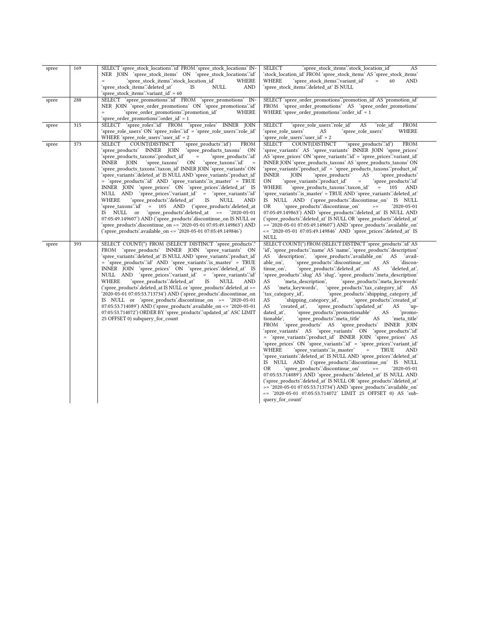| spree | 169 | SELECT 'spree stock locations'.'id' FROM 'spree stock locations' IN-<br>NER JOIN 'spree stock items' ON 'spree stock locations"id'<br>'spree stock items'.'stock location id'<br>WHERE<br>$\equiv$<br>'spree stock items'.'deleted at'<br><b>IS</b><br>NULL<br><b>AND</b>                                                                                                                                                                                                                                                                                                                                                                                                                                                                                                                                                                                                                                                                                                                                                           | <b>SELECT</b><br>'spree stock items".stock location id'<br>AS<br>'stock location id' FROM 'spree stock items' AS 'spree stock items'<br><b>WHERE</b><br>'spree stock items'.'variant id'<br>60<br><b>AND</b><br>$\quad =$<br>'spree stock items'.'deleted at' IS NULL                                                                                                                                                                                                                                                                                                                                                                                                                                                                                                                                                                                                                                                                                                                                                                                                                                                                                                                                                                                                                                                                                                                                                                                                                                                                                                                                                                                                                                                                                                      |
|-------|-----|-------------------------------------------------------------------------------------------------------------------------------------------------------------------------------------------------------------------------------------------------------------------------------------------------------------------------------------------------------------------------------------------------------------------------------------------------------------------------------------------------------------------------------------------------------------------------------------------------------------------------------------------------------------------------------------------------------------------------------------------------------------------------------------------------------------------------------------------------------------------------------------------------------------------------------------------------------------------------------------------------------------------------------------|----------------------------------------------------------------------------------------------------------------------------------------------------------------------------------------------------------------------------------------------------------------------------------------------------------------------------------------------------------------------------------------------------------------------------------------------------------------------------------------------------------------------------------------------------------------------------------------------------------------------------------------------------------------------------------------------------------------------------------------------------------------------------------------------------------------------------------------------------------------------------------------------------------------------------------------------------------------------------------------------------------------------------------------------------------------------------------------------------------------------------------------------------------------------------------------------------------------------------------------------------------------------------------------------------------------------------------------------------------------------------------------------------------------------------------------------------------------------------------------------------------------------------------------------------------------------------------------------------------------------------------------------------------------------------------------------------------------------------------------------------------------------------|
| spree | 288 | 'spree stock items'.'variant id' = 60<br>SELECT 'spree promotions' id' FROM 'spree promotions' IN-<br>NER JOIN 'spree_order_promotions' ON 'spree promotions'.'id'<br>'spree order promotions'.'promotion id'<br>WHERE<br>'spree_order_promotions'.'order_id' = 1                                                                                                                                                                                                                                                                                                                                                                                                                                                                                                                                                                                                                                                                                                                                                                   | SELECT 'spree order promotions' promotion id' AS 'promotion id'<br>FROM 'spree order promotions' AS 'spree order promotions'<br>WHERE 'spree order promotions' order id' = 1                                                                                                                                                                                                                                                                                                                                                                                                                                                                                                                                                                                                                                                                                                                                                                                                                                                                                                                                                                                                                                                                                                                                                                                                                                                                                                                                                                                                                                                                                                                                                                                               |
| spree | 315 | SELECT 'spree roles'.id' FROM 'spree roles' INNER JOIN<br>'spree_role_users' ON 'spree_roles'.'id' = 'spree_role_users'.'role_id'<br>WHERE 'spree_role_users'.'user_id' = 2                                                                                                                                                                                                                                                                                                                                                                                                                                                                                                                                                                                                                                                                                                                                                                                                                                                         | <b>SELECT</b><br>'spree role users'.'role id'<br>AS<br>'role_id'<br><b>FROM</b><br>'spree role users'<br>AS<br>'spree_role_users'<br>WHERE<br>'spree role users' user id = 2                                                                                                                                                                                                                                                                                                                                                                                                                                                                                                                                                                                                                                                                                                                                                                                                                                                                                                                                                                                                                                                                                                                                                                                                                                                                                                                                                                                                                                                                                                                                                                                               |
| spree | 373 | COUNT(DISTINCT<br>SELECT<br>'spree_products'.'id')<br><b>FROM</b><br>'spree products' INNER JOIN<br>'spree products taxons'<br>ON<br>'spree_products_taxons'.'product_id'<br>'spree products'.'id'<br>'spree taxons'<br>'spree_taxons'.'id'<br>INNER JOIN<br>ON<br>'spree_products_taxons'.'taxon_id' INNER JOIN 'spree_variants' ON<br>'spree variants'.'deleted at' IS NULL AND 'spree variants'.'product id'<br>= 'spree products' id AND 'spree variants' is master = TRUE<br>INNER JOIN 'spree prices' ON 'spree prices' deleted at IS<br>NULL AND 'spree_prices".variant_id' = 'spree_variants"id'<br>'spree products'.'deleted at'<br>WHERE<br>IS<br>NULL<br><b>AND</b><br>'spree taxons'.'id' = 105 AND ('spree products'.deleted at<br>'spree products'.deleted at $\ge$ = $'2020-05-01$<br>IS NULL or<br>07:05:49.149607') AND ('spree products' discontinue on IS NULL or<br>'spree products'.discontinue on $>=$ '2020-05-01 07:05:49.149863') AND<br>('spree products'.available on $\le$ 2020-05-01 07:05:49.149846') | <b>SELECT</b><br>COUNT(DISTINCT<br>'spree_products'.'id')<br><b>FROM</b><br>'spree variants' AS 'spree variants' INNER JOIN 'spree prices'<br>AS 'spree_prices' ON 'spree_variants' id' = 'spree_prices' variant_id'<br>INNER JOIN 'spree_products_taxons' AS 'spree_products_taxons' ON<br>'spree_variants'.'product_id' = 'spree_products_taxons'.'product_id'<br><b>INNER</b><br>'spree products'<br>'spree_products'<br>JOIN<br>AS<br>'spree variants'.'product id'<br><b>ON</b><br>$\equiv$<br>'spree products'.'id'<br>'spree products taxons" taxon id'<br>$= 105$<br>WHERE<br><b>AND</b><br>'spree variants'.'is master' = TRUE AND 'spree variants'.'deleted at'<br>IS NULL AND ('spree_products'.'discontinue_on'<br>IS NULL<br>'spree products'.'discontinue on'<br><b>OR</b><br>'2020-05-01<br>$>=$<br>07:05:49.149863') AND 'spree products':deleted at' IS NULL AND<br>('spree_products'.'deleted_at' IS NULL OR 'spree_products'.'deleted_at'<br>$>=$ '2020-05-01 07:05:49.149607') AND 'spree products' available on<br><= '2020-05-01 07:05:49.149846' AND 'spree prices' deleted at IS<br><b>NULL</b>                                                                                                                                                                                                                                                                                                                                                                                                                                                                                                                                                                                                                                                    |
| spree | 393 | SELECT COUNT(*) FROM (SELECT DISTINCT 'spree products'.<br>FROM 'spree_products' INNER JOIN 'spree_variants' ON<br>'spree variants'.'deleted at' IS NULL AND 'spree variants'.'product id'<br>= 'spree products' d' AND 'spree variants' is master' = TRUE<br>INNER JOIN 'spree_prices' ON 'spree_prices'.'deleted_at' IS<br>NULL AND 'spree prices' variant id'<br>'spree variants" id<br>$=$<br>WHERE<br>'spree_products'.'deleted_at'<br>NULL<br>IS<br>AND<br>('spree_products'.deleted_at IS NULL or 'spree_products'.deleted_at >=<br>'2020-05-01 07:05:53.713734') AND ('spree products' discontinue on<br>IS NULL or 'spree products'.discontinue on $\ge$ 2020-05-01<br>07:05:53.714089') AND ('spree products' available on $\le$ 2020-05-01<br>07:05:53.714072') ORDER BY 'spree products' updated at ASC LIMIT<br>25 OFFSET 0) subquery for count                                                                                                                                                                        | SELECT COUNT(*) FROM (SELECT DISTINCT 'spree products' id' AS<br>'id', 'spree_products'.'name' AS 'name', 'spree_products'.'description'<br>AS 'description',<br>'spree products' available on'<br>AS<br>`avail-<br>able on',<br>'spree products'.'discontinue on'<br>AS<br>'discon-<br>'spree_products'.'deleted_at'<br>'deleted at',<br>tinue on',<br>AS<br>'spree_products'.'slug' AS 'slug', 'spree_products'.'meta_description'<br>'meta description',<br>'spree products'.'meta keywords'<br>AS<br>'spree_products'.'tax_category_id'<br>'meta keywords',<br>AS<br>AS<br>'spree products'.'shipping category id'<br>'tax category id',<br>AS<br>'shipping category id',<br>'spree products'.'created at'<br>'spree products'.'updated at'<br>AS<br>'created at'.<br>AS<br>up-<br>'spree products'.'promotionable'<br>dated at',<br>AS<br>'promo-<br>'spree products" meta title'<br>tionable'.<br>AS<br>'meta_title'<br>FROM 'spree products' AS 'spree products' INNER JOIN<br>'spree variants' AS 'spree variants' ON 'spree products'id'<br>= 'spree variants'.'product id' INNER JOIN 'spree prices' AS<br>'spree prices' ON 'spree variants' id = 'spree prices' variant id<br>WHERE<br>'spree variants'.'is master'<br>TRUE<br>$=$<br>AND<br>'spree variants'.'deleted at' IS NULL AND 'spree prices'.'deleted at'<br>IS NULL AND ('spree_products'.'discontinue_on' IS NULL<br><b>OR</b><br>'spree products'.'discontinue on'<br>'2020-05-01<br>$> =$<br>07:05:53.714089') AND 'spree_products'.'deleted_at' IS NULL AND<br>('spree_products'.'deleted_at' IS NULL OR 'spree_products'.'deleted_at'<br>>= '2020-05-01 07:05:53.713734') AND 'spree_products'.'available_on'<br><= '2020-05-01 07:05:53.714072' LIMIT 25 OFFSET 0) AS 'sub-<br>query_for_count |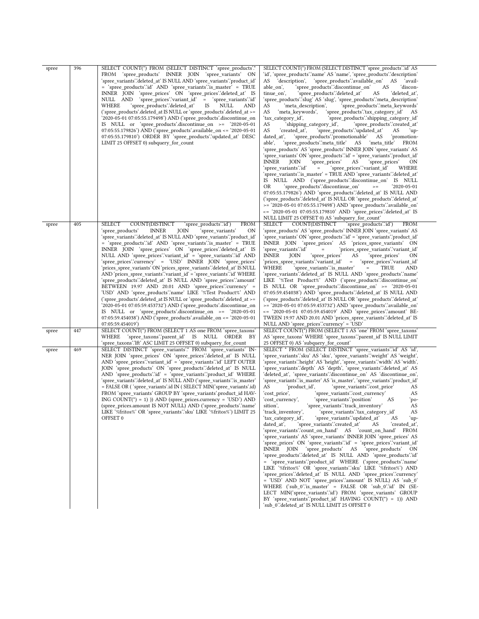| spree | 396 | SELECT COUNT(*) FROM (SELECT DISTINCT 'spree_products'.*<br>FROM 'spree_products' INNER JOIN 'spree_variants' ON<br>'spree_variants'.'deleted_at' IS NULL AND 'spree_variants'.'product_id'<br>= 'spree products' id AND 'spree variants' is master = TRUE<br>INNER JOIN 'spree_prices' ON 'spree_prices'.'deleted_at' IS<br>NULL AND<br>'spree_prices''variant_id' = 'spree_variants''id'<br>'spree products'.'deleted at'<br>WHERE<br>IS<br>NULL<br>AND<br>('spree_products'.deleted_at IS NULL or 'spree_products'.deleted_at >=<br>'2020-05-01 07:05:55.179498') AND ('spree_products'.discontinue_on<br>IS NULL or 'spree_products'.discontinue_on >= $'2020-05-01$<br>07:05:55.179826') AND ('spree_products'.available_on <= '2020-05-01<br>07:05:55.179810') ORDER BY 'spree_products'.'updated_at' DESC<br>LIMIT 25 OFFSET 0) subquery_for_count                                                                                                                                                                                                                                                                                                   | SELECT COUNT(*) FROM (SELECT DISTINCT 'spree_products' id' AS<br>'id', 'spree_products'.'name' AS 'name', 'spree_products'.'description'<br>AS<br>AS<br>'description',<br>'spree_products'.'available_on'<br>`avail-<br>able_on',<br>`spree_products∵discontinue_on`<br>AS<br>`discon-<br>tinue on',<br>`spree_productsʻ.`deleted_at`<br>AS<br>'deleted at',<br>'spree_products'.'slug' AS 'slug', 'spree_products'.'meta_description'<br>'spree_products'.'meta_keywords'<br>AS<br>'meta description',<br>'spree products'.'tax category id'<br>AS<br>'meta keywords',<br>AS<br>'tax_category_id',<br>`spree_products∵shipping_category_id`<br>AS<br>'shipping_category_id',<br>'spree_products'.'created_at'<br>AS<br>'spree_products'.'updated_at'<br>'created at',<br>AS<br>`up-<br>dated at',<br>'spree_products'.'promotionable' AS<br>`promotion-<br>able',<br>`spree_products∵meta_title'<br>AS 'meta_title'<br><b>FROM</b><br>'spree_products' AS 'spree_products' INNER JOIN 'spree_variants' AS<br>'spree variants' ON 'spree products'.id' = 'spree variants'.'product id'<br>INNER<br>JOIN<br>spree_prices'<br>AS<br>'spree_prices'<br>ON<br>`spree_prices∵variant_id`<br>WHERE<br>`spree_variants`.`id`<br>$\quad =$<br>'spree_variants'.'is_master' = TRUE AND 'spree_variants'.'deleted_at'<br>IS NULL AND ('spree_products'.'discontinue_on' IS NULL<br>OR<br>'spree_products'∴discontinue_on'<br>'2020-05-01<br>$\mathrel{>=}$<br>07:05:55.179826') AND 'spree_products'.'deleted_at' IS NULL AND<br>('spree_products'.'deleted_at' IS NULL OR 'spree_products'.'deleted_at'<br>>= '2020-05-01 07:05:55.179498') AND 'spree_products'.'available_on'<br><= '2020-05-01 07:05:55.179810' AND 'spree_prices'.'deleted_at' IS<br>NULL LIMIT 25 OFFSET 0) AS 'subquery_for_count' |
|-------|-----|-------------------------------------------------------------------------------------------------------------------------------------------------------------------------------------------------------------------------------------------------------------------------------------------------------------------------------------------------------------------------------------------------------------------------------------------------------------------------------------------------------------------------------------------------------------------------------------------------------------------------------------------------------------------------------------------------------------------------------------------------------------------------------------------------------------------------------------------------------------------------------------------------------------------------------------------------------------------------------------------------------------------------------------------------------------------------------------------------------------------------------------------------------------|-------------------------------------------------------------------------------------------------------------------------------------------------------------------------------------------------------------------------------------------------------------------------------------------------------------------------------------------------------------------------------------------------------------------------------------------------------------------------------------------------------------------------------------------------------------------------------------------------------------------------------------------------------------------------------------------------------------------------------------------------------------------------------------------------------------------------------------------------------------------------------------------------------------------------------------------------------------------------------------------------------------------------------------------------------------------------------------------------------------------------------------------------------------------------------------------------------------------------------------------------------------------------------------------------------------------------------------------------------------------------------------------------------------------------------------------------------------------------------------------------------------------------------------------------------------------------------------------------------------------------------------------------------------------------------------------------------------------------------------------------------------------------------------------------|
| spree | 405 | SELECT<br>COUNT(DISTINCT<br><b>FROM</b><br>'spree_products'.'id')<br>`spree_products`<br><b>INNER</b><br>JOIN<br>'spree variants'<br>ΟN<br>'spree_variants'.'deleted_at'        IS NULL AND 'spree_variants'.'product_id'<br>= 'spree_products'.'id' AND 'spree_variants'.'is_master' = TRUE<br>INNER JOIN 'spree_prices' ON 'spree_prices'.'deleted_at' IS<br>NULL AND 'spree_prices'.'variant_id' = 'spree_variants'.'id' AND<br>'spree_prices'.'currency' = 'USD' INNER JOIN 'spree_prices'<br>'prices spree variants' ON 'prices spree variants'.'deleted at' IS NULL<br>AND 'prices_spree_variants'.'variant_id' = 'spree_variants'.'id' WHERE<br>'spree products'.'deleted at' IS NULL AND 'spree prices'.'amount'<br>BETWEEN 19.97 AND 20.01 AND 'spree prices'.'currency' =<br>'USD' AND 'spree_products'.'name' LIKE '%Test Product%' AND<br>('spree_products'.deleted_at IS NULL or 'spree_products'.deleted_at >=<br>'2020-05-01 07:05:59.453732') AND ('spree_products'.discontinue_on<br>IS NULL or 'spree_products'.discontinue_on >= '2020-05-01<br>07:05:59.454038') AND ('spree_products'.available_on <= '2020-05-01<br>07:05:59.454019') | COUNT(DISTINCT<br>spree_products"id')<br><b>SELECT</b><br><b>FROM</b><br>'spree_products' AS 'spree_products' INNER JOIN 'spree_variants' AS<br>'spree_variants' ON 'spree_products'.'id' = 'spree_variants'.'product_id'<br>INNER JOIN 'spree_prices' AS 'prices_spree_variants' ON<br>`spree_variants∵id`<br>'prices_spree_variants'.'variant_id'<br>$=$<br>INNER<br>JOIN<br>`spree_prices'<br>AS<br>'spree_prices'<br>ON<br>'prices_spree_variants'.'variant_id'<br>$\equiv$<br>'spree_prices'.'variant_id'<br>WHERE<br>`spree_variants∵is_master`<br>TRUE<br>AND<br>$\equiv$<br>'spree_variants'.'deleted_at'        IS            NULL AND 'spree_products'.'name'<br>LIKE '%Test Product%' AND ('spree_products'.'discontinue_on'<br>IS NULL OR 'spree_products'.'discontinue_on' $\ge$ = '2020-05-01<br>07:05:59.454038') AND 'spree_products'.'deleted_at' IS NULL AND<br>('spree_products'.'deleted_at' IS NULL OR 'spree_products'.'deleted_at'<br>>= '2020-05-01 07:05:59.453732') AND 'spree_products'.'available_on'<br><= '2020-05-01 07:05:59.454019' AND 'spree_prices'.'amount' BE-<br>TWEEN 19.97 AND 20.01 AND 'prices_spree_variants'.'deleted_at' IS<br>NULL AND 'spree_prices'.'currency' = 'USD'                                                                                                                                                                                                                                                                                                                                                                                                                                                                                                                                                                         |
| spree | 447 | SELECT COUNT(*) FROM (SELECT 1 AS one FROM 'spree_taxons'<br>WHERE 'spree_taxons'.'parent_id' IS NULL ORDER BY<br>'spree_taxons'.'lft' ASC LIMIT 25 OFFSET 0) subquery_for_count                                                                                                                                                                                                                                                                                                                                                                                                                                                                                                                                                                                                                                                                                                                                                                                                                                                                                                                                                                            | SELECT COUNT(*) FROM (SELECT 1 AS 'one' FROM 'spree_taxons'<br>AS 'spree_taxons' WHERE 'spree_taxons'.'parent_id' IS NULL LIMIT<br>25 OFFSET 0) AS 'subquery_for_count'                                                                                                                                                                                                                                                                                                                                                                                                                                                                                                                                                                                                                                                                                                                                                                                                                                                                                                                                                                                                                                                                                                                                                                                                                                                                                                                                                                                                                                                                                                                                                                                                                         |
| spree | 469 | SELECT DISTINCT 'spree_variants'.* FROM 'spree_variants' IN-<br>NER JOIN 'spree_prices' ON 'spree_prices'.'deleted_at' IS NULL<br>AND 'spree_prices'.'variant_id' = 'spree_variants'.'id' LEFT OUTER<br>JOIN 'spree_products' ON 'spree_products'.'deleted_at' IS NULL<br>AND 'spree_products'.id' = 'spree_variants'.'product_id' WHERE<br>'spree_variants'.'deleted_at' IS NULL AND ('spree_variants'.'is_master'<br>= FALSE OR ('spree variants'.id IN (SELECT MIN('spree variants'.id)<br>FROM 'spree_variants' GROUP BY 'spree_variants'.product_id HAV-<br>ING COUNT( $\hat{ }$ ) = 1) )) AND (spree_prices.currency = 'USD') AND<br>(spree_prices.amount IS NOT NULL) AND ('spree_products'.'name'<br>LIKE '%fritos%' OR 'spree_variants'.'sku' LIKE '%fritos%') LIMIT 25<br>OFFSET 0                                                                                                                                                                                                                                                                                                                                                                | SELECT * FROM (SELECT DISTINCT 'spree_variants' id' AS 'id',<br>'spree_variants'.'sku' AS 'sku', 'spree_variants'.'weight' AS 'weight',<br>'spree_variants'.'height' AS 'height', 'spree_variants'.'width' AS 'width',<br>'spree_variants'.'depth' AS 'depth', 'spree_variants'.'deleted_at' AS<br>'deleted at', 'spree variants'.'discontinue on' AS 'discontinue on',<br>'spree_variants'.'is_master' AS 'is_master', 'spree_variants'.'product_id'<br>AS<br>'product_id',<br>'spree variants'.'cost price'<br>AS<br>'spree_variants'.cost_currency'<br>AS<br>`cost_price`,<br>`cost_currency`,<br>'spree variants'.'position'<br>AS<br>`po-<br>'spree_variants'.'track_inventory'<br>sition'.<br>AS<br>'track_inventory',<br>'spree variants'.'tax category id'<br>AS<br>'tax_category_id',<br>'spree_variants'.'updated_at'<br>AS<br>`up-<br>'spree variants'.'created at'<br>dated at',<br>'created at',<br>AS<br>'spree variants'.'count on hand' AS 'count on hand' FROM<br>'spree variants' AS 'spree variants' INNER JOIN 'spree prices' AS<br>'spree_prices' ON 'spree_variants'.'id' = 'spree_prices'.'variant_id'<br>INNER JOIN 'spree products' AS 'spree products'<br><b>ON</b><br>'spree products':'deleted at' IS NULL AND 'spree products':'id'<br>= 'spree variants'.'product id' WHERE ('spree products'.'name'<br>LIKE '%fritos%' OR 'spree variants'.'sku' LIKE '%fritos%') AND<br>'spree prices'.'deleted at' IS NULL AND 'spree prices'.'currency'<br>= 'USD' AND NOT 'spree_prices'.'amount' IS NULL) AS 'sub_0'<br>WHERE ('sub_0'.'is_master' = FALSE OR 'sub_0'.'id' IN (SE-<br>LECT MIN('spree variants'.id') FROM 'spree variants' GROUP<br>BY 'spree_variants'.'product_id' HAVING COUNT(*) = 1)) AND<br>'sub 0":deleted at' IS NULL LIMIT 25 OFFSET 0             |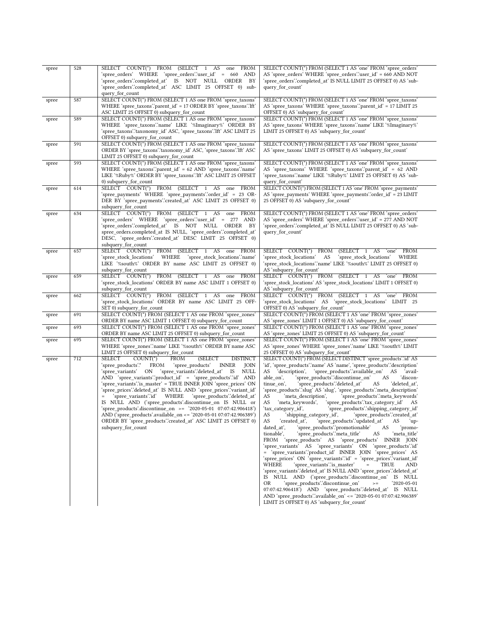| spree | 528 | SELECT COUNT(*) FROM (SELECT 1 AS one FROM<br>'spree_orders' WHERE 'spree_orders'.'user_id' = 660 AND<br>'spree orders'.'completed at' IS NOT NULL ORDER BY                                                                                                                                                                                                                                                                                                                                                                                                                                                                                                                                                                                                                             | SELECT COUNT(*) FROM (SELECT 1 AS 'one' FROM 'spree_orders'<br>AS 'spree_orders' WHERE 'spree_orders' user_id' = 660 AND NOT<br>'spree_orders'.'completed_at' IS NULL LIMIT 25 OFFSET 0) AS 'sub-                                                                                                                                                                                                                                                                                                                                                                                                                                                                                                                                                                                                                                                                                                                                                                                                                                                                                                                                                                                                                                                                                                                                                                                                                                                                                                                                                                                                                                                       |
|-------|-----|-----------------------------------------------------------------------------------------------------------------------------------------------------------------------------------------------------------------------------------------------------------------------------------------------------------------------------------------------------------------------------------------------------------------------------------------------------------------------------------------------------------------------------------------------------------------------------------------------------------------------------------------------------------------------------------------------------------------------------------------------------------------------------------------|---------------------------------------------------------------------------------------------------------------------------------------------------------------------------------------------------------------------------------------------------------------------------------------------------------------------------------------------------------------------------------------------------------------------------------------------------------------------------------------------------------------------------------------------------------------------------------------------------------------------------------------------------------------------------------------------------------------------------------------------------------------------------------------------------------------------------------------------------------------------------------------------------------------------------------------------------------------------------------------------------------------------------------------------------------------------------------------------------------------------------------------------------------------------------------------------------------------------------------------------------------------------------------------------------------------------------------------------------------------------------------------------------------------------------------------------------------------------------------------------------------------------------------------------------------------------------------------------------------------------------------------------------------|
|       |     | 'spree_orders'.'completed_at' ASC LIMIT 25 OFFSET 0) sub-<br>query_for_count                                                                                                                                                                                                                                                                                                                                                                                                                                                                                                                                                                                                                                                                                                            | query_for_count'                                                                                                                                                                                                                                                                                                                                                                                                                                                                                                                                                                                                                                                                                                                                                                                                                                                                                                                                                                                                                                                                                                                                                                                                                                                                                                                                                                                                                                                                                                                                                                                                                                        |
| spree | 587 | SELECT COUNT(*) FROM (SELECT 1 AS one FROM 'spree_taxons'<br>WHERE 'spree_taxons'.'parent_id' = 17 ORDER BY 'spree_taxons'.'lft'<br>ASC LIMIT 25 OFFSET 0) subquery for count                                                                                                                                                                                                                                                                                                                                                                                                                                                                                                                                                                                                           | SELECT COUNT(*) FROM (SELECT 1 AS 'one' FROM 'spree_taxons'<br>AS 'spree_taxons' WHERE 'spree_taxons' 'parent_id' = 17 LIMIT 25<br>OFFSET 0) AS 'subquery for count'                                                                                                                                                                                                                                                                                                                                                                                                                                                                                                                                                                                                                                                                                                                                                                                                                                                                                                                                                                                                                                                                                                                                                                                                                                                                                                                                                                                                                                                                                    |
| spree | 589 | SELECT COUNT(*) FROM (SELECT 1 AS one FROM 'spree_taxons'<br>WHERE 'spree_taxons'.'name' LIKE '%Imaginary%' ORDER BY<br>'spree_taxons'.'taxonomy_id' ASC, 'spree_taxons'.'lft' ASC LIMIT 25<br>OFFSET 0) subquery_for_count                                                                                                                                                                                                                                                                                                                                                                                                                                                                                                                                                             | SELECT COUNT(*) FROM (SELECT 1 AS 'one' FROM 'spree_taxons'<br>AS 'spree_taxons' WHERE 'spree_taxons'.'name' LIKE '%Imaginary%'<br>LIMIT 25 OFFSET 0) AS 'subquery_for_count'                                                                                                                                                                                                                                                                                                                                                                                                                                                                                                                                                                                                                                                                                                                                                                                                                                                                                                                                                                                                                                                                                                                                                                                                                                                                                                                                                                                                                                                                           |
| spree | 591 | SELECT COUNT(*) FROM (SELECT 1 AS one FROM 'spree_taxons'<br>ORDER BY 'spree_taxons'.'taxonomy_id' ASC, 'spree_taxons'.'Ift' ASC<br>LIMIT 25 OFFSET 0) subquery_for_count                                                                                                                                                                                                                                                                                                                                                                                                                                                                                                                                                                                                               | SELECT COUNT(*) FROM (SELECT 1 AS 'one' FROM 'spree_taxons'<br>AS 'spree taxons' LIMIT 25 OFFSET 0) AS 'subquery for count'                                                                                                                                                                                                                                                                                                                                                                                                                                                                                                                                                                                                                                                                                                                                                                                                                                                                                                                                                                                                                                                                                                                                                                                                                                                                                                                                                                                                                                                                                                                             |
| spree | 593 | SELECT COUNT(*) FROM (SELECT 1 AS one FROM 'spree taxons'<br>WHERE 'spree_taxons'.'parent_id' = 62 AND 'spree_taxons'.'name'<br>LIKE '%Ruby%' ORDER BY 'spree taxons'.'Ift' ASC LIMIT 25 OFFSET<br>0) subquery_for_count                                                                                                                                                                                                                                                                                                                                                                                                                                                                                                                                                                | SELECT COUNT(*) FROM (SELECT 1 AS 'one' FROM 'spree taxons'<br>AS 'spree_taxons' WHERE 'spree_taxons'.'parent_id' = 62 AND<br>'spree_taxons'.'name' LIKE '%Ruby%' LIMIT 25 OFFSET 0) AS 'sub-<br>query_for_count                                                                                                                                                                                                                                                                                                                                                                                                                                                                                                                                                                                                                                                                                                                                                                                                                                                                                                                                                                                                                                                                                                                                                                                                                                                                                                                                                                                                                                        |
| spree | 614 | SELECT COUNT(*) FROM (SELECT 1 AS one FROM<br>'spree_payments' WHERE 'spree_payments'.'order_id' = 23 OR-<br>DER BY 'spree_payments'.'created_at' ASC LIMIT 25 OFFSET 0)<br>subquery_for_count                                                                                                                                                                                                                                                                                                                                                                                                                                                                                                                                                                                          | SELECT COUNT(*) FROM (SELECT 1 AS 'one' FROM 'spree_payments'<br>AS 'spree_payments' WHERE 'spree_payments' 'order_id' = 23 LIMIT<br>25 OFFSET 0) AS 'subquery_for_count'                                                                                                                                                                                                                                                                                                                                                                                                                                                                                                                                                                                                                                                                                                                                                                                                                                                                                                                                                                                                                                                                                                                                                                                                                                                                                                                                                                                                                                                                               |
| spree | 634 | SELECT COUNT(*) FROM (SELECT 1 AS one FROM<br>'spree_orders' WHERE 'spree_orders'.'user_id' = 277 AND<br>'spree orders'.'completed at' IS NOT NULL ORDER BY<br>spree orders.completed at IS NULL, 'spree orders'.completed at'<br>DESC, 'spree orders':created at' DESC LIMIT 25 OFFSET 0)<br>subquery for count                                                                                                                                                                                                                                                                                                                                                                                                                                                                        | SELECT COUNT(*) FROM (SELECT 1 AS 'one' FROM 'spree_orders'<br>AS 'spree_orders' WHERE 'spree_orders'.'user_id' = 277 AND NOT<br>'spree_orders'.'completed_at' IS NULL LIMIT 25 OFFSET 0) AS 'sub-<br>query_for_count                                                                                                                                                                                                                                                                                                                                                                                                                                                                                                                                                                                                                                                                                                                                                                                                                                                                                                                                                                                                                                                                                                                                                                                                                                                                                                                                                                                                                                   |
| spree | 657 | SELECT COUNT(*) FROM (SELECT 1 AS one FROM<br>'spree stock locations' WHERE<br>'spree stock locations".name"<br>LIKE '%south%' ORDER BY name ASC LIMIT 25 OFFSET 0)<br>subquery_for_count                                                                                                                                                                                                                                                                                                                                                                                                                                                                                                                                                                                               | SELECT COUNT(*) FROM<br>(SELECT 1 AS 'one' FROM<br>'spree stock locations'<br>AS<br>'spree_stock_locations'<br>WHERE<br>'spree stock locations'.'name' LIKE '%south%' LIMIT 25 OFFSET 0)<br>AS 'subquery_for_count'                                                                                                                                                                                                                                                                                                                                                                                                                                                                                                                                                                                                                                                                                                                                                                                                                                                                                                                                                                                                                                                                                                                                                                                                                                                                                                                                                                                                                                     |
| spree | 659 | SELECT COUNT(*) FROM (SELECT 1 AS one FROM<br>'spree_stock_locations' ORDER BY name ASC LIMIT 1 OFFSET 0)<br>subquery_for_count                                                                                                                                                                                                                                                                                                                                                                                                                                                                                                                                                                                                                                                         | SELECT COUNT(*) FROM (SELECT 1 AS 'one' FROM<br>'spree stock locations' AS 'spree stock locations' LIMIT 1 OFFSET 0)<br>AS 'subquery_for_count'                                                                                                                                                                                                                                                                                                                                                                                                                                                                                                                                                                                                                                                                                                                                                                                                                                                                                                                                                                                                                                                                                                                                                                                                                                                                                                                                                                                                                                                                                                         |
| spree | 662 | SELECT COUNT(*) FROM (SELECT 1 AS one FROM<br>'spree_stock_locations' ORDER BY name ASC LIMIT 25 OFF-<br>SET 0) subquery_for_count                                                                                                                                                                                                                                                                                                                                                                                                                                                                                                                                                                                                                                                      | SELECT COUNT(*) FROM (SELECT 1 AS 'one' FROM<br>'spree_stock_locations' AS 'spree_stock_locations' LIMIT 25<br>OFFSET 0) AS 'subquery_for_count'                                                                                                                                                                                                                                                                                                                                                                                                                                                                                                                                                                                                                                                                                                                                                                                                                                                                                                                                                                                                                                                                                                                                                                                                                                                                                                                                                                                                                                                                                                        |
| spree | 691 | SELECT COUNT(*) FROM (SELECT 1 AS one FROM 'spree_zones'<br>ORDER BY name ASC LIMIT 1 OFFSET 0) subquery_for_count                                                                                                                                                                                                                                                                                                                                                                                                                                                                                                                                                                                                                                                                      | SELECT COUNT(*) FROM (SELECT 1 AS 'one' FROM 'spree zones'<br>AS 'spree_zones' LIMIT 1 OFFSET 0) AS 'subquery_for_count'                                                                                                                                                                                                                                                                                                                                                                                                                                                                                                                                                                                                                                                                                                                                                                                                                                                                                                                                                                                                                                                                                                                                                                                                                                                                                                                                                                                                                                                                                                                                |
| spree | 693 | SELECT COUNT(*) FROM (SELECT 1 AS one FROM 'spree zones'<br>ORDER BY name ASC LIMIT 25 OFFSET 0) subquery_for_count                                                                                                                                                                                                                                                                                                                                                                                                                                                                                                                                                                                                                                                                     | SELECT COUNT(*) FROM (SELECT 1 AS 'one' FROM 'spree zones'<br>AS 'spree_zones' LIMIT 25 OFFSET 0) AS 'subquery_for_count'                                                                                                                                                                                                                                                                                                                                                                                                                                                                                                                                                                                                                                                                                                                                                                                                                                                                                                                                                                                                                                                                                                                                                                                                                                                                                                                                                                                                                                                                                                                               |
| spree | 695 | SELECT COUNT(*) FROM (SELECT 1 AS one FROM 'spree_zones'<br>WHERE 'spree_zones'.'name' LIKE '%south%' ORDER BY name ASC<br>LIMIT 25 OFFSET 0) subquery_for_count                                                                                                                                                                                                                                                                                                                                                                                                                                                                                                                                                                                                                        | SELECT COUNT(*) FROM (SELECT 1 AS 'one' FROM 'spree_zones'<br>AS 'spree_zones' WHERE 'spree_zones'.'name' LIKE '%south%' LIMIT<br>25 OFFSET 0) AS 'subquery_for_count'                                                                                                                                                                                                                                                                                                                                                                                                                                                                                                                                                                                                                                                                                                                                                                                                                                                                                                                                                                                                                                                                                                                                                                                                                                                                                                                                                                                                                                                                                  |
| spree | 712 | SELECT<br>$COUNT(*)$<br><b>FROM</b><br>(SELECT<br><b>DISTINCT</b><br>FROM<br>'spree_products'<br><b>INNER</b><br>JOIN<br>`spree_products`.*<br>'spree_variants' ON 'spree_variants'.'deleted_at' IS<br>NULL<br>AND 'spree_variants'.'product_id' = 'spree_products'.'id' AND<br>'spree_variants'.'is_master' = TRUE INNER JOIN 'spree_prices' ON<br>'spree prices'.'deleted at' IS NULL AND 'spree prices'.'variant id'<br>'spree_variants'.'id' WHERE<br>'spree products'.'deleted at'<br>IS NULL AND ('spree_products'.discontinue_on IS NULL or<br>'spree products'.discontinue on $\ge$ '2020-05-01 07:07:42.906418')<br>AND ('spree_products'.available_on <= '2020-05-01 07:07:42.906389')<br>ORDER BY 'spree_products'.'created_at' ASC LIMIT 25 OFFSET 0)<br>subquery_for_count | SELECT COUNT(*) FROM (SELECT DISTINCT 'spree_products'.'id' AS<br>'id', 'spree_products'.'name' AS 'name', 'spree_products'.'description'<br>AS<br>'description', 'spree_products'.'available_on'<br>AS<br>'avail-<br>'spree_products'.'discontinue_on'<br>AS<br>'discon-<br>able on',<br>'spree_products'.'deleted_at'<br>'deleted at',<br>tinue on',<br>AS<br>'spree_products'.'slug' AS 'slug', 'spree_products'.'meta_description'<br>'meta description',<br>'spree_products'.'meta_keywords'<br>AS<br>AS<br>'meta keywords',<br>'spree_products'.'tax_category_id' AS<br>'tax category id',<br>'spree_products'.'shipping_category_id'<br>AS 'shipping_category_id', 'spree_products'.'created_at'<br>'created_at', 'spree_products'.'updated_at' AS<br>AS<br>up-<br>dated at',<br>'spree_products'.'promotionable'<br>AS<br>`promo-<br>tionable',<br>'spree products" meta title'<br>AS<br>'meta title'<br>FROM 'spree_products' AS 'spree_products' INNER JOIN<br>'spree variants' AS 'spree variants' ON 'spree products'.id'<br>= 'spree_variants'.'product_id' INNER JOIN 'spree_prices' AS<br>'spree prices' ON 'spree variants' id = 'spree prices' variant id<br>WHERE<br>'spree_variants'.'is_master'<br>TRUE<br>$\equiv$<br>AND<br>'spree_variants'.'deleted_at' IS NULL AND 'spree_prices'.'deleted_at'<br>IS NULL AND ('spree_products'.'discontinue_on' IS NULL<br>'spree_products'.'discontinue_on'<br>2020-05-01<br><b>OR</b><br>$\mathrel{>=}$<br>07:07:42.906418') AND 'spree_products'.'deleted_at' IS NULL<br>AND 'spree_products'.'available_on' <= '2020-05-01 07:07:42.906389'<br>LIMIT 25 OFFSET 0) AS 'subquery for count' |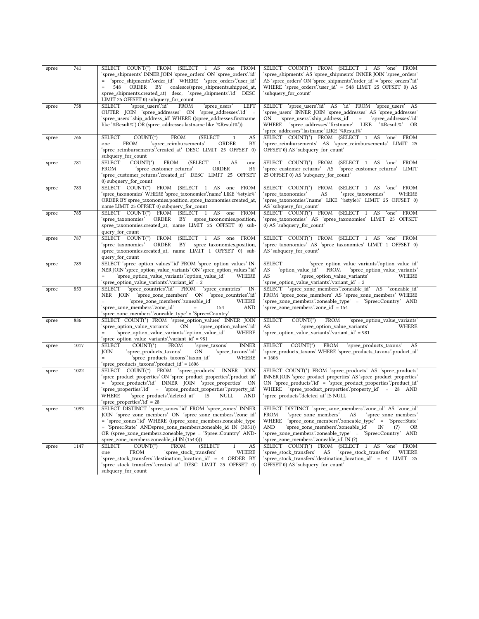| spree | 741  | SELECT COUNT(*) FROM (SELECT 1 AS one FROM<br>'spree shipments' INNER JOIN 'spree orders' ON 'spree orders' id'<br>= 'spree_shipments'.'order_id' WHERE 'spree_orders'.'user_id'<br>coalesce(spree_shipments.shipped_at,<br>$\qquad \qquad =$<br>548<br>ORDER BY<br>spree_shipments.created_at) desc, 'spree_shipments'.id' DESC<br>LIMIT 25 OFFSET 0) subquery_for_count | SELECT COUNT(*) FROM (SELECT 1 AS 'one' FROM<br>'spree_shipments' AS 'spree_shipments' INNER JOIN 'spree_orders'<br>AS 'spree_orders' ON 'spree_shipments'.'order_id' = 'spree_orders'.'id'<br>WHERE 'spree_orders'.'user_id' = 548 LIMIT 25 OFFSET 0) AS<br>'subquery_for_count'                                                                                         |
|-------|------|---------------------------------------------------------------------------------------------------------------------------------------------------------------------------------------------------------------------------------------------------------------------------------------------------------------------------------------------------------------------------|---------------------------------------------------------------------------------------------------------------------------------------------------------------------------------------------------------------------------------------------------------------------------------------------------------------------------------------------------------------------------|
| spree | 758  | SELECT<br>'spree users'.'id'<br><b>FROM</b><br>'spree users'<br>LEFT<br>OUTER JOIN 'spree addresses' ON 'spree addresses'.id' =<br>'spree_users'.'ship_address_id' WHERE ((spree_addresses.firstname<br>like '%Result%') OR (spree_addresses.lastname like '%Result%'))                                                                                                   | SELECT 'spree_users'.id' AS 'id' FROM 'spree_users' AS<br>'spree users' INNER JOIN 'spree addresses' AS 'spree addresses'<br>'spree users'.'ship address id'<br>$\alpha = 1$<br>'spree addresses'.'id'<br>ON<br>WHERE 'spree_addresses'.firstname' LIKE '%Result%'<br>OR<br>'spree_addresses'.'lastname' LIKE '%Result%'                                                  |
| spree | 766  | <b>FROM</b><br>AS<br><b>SELECT</b><br>$COUNT(*)$<br>(SELECT<br>1<br>'spree_reimbursements'<br>ORDER<br>BY<br>FROM<br>one<br>'spree_reimbursements'.'created_at' DESC LIMIT 25 OFFSET 0)<br>subquery_for_count                                                                                                                                                             | SELECT COUNT(*) FROM (SELECT 1 AS 'one' FROM<br>'spree_reimbursements' AS 'spree_reimbursements' LIMIT 25<br>OFFSET 0) AS 'subquery_for_count'                                                                                                                                                                                                                            |
| spree | 781  | SELECT<br><b>FROM</b><br>$COUNT(*)$<br>(SELECT<br>AS<br>1<br>one<br>FROM<br>'spree customer returns'<br>ORDER<br>BY<br>'spree_customer_returns'.'created_at' DESC LIMIT 25 OFFSET<br>0) subquery_for_count                                                                                                                                                                | SELECT COUNT(*) FROM<br><b>FROM</b><br>(SELECT 1 AS 'one'<br>'spree_customer_returns' AS<br>LIMIT<br>'spree_customer_returns'<br>25 OFFSET 0) AS 'subquery_for_count'                                                                                                                                                                                                     |
| spree | 783  | SELECT COUNT(*) FROM (SELECT 1 AS one<br>FROM<br>'spree_taxonomies' WHERE 'spree_taxonomies'.'name' LIKE '%style%'<br>ORDER BY spree_taxonomies.position, spree_taxonomies.created_at,<br>name LIMIT 25 OFFSET 0) subquery_for_count                                                                                                                                      | SELECT COUNT(*)<br>FROM<br>FROM<br>(SELECT 1 AS<br>`one`<br>'spree_taxonomies'<br>AS<br>'spree_taxonomies'<br>WHERE<br>'spree_taxonomies'.'name' LIKE '%style%' LIMIT 25 OFFSET 0)<br>AS 'subquery_for_count'                                                                                                                                                             |
| spree | 785  | SELECT COUNT(*) FROM (SELECT 1 AS one FROM<br>'spree_taxonomies'<br>ORDER BY spree_taxonomies.position,<br>spree_taxonomies.created_at, name LIMIT 25 OFFSET 0) sub-<br>query_for_count                                                                                                                                                                                   | SELECT COUNT(*) FROM (SELECT 1 AS 'one' FROM<br>'spree taxonomies' AS 'spree taxonomies' LIMIT 25 OFFSET<br>0) AS 'subquery_for_count'                                                                                                                                                                                                                                    |
| spree | 787  | SELECT COUNT(*) FROM (SELECT 1 AS one FROM<br>ORDER<br>'spree taxonomies'<br>BY<br>spree_taxonomies.position,<br>spree_taxonomies.created_at, name LIMIT 1 OFFSET 0) sub-<br>query_for_count                                                                                                                                                                              | SELECT COUNT(*) FROM (SELECT 1 AS 'one' FROM<br>'spree taxonomies' AS 'spree taxonomies' LIMIT 1 OFFSET 0)<br>AS 'subquery_for_count'                                                                                                                                                                                                                                     |
| spree | 789  | SELECT 'spree_option_values'.id' FROM 'spree_option_values' IN-<br>NER JOIN 'spree option value variants' ON 'spree option values' id'<br>'spree option value variants'.'option value id'<br>$\qquad \qquad =$<br>WHERE<br>'spree option value variants'.'variant id' = 2                                                                                                 | <b>SELECT</b><br>'spree_option_value_variants'.'option_value_id'<br>AS<br>FROM<br>'option_value_id'<br>'spree_option_value_variants'<br>AS<br>'spree_option_value_variants'<br>WHERE<br>'spree_option_value_variants'.'variant_id' = 2                                                                                                                                    |
| spree | 853  | SELECT 'spree_countries'.id' FROM 'spree_countries'<br>IN-<br>NER JOIN 'spree zone members' ON 'spree countries'id'<br>'spree_zone_members'.'zoneable_id'<br>WHERE<br>'spree_zone_members'.'zone_id'<br><b>AND</b><br>154<br>'spree_zone_members'.'zoneable_type' = 'Spree::Country'                                                                                      | SELECT 'spree_zone_members'.'zoneable_id' AS 'zoneable_id'<br>FROM 'spree_zone_members' AS 'spree_zone_members' WHERE<br>'spree_zone_members'.'zoneable_type' = 'Spree::Country' AND<br>`spree_zone_members∵zone_id' = 154                                                                                                                                                |
| spree | 886  | SELECT COUNT(*) FROM 'spree_option_values' INNER JOIN<br>'spree_option_value_variants'<br>ON<br>'spree option values'id'<br>'spree_option_value_variants'.'option_value_id'<br>WHERE<br>$=$<br>'spree_option_value_variants'.'variant_id' = 981                                                                                                                           | <b>SELECT</b><br>$COUNT(*)$<br>FROM<br>'spree_option_value_variants'<br>AS<br>'spree_option_value_variants'<br>WHERE<br>'spree_option_value_variants'.'variant_id' = 981                                                                                                                                                                                                  |
| spree | 1017 | $COUNT(*)$<br><b>INNER</b><br>SELECT<br><b>FROM</b><br>'spree taxons'<br><b>JOIN</b><br>'spree_products_taxons'<br>ON<br>'spree_taxons'.'id'<br>WHERE<br>'spree_products_taxons'.'taxon_id'<br>$\qquad \qquad =$<br>'spree_products_taxons'.'product_id' = 1606                                                                                                           | SELECT<br>$COUNT(*)$<br>FROM<br>'spree_products_taxons'<br>AS<br>'spree_products_taxons' WHERE 'spree_products_taxons'.'product_id'<br>$= 1606$                                                                                                                                                                                                                           |
| spree | 1022 | SELECT COUNT(*) FROM 'spree_products'<br>INNER JOIN<br>'spree_product_properties' ON 'spree_product_properties'.'product_id'<br>= 'spree_products'.id' INNER JOIN 'spree_properties' ON<br>'spree properties'.id' = 'spree product properties'.'property id'<br>'spree_products'.'deleted_at'<br>NULL<br>WHERE<br>IS<br>AND<br>'spree_properties'.'id' = 28               | SELECT COUNT(*) FROM 'spree products' AS 'spree products'<br>INNER JOIN 'spree_product_properties' AS 'spree_product_properties'<br>ON 'spree_products'.id' = 'spree_product_properties'.'product_id'<br>WHERE 'spree_product_properties'.'property_id' = 28 AND<br>'spree products'.'deleted at' IS NULL                                                                 |
| spree | 1093 | SELECT DISTINCT 'spree_zones'.id' FROM 'spree_zones' INNER<br>JOIN 'spree zone members' ON 'spree zone members' zone id'<br>= 'spree_zones'.'id' WHERE ((spree_zone_members.zoneable_type<br>= 'Spree::State' ANDspree_zone_members.zoneable_id IN (3051))<br>OR (spree zone members.zoneable type = 'Spree::Country' AND-<br>spree zone members.zoneable id IN (1543)))  | SELECT DISTINCT 'spree_zone_members'.'zone_id' AS 'zone_id'<br>FROM<br>'spree_zone_members' AS<br>spree_zone_members<br>'spree_zone_members'.'zoneable_type' = 'Spree::State'<br>WHERE<br>AND<br>'spree_zone_members'.'zoneable_id'<br>IN<br>(?)<br><b>OR</b><br>'spree zone members'.'zoneable type' = 'Spree::Country' AND<br>'spree_zone_members'.'zoneable_id' IN (?) |
| spree | 1147 | SELECT<br>$COUNT(*)$<br><b>FROM</b><br>(SELECT<br>$\mathbf{1}$<br>AS<br><b>FROM</b><br>'spree_stock_transfers'<br>WHERE<br>one<br>'spree_stock_transfers'.'destination_location_id' = 4 ORDER BY<br>'spree_stock_transfers'.'created_at' DESC LIMIT 25 OFFSET 0)<br>subquery for count                                                                                    | SELECT COUNT(*) FROM (SELECT 1 AS<br>'one'<br>FROM<br>'spree_stock_transfers'<br>AS<br>'spree stock transfers'<br>WHERE<br>'spree stock transfers'.'destination location id' = 4 LIMIT 25<br>OFFSET 0) AS 'subquery_for_count'                                                                                                                                            |